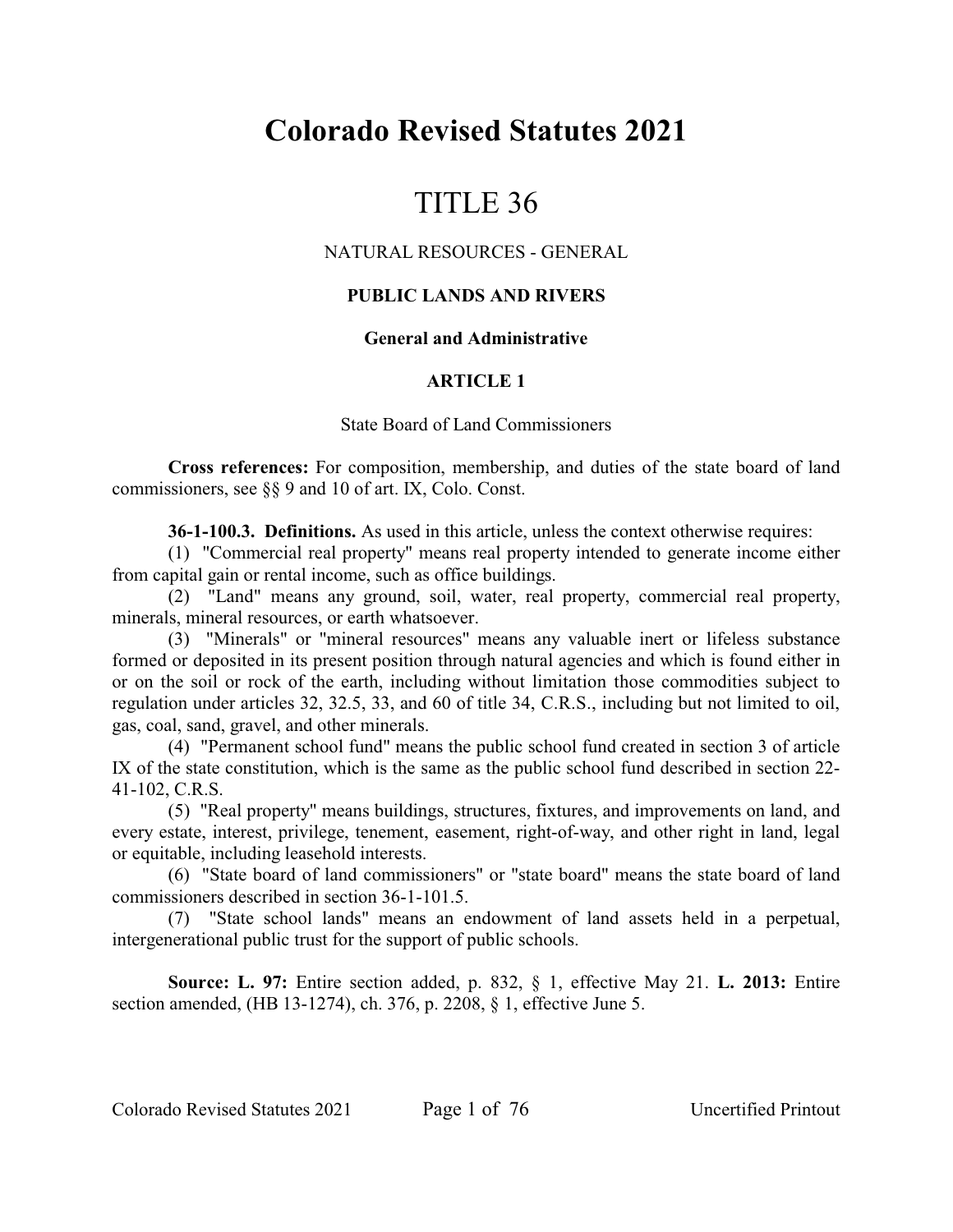# **Colorado Revised Statutes 2021**

# TITLE 36

## NATURAL RESOURCES - GENERAL

## **PUBLIC LANDS AND RIVERS**

### **General and Administrative**

## **ARTICLE 1**

#### State Board of Land Commissioners

**Cross references:** For composition, membership, and duties of the state board of land commissioners, see §§ 9 and 10 of art. IX, Colo. Const.

**36-1-100.3. Definitions.** As used in this article, unless the context otherwise requires:

(1) "Commercial real property" means real property intended to generate income either from capital gain or rental income, such as office buildings.

(2) "Land" means any ground, soil, water, real property, commercial real property, minerals, mineral resources, or earth whatsoever.

(3) "Minerals" or "mineral resources" means any valuable inert or lifeless substance formed or deposited in its present position through natural agencies and which is found either in or on the soil or rock of the earth, including without limitation those commodities subject to regulation under articles 32, 32.5, 33, and 60 of title 34, C.R.S., including but not limited to oil, gas, coal, sand, gravel, and other minerals.

(4) "Permanent school fund" means the public school fund created in section 3 of article IX of the state constitution, which is the same as the public school fund described in section 22- 41-102, C.R.S.

(5) "Real property" means buildings, structures, fixtures, and improvements on land, and every estate, interest, privilege, tenement, easement, right-of-way, and other right in land, legal or equitable, including leasehold interests.

(6) "State board of land commissioners" or "state board" means the state board of land commissioners described in section 36-1-101.5.

(7) "State school lands" means an endowment of land assets held in a perpetual, intergenerational public trust for the support of public schools.

**Source: L. 97:** Entire section added, p. 832, § 1, effective May 21. **L. 2013:** Entire section amended, (HB 13-1274), ch. 376, p. 2208, § 1, effective June 5.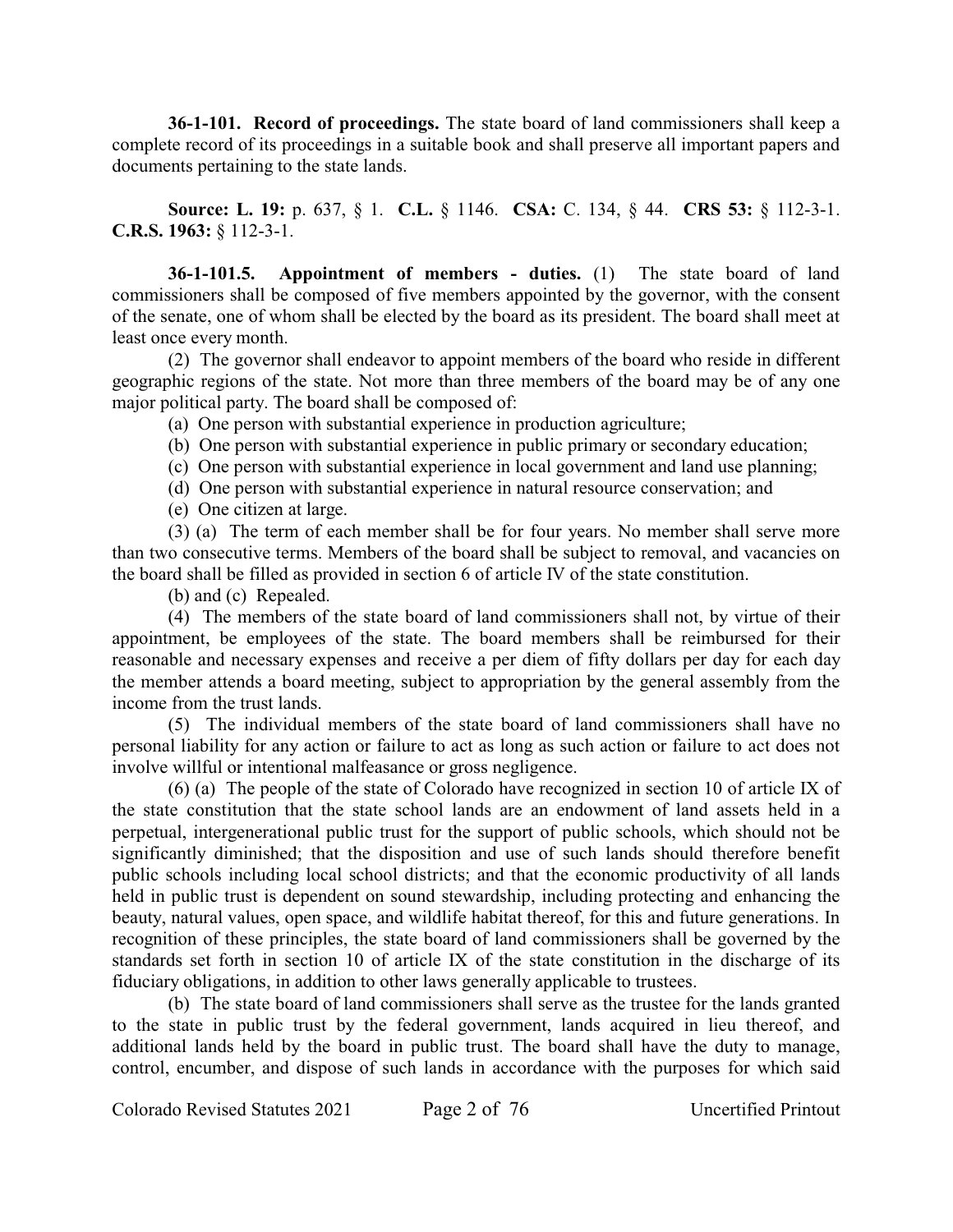**36-1-101. Record of proceedings.** The state board of land commissioners shall keep a complete record of its proceedings in a suitable book and shall preserve all important papers and documents pertaining to the state lands.

**Source: L. 19:** p. 637, § 1. **C.L.** § 1146. **CSA:** C. 134, § 44. **CRS 53:** § 112-3-1. **C.R.S. 1963:** § 112-3-1.

**36-1-101.5. Appointment of members - duties.** (1) The state board of land commissioners shall be composed of five members appointed by the governor, with the consent of the senate, one of whom shall be elected by the board as its president. The board shall meet at least once every month.

(2) The governor shall endeavor to appoint members of the board who reside in different geographic regions of the state. Not more than three members of the board may be of any one major political party. The board shall be composed of:

(a) One person with substantial experience in production agriculture;

(b) One person with substantial experience in public primary or secondary education;

- (c) One person with substantial experience in local government and land use planning;
- (d) One person with substantial experience in natural resource conservation; and

(e) One citizen at large.

(3) (a) The term of each member shall be for four years. No member shall serve more than two consecutive terms. Members of the board shall be subject to removal, and vacancies on the board shall be filled as provided in section 6 of article IV of the state constitution.

(b) and (c) Repealed.

(4) The members of the state board of land commissioners shall not, by virtue of their appointment, be employees of the state. The board members shall be reimbursed for their reasonable and necessary expenses and receive a per diem of fifty dollars per day for each day the member attends a board meeting, subject to appropriation by the general assembly from the income from the trust lands.

(5) The individual members of the state board of land commissioners shall have no personal liability for any action or failure to act as long as such action or failure to act does not involve willful or intentional malfeasance or gross negligence.

(6) (a) The people of the state of Colorado have recognized in section 10 of article IX of the state constitution that the state school lands are an endowment of land assets held in a perpetual, intergenerational public trust for the support of public schools, which should not be significantly diminished; that the disposition and use of such lands should therefore benefit public schools including local school districts; and that the economic productivity of all lands held in public trust is dependent on sound stewardship, including protecting and enhancing the beauty, natural values, open space, and wildlife habitat thereof, for this and future generations. In recognition of these principles, the state board of land commissioners shall be governed by the standards set forth in section 10 of article IX of the state constitution in the discharge of its fiduciary obligations, in addition to other laws generally applicable to trustees.

(b) The state board of land commissioners shall serve as the trustee for the lands granted to the state in public trust by the federal government, lands acquired in lieu thereof, and additional lands held by the board in public trust. The board shall have the duty to manage, control, encumber, and dispose of such lands in accordance with the purposes for which said

Colorado Revised Statutes 2021 Page 2 of 76 Uncertified Printout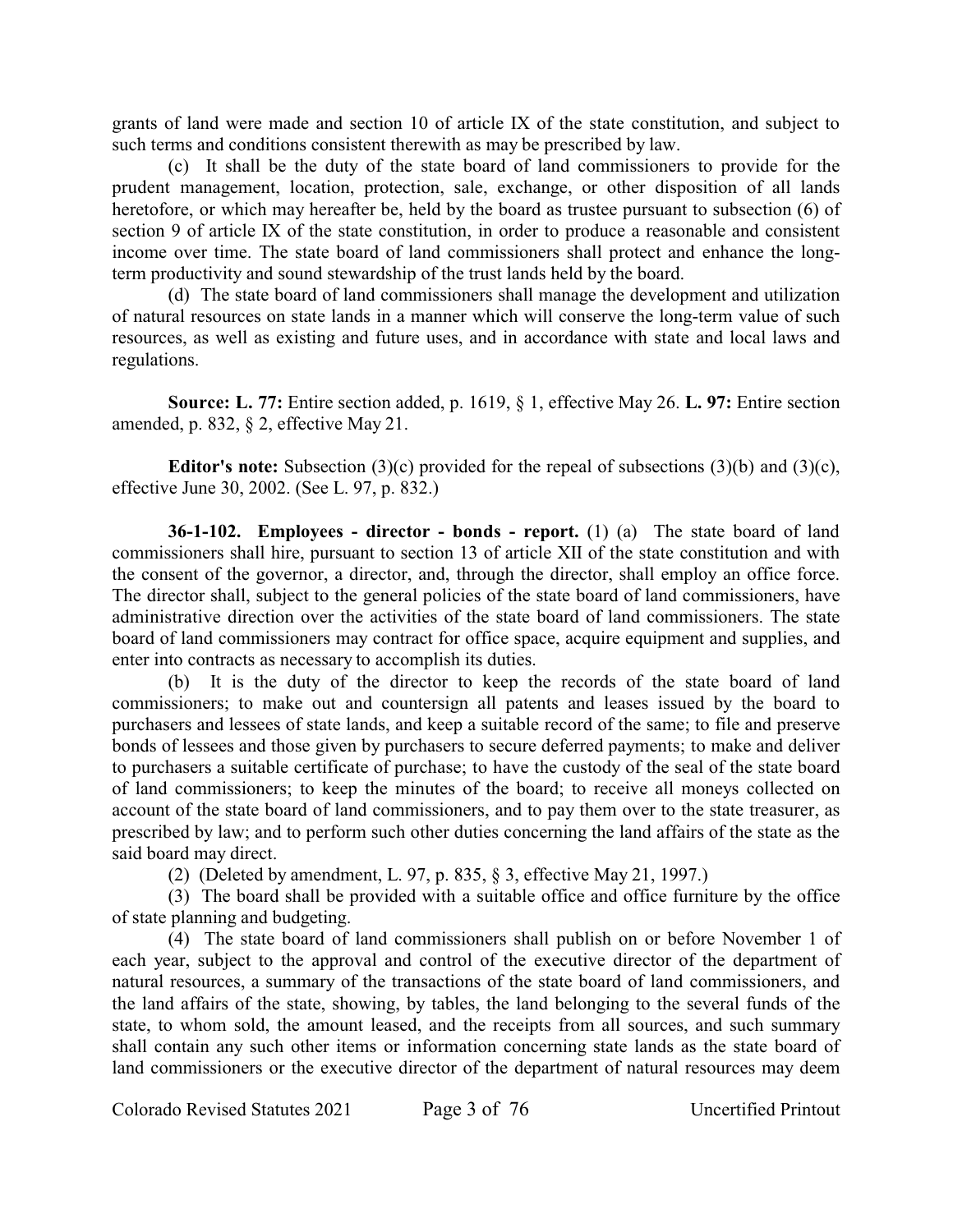grants of land were made and section 10 of article IX of the state constitution, and subject to such terms and conditions consistent therewith as may be prescribed by law.

(c) It shall be the duty of the state board of land commissioners to provide for the prudent management, location, protection, sale, exchange, or other disposition of all lands heretofore, or which may hereafter be, held by the board as trustee pursuant to subsection (6) of section 9 of article IX of the state constitution, in order to produce a reasonable and consistent income over time. The state board of land commissioners shall protect and enhance the longterm productivity and sound stewardship of the trust lands held by the board.

(d) The state board of land commissioners shall manage the development and utilization of natural resources on state lands in a manner which will conserve the long-term value of such resources, as well as existing and future uses, and in accordance with state and local laws and regulations.

**Source: L. 77:** Entire section added, p. 1619, § 1, effective May 26. **L. 97:** Entire section amended, p. 832, § 2, effective May 21.

**Editor's note:** Subsection (3)(c) provided for the repeal of subsections (3)(b) and (3)(c), effective June 30, 2002. (See L. 97, p. 832.)

**36-1-102. Employees - director - bonds - report.** (1) (a) The state board of land commissioners shall hire, pursuant to section 13 of article XII of the state constitution and with the consent of the governor, a director, and, through the director, shall employ an office force. The director shall, subject to the general policies of the state board of land commissioners, have administrative direction over the activities of the state board of land commissioners. The state board of land commissioners may contract for office space, acquire equipment and supplies, and enter into contracts as necessary to accomplish its duties.

(b) It is the duty of the director to keep the records of the state board of land commissioners; to make out and countersign all patents and leases issued by the board to purchasers and lessees of state lands, and keep a suitable record of the same; to file and preserve bonds of lessees and those given by purchasers to secure deferred payments; to make and deliver to purchasers a suitable certificate of purchase; to have the custody of the seal of the state board of land commissioners; to keep the minutes of the board; to receive all moneys collected on account of the state board of land commissioners, and to pay them over to the state treasurer, as prescribed by law; and to perform such other duties concerning the land affairs of the state as the said board may direct.

(2) (Deleted by amendment, L. 97, p. 835, § 3, effective May 21, 1997.)

(3) The board shall be provided with a suitable office and office furniture by the office of state planning and budgeting.

(4) The state board of land commissioners shall publish on or before November 1 of each year, subject to the approval and control of the executive director of the department of natural resources, a summary of the transactions of the state board of land commissioners, and the land affairs of the state, showing, by tables, the land belonging to the several funds of the state, to whom sold, the amount leased, and the receipts from all sources, and such summary shall contain any such other items or information concerning state lands as the state board of land commissioners or the executive director of the department of natural resources may deem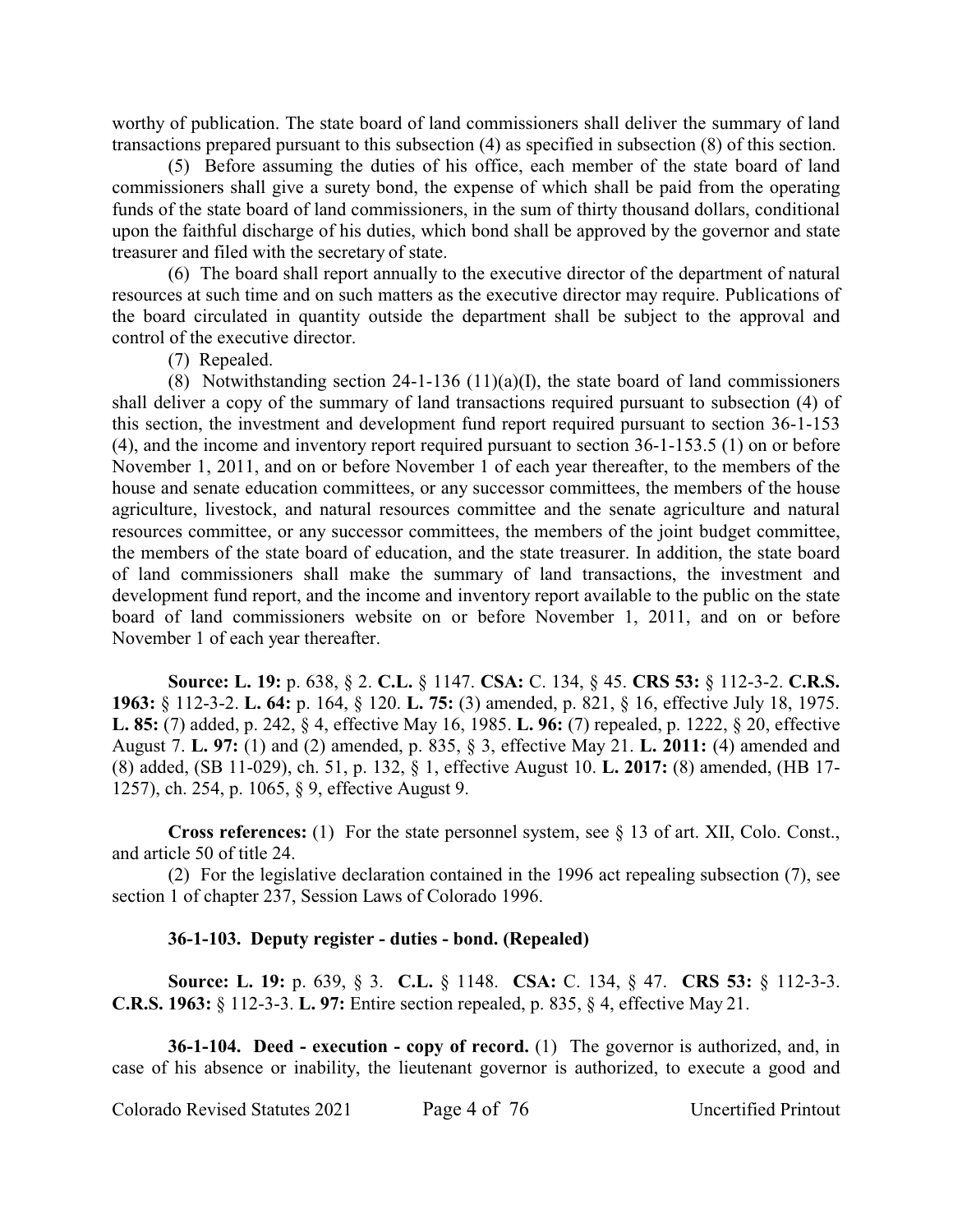worthy of publication. The state board of land commissioners shall deliver the summary of land transactions prepared pursuant to this subsection (4) as specified in subsection (8) of this section.

(5) Before assuming the duties of his office, each member of the state board of land commissioners shall give a surety bond, the expense of which shall be paid from the operating funds of the state board of land commissioners, in the sum of thirty thousand dollars, conditional upon the faithful discharge of his duties, which bond shall be approved by the governor and state treasurer and filed with the secretary of state.

(6) The board shall report annually to the executive director of the department of natural resources at such time and on such matters as the executive director may require. Publications of the board circulated in quantity outside the department shall be subject to the approval and control of the executive director.

(7) Repealed.

(8) Notwithstanding section 24-1-136 (11)(a)(I), the state board of land commissioners shall deliver a copy of the summary of land transactions required pursuant to subsection (4) of this section, the investment and development fund report required pursuant to section 36-1-153 (4), and the income and inventory report required pursuant to section 36-1-153.5 (1) on or before November 1, 2011, and on or before November 1 of each year thereafter, to the members of the house and senate education committees, or any successor committees, the members of the house agriculture, livestock, and natural resources committee and the senate agriculture and natural resources committee, or any successor committees, the members of the joint budget committee, the members of the state board of education, and the state treasurer. In addition, the state board of land commissioners shall make the summary of land transactions, the investment and development fund report, and the income and inventory report available to the public on the state board of land commissioners website on or before November 1, 2011, and on or before November 1 of each year thereafter.

**Source: L. 19:** p. 638, § 2. **C.L.** § 1147. **CSA:** C. 134, § 45. **CRS 53:** § 112-3-2. **C.R.S. 1963:** § 112-3-2. **L. 64:** p. 164, § 120. **L. 75:** (3) amended, p. 821, § 16, effective July 18, 1975. **L. 85:** (7) added, p. 242, § 4, effective May 16, 1985. **L. 96:** (7) repealed, p. 1222, § 20, effective August 7. **L. 97:** (1) and (2) amended, p. 835, § 3, effective May 21. **L. 2011:** (4) amended and (8) added, (SB 11-029), ch. 51, p. 132, § 1, effective August 10. **L. 2017:** (8) amended, (HB 17- 1257), ch. 254, p. 1065, § 9, effective August 9.

**Cross references:** (1) For the state personnel system, see § 13 of art. XII, Colo. Const., and article 50 of title 24.

(2) For the legislative declaration contained in the 1996 act repealing subsection (7), see section 1 of chapter 237, Session Laws of Colorado 1996.

#### **36-1-103. Deputy register - duties - bond. (Repealed)**

**Source: L. 19:** p. 639, § 3. **C.L.** § 1148. **CSA:** C. 134, § 47. **CRS 53:** § 112-3-3. **C.R.S. 1963:** § 112-3-3. **L. 97:** Entire section repealed, p. 835, § 4, effective May 21.

**36-1-104. Deed - execution - copy of record.** (1) The governor is authorized, and, in case of his absence or inability, the lieutenant governor is authorized, to execute a good and

Colorado Revised Statutes 2021 Page 4 of 76 Uncertified Printout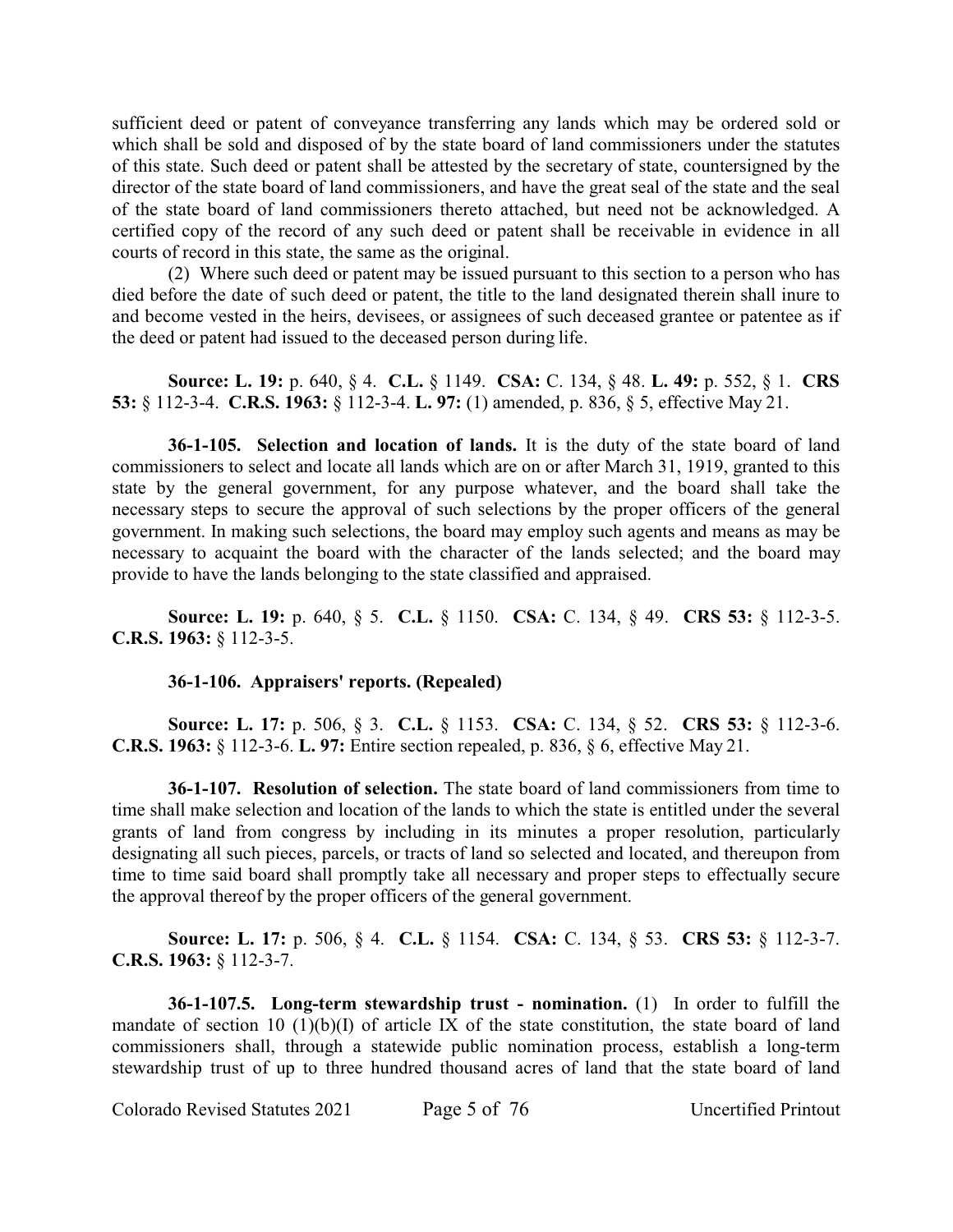sufficient deed or patent of conveyance transferring any lands which may be ordered sold or which shall be sold and disposed of by the state board of land commissioners under the statutes of this state. Such deed or patent shall be attested by the secretary of state, countersigned by the director of the state board of land commissioners, and have the great seal of the state and the seal of the state board of land commissioners thereto attached, but need not be acknowledged. A certified copy of the record of any such deed or patent shall be receivable in evidence in all courts of record in this state, the same as the original.

(2) Where such deed or patent may be issued pursuant to this section to a person who has died before the date of such deed or patent, the title to the land designated therein shall inure to and become vested in the heirs, devisees, or assignees of such deceased grantee or patentee as if the deed or patent had issued to the deceased person during life.

**Source: L. 19:** p. 640, § 4. **C.L.** § 1149. **CSA:** C. 134, § 48. **L. 49:** p. 552, § 1. **CRS 53:** § 112-3-4. **C.R.S. 1963:** § 112-3-4. **L. 97:** (1) amended, p. 836, § 5, effective May 21.

**36-1-105. Selection and location of lands.** It is the duty of the state board of land commissioners to select and locate all lands which are on or after March 31, 1919, granted to this state by the general government, for any purpose whatever, and the board shall take the necessary steps to secure the approval of such selections by the proper officers of the general government. In making such selections, the board may employ such agents and means as may be necessary to acquaint the board with the character of the lands selected; and the board may provide to have the lands belonging to the state classified and appraised.

**Source: L. 19:** p. 640, § 5. **C.L.** § 1150. **CSA:** C. 134, § 49. **CRS 53:** § 112-3-5. **C.R.S. 1963:** § 112-3-5.

### **36-1-106. Appraisers' reports. (Repealed)**

**Source: L. 17:** p. 506, § 3. **C.L.** § 1153. **CSA:** C. 134, § 52. **CRS 53:** § 112-3-6. **C.R.S. 1963:** § 112-3-6. **L. 97:** Entire section repealed, p. 836, § 6, effective May 21.

**36-1-107. Resolution of selection.** The state board of land commissioners from time to time shall make selection and location of the lands to which the state is entitled under the several grants of land from congress by including in its minutes a proper resolution, particularly designating all such pieces, parcels, or tracts of land so selected and located, and thereupon from time to time said board shall promptly take all necessary and proper steps to effectually secure the approval thereof by the proper officers of the general government.

**Source: L. 17:** p. 506, § 4. **C.L.** § 1154. **CSA:** C. 134, § 53. **CRS 53:** § 112-3-7. **C.R.S. 1963:** § 112-3-7.

**36-1-107.5. Long-term stewardship trust - nomination.** (1) In order to fulfill the mandate of section 10 (1)(b)(I) of article IX of the state constitution, the state board of land commissioners shall, through a statewide public nomination process, establish a long-term stewardship trust of up to three hundred thousand acres of land that the state board of land

Colorado Revised Statutes 2021 Page 5 of 76 Uncertified Printout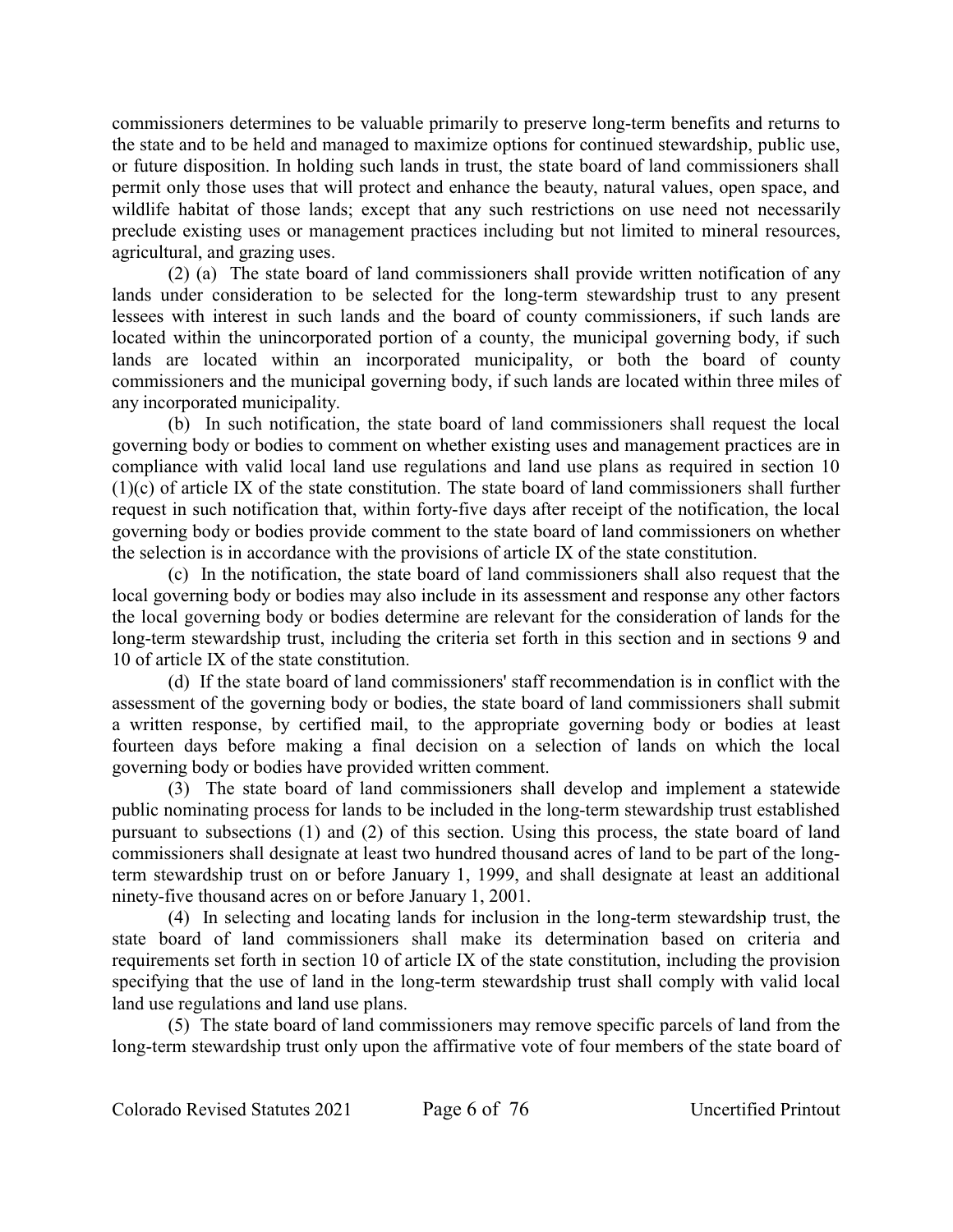commissioners determines to be valuable primarily to preserve long-term benefits and returns to the state and to be held and managed to maximize options for continued stewardship, public use, or future disposition. In holding such lands in trust, the state board of land commissioners shall permit only those uses that will protect and enhance the beauty, natural values, open space, and wildlife habitat of those lands; except that any such restrictions on use need not necessarily preclude existing uses or management practices including but not limited to mineral resources, agricultural, and grazing uses.

(2) (a) The state board of land commissioners shall provide written notification of any lands under consideration to be selected for the long-term stewardship trust to any present lessees with interest in such lands and the board of county commissioners, if such lands are located within the unincorporated portion of a county, the municipal governing body, if such lands are located within an incorporated municipality, or both the board of county commissioners and the municipal governing body, if such lands are located within three miles of any incorporated municipality.

(b) In such notification, the state board of land commissioners shall request the local governing body or bodies to comment on whether existing uses and management practices are in compliance with valid local land use regulations and land use plans as required in section 10 (1)(c) of article IX of the state constitution. The state board of land commissioners shall further request in such notification that, within forty-five days after receipt of the notification, the local governing body or bodies provide comment to the state board of land commissioners on whether the selection is in accordance with the provisions of article IX of the state constitution.

(c) In the notification, the state board of land commissioners shall also request that the local governing body or bodies may also include in its assessment and response any other factors the local governing body or bodies determine are relevant for the consideration of lands for the long-term stewardship trust, including the criteria set forth in this section and in sections 9 and 10 of article IX of the state constitution.

(d) If the state board of land commissioners' staff recommendation is in conflict with the assessment of the governing body or bodies, the state board of land commissioners shall submit a written response, by certified mail, to the appropriate governing body or bodies at least fourteen days before making a final decision on a selection of lands on which the local governing body or bodies have provided written comment.

(3) The state board of land commissioners shall develop and implement a statewide public nominating process for lands to be included in the long-term stewardship trust established pursuant to subsections (1) and (2) of this section. Using this process, the state board of land commissioners shall designate at least two hundred thousand acres of land to be part of the longterm stewardship trust on or before January 1, 1999, and shall designate at least an additional ninety-five thousand acres on or before January 1, 2001.

(4) In selecting and locating lands for inclusion in the long-term stewardship trust, the state board of land commissioners shall make its determination based on criteria and requirements set forth in section 10 of article IX of the state constitution, including the provision specifying that the use of land in the long-term stewardship trust shall comply with valid local land use regulations and land use plans.

(5) The state board of land commissioners may remove specific parcels of land from the long-term stewardship trust only upon the affirmative vote of four members of the state board of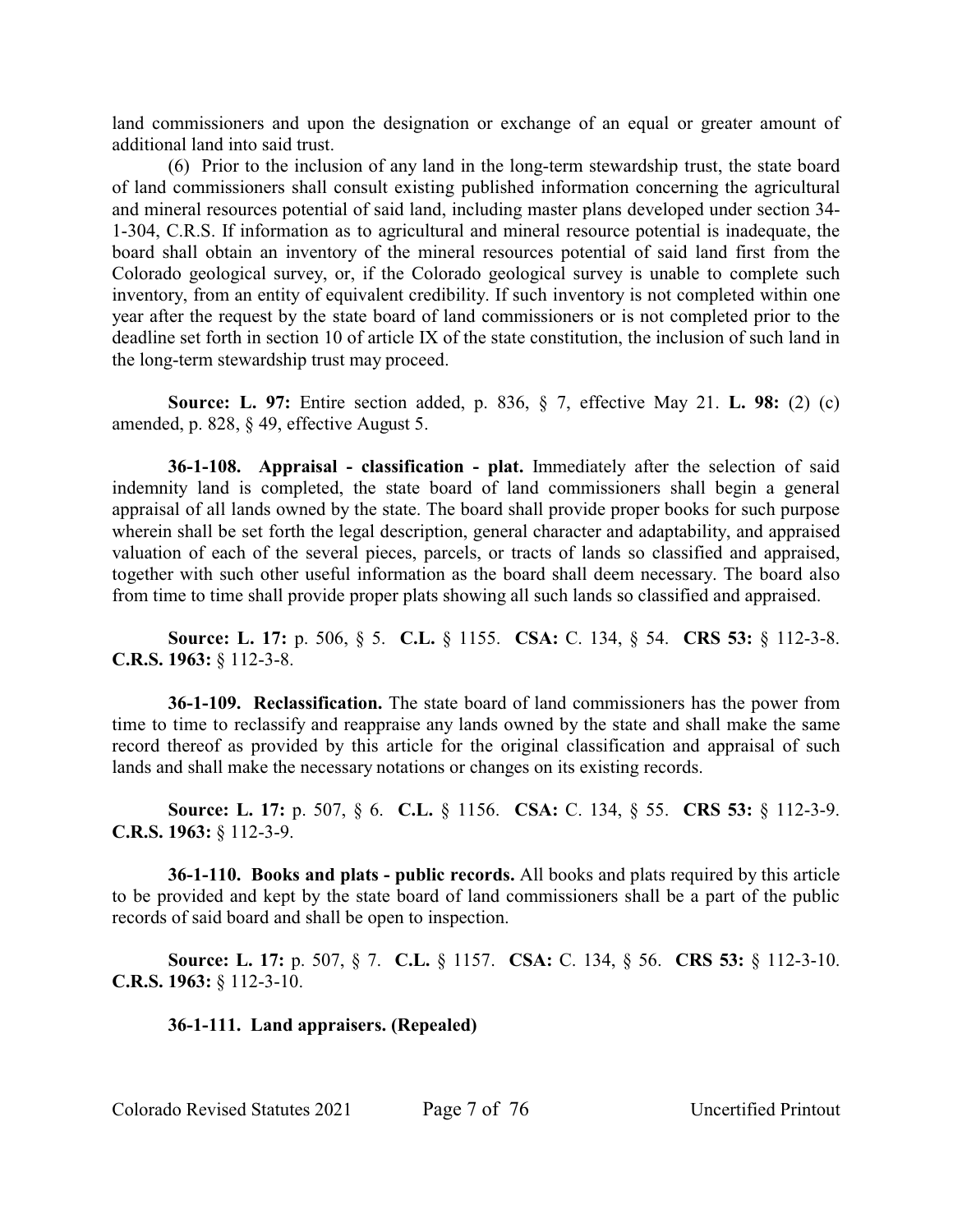land commissioners and upon the designation or exchange of an equal or greater amount of additional land into said trust.

(6) Prior to the inclusion of any land in the long-term stewardship trust, the state board of land commissioners shall consult existing published information concerning the agricultural and mineral resources potential of said land, including master plans developed under section 34- 1-304, C.R.S. If information as to agricultural and mineral resource potential is inadequate, the board shall obtain an inventory of the mineral resources potential of said land first from the Colorado geological survey, or, if the Colorado geological survey is unable to complete such inventory, from an entity of equivalent credibility. If such inventory is not completed within one year after the request by the state board of land commissioners or is not completed prior to the deadline set forth in section 10 of article IX of the state constitution, the inclusion of such land in the long-term stewardship trust may proceed.

**Source: L. 97:** Entire section added, p. 836, § 7, effective May 21. **L. 98:** (2) (c) amended, p. 828, § 49, effective August 5.

**36-1-108. Appraisal - classification - plat.** Immediately after the selection of said indemnity land is completed, the state board of land commissioners shall begin a general appraisal of all lands owned by the state. The board shall provide proper books for such purpose wherein shall be set forth the legal description, general character and adaptability, and appraised valuation of each of the several pieces, parcels, or tracts of lands so classified and appraised, together with such other useful information as the board shall deem necessary. The board also from time to time shall provide proper plats showing all such lands so classified and appraised.

**Source: L. 17:** p. 506, § 5. **C.L.** § 1155. **CSA:** C. 134, § 54. **CRS 53:** § 112-3-8. **C.R.S. 1963:** § 112-3-8.

**36-1-109. Reclassification.** The state board of land commissioners has the power from time to time to reclassify and reappraise any lands owned by the state and shall make the same record thereof as provided by this article for the original classification and appraisal of such lands and shall make the necessary notations or changes on its existing records.

**Source: L. 17:** p. 507, § 6. **C.L.** § 1156. **CSA:** C. 134, § 55. **CRS 53:** § 112-3-9. **C.R.S. 1963:** § 112-3-9.

**36-1-110. Books and plats - public records.** All books and plats required by this article to be provided and kept by the state board of land commissioners shall be a part of the public records of said board and shall be open to inspection.

**Source: L. 17:** p. 507, § 7. **C.L.** § 1157. **CSA:** C. 134, § 56. **CRS 53:** § 112-3-10. **C.R.S. 1963:** § 112-3-10.

#### **36-1-111. Land appraisers. (Repealed)**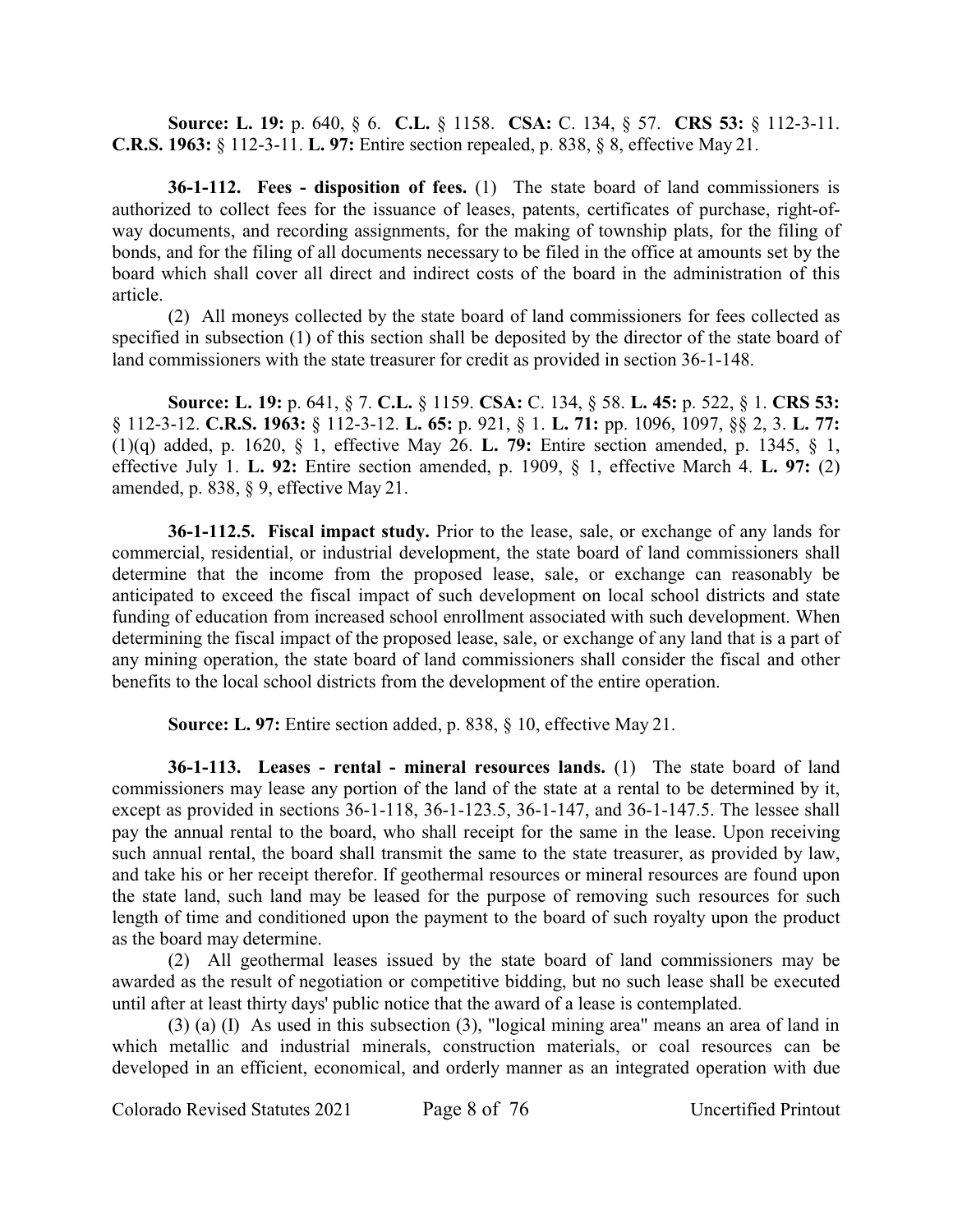**Source: L. 19:** p. 640, § 6. **C.L.** § 1158. **CSA:** C. 134, § 57. **CRS 53:** § 112-3-11. **C.R.S. 1963:** § 112-3-11. **L. 97:** Entire section repealed, p. 838, § 8, effective May 21.

**36-1-112. Fees - disposition of fees.** (1) The state board of land commissioners is authorized to collect fees for the issuance of leases, patents, certificates of purchase, right-ofway documents, and recording assignments, for the making of township plats, for the filing of bonds, and for the filing of all documents necessary to be filed in the office at amounts set by the board which shall cover all direct and indirect costs of the board in the administration of this article.

(2) All moneys collected by the state board of land commissioners for fees collected as specified in subsection (1) of this section shall be deposited by the director of the state board of land commissioners with the state treasurer for credit as provided in section 36-1-148.

**Source: L. 19:** p. 641, § 7. **C.L.** § 1159. **CSA:** C. 134, § 58. **L. 45:** p. 522, § 1. **CRS 53:** § 112-3-12. **C.R.S. 1963:** § 112-3-12. **L. 65:** p. 921, § 1. **L. 71:** pp. 1096, 1097, §§ 2, 3. **L. 77:** (1)(q) added, p. 1620, § 1, effective May 26. **L. 79:** Entire section amended, p. 1345, § 1, effective July 1. **L. 92:** Entire section amended, p. 1909, § 1, effective March 4. **L. 97:** (2) amended, p. 838, § 9, effective May 21.

**36-1-112.5. Fiscal impact study.** Prior to the lease, sale, or exchange of any lands for commercial, residential, or industrial development, the state board of land commissioners shall determine that the income from the proposed lease, sale, or exchange can reasonably be anticipated to exceed the fiscal impact of such development on local school districts and state funding of education from increased school enrollment associated with such development. When determining the fiscal impact of the proposed lease, sale, or exchange of any land that is a part of any mining operation, the state board of land commissioners shall consider the fiscal and other benefits to the local school districts from the development of the entire operation.

**Source: L. 97:** Entire section added, p. 838, § 10, effective May 21.

**36-1-113. Leases - rental - mineral resources lands.** (1) The state board of land commissioners may lease any portion of the land of the state at a rental to be determined by it, except as provided in sections 36-1-118, 36-1-123.5, 36-1-147, and 36-1-147.5. The lessee shall pay the annual rental to the board, who shall receipt for the same in the lease. Upon receiving such annual rental, the board shall transmit the same to the state treasurer, as provided by law, and take his or her receipt therefor. If geothermal resources or mineral resources are found upon the state land, such land may be leased for the purpose of removing such resources for such length of time and conditioned upon the payment to the board of such royalty upon the product as the board may determine.

(2) All geothermal leases issued by the state board of land commissioners may be awarded as the result of negotiation or competitive bidding, but no such lease shall be executed until after at least thirty days' public notice that the award of a lease is contemplated.

(3) (a) (I) As used in this subsection (3), "logical mining area" means an area of land in which metallic and industrial minerals, construction materials, or coal resources can be developed in an efficient, economical, and orderly manner as an integrated operation with due

Colorado Revised Statutes 2021 Page 8 of 76 Uncertified Printout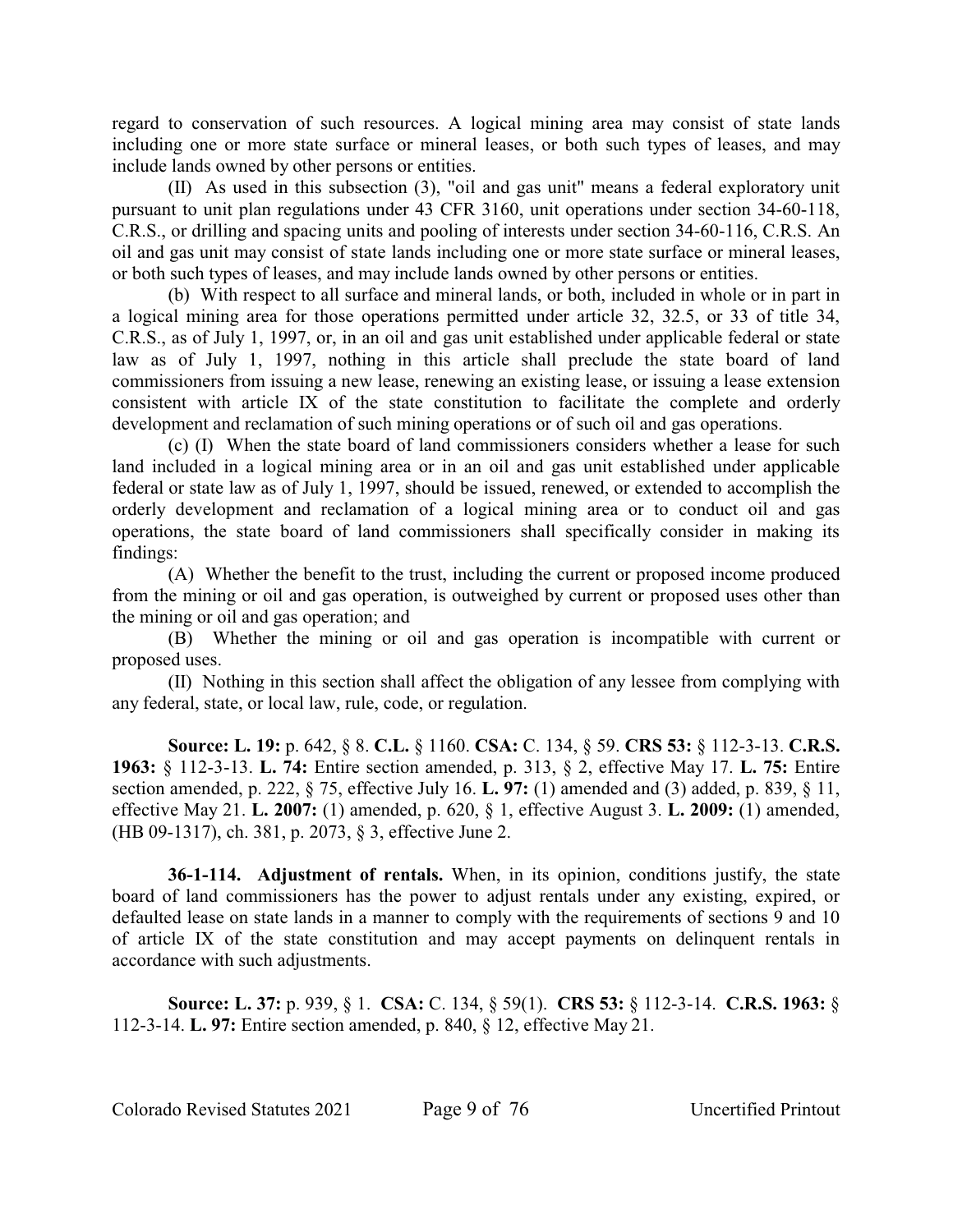regard to conservation of such resources. A logical mining area may consist of state lands including one or more state surface or mineral leases, or both such types of leases, and may include lands owned by other persons or entities.

(II) As used in this subsection (3), "oil and gas unit" means a federal exploratory unit pursuant to unit plan regulations under 43 CFR 3160, unit operations under section 34-60-118, C.R.S., or drilling and spacing units and pooling of interests under section 34-60-116, C.R.S. An oil and gas unit may consist of state lands including one or more state surface or mineral leases, or both such types of leases, and may include lands owned by other persons or entities.

(b) With respect to all surface and mineral lands, or both, included in whole or in part in a logical mining area for those operations permitted under article 32, 32.5, or 33 of title 34, C.R.S., as of July 1, 1997, or, in an oil and gas unit established under applicable federal or state law as of July 1, 1997, nothing in this article shall preclude the state board of land commissioners from issuing a new lease, renewing an existing lease, or issuing a lease extension consistent with article IX of the state constitution to facilitate the complete and orderly development and reclamation of such mining operations or of such oil and gas operations.

(c) (I) When the state board of land commissioners considers whether a lease for such land included in a logical mining area or in an oil and gas unit established under applicable federal or state law as of July 1, 1997, should be issued, renewed, or extended to accomplish the orderly development and reclamation of a logical mining area or to conduct oil and gas operations, the state board of land commissioners shall specifically consider in making its findings:

(A) Whether the benefit to the trust, including the current or proposed income produced from the mining or oil and gas operation, is outweighed by current or proposed uses other than the mining or oil and gas operation; and

(B) Whether the mining or oil and gas operation is incompatible with current or proposed uses.

(II) Nothing in this section shall affect the obligation of any lessee from complying with any federal, state, or local law, rule, code, or regulation.

**Source: L. 19:** p. 642, § 8. **C.L.** § 1160. **CSA:** C. 134, § 59. **CRS 53:** § 112-3-13. **C.R.S. 1963:** § 112-3-13. **L. 74:** Entire section amended, p. 313, § 2, effective May 17. **L. 75:** Entire section amended, p. 222, § 75, effective July 16. **L. 97:** (1) amended and (3) added, p. 839, § 11, effective May 21. **L. 2007:** (1) amended, p. 620, § 1, effective August 3. **L. 2009:** (1) amended, (HB 09-1317), ch. 381, p. 2073, § 3, effective June 2.

**36-1-114. Adjustment of rentals.** When, in its opinion, conditions justify, the state board of land commissioners has the power to adjust rentals under any existing, expired, or defaulted lease on state lands in a manner to comply with the requirements of sections 9 and 10 of article IX of the state constitution and may accept payments on delinquent rentals in accordance with such adjustments.

**Source: L. 37:** p. 939, § 1. **CSA:** C. 134, § 59(1). **CRS 53:** § 112-3-14. **C.R.S. 1963:** § 112-3-14. **L. 97:** Entire section amended, p. 840, § 12, effective May 21.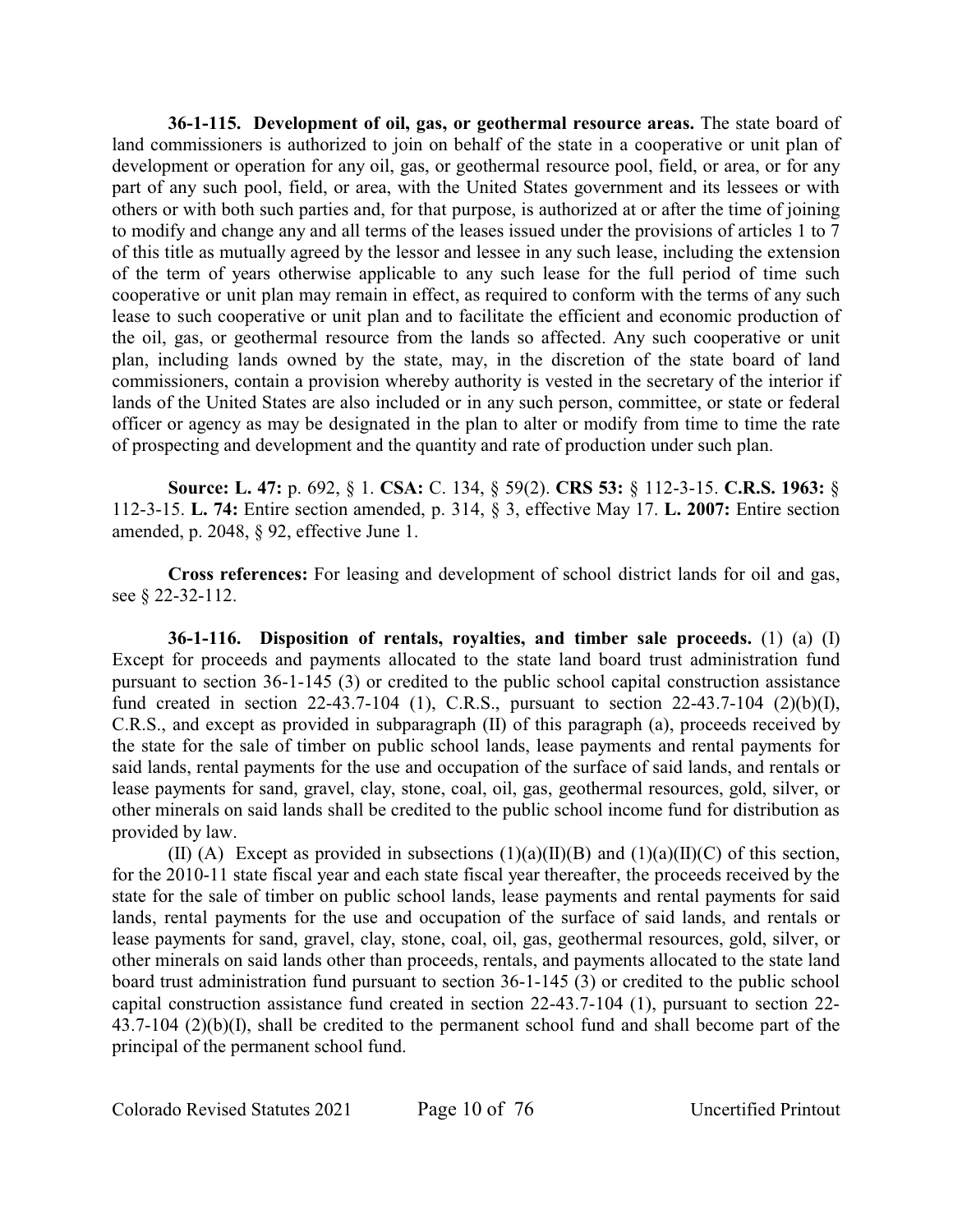**36-1-115. Development of oil, gas, or geothermal resource areas.** The state board of land commissioners is authorized to join on behalf of the state in a cooperative or unit plan of development or operation for any oil, gas, or geothermal resource pool, field, or area, or for any part of any such pool, field, or area, with the United States government and its lessees or with others or with both such parties and, for that purpose, is authorized at or after the time of joining to modify and change any and all terms of the leases issued under the provisions of articles 1 to 7 of this title as mutually agreed by the lessor and lessee in any such lease, including the extension of the term of years otherwise applicable to any such lease for the full period of time such cooperative or unit plan may remain in effect, as required to conform with the terms of any such lease to such cooperative or unit plan and to facilitate the efficient and economic production of the oil, gas, or geothermal resource from the lands so affected. Any such cooperative or unit plan, including lands owned by the state, may, in the discretion of the state board of land commissioners, contain a provision whereby authority is vested in the secretary of the interior if lands of the United States are also included or in any such person, committee, or state or federal officer or agency as may be designated in the plan to alter or modify from time to time the rate of prospecting and development and the quantity and rate of production under such plan.

**Source: L. 47:** p. 692, § 1. **CSA:** C. 134, § 59(2). **CRS 53:** § 112-3-15. **C.R.S. 1963:** § 112-3-15. **L. 74:** Entire section amended, p. 314, § 3, effective May 17. **L. 2007:** Entire section amended, p. 2048, § 92, effective June 1.

**Cross references:** For leasing and development of school district lands for oil and gas, see § 22-32-112.

**36-1-116. Disposition of rentals, royalties, and timber sale proceeds.** (1) (a) (I) Except for proceeds and payments allocated to the state land board trust administration fund pursuant to section 36-1-145 (3) or credited to the public school capital construction assistance fund created in section 22-43.7-104 (1), C.R.S., pursuant to section 22-43.7-104 (2)(b)(I), C.R.S., and except as provided in subparagraph (II) of this paragraph (a), proceeds received by the state for the sale of timber on public school lands, lease payments and rental payments for said lands, rental payments for the use and occupation of the surface of said lands, and rentals or lease payments for sand, gravel, clay, stone, coal, oil, gas, geothermal resources, gold, silver, or other minerals on said lands shall be credited to the public school income fund for distribution as provided by law.

(II) (A) Except as provided in subsections  $(1)(a)(II)(B)$  and  $(1)(a)(II)(C)$  of this section, for the 2010-11 state fiscal year and each state fiscal year thereafter, the proceeds received by the state for the sale of timber on public school lands, lease payments and rental payments for said lands, rental payments for the use and occupation of the surface of said lands, and rentals or lease payments for sand, gravel, clay, stone, coal, oil, gas, geothermal resources, gold, silver, or other minerals on said lands other than proceeds, rentals, and payments allocated to the state land board trust administration fund pursuant to section 36-1-145 (3) or credited to the public school capital construction assistance fund created in section 22-43.7-104 (1), pursuant to section 22- 43.7-104 (2)(b)(I), shall be credited to the permanent school fund and shall become part of the principal of the permanent school fund.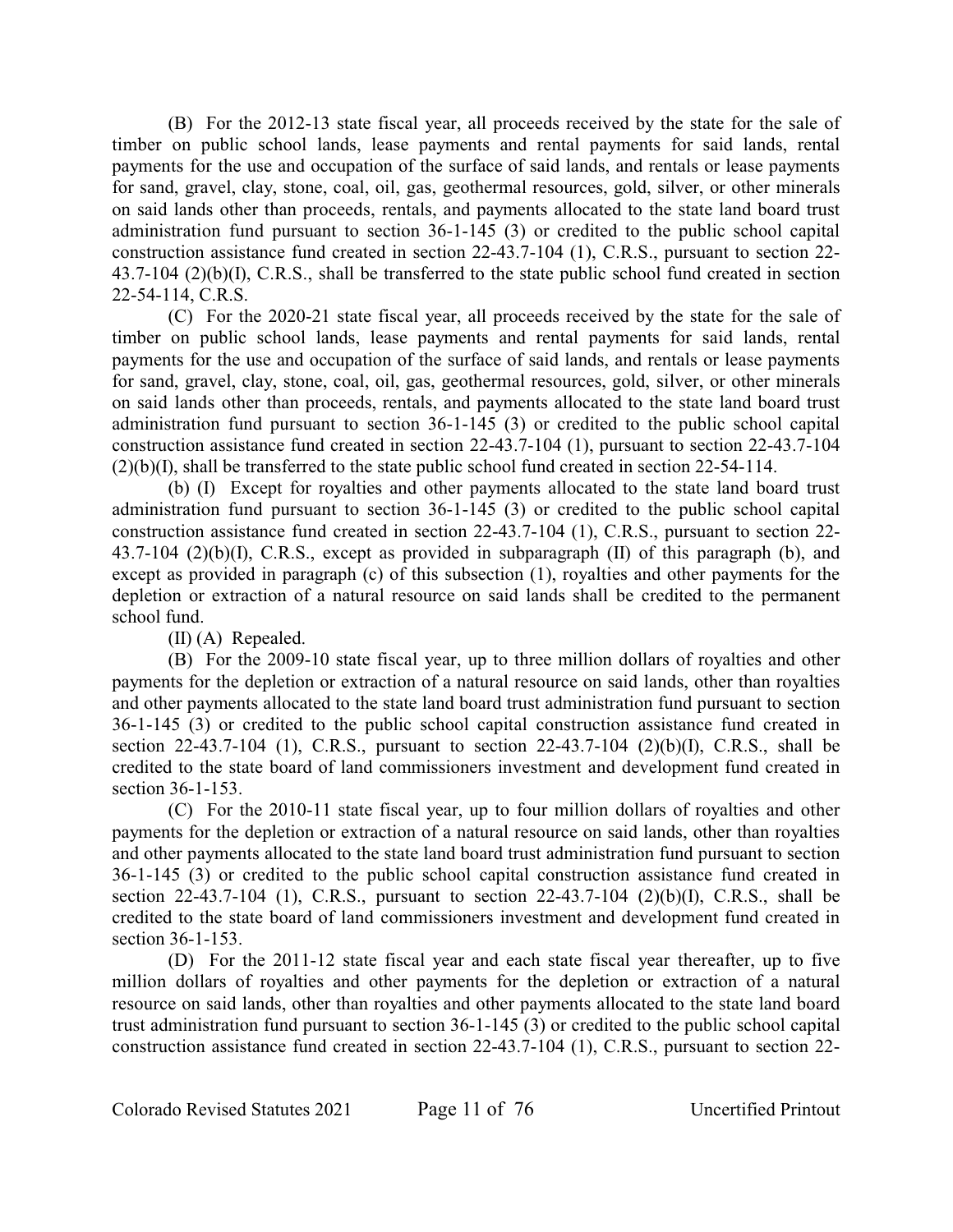(B) For the 2012-13 state fiscal year, all proceeds received by the state for the sale of timber on public school lands, lease payments and rental payments for said lands, rental payments for the use and occupation of the surface of said lands, and rentals or lease payments for sand, gravel, clay, stone, coal, oil, gas, geothermal resources, gold, silver, or other minerals on said lands other than proceeds, rentals, and payments allocated to the state land board trust administration fund pursuant to section 36-1-145 (3) or credited to the public school capital construction assistance fund created in section 22-43.7-104 (1), C.R.S., pursuant to section 22- 43.7-104 (2)(b)(I), C.R.S., shall be transferred to the state public school fund created in section 22-54-114, C.R.S.

(C) For the 2020-21 state fiscal year, all proceeds received by the state for the sale of timber on public school lands, lease payments and rental payments for said lands, rental payments for the use and occupation of the surface of said lands, and rentals or lease payments for sand, gravel, clay, stone, coal, oil, gas, geothermal resources, gold, silver, or other minerals on said lands other than proceeds, rentals, and payments allocated to the state land board trust administration fund pursuant to section 36-1-145 (3) or credited to the public school capital construction assistance fund created in section 22-43.7-104 (1), pursuant to section 22-43.7-104 (2)(b)(I), shall be transferred to the state public school fund created in section 22-54-114.

(b) (I) Except for royalties and other payments allocated to the state land board trust administration fund pursuant to section 36-1-145 (3) or credited to the public school capital construction assistance fund created in section 22-43.7-104 (1), C.R.S., pursuant to section 22- 43.7-104 (2)(b)(I), C.R.S., except as provided in subparagraph (II) of this paragraph (b), and except as provided in paragraph (c) of this subsection (1), royalties and other payments for the depletion or extraction of a natural resource on said lands shall be credited to the permanent school fund.

(II) (A) Repealed.

(B) For the 2009-10 state fiscal year, up to three million dollars of royalties and other payments for the depletion or extraction of a natural resource on said lands, other than royalties and other payments allocated to the state land board trust administration fund pursuant to section 36-1-145 (3) or credited to the public school capital construction assistance fund created in section 22-43.7-104 (1), C.R.S., pursuant to section 22-43.7-104 (2)(b)(I), C.R.S., shall be credited to the state board of land commissioners investment and development fund created in section 36-1-153.

(C) For the 2010-11 state fiscal year, up to four million dollars of royalties and other payments for the depletion or extraction of a natural resource on said lands, other than royalties and other payments allocated to the state land board trust administration fund pursuant to section 36-1-145 (3) or credited to the public school capital construction assistance fund created in section 22-43.7-104 (1), C.R.S., pursuant to section 22-43.7-104 (2)(b)(I), C.R.S., shall be credited to the state board of land commissioners investment and development fund created in section 36-1-153.

(D) For the 2011-12 state fiscal year and each state fiscal year thereafter, up to five million dollars of royalties and other payments for the depletion or extraction of a natural resource on said lands, other than royalties and other payments allocated to the state land board trust administration fund pursuant to section 36-1-145 (3) or credited to the public school capital construction assistance fund created in section 22-43.7-104 (1), C.R.S., pursuant to section 22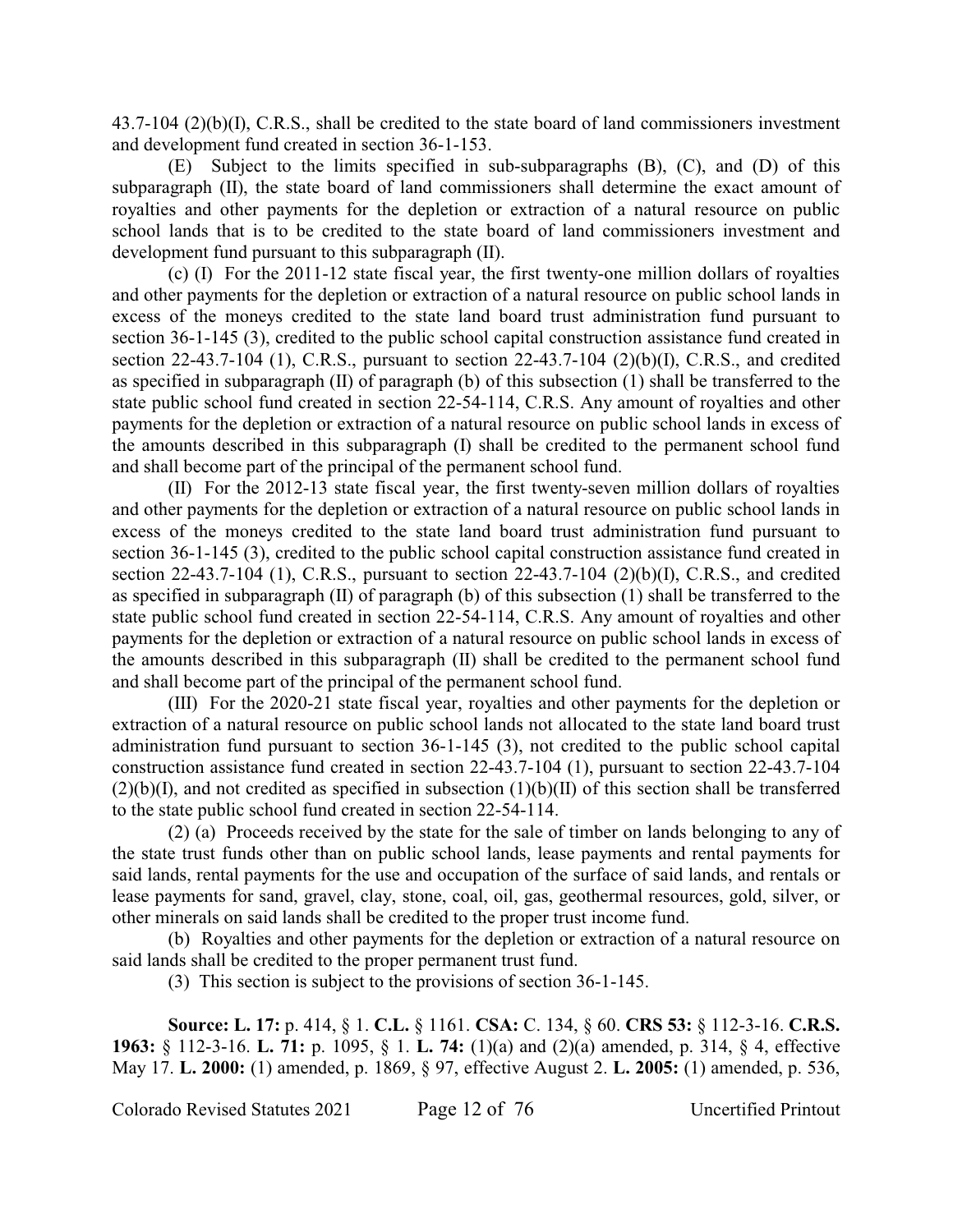43.7-104 (2)(b)(I), C.R.S., shall be credited to the state board of land commissioners investment and development fund created in section 36-1-153.

(E) Subject to the limits specified in sub-subparagraphs (B), (C), and (D) of this subparagraph (II), the state board of land commissioners shall determine the exact amount of royalties and other payments for the depletion or extraction of a natural resource on public school lands that is to be credited to the state board of land commissioners investment and development fund pursuant to this subparagraph (II).

(c) (I) For the 2011-12 state fiscal year, the first twenty-one million dollars of royalties and other payments for the depletion or extraction of a natural resource on public school lands in excess of the moneys credited to the state land board trust administration fund pursuant to section 36-1-145 (3), credited to the public school capital construction assistance fund created in section 22-43.7-104 (1), C.R.S., pursuant to section 22-43.7-104 (2)(b)(I), C.R.S., and credited as specified in subparagraph (II) of paragraph (b) of this subsection (1) shall be transferred to the state public school fund created in section 22-54-114, C.R.S. Any amount of royalties and other payments for the depletion or extraction of a natural resource on public school lands in excess of the amounts described in this subparagraph (I) shall be credited to the permanent school fund and shall become part of the principal of the permanent school fund.

(II) For the 2012-13 state fiscal year, the first twenty-seven million dollars of royalties and other payments for the depletion or extraction of a natural resource on public school lands in excess of the moneys credited to the state land board trust administration fund pursuant to section 36-1-145 (3), credited to the public school capital construction assistance fund created in section 22-43.7-104 (1), C.R.S., pursuant to section 22-43.7-104 (2)(b)(I), C.R.S., and credited as specified in subparagraph (II) of paragraph (b) of this subsection (1) shall be transferred to the state public school fund created in section 22-54-114, C.R.S. Any amount of royalties and other payments for the depletion or extraction of a natural resource on public school lands in excess of the amounts described in this subparagraph (II) shall be credited to the permanent school fund and shall become part of the principal of the permanent school fund.

(III) For the 2020-21 state fiscal year, royalties and other payments for the depletion or extraction of a natural resource on public school lands not allocated to the state land board trust administration fund pursuant to section 36-1-145 (3), not credited to the public school capital construction assistance fund created in section 22-43.7-104 (1), pursuant to section 22-43.7-104  $(2)(b)(I)$ , and not credited as specified in subsection  $(1)(b)(II)$  of this section shall be transferred to the state public school fund created in section 22-54-114.

(2) (a) Proceeds received by the state for the sale of timber on lands belonging to any of the state trust funds other than on public school lands, lease payments and rental payments for said lands, rental payments for the use and occupation of the surface of said lands, and rentals or lease payments for sand, gravel, clay, stone, coal, oil, gas, geothermal resources, gold, silver, or other minerals on said lands shall be credited to the proper trust income fund.

(b) Royalties and other payments for the depletion or extraction of a natural resource on said lands shall be credited to the proper permanent trust fund.

(3) This section is subject to the provisions of section 36-1-145.

**Source: L. 17:** p. 414, § 1. **C.L.** § 1161. **CSA:** C. 134, § 60. **CRS 53:** § 112-3-16. **C.R.S. 1963:** § 112-3-16. **L. 71:** p. 1095, § 1. **L. 74:** (1)(a) and (2)(a) amended, p. 314, § 4, effective May 17. **L. 2000:** (1) amended, p. 1869, § 97, effective August 2. **L. 2005:** (1) amended, p. 536,

Colorado Revised Statutes 2021 Page 12 of 76 Uncertified Printout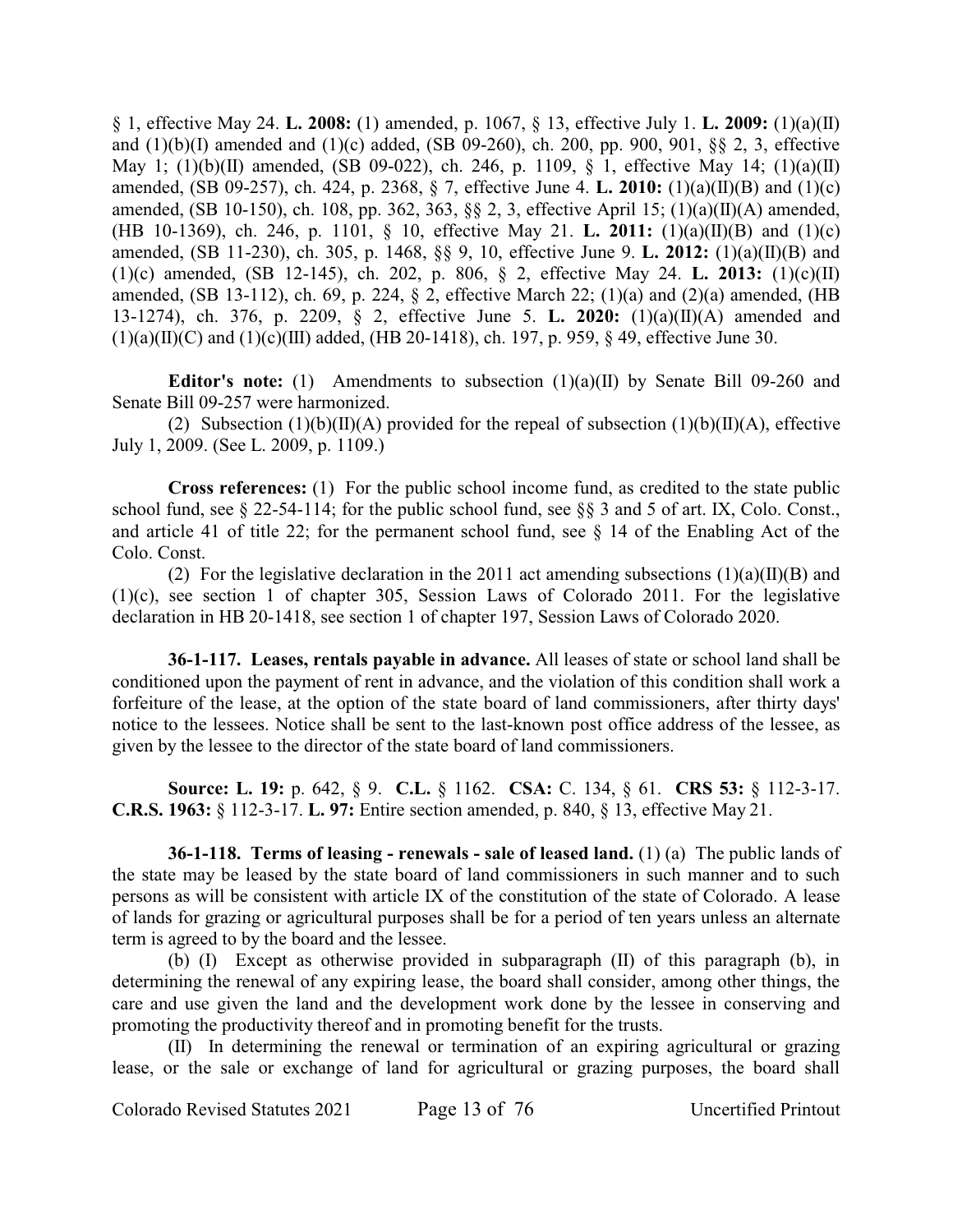§ 1, effective May 24. **L. 2008:** (1) amended, p. 1067, § 13, effective July 1. **L. 2009:** (1)(a)(II) and (1)(b)(I) amended and (1)(c) added, (SB 09-260), ch. 200, pp. 900, 901, §§ 2, 3, effective May 1; (1)(b)(II) amended, (SB 09-022), ch. 246, p. 1109, § 1, effective May 14; (1)(a)(II) amended, (SB 09-257), ch. 424, p. 2368, § 7, effective June 4. **L. 2010:** (1)(a)(II)(B) and (1)(c) amended, (SB 10-150), ch. 108, pp. 362, 363, §§ 2, 3, effective April 15; (1)(a)(II)(A) amended, (HB 10-1369), ch. 246, p. 1101, § 10, effective May 21. **L. 2011:** (1)(a)(II)(B) and (1)(c) amended, (SB 11-230), ch. 305, p. 1468, §§ 9, 10, effective June 9. **L. 2012:** (1)(a)(II)(B) and (1)(c) amended, (SB 12-145), ch. 202, p. 806, § 2, effective May 24. **L. 2013:** (1)(c)(II) amended, (SB 13-112), ch. 69, p. 224, § 2, effective March 22; (1)(a) and (2)(a) amended, (HB 13-1274), ch. 376, p. 2209, § 2, effective June 5. **L. 2020:** (1)(a)(II)(A) amended and  $(1)(a)(II)(C)$  and  $(1)(c)(III)$  added, (HB 20-1418), ch. 197, p. 959, § 49, effective June 30.

**Editor's note:** (1) Amendments to subsection (1)(a)(II) by Senate Bill 09-260 and Senate Bill 09-257 were harmonized.

(2) Subsection (1)(b)(II)(A) provided for the repeal of subsection (1)(b)(II)(A), effective July 1, 2009. (See L. 2009, p. 1109.)

**Cross references:** (1) For the public school income fund, as credited to the state public school fund, see § 22-54-114; for the public school fund, see §§ 3 and 5 of art. IX, Colo. Const., and article 41 of title 22; for the permanent school fund, see § 14 of the Enabling Act of the Colo. Const.

(2) For the legislative declaration in the 2011 act amending subsections  $(1)(a)(II)(B)$  and (1)(c), see section 1 of chapter 305, Session Laws of Colorado 2011. For the legislative declaration in HB 20-1418, see section 1 of chapter 197, Session Laws of Colorado 2020.

**36-1-117. Leases, rentals payable in advance.** All leases of state or school land shall be conditioned upon the payment of rent in advance, and the violation of this condition shall work a forfeiture of the lease, at the option of the state board of land commissioners, after thirty days' notice to the lessees. Notice shall be sent to the last-known post office address of the lessee, as given by the lessee to the director of the state board of land commissioners.

**Source: L. 19:** p. 642, § 9. **C.L.** § 1162. **CSA:** C. 134, § 61. **CRS 53:** § 112-3-17. **C.R.S. 1963:** § 112-3-17. **L. 97:** Entire section amended, p. 840, § 13, effective May 21.

**36-1-118. Terms of leasing - renewals - sale of leased land.** (1) (a) The public lands of the state may be leased by the state board of land commissioners in such manner and to such persons as will be consistent with article IX of the constitution of the state of Colorado. A lease of lands for grazing or agricultural purposes shall be for a period of ten years unless an alternate term is agreed to by the board and the lessee.

(b) (I) Except as otherwise provided in subparagraph (II) of this paragraph (b), in determining the renewal of any expiring lease, the board shall consider, among other things, the care and use given the land and the development work done by the lessee in conserving and promoting the productivity thereof and in promoting benefit for the trusts.

(II) In determining the renewal or termination of an expiring agricultural or grazing lease, or the sale or exchange of land for agricultural or grazing purposes, the board shall

Colorado Revised Statutes 2021 Page 13 of 76 Uncertified Printout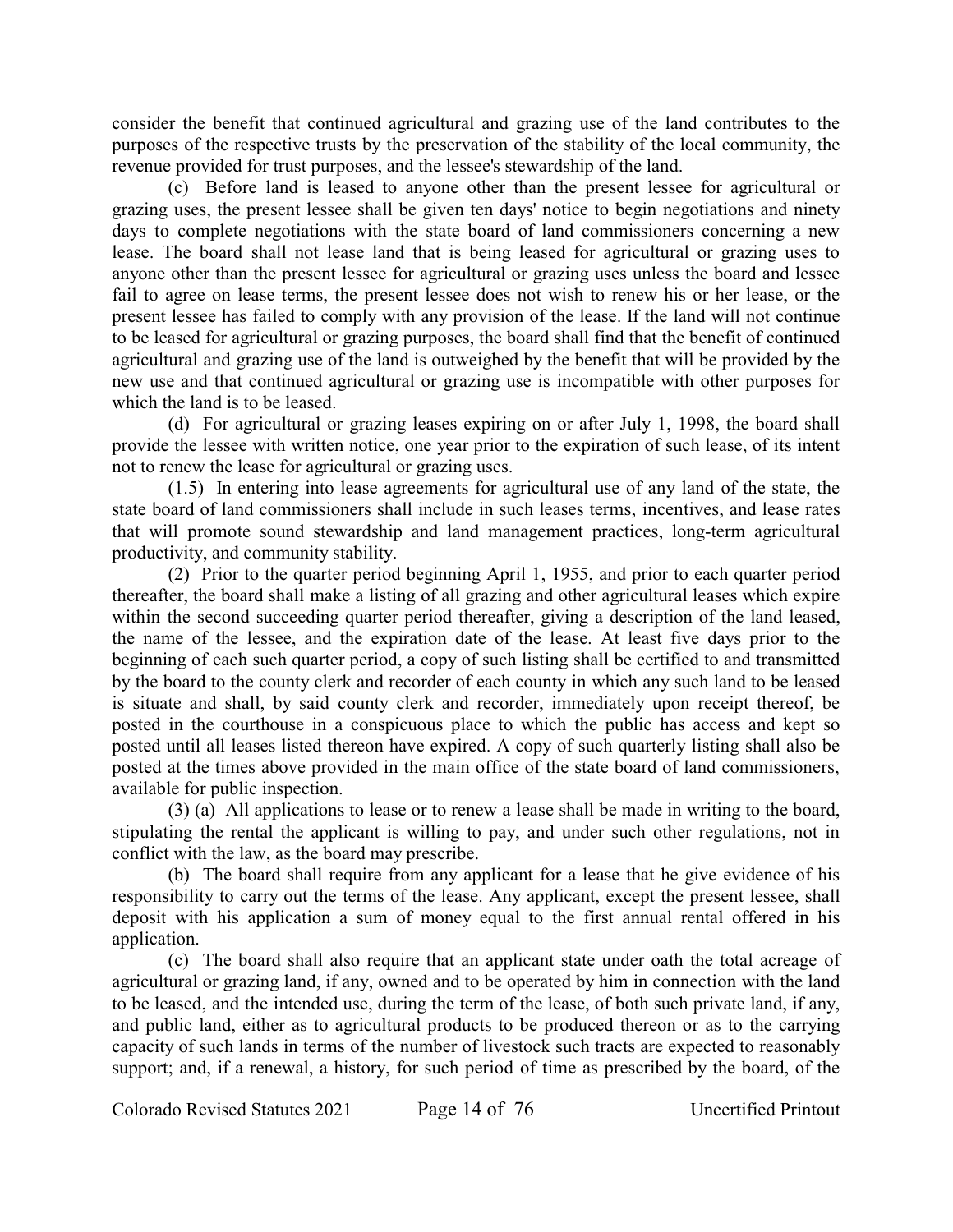consider the benefit that continued agricultural and grazing use of the land contributes to the purposes of the respective trusts by the preservation of the stability of the local community, the revenue provided for trust purposes, and the lessee's stewardship of the land.

(c) Before land is leased to anyone other than the present lessee for agricultural or grazing uses, the present lessee shall be given ten days' notice to begin negotiations and ninety days to complete negotiations with the state board of land commissioners concerning a new lease. The board shall not lease land that is being leased for agricultural or grazing uses to anyone other than the present lessee for agricultural or grazing uses unless the board and lessee fail to agree on lease terms, the present lessee does not wish to renew his or her lease, or the present lessee has failed to comply with any provision of the lease. If the land will not continue to be leased for agricultural or grazing purposes, the board shall find that the benefit of continued agricultural and grazing use of the land is outweighed by the benefit that will be provided by the new use and that continued agricultural or grazing use is incompatible with other purposes for which the land is to be leased.

(d) For agricultural or grazing leases expiring on or after July 1, 1998, the board shall provide the lessee with written notice, one year prior to the expiration of such lease, of its intent not to renew the lease for agricultural or grazing uses.

(1.5) In entering into lease agreements for agricultural use of any land of the state, the state board of land commissioners shall include in such leases terms, incentives, and lease rates that will promote sound stewardship and land management practices, long-term agricultural productivity, and community stability.

(2) Prior to the quarter period beginning April 1, 1955, and prior to each quarter period thereafter, the board shall make a listing of all grazing and other agricultural leases which expire within the second succeeding quarter period thereafter, giving a description of the land leased, the name of the lessee, and the expiration date of the lease. At least five days prior to the beginning of each such quarter period, a copy of such listing shall be certified to and transmitted by the board to the county clerk and recorder of each county in which any such land to be leased is situate and shall, by said county clerk and recorder, immediately upon receipt thereof, be posted in the courthouse in a conspicuous place to which the public has access and kept so posted until all leases listed thereon have expired. A copy of such quarterly listing shall also be posted at the times above provided in the main office of the state board of land commissioners, available for public inspection.

(3) (a) All applications to lease or to renew a lease shall be made in writing to the board, stipulating the rental the applicant is willing to pay, and under such other regulations, not in conflict with the law, as the board may prescribe.

(b) The board shall require from any applicant for a lease that he give evidence of his responsibility to carry out the terms of the lease. Any applicant, except the present lessee, shall deposit with his application a sum of money equal to the first annual rental offered in his application.

(c) The board shall also require that an applicant state under oath the total acreage of agricultural or grazing land, if any, owned and to be operated by him in connection with the land to be leased, and the intended use, during the term of the lease, of both such private land, if any, and public land, either as to agricultural products to be produced thereon or as to the carrying capacity of such lands in terms of the number of livestock such tracts are expected to reasonably support; and, if a renewal, a history, for such period of time as prescribed by the board, of the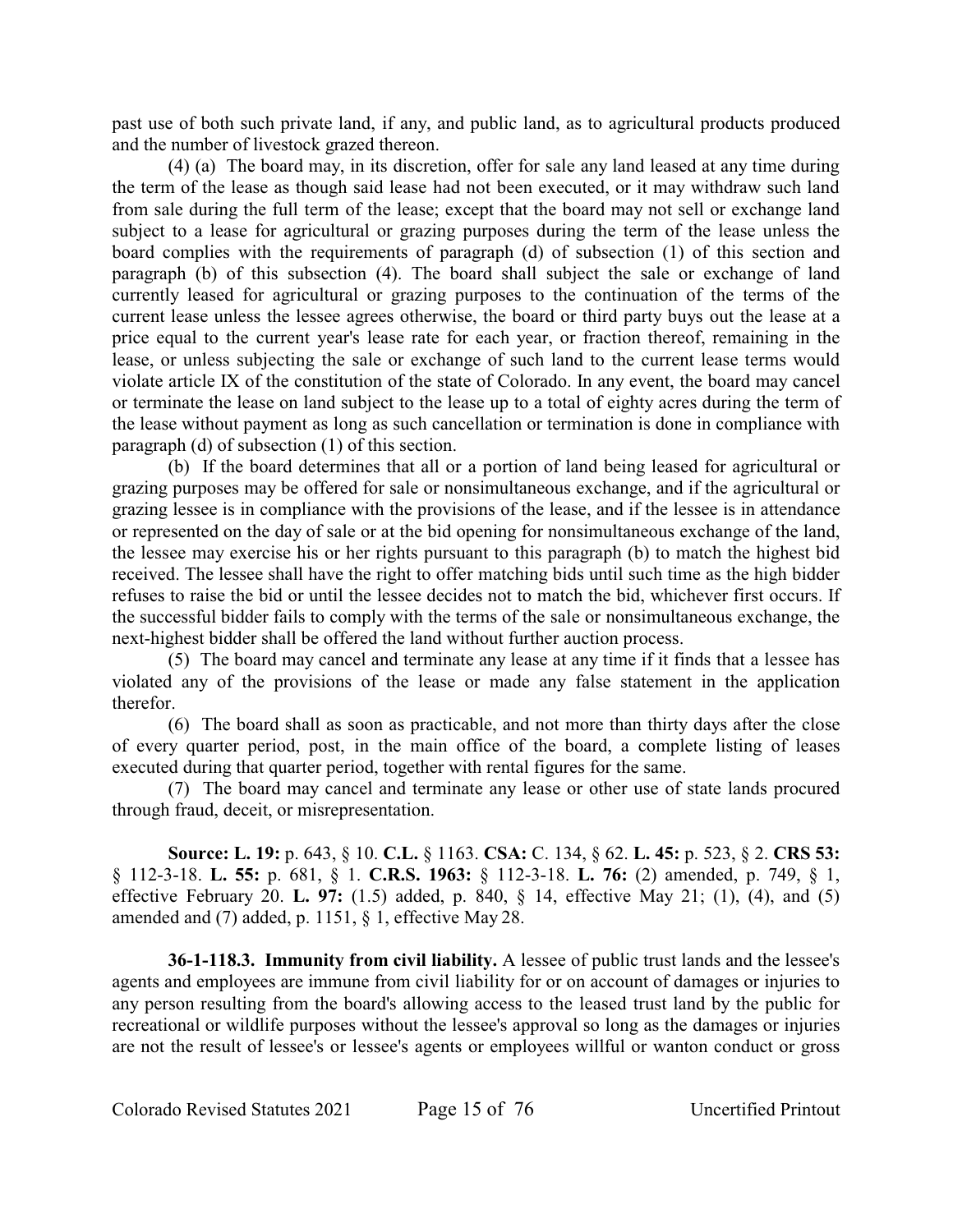past use of both such private land, if any, and public land, as to agricultural products produced and the number of livestock grazed thereon.

(4) (a) The board may, in its discretion, offer for sale any land leased at any time during the term of the lease as though said lease had not been executed, or it may withdraw such land from sale during the full term of the lease; except that the board may not sell or exchange land subject to a lease for agricultural or grazing purposes during the term of the lease unless the board complies with the requirements of paragraph (d) of subsection (1) of this section and paragraph (b) of this subsection (4). The board shall subject the sale or exchange of land currently leased for agricultural or grazing purposes to the continuation of the terms of the current lease unless the lessee agrees otherwise, the board or third party buys out the lease at a price equal to the current year's lease rate for each year, or fraction thereof, remaining in the lease, or unless subjecting the sale or exchange of such land to the current lease terms would violate article IX of the constitution of the state of Colorado. In any event, the board may cancel or terminate the lease on land subject to the lease up to a total of eighty acres during the term of the lease without payment as long as such cancellation or termination is done in compliance with paragraph (d) of subsection (1) of this section.

(b) If the board determines that all or a portion of land being leased for agricultural or grazing purposes may be offered for sale or nonsimultaneous exchange, and if the agricultural or grazing lessee is in compliance with the provisions of the lease, and if the lessee is in attendance or represented on the day of sale or at the bid opening for nonsimultaneous exchange of the land, the lessee may exercise his or her rights pursuant to this paragraph (b) to match the highest bid received. The lessee shall have the right to offer matching bids until such time as the high bidder refuses to raise the bid or until the lessee decides not to match the bid, whichever first occurs. If the successful bidder fails to comply with the terms of the sale or nonsimultaneous exchange, the next-highest bidder shall be offered the land without further auction process.

(5) The board may cancel and terminate any lease at any time if it finds that a lessee has violated any of the provisions of the lease or made any false statement in the application therefor.

(6) The board shall as soon as practicable, and not more than thirty days after the close of every quarter period, post, in the main office of the board, a complete listing of leases executed during that quarter period, together with rental figures for the same.

(7) The board may cancel and terminate any lease or other use of state lands procured through fraud, deceit, or misrepresentation.

**Source: L. 19:** p. 643, § 10. **C.L.** § 1163. **CSA:** C. 134, § 62. **L. 45:** p. 523, § 2. **CRS 53:** § 112-3-18. **L. 55:** p. 681, § 1. **C.R.S. 1963:** § 112-3-18. **L. 76:** (2) amended, p. 749, § 1, effective February 20. **L. 97:** (1.5) added, p. 840, § 14, effective May 21; (1), (4), and (5) amended and (7) added, p. 1151, § 1, effective May 28.

**36-1-118.3. Immunity from civil liability.** A lessee of public trust lands and the lessee's agents and employees are immune from civil liability for or on account of damages or injuries to any person resulting from the board's allowing access to the leased trust land by the public for recreational or wildlife purposes without the lessee's approval so long as the damages or injuries are not the result of lessee's or lessee's agents or employees willful or wanton conduct or gross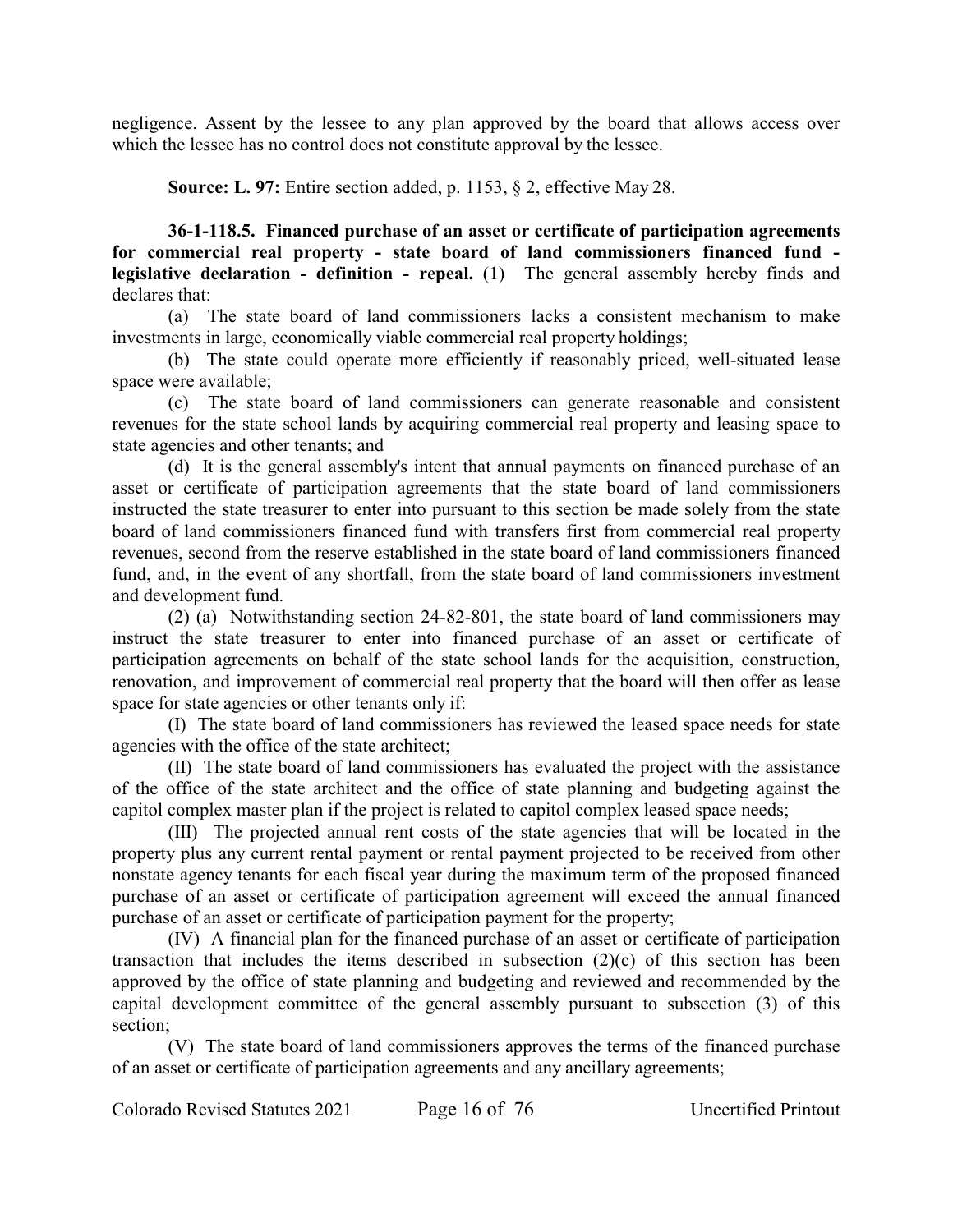negligence. Assent by the lessee to any plan approved by the board that allows access over which the lessee has no control does not constitute approval by the lessee.

**Source: L. 97:** Entire section added, p. 1153, § 2, effective May 28.

**36-1-118.5. Financed purchase of an asset or certificate of participation agreements for commercial real property - state board of land commissioners financed fund legislative declaration - definition - repeal.** (1) The general assembly hereby finds and declares that:

(a) The state board of land commissioners lacks a consistent mechanism to make investments in large, economically viable commercial real property holdings;

(b) The state could operate more efficiently if reasonably priced, well-situated lease space were available;

(c) The state board of land commissioners can generate reasonable and consistent revenues for the state school lands by acquiring commercial real property and leasing space to state agencies and other tenants; and

(d) It is the general assembly's intent that annual payments on financed purchase of an asset or certificate of participation agreements that the state board of land commissioners instructed the state treasurer to enter into pursuant to this section be made solely from the state board of land commissioners financed fund with transfers first from commercial real property revenues, second from the reserve established in the state board of land commissioners financed fund, and, in the event of any shortfall, from the state board of land commissioners investment and development fund.

(2) (a) Notwithstanding section 24-82-801, the state board of land commissioners may instruct the state treasurer to enter into financed purchase of an asset or certificate of participation agreements on behalf of the state school lands for the acquisition, construction, renovation, and improvement of commercial real property that the board will then offer as lease space for state agencies or other tenants only if:

(I) The state board of land commissioners has reviewed the leased space needs for state agencies with the office of the state architect;

(II) The state board of land commissioners has evaluated the project with the assistance of the office of the state architect and the office of state planning and budgeting against the capitol complex master plan if the project is related to capitol complex leased space needs;

(III) The projected annual rent costs of the state agencies that will be located in the property plus any current rental payment or rental payment projected to be received from other nonstate agency tenants for each fiscal year during the maximum term of the proposed financed purchase of an asset or certificate of participation agreement will exceed the annual financed purchase of an asset or certificate of participation payment for the property;

(IV) A financial plan for the financed purchase of an asset or certificate of participation transaction that includes the items described in subsection (2)(c) of this section has been approved by the office of state planning and budgeting and reviewed and recommended by the capital development committee of the general assembly pursuant to subsection (3) of this section;

(V) The state board of land commissioners approves the terms of the financed purchase of an asset or certificate of participation agreements and any ancillary agreements;

Colorado Revised Statutes 2021 Page 16 of 76 Uncertified Printout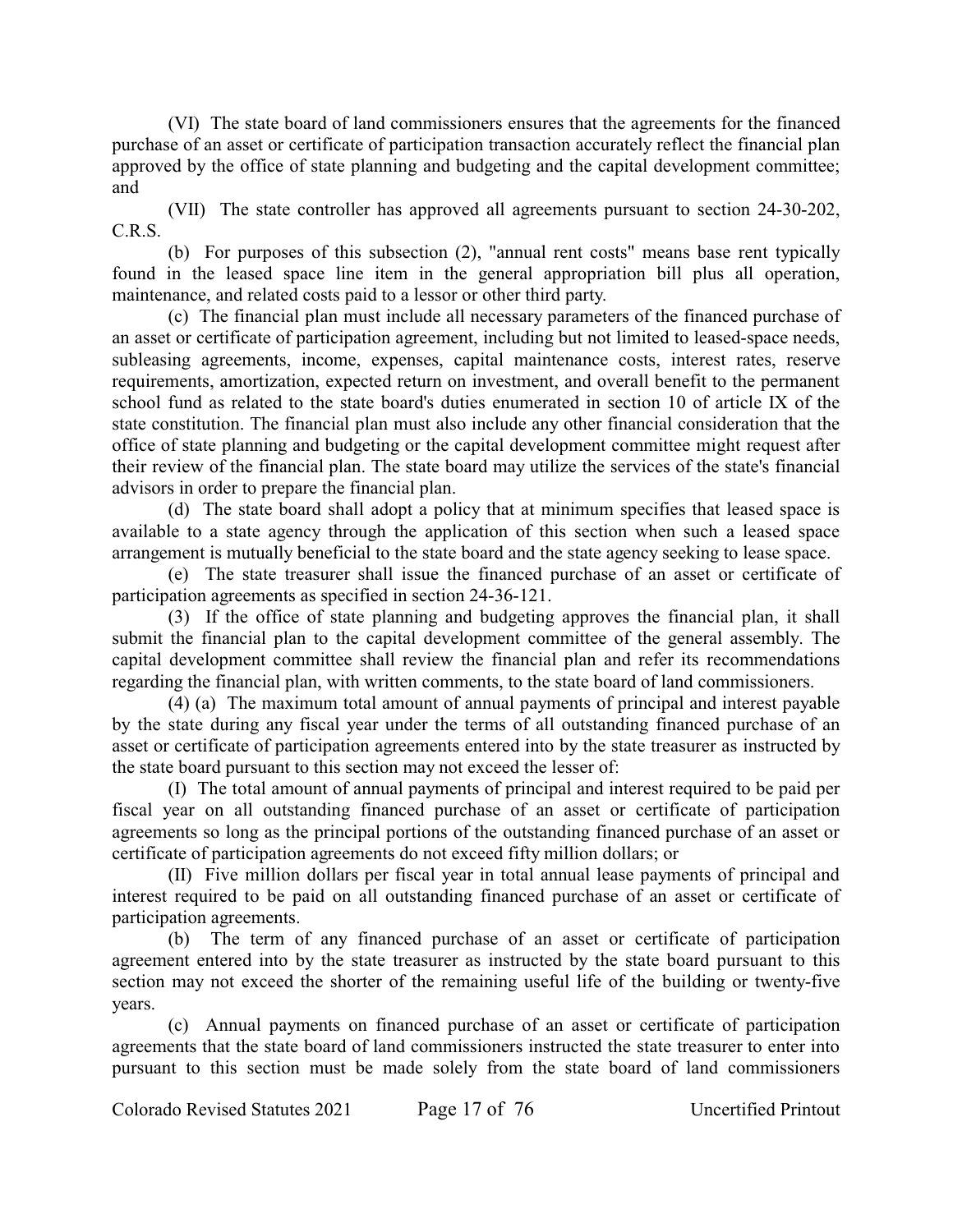(VI) The state board of land commissioners ensures that the agreements for the financed purchase of an asset or certificate of participation transaction accurately reflect the financial plan approved by the office of state planning and budgeting and the capital development committee; and

(VII) The state controller has approved all agreements pursuant to section 24-30-202, C.R.S.

(b) For purposes of this subsection (2), "annual rent costs" means base rent typically found in the leased space line item in the general appropriation bill plus all operation, maintenance, and related costs paid to a lessor or other third party.

(c) The financial plan must include all necessary parameters of the financed purchase of an asset or certificate of participation agreement, including but not limited to leased-space needs, subleasing agreements, income, expenses, capital maintenance costs, interest rates, reserve requirements, amortization, expected return on investment, and overall benefit to the permanent school fund as related to the state board's duties enumerated in section 10 of article IX of the state constitution. The financial plan must also include any other financial consideration that the office of state planning and budgeting or the capital development committee might request after their review of the financial plan. The state board may utilize the services of the state's financial advisors in order to prepare the financial plan.

(d) The state board shall adopt a policy that at minimum specifies that leased space is available to a state agency through the application of this section when such a leased space arrangement is mutually beneficial to the state board and the state agency seeking to lease space.

(e) The state treasurer shall issue the financed purchase of an asset or certificate of participation agreements as specified in section 24-36-121.

(3) If the office of state planning and budgeting approves the financial plan, it shall submit the financial plan to the capital development committee of the general assembly. The capital development committee shall review the financial plan and refer its recommendations regarding the financial plan, with written comments, to the state board of land commissioners.

(4) (a) The maximum total amount of annual payments of principal and interest payable by the state during any fiscal year under the terms of all outstanding financed purchase of an asset or certificate of participation agreements entered into by the state treasurer as instructed by the state board pursuant to this section may not exceed the lesser of:

(I) The total amount of annual payments of principal and interest required to be paid per fiscal year on all outstanding financed purchase of an asset or certificate of participation agreements so long as the principal portions of the outstanding financed purchase of an asset or certificate of participation agreements do not exceed fifty million dollars; or

(II) Five million dollars per fiscal year in total annual lease payments of principal and interest required to be paid on all outstanding financed purchase of an asset or certificate of participation agreements.

(b) The term of any financed purchase of an asset or certificate of participation agreement entered into by the state treasurer as instructed by the state board pursuant to this section may not exceed the shorter of the remaining useful life of the building or twenty-five years.

(c) Annual payments on financed purchase of an asset or certificate of participation agreements that the state board of land commissioners instructed the state treasurer to enter into pursuant to this section must be made solely from the state board of land commissioners

Colorado Revised Statutes 2021 Page 17 of 76 Uncertified Printout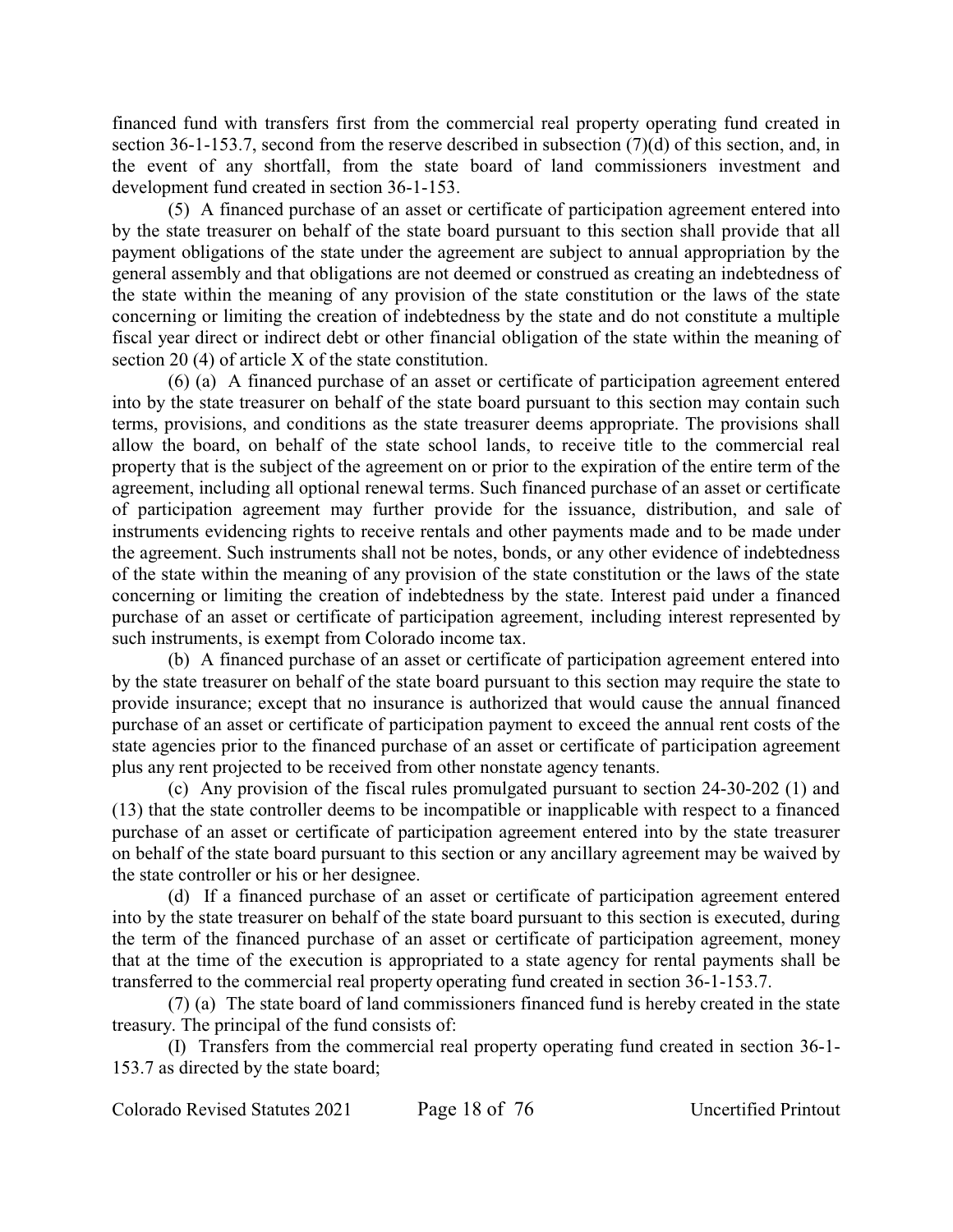financed fund with transfers first from the commercial real property operating fund created in section 36-1-153.7, second from the reserve described in subsection (7)(d) of this section, and, in the event of any shortfall, from the state board of land commissioners investment and development fund created in section 36-1-153.

(5) A financed purchase of an asset or certificate of participation agreement entered into by the state treasurer on behalf of the state board pursuant to this section shall provide that all payment obligations of the state under the agreement are subject to annual appropriation by the general assembly and that obligations are not deemed or construed as creating an indebtedness of the state within the meaning of any provision of the state constitution or the laws of the state concerning or limiting the creation of indebtedness by the state and do not constitute a multiple fiscal year direct or indirect debt or other financial obligation of the state within the meaning of section 20 (4) of article X of the state constitution.

(6) (a) A financed purchase of an asset or certificate of participation agreement entered into by the state treasurer on behalf of the state board pursuant to this section may contain such terms, provisions, and conditions as the state treasurer deems appropriate. The provisions shall allow the board, on behalf of the state school lands, to receive title to the commercial real property that is the subject of the agreement on or prior to the expiration of the entire term of the agreement, including all optional renewal terms. Such financed purchase of an asset or certificate of participation agreement may further provide for the issuance, distribution, and sale of instruments evidencing rights to receive rentals and other payments made and to be made under the agreement. Such instruments shall not be notes, bonds, or any other evidence of indebtedness of the state within the meaning of any provision of the state constitution or the laws of the state concerning or limiting the creation of indebtedness by the state. Interest paid under a financed purchase of an asset or certificate of participation agreement, including interest represented by such instruments, is exempt from Colorado income tax.

(b) A financed purchase of an asset or certificate of participation agreement entered into by the state treasurer on behalf of the state board pursuant to this section may require the state to provide insurance; except that no insurance is authorized that would cause the annual financed purchase of an asset or certificate of participation payment to exceed the annual rent costs of the state agencies prior to the financed purchase of an asset or certificate of participation agreement plus any rent projected to be received from other nonstate agency tenants.

(c) Any provision of the fiscal rules promulgated pursuant to section 24-30-202 (1) and (13) that the state controller deems to be incompatible or inapplicable with respect to a financed purchase of an asset or certificate of participation agreement entered into by the state treasurer on behalf of the state board pursuant to this section or any ancillary agreement may be waived by the state controller or his or her designee.

(d) If a financed purchase of an asset or certificate of participation agreement entered into by the state treasurer on behalf of the state board pursuant to this section is executed, during the term of the financed purchase of an asset or certificate of participation agreement, money that at the time of the execution is appropriated to a state agency for rental payments shall be transferred to the commercial real property operating fund created in section 36-1-153.7.

(7) (a) The state board of land commissioners financed fund is hereby created in the state treasury. The principal of the fund consists of:

(I) Transfers from the commercial real property operating fund created in section 36-1- 153.7 as directed by the state board;

Colorado Revised Statutes 2021 Page 18 of 76 Uncertified Printout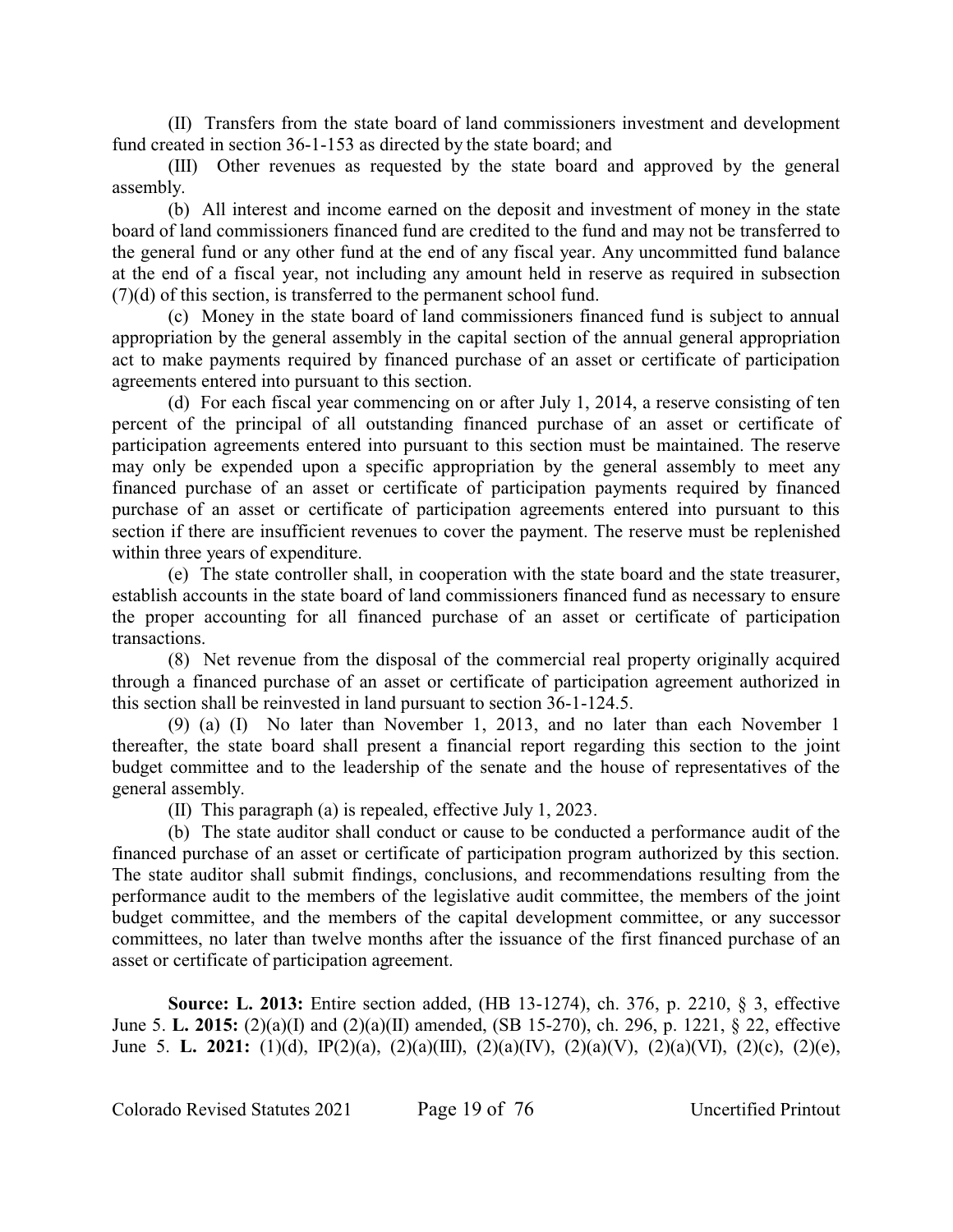(II) Transfers from the state board of land commissioners investment and development fund created in section 36-1-153 as directed by the state board; and

(III) Other revenues as requested by the state board and approved by the general assembly.

(b) All interest and income earned on the deposit and investment of money in the state board of land commissioners financed fund are credited to the fund and may not be transferred to the general fund or any other fund at the end of any fiscal year. Any uncommitted fund balance at the end of a fiscal year, not including any amount held in reserve as required in subsection (7)(d) of this section, is transferred to the permanent school fund.

(c) Money in the state board of land commissioners financed fund is subject to annual appropriation by the general assembly in the capital section of the annual general appropriation act to make payments required by financed purchase of an asset or certificate of participation agreements entered into pursuant to this section.

(d) For each fiscal year commencing on or after July 1, 2014, a reserve consisting of ten percent of the principal of all outstanding financed purchase of an asset or certificate of participation agreements entered into pursuant to this section must be maintained. The reserve may only be expended upon a specific appropriation by the general assembly to meet any financed purchase of an asset or certificate of participation payments required by financed purchase of an asset or certificate of participation agreements entered into pursuant to this section if there are insufficient revenues to cover the payment. The reserve must be replenished within three years of expenditure.

(e) The state controller shall, in cooperation with the state board and the state treasurer, establish accounts in the state board of land commissioners financed fund as necessary to ensure the proper accounting for all financed purchase of an asset or certificate of participation transactions.

(8) Net revenue from the disposal of the commercial real property originally acquired through a financed purchase of an asset or certificate of participation agreement authorized in this section shall be reinvested in land pursuant to section 36-1-124.5.

(9) (a) (I) No later than November 1, 2013, and no later than each November 1 thereafter, the state board shall present a financial report regarding this section to the joint budget committee and to the leadership of the senate and the house of representatives of the general assembly.

(II) This paragraph (a) is repealed, effective July 1, 2023.

(b) The state auditor shall conduct or cause to be conducted a performance audit of the financed purchase of an asset or certificate of participation program authorized by this section. The state auditor shall submit findings, conclusions, and recommendations resulting from the performance audit to the members of the legislative audit committee, the members of the joint budget committee, and the members of the capital development committee, or any successor committees, no later than twelve months after the issuance of the first financed purchase of an asset or certificate of participation agreement.

**Source: L. 2013:** Entire section added, (HB 13-1274), ch. 376, p. 2210, § 3, effective June 5. **L. 2015:** (2)(a)(I) and (2)(a)(II) amended, (SB 15-270), ch. 296, p. 1221, § 22, effective June 5. **L. 2021:** (1)(d), IP(2)(a), (2)(a)(III), (2)(a)(IV), (2)(a)(V), (2)(a)(VI), (2)(c), (2)(e),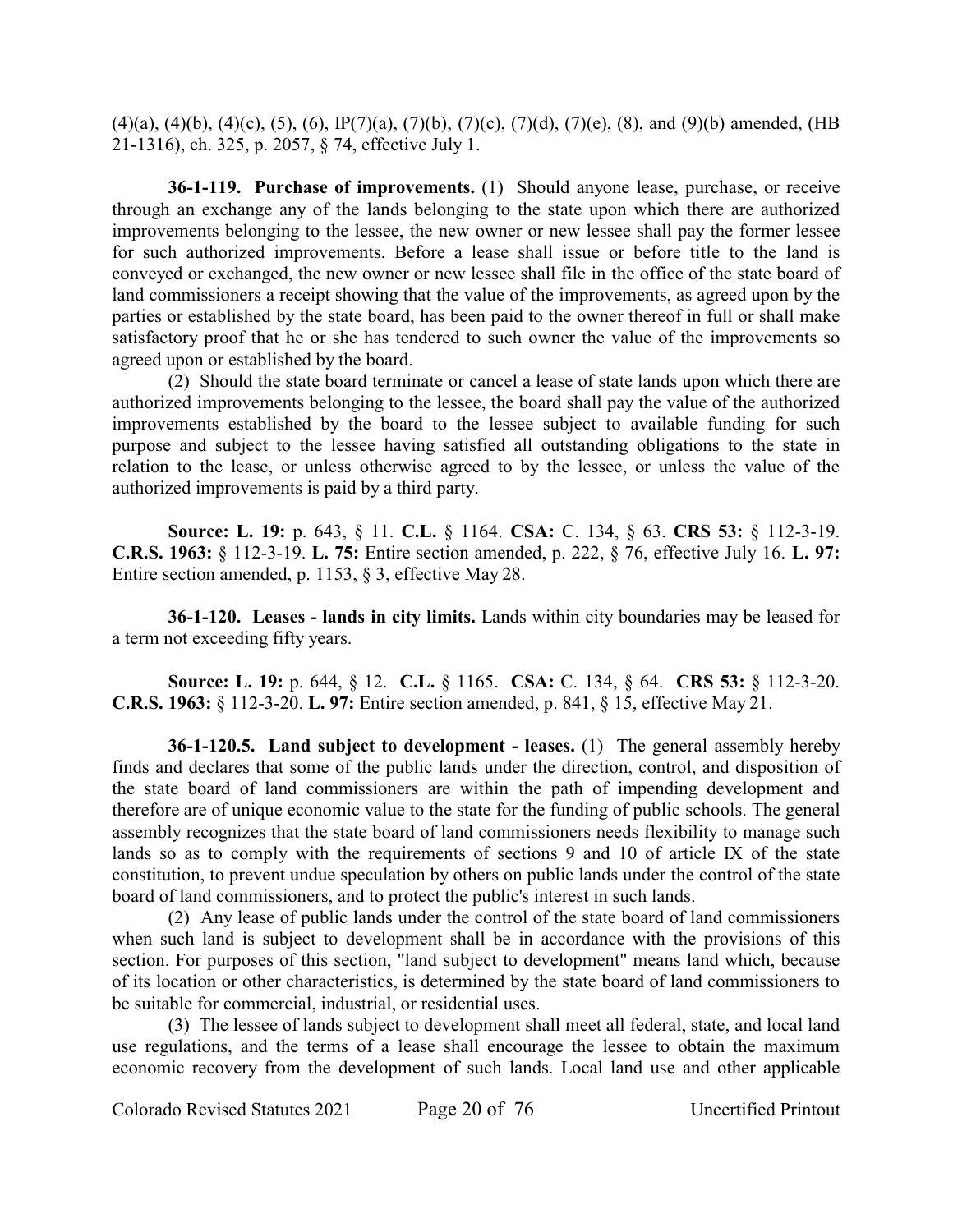$(4)(a)$ ,  $(4)(b)$ ,  $(4)(c)$ ,  $(5)$ ,  $(6)$ ,  $IP(7)(a)$ ,  $(7)(b)$ ,  $(7)(c)$ ,  $(7)(d)$ ,  $(7)(e)$ ,  $(8)$ , and  $(9)(b)$  amended, (HB 21-1316), ch. 325, p. 2057, § 74, effective July 1.

**36-1-119. Purchase of improvements.** (1) Should anyone lease, purchase, or receive through an exchange any of the lands belonging to the state upon which there are authorized improvements belonging to the lessee, the new owner or new lessee shall pay the former lessee for such authorized improvements. Before a lease shall issue or before title to the land is conveyed or exchanged, the new owner or new lessee shall file in the office of the state board of land commissioners a receipt showing that the value of the improvements, as agreed upon by the parties or established by the state board, has been paid to the owner thereof in full or shall make satisfactory proof that he or she has tendered to such owner the value of the improvements so agreed upon or established by the board.

(2) Should the state board terminate or cancel a lease of state lands upon which there are authorized improvements belonging to the lessee, the board shall pay the value of the authorized improvements established by the board to the lessee subject to available funding for such purpose and subject to the lessee having satisfied all outstanding obligations to the state in relation to the lease, or unless otherwise agreed to by the lessee, or unless the value of the authorized improvements is paid by a third party.

**Source: L. 19:** p. 643, § 11. **C.L.** § 1164. **CSA:** C. 134, § 63. **CRS 53:** § 112-3-19. **C.R.S. 1963:** § 112-3-19. **L. 75:** Entire section amended, p. 222, § 76, effective July 16. **L. 97:** Entire section amended, p. 1153, § 3, effective May 28.

**36-1-120. Leases - lands in city limits.** Lands within city boundaries may be leased for a term not exceeding fifty years.

**Source: L. 19:** p. 644, § 12. **C.L.** § 1165. **CSA:** C. 134, § 64. **CRS 53:** § 112-3-20. **C.R.S. 1963:** § 112-3-20. **L. 97:** Entire section amended, p. 841, § 15, effective May 21.

**36-1-120.5. Land subject to development - leases.** (1) The general assembly hereby finds and declares that some of the public lands under the direction, control, and disposition of the state board of land commissioners are within the path of impending development and therefore are of unique economic value to the state for the funding of public schools. The general assembly recognizes that the state board of land commissioners needs flexibility to manage such lands so as to comply with the requirements of sections 9 and 10 of article IX of the state constitution, to prevent undue speculation by others on public lands under the control of the state board of land commissioners, and to protect the public's interest in such lands.

(2) Any lease of public lands under the control of the state board of land commissioners when such land is subject to development shall be in accordance with the provisions of this section. For purposes of this section, "land subject to development" means land which, because of its location or other characteristics, is determined by the state board of land commissioners to be suitable for commercial, industrial, or residential uses.

(3) The lessee of lands subject to development shall meet all federal, state, and local land use regulations, and the terms of a lease shall encourage the lessee to obtain the maximum economic recovery from the development of such lands. Local land use and other applicable

Colorado Revised Statutes 2021 Page 20 of 76 Uncertified Printout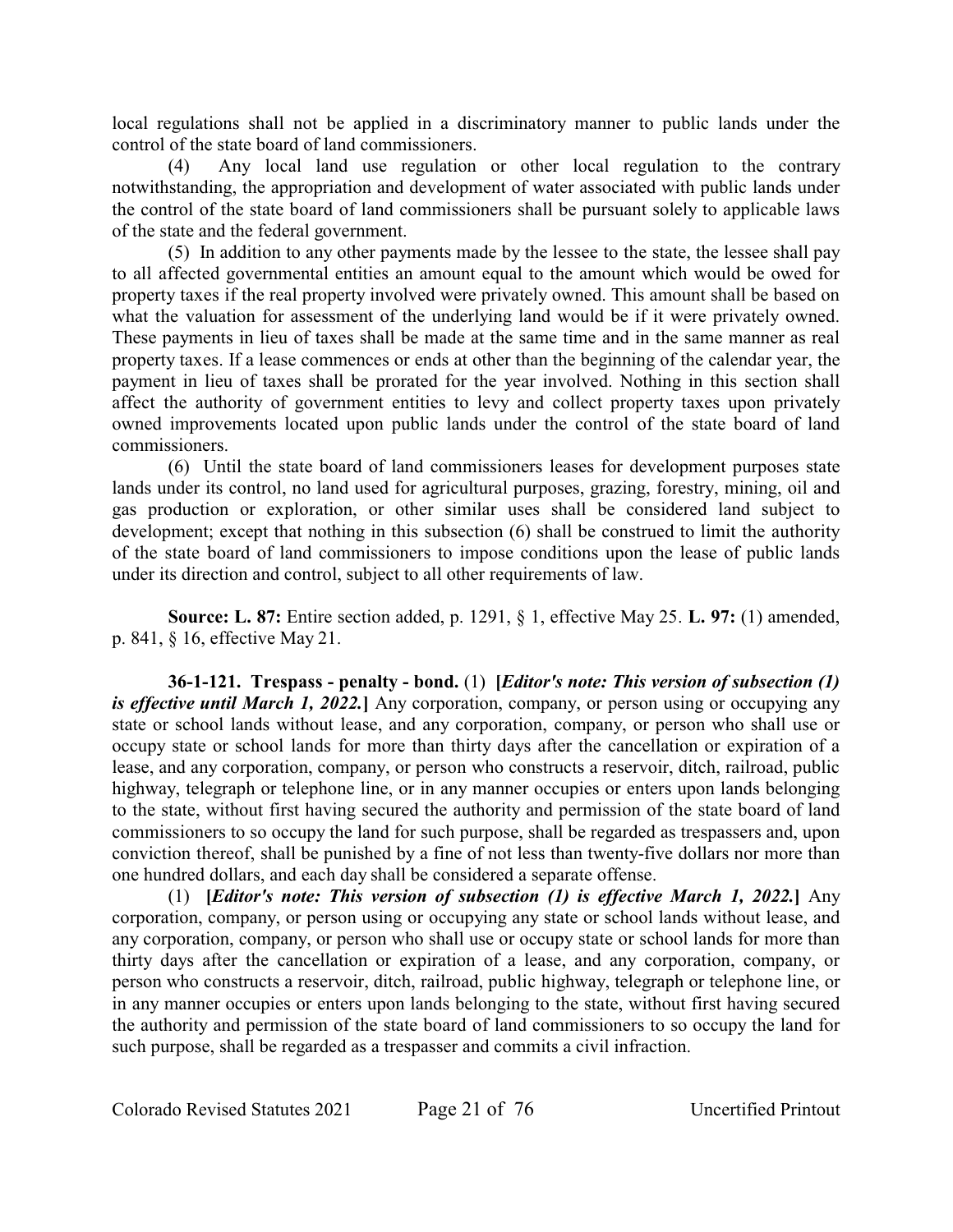local regulations shall not be applied in a discriminatory manner to public lands under the control of the state board of land commissioners.

(4) Any local land use regulation or other local regulation to the contrary notwithstanding, the appropriation and development of water associated with public lands under the control of the state board of land commissioners shall be pursuant solely to applicable laws of the state and the federal government.

(5) In addition to any other payments made by the lessee to the state, the lessee shall pay to all affected governmental entities an amount equal to the amount which would be owed for property taxes if the real property involved were privately owned. This amount shall be based on what the valuation for assessment of the underlying land would be if it were privately owned. These payments in lieu of taxes shall be made at the same time and in the same manner as real property taxes. If a lease commences or ends at other than the beginning of the calendar year, the payment in lieu of taxes shall be prorated for the year involved. Nothing in this section shall affect the authority of government entities to levy and collect property taxes upon privately owned improvements located upon public lands under the control of the state board of land commissioners.

(6) Until the state board of land commissioners leases for development purposes state lands under its control, no land used for agricultural purposes, grazing, forestry, mining, oil and gas production or exploration, or other similar uses shall be considered land subject to development; except that nothing in this subsection (6) shall be construed to limit the authority of the state board of land commissioners to impose conditions upon the lease of public lands under its direction and control, subject to all other requirements of law.

**Source: L. 87:** Entire section added, p. 1291, § 1, effective May 25. **L. 97:** (1) amended, p. 841, § 16, effective May 21.

**36-1-121. Trespass - penalty - bond.** (1) **[***Editor's note: This version of subsection (1) is effective until March 1, 2022.***]** Any corporation, company, or person using or occupying any state or school lands without lease, and any corporation, company, or person who shall use or occupy state or school lands for more than thirty days after the cancellation or expiration of a lease, and any corporation, company, or person who constructs a reservoir, ditch, railroad, public highway, telegraph or telephone line, or in any manner occupies or enters upon lands belonging to the state, without first having secured the authority and permission of the state board of land commissioners to so occupy the land for such purpose, shall be regarded as trespassers and, upon conviction thereof, shall be punished by a fine of not less than twenty-five dollars nor more than one hundred dollars, and each day shall be considered a separate offense.

(1) **[***Editor's note: This version of subsection (1) is effective March 1, 2022.***]** Any corporation, company, or person using or occupying any state or school lands without lease, and any corporation, company, or person who shall use or occupy state or school lands for more than thirty days after the cancellation or expiration of a lease, and any corporation, company, or person who constructs a reservoir, ditch, railroad, public highway, telegraph or telephone line, or in any manner occupies or enters upon lands belonging to the state, without first having secured the authority and permission of the state board of land commissioners to so occupy the land for such purpose, shall be regarded as a trespasser and commits a civil infraction.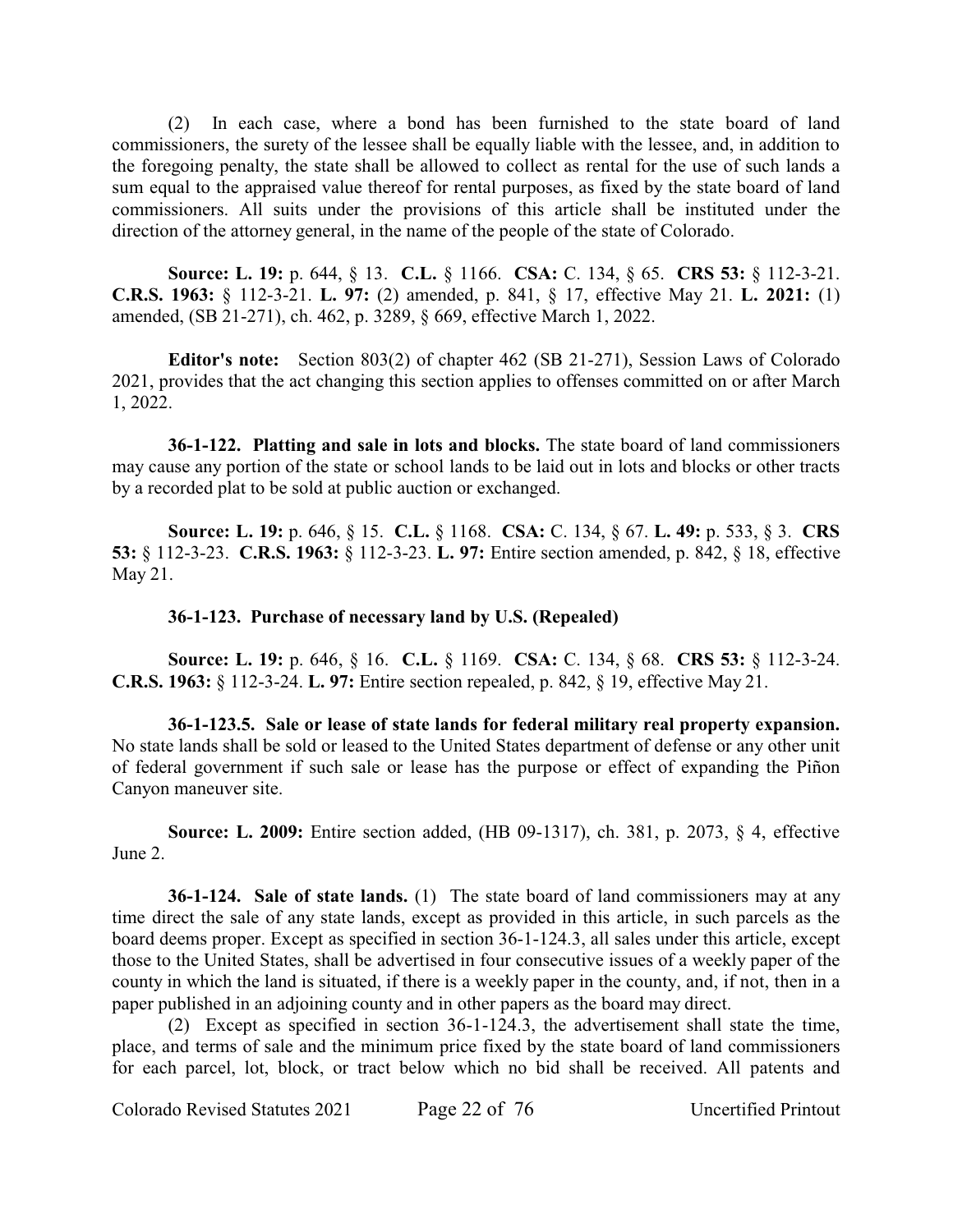(2) In each case, where a bond has been furnished to the state board of land commissioners, the surety of the lessee shall be equally liable with the lessee, and, in addition to the foregoing penalty, the state shall be allowed to collect as rental for the use of such lands a sum equal to the appraised value thereof for rental purposes, as fixed by the state board of land commissioners. All suits under the provisions of this article shall be instituted under the direction of the attorney general, in the name of the people of the state of Colorado.

**Source: L. 19:** p. 644, § 13. **C.L.** § 1166. **CSA:** C. 134, § 65. **CRS 53:** § 112-3-21. **C.R.S. 1963:** § 112-3-21. **L. 97:** (2) amended, p. 841, § 17, effective May 21. **L. 2021:** (1) amended, (SB 21-271), ch. 462, p. 3289, § 669, effective March 1, 2022.

**Editor's note:** Section 803(2) of chapter 462 (SB 21-271), Session Laws of Colorado 2021, provides that the act changing this section applies to offenses committed on or after March 1, 2022.

**36-1-122. Platting and sale in lots and blocks.** The state board of land commissioners may cause any portion of the state or school lands to be laid out in lots and blocks or other tracts by a recorded plat to be sold at public auction or exchanged.

**Source: L. 19:** p. 646, § 15. **C.L.** § 1168. **CSA:** C. 134, § 67. **L. 49:** p. 533, § 3. **CRS 53:** § 112-3-23. **C.R.S. 1963:** § 112-3-23. **L. 97:** Entire section amended, p. 842, § 18, effective May 21.

### **36-1-123. Purchase of necessary land by U.S. (Repealed)**

**Source: L. 19:** p. 646, § 16. **C.L.** § 1169. **CSA:** C. 134, § 68. **CRS 53:** § 112-3-24. **C.R.S. 1963:** § 112-3-24. **L. 97:** Entire section repealed, p. 842, § 19, effective May 21.

**36-1-123.5. Sale or lease of state lands for federal military real property expansion.** No state lands shall be sold or leased to the United States department of defense or any other unit of federal government if such sale or lease has the purpose or effect of expanding the Piñon Canyon maneuver site.

**Source: L. 2009:** Entire section added, (HB 09-1317), ch. 381, p. 2073, § 4, effective June 2.

**36-1-124. Sale of state lands.** (1) The state board of land commissioners may at any time direct the sale of any state lands, except as provided in this article, in such parcels as the board deems proper. Except as specified in section 36-1-124.3, all sales under this article, except those to the United States, shall be advertised in four consecutive issues of a weekly paper of the county in which the land is situated, if there is a weekly paper in the county, and, if not, then in a paper published in an adjoining county and in other papers as the board may direct.

(2) Except as specified in section 36-1-124.3, the advertisement shall state the time, place, and terms of sale and the minimum price fixed by the state board of land commissioners for each parcel, lot, block, or tract below which no bid shall be received. All patents and

Colorado Revised Statutes 2021 Page 22 of 76 Uncertified Printout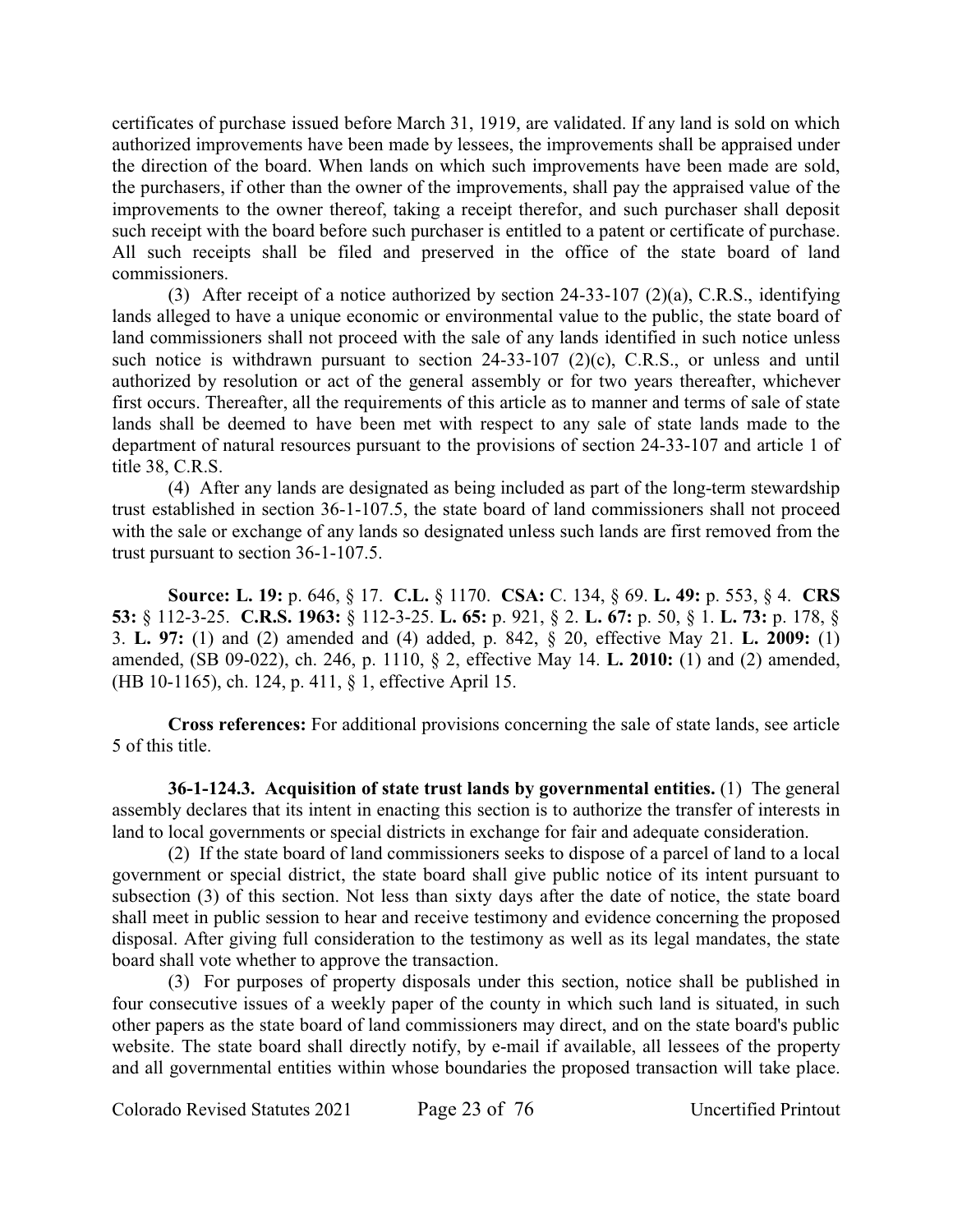certificates of purchase issued before March 31, 1919, are validated. If any land is sold on which authorized improvements have been made by lessees, the improvements shall be appraised under the direction of the board. When lands on which such improvements have been made are sold, the purchasers, if other than the owner of the improvements, shall pay the appraised value of the improvements to the owner thereof, taking a receipt therefor, and such purchaser shall deposit such receipt with the board before such purchaser is entitled to a patent or certificate of purchase. All such receipts shall be filed and preserved in the office of the state board of land commissioners.

(3) After receipt of a notice authorized by section  $24-33-107$  (2)(a), C.R.S., identifying lands alleged to have a unique economic or environmental value to the public, the state board of land commissioners shall not proceed with the sale of any lands identified in such notice unless such notice is withdrawn pursuant to section 24-33-107 (2)(c), C.R.S., or unless and until authorized by resolution or act of the general assembly or for two years thereafter, whichever first occurs. Thereafter, all the requirements of this article as to manner and terms of sale of state lands shall be deemed to have been met with respect to any sale of state lands made to the department of natural resources pursuant to the provisions of section 24-33-107 and article 1 of title 38, C.R.S.

(4) After any lands are designated as being included as part of the long-term stewardship trust established in section 36-1-107.5, the state board of land commissioners shall not proceed with the sale or exchange of any lands so designated unless such lands are first removed from the trust pursuant to section 36-1-107.5.

**Source: L. 19:** p. 646, § 17. **C.L.** § 1170. **CSA:** C. 134, § 69. **L. 49:** p. 553, § 4. **CRS 53:** § 112-3-25. **C.R.S. 1963:** § 112-3-25. **L. 65:** p. 921, § 2. **L. 67:** p. 50, § 1. **L. 73:** p. 178, § 3. **L. 97:** (1) and (2) amended and (4) added, p. 842, § 20, effective May 21. **L. 2009:** (1) amended, (SB 09-022), ch. 246, p. 1110, § 2, effective May 14. **L. 2010:** (1) and (2) amended, (HB 10-1165), ch. 124, p. 411, § 1, effective April 15.

**Cross references:** For additional provisions concerning the sale of state lands, see article 5 of this title.

**36-1-124.3. Acquisition of state trust lands by governmental entities.** (1) The general assembly declares that its intent in enacting this section is to authorize the transfer of interests in land to local governments or special districts in exchange for fair and adequate consideration.

(2) If the state board of land commissioners seeks to dispose of a parcel of land to a local government or special district, the state board shall give public notice of its intent pursuant to subsection (3) of this section. Not less than sixty days after the date of notice, the state board shall meet in public session to hear and receive testimony and evidence concerning the proposed disposal. After giving full consideration to the testimony as well as its legal mandates, the state board shall vote whether to approve the transaction.

(3) For purposes of property disposals under this section, notice shall be published in four consecutive issues of a weekly paper of the county in which such land is situated, in such other papers as the state board of land commissioners may direct, and on the state board's public website. The state board shall directly notify, by e-mail if available, all lessees of the property and all governmental entities within whose boundaries the proposed transaction will take place.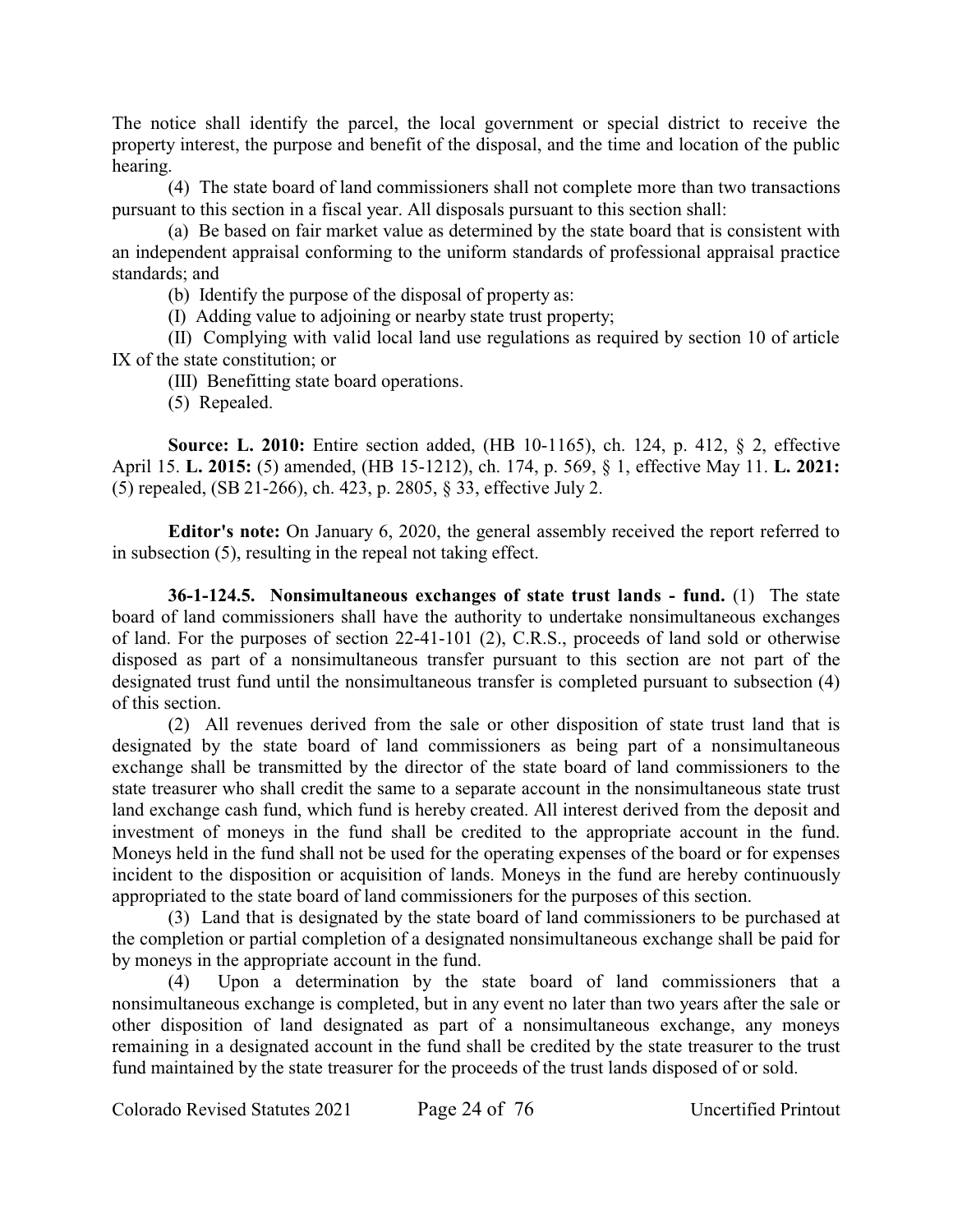The notice shall identify the parcel, the local government or special district to receive the property interest, the purpose and benefit of the disposal, and the time and location of the public hearing.

(4) The state board of land commissioners shall not complete more than two transactions pursuant to this section in a fiscal year. All disposals pursuant to this section shall:

(a) Be based on fair market value as determined by the state board that is consistent with an independent appraisal conforming to the uniform standards of professional appraisal practice standards; and

(b) Identify the purpose of the disposal of property as:

(I) Adding value to adjoining or nearby state trust property;

(II) Complying with valid local land use regulations as required by section 10 of article IX of the state constitution; or

(III) Benefitting state board operations.

(5) Repealed.

**Source: L. 2010:** Entire section added, (HB 10-1165), ch. 124, p. 412, § 2, effective April 15. **L. 2015:** (5) amended, (HB 15-1212), ch. 174, p. 569, § 1, effective May 11. **L. 2021:** (5) repealed, (SB 21-266), ch. 423, p. 2805, § 33, effective July 2.

**Editor's note:** On January 6, 2020, the general assembly received the report referred to in subsection (5), resulting in the repeal not taking effect.

**36-1-124.5. Nonsimultaneous exchanges of state trust lands - fund.** (1) The state board of land commissioners shall have the authority to undertake nonsimultaneous exchanges of land. For the purposes of section 22-41-101 (2), C.R.S., proceeds of land sold or otherwise disposed as part of a nonsimultaneous transfer pursuant to this section are not part of the designated trust fund until the nonsimultaneous transfer is completed pursuant to subsection (4) of this section.

(2) All revenues derived from the sale or other disposition of state trust land that is designated by the state board of land commissioners as being part of a nonsimultaneous exchange shall be transmitted by the director of the state board of land commissioners to the state treasurer who shall credit the same to a separate account in the nonsimultaneous state trust land exchange cash fund, which fund is hereby created. All interest derived from the deposit and investment of moneys in the fund shall be credited to the appropriate account in the fund. Moneys held in the fund shall not be used for the operating expenses of the board or for expenses incident to the disposition or acquisition of lands. Moneys in the fund are hereby continuously appropriated to the state board of land commissioners for the purposes of this section.

(3) Land that is designated by the state board of land commissioners to be purchased at the completion or partial completion of a designated nonsimultaneous exchange shall be paid for by moneys in the appropriate account in the fund.

(4) Upon a determination by the state board of land commissioners that a nonsimultaneous exchange is completed, but in any event no later than two years after the sale or other disposition of land designated as part of a nonsimultaneous exchange, any moneys remaining in a designated account in the fund shall be credited by the state treasurer to the trust fund maintained by the state treasurer for the proceeds of the trust lands disposed of or sold.

Colorado Revised Statutes 2021 Page 24 of 76 Uncertified Printout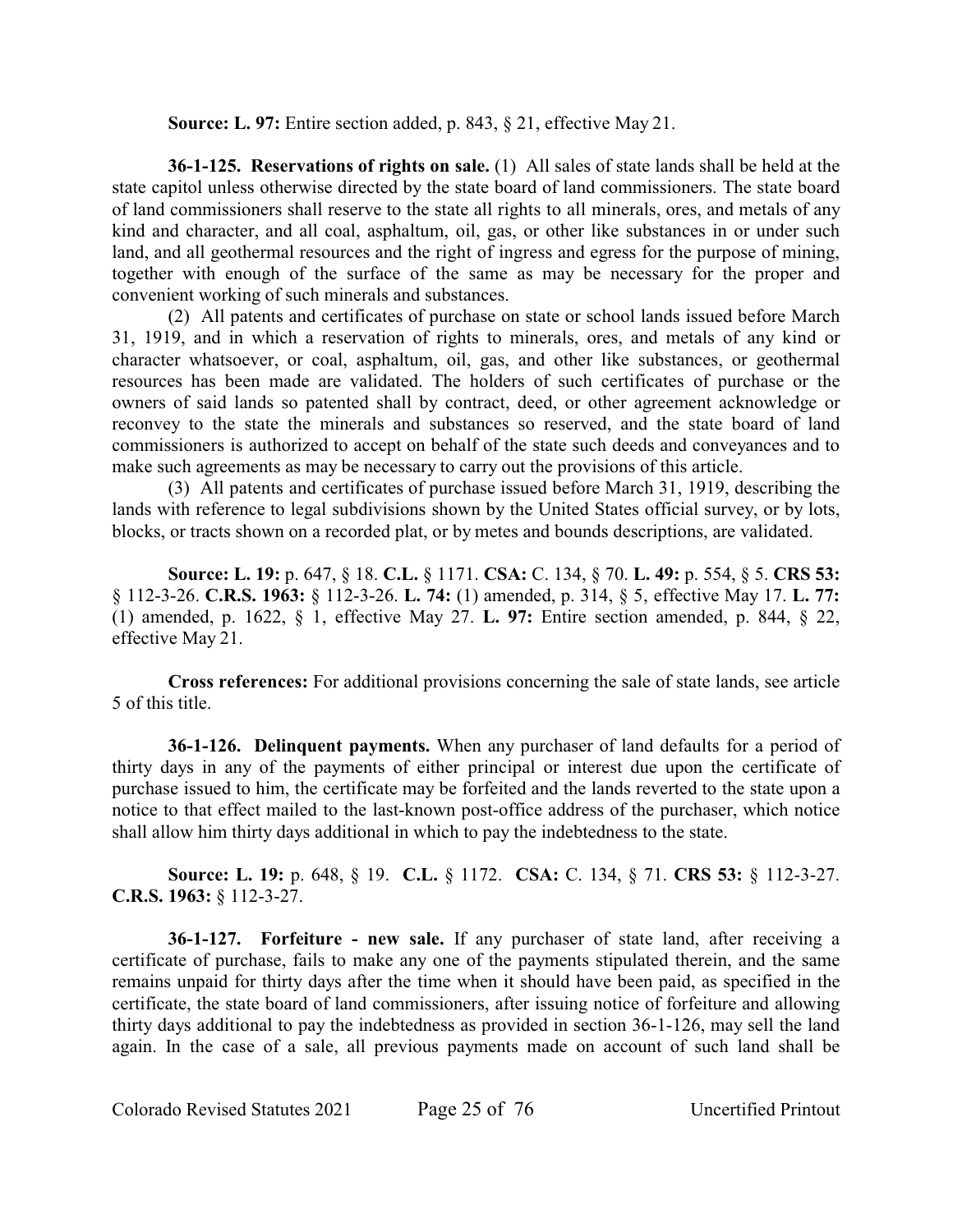**Source: L. 97:** Entire section added, p. 843, § 21, effective May 21.

**36-1-125. Reservations of rights on sale.** (1) All sales of state lands shall be held at the state capitol unless otherwise directed by the state board of land commissioners. The state board of land commissioners shall reserve to the state all rights to all minerals, ores, and metals of any kind and character, and all coal, asphaltum, oil, gas, or other like substances in or under such land, and all geothermal resources and the right of ingress and egress for the purpose of mining, together with enough of the surface of the same as may be necessary for the proper and convenient working of such minerals and substances.

(2) All patents and certificates of purchase on state or school lands issued before March 31, 1919, and in which a reservation of rights to minerals, ores, and metals of any kind or character whatsoever, or coal, asphaltum, oil, gas, and other like substances, or geothermal resources has been made are validated. The holders of such certificates of purchase or the owners of said lands so patented shall by contract, deed, or other agreement acknowledge or reconvey to the state the minerals and substances so reserved, and the state board of land commissioners is authorized to accept on behalf of the state such deeds and conveyances and to make such agreements as may be necessary to carry out the provisions of this article.

(3) All patents and certificates of purchase issued before March 31, 1919, describing the lands with reference to legal subdivisions shown by the United States official survey, or by lots, blocks, or tracts shown on a recorded plat, or by metes and bounds descriptions, are validated.

**Source: L. 19:** p. 647, § 18. **C.L.** § 1171. **CSA:** C. 134, § 70. **L. 49:** p. 554, § 5. **CRS 53:** § 112-3-26. **C.R.S. 1963:** § 112-3-26. **L. 74:** (1) amended, p. 314, § 5, effective May 17. **L. 77:** (1) amended, p. 1622, § 1, effective May 27. **L. 97:** Entire section amended, p. 844, § 22, effective May 21.

**Cross references:** For additional provisions concerning the sale of state lands, see article 5 of this title.

**36-1-126. Delinquent payments.** When any purchaser of land defaults for a period of thirty days in any of the payments of either principal or interest due upon the certificate of purchase issued to him, the certificate may be forfeited and the lands reverted to the state upon a notice to that effect mailed to the last-known post-office address of the purchaser, which notice shall allow him thirty days additional in which to pay the indebtedness to the state.

**Source: L. 19:** p. 648, § 19. **C.L.** § 1172. **CSA:** C. 134, § 71. **CRS 53:** § 112-3-27. **C.R.S. 1963:** § 112-3-27.

**36-1-127. Forfeiture - new sale.** If any purchaser of state land, after receiving a certificate of purchase, fails to make any one of the payments stipulated therein, and the same remains unpaid for thirty days after the time when it should have been paid, as specified in the certificate, the state board of land commissioners, after issuing notice of forfeiture and allowing thirty days additional to pay the indebtedness as provided in section 36-1-126, may sell the land again. In the case of a sale, all previous payments made on account of such land shall be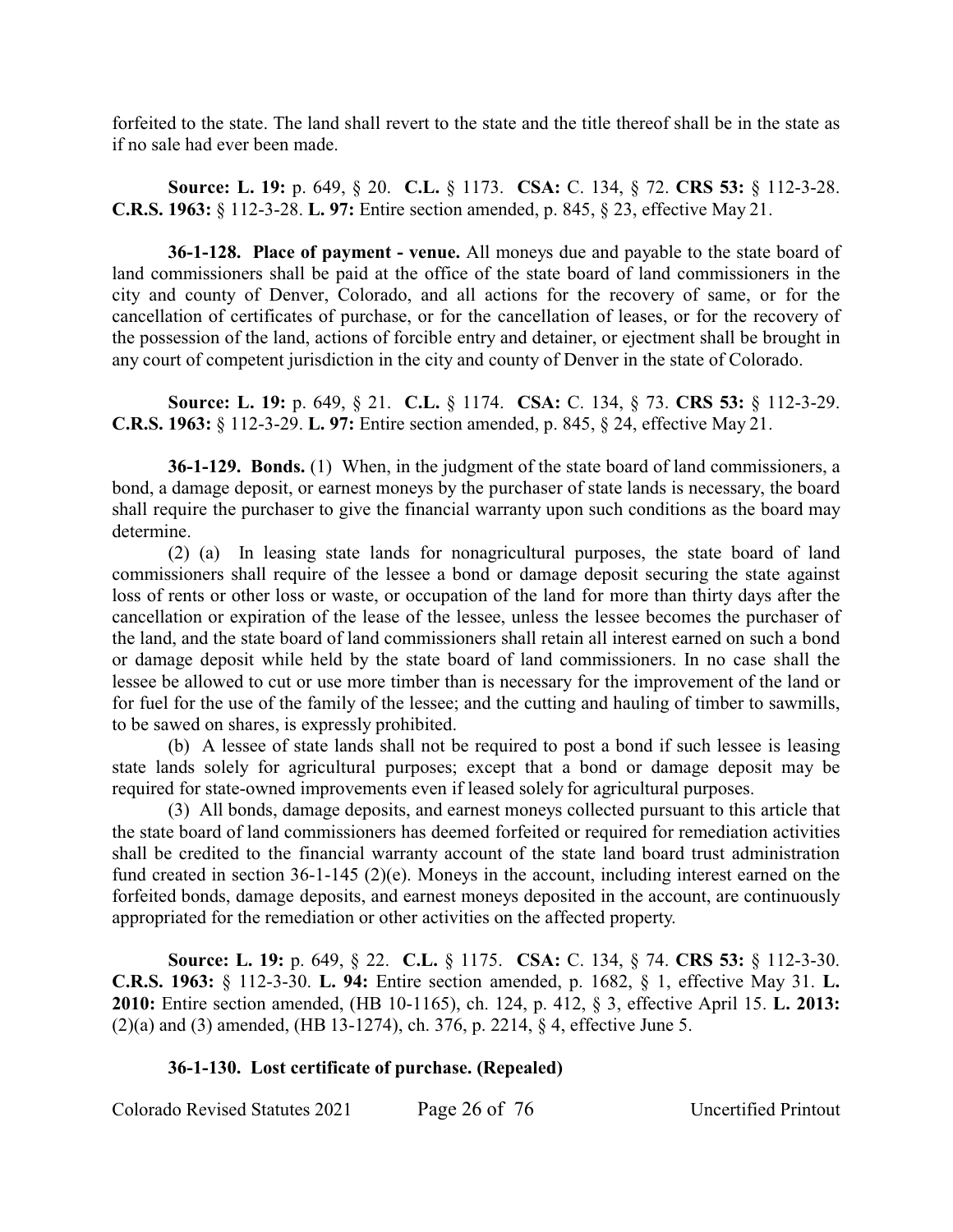forfeited to the state. The land shall revert to the state and the title thereof shall be in the state as if no sale had ever been made.

**Source: L. 19:** p. 649, § 20. **C.L.** § 1173. **CSA:** C. 134, § 72. **CRS 53:** § 112-3-28. **C.R.S. 1963:** § 112-3-28. **L. 97:** Entire section amended, p. 845, § 23, effective May 21.

**36-1-128. Place of payment - venue.** All moneys due and payable to the state board of land commissioners shall be paid at the office of the state board of land commissioners in the city and county of Denver, Colorado, and all actions for the recovery of same, or for the cancellation of certificates of purchase, or for the cancellation of leases, or for the recovery of the possession of the land, actions of forcible entry and detainer, or ejectment shall be brought in any court of competent jurisdiction in the city and county of Denver in the state of Colorado.

**Source: L. 19:** p. 649, § 21. **C.L.** § 1174. **CSA:** C. 134, § 73. **CRS 53:** § 112-3-29. **C.R.S. 1963:** § 112-3-29. **L. 97:** Entire section amended, p. 845, § 24, effective May 21.

**36-1-129. Bonds.** (1) When, in the judgment of the state board of land commissioners, a bond, a damage deposit, or earnest moneys by the purchaser of state lands is necessary, the board shall require the purchaser to give the financial warranty upon such conditions as the board may determine.

(2) (a) In leasing state lands for nonagricultural purposes, the state board of land commissioners shall require of the lessee a bond or damage deposit securing the state against loss of rents or other loss or waste, or occupation of the land for more than thirty days after the cancellation or expiration of the lease of the lessee, unless the lessee becomes the purchaser of the land, and the state board of land commissioners shall retain all interest earned on such a bond or damage deposit while held by the state board of land commissioners. In no case shall the lessee be allowed to cut or use more timber than is necessary for the improvement of the land or for fuel for the use of the family of the lessee; and the cutting and hauling of timber to sawmills, to be sawed on shares, is expressly prohibited.

(b) A lessee of state lands shall not be required to post a bond if such lessee is leasing state lands solely for agricultural purposes; except that a bond or damage deposit may be required for state-owned improvements even if leased solely for agricultural purposes.

(3) All bonds, damage deposits, and earnest moneys collected pursuant to this article that the state board of land commissioners has deemed forfeited or required for remediation activities shall be credited to the financial warranty account of the state land board trust administration fund created in section 36-1-145 (2)(e). Moneys in the account, including interest earned on the forfeited bonds, damage deposits, and earnest moneys deposited in the account, are continuously appropriated for the remediation or other activities on the affected property.

**Source: L. 19:** p. 649, § 22. **C.L.** § 1175. **CSA:** C. 134, § 74. **CRS 53:** § 112-3-30. **C.R.S. 1963:** § 112-3-30. **L. 94:** Entire section amended, p. 1682, § 1, effective May 31. **L. 2010:** Entire section amended, (HB 10-1165), ch. 124, p. 412, § 3, effective April 15. **L. 2013:** (2)(a) and (3) amended, (HB 13-1274), ch. 376, p. 2214, § 4, effective June 5.

### **36-1-130. Lost certificate of purchase. (Repealed)**

Colorado Revised Statutes 2021 Page 26 of 76 Uncertified Printout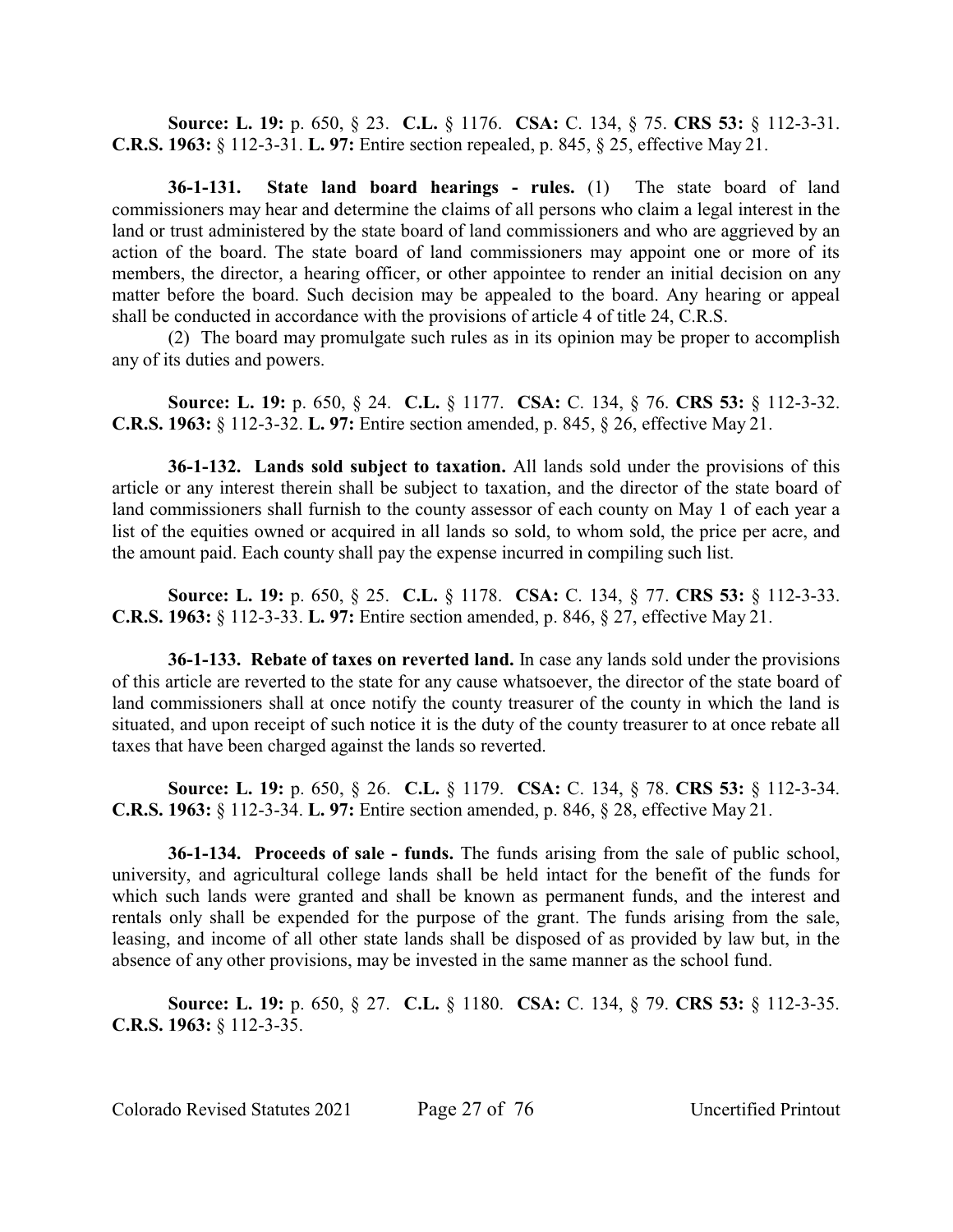**Source: L. 19:** p. 650, § 23. **C.L.** § 1176. **CSA:** C. 134, § 75. **CRS 53:** § 112-3-31. **C.R.S. 1963:** § 112-3-31. **L. 97:** Entire section repealed, p. 845, § 25, effective May 21.

**36-1-131. State land board hearings - rules.** (1) The state board of land commissioners may hear and determine the claims of all persons who claim a legal interest in the land or trust administered by the state board of land commissioners and who are aggrieved by an action of the board. The state board of land commissioners may appoint one or more of its members, the director, a hearing officer, or other appointee to render an initial decision on any matter before the board. Such decision may be appealed to the board. Any hearing or appeal shall be conducted in accordance with the provisions of article 4 of title 24, C.R.S.

(2) The board may promulgate such rules as in its opinion may be proper to accomplish any of its duties and powers.

**Source: L. 19:** p. 650, § 24. **C.L.** § 1177. **CSA:** C. 134, § 76. **CRS 53:** § 112-3-32. **C.R.S. 1963:** § 112-3-32. **L. 97:** Entire section amended, p. 845, § 26, effective May 21.

**36-1-132. Lands sold subject to taxation.** All lands sold under the provisions of this article or any interest therein shall be subject to taxation, and the director of the state board of land commissioners shall furnish to the county assessor of each county on May 1 of each year a list of the equities owned or acquired in all lands so sold, to whom sold, the price per acre, and the amount paid. Each county shall pay the expense incurred in compiling such list.

**Source: L. 19:** p. 650, § 25. **C.L.** § 1178. **CSA:** C. 134, § 77. **CRS 53:** § 112-3-33. **C.R.S. 1963:** § 112-3-33. **L. 97:** Entire section amended, p. 846, § 27, effective May 21.

**36-1-133. Rebate of taxes on reverted land.** In case any lands sold under the provisions of this article are reverted to the state for any cause whatsoever, the director of the state board of land commissioners shall at once notify the county treasurer of the county in which the land is situated, and upon receipt of such notice it is the duty of the county treasurer to at once rebate all taxes that have been charged against the lands so reverted.

**Source: L. 19:** p. 650, § 26. **C.L.** § 1179. **CSA:** C. 134, § 78. **CRS 53:** § 112-3-34. **C.R.S. 1963:** § 112-3-34. **L. 97:** Entire section amended, p. 846, § 28, effective May 21.

**36-1-134. Proceeds of sale - funds.** The funds arising from the sale of public school, university, and agricultural college lands shall be held intact for the benefit of the funds for which such lands were granted and shall be known as permanent funds, and the interest and rentals only shall be expended for the purpose of the grant. The funds arising from the sale, leasing, and income of all other state lands shall be disposed of as provided by law but, in the absence of any other provisions, may be invested in the same manner as the school fund.

**Source: L. 19:** p. 650, § 27. **C.L.** § 1180. **CSA:** C. 134, § 79. **CRS 53:** § 112-3-35. **C.R.S. 1963:** § 112-3-35.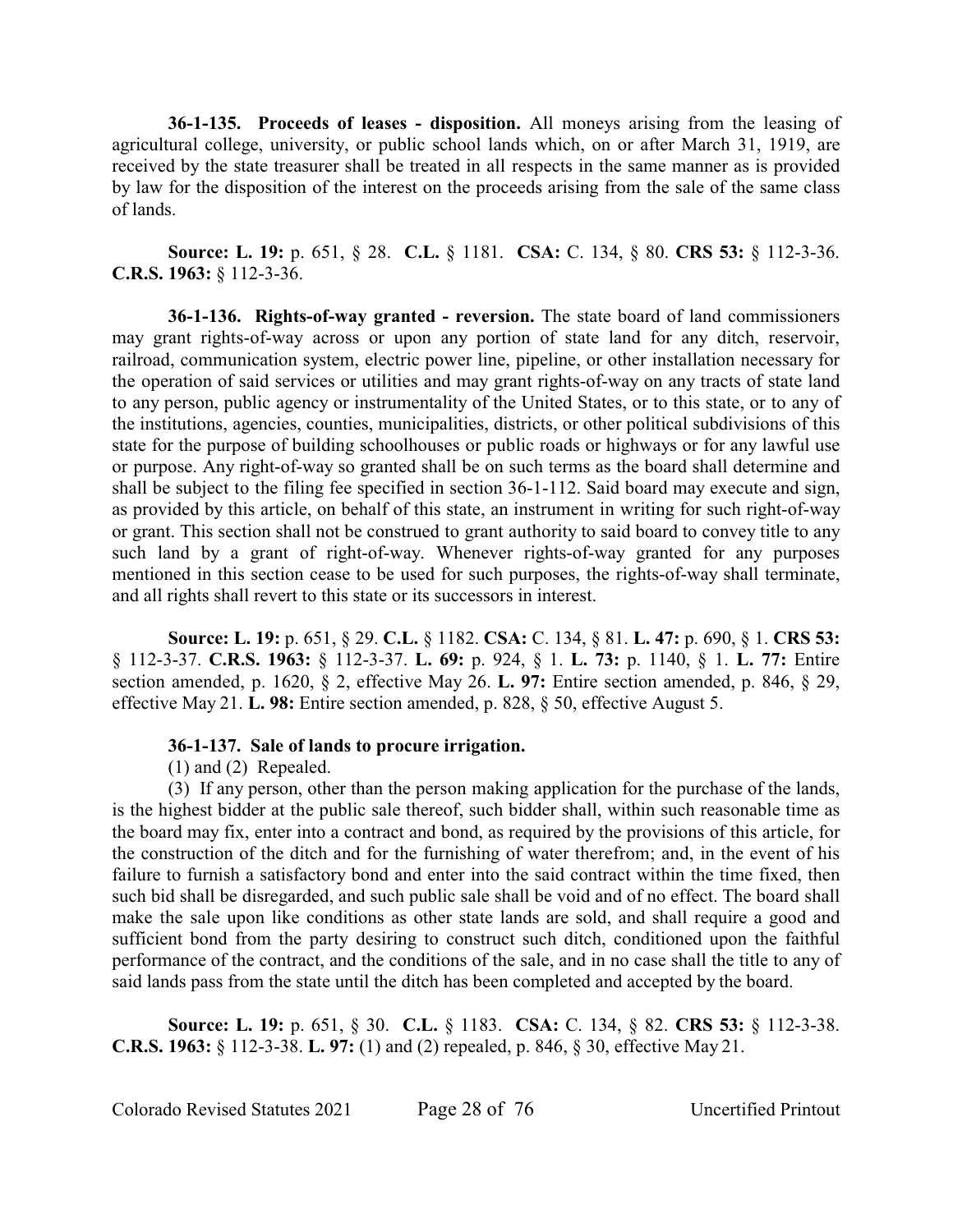**36-1-135. Proceeds of leases - disposition.** All moneys arising from the leasing of agricultural college, university, or public school lands which, on or after March 31, 1919, are received by the state treasurer shall be treated in all respects in the same manner as is provided by law for the disposition of the interest on the proceeds arising from the sale of the same class of lands.

**Source: L. 19:** p. 651, § 28. **C.L.** § 1181. **CSA:** C. 134, § 80. **CRS 53:** § 112-3-36. **C.R.S. 1963:** § 112-3-36.

**36-1-136. Rights-of-way granted - reversion.** The state board of land commissioners may grant rights-of-way across or upon any portion of state land for any ditch, reservoir, railroad, communication system, electric power line, pipeline, or other installation necessary for the operation of said services or utilities and may grant rights-of-way on any tracts of state land to any person, public agency or instrumentality of the United States, or to this state, or to any of the institutions, agencies, counties, municipalities, districts, or other political subdivisions of this state for the purpose of building schoolhouses or public roads or highways or for any lawful use or purpose. Any right-of-way so granted shall be on such terms as the board shall determine and shall be subject to the filing fee specified in section 36-1-112. Said board may execute and sign, as provided by this article, on behalf of this state, an instrument in writing for such right-of-way or grant. This section shall not be construed to grant authority to said board to convey title to any such land by a grant of right-of-way. Whenever rights-of-way granted for any purposes mentioned in this section cease to be used for such purposes, the rights-of-way shall terminate, and all rights shall revert to this state or its successors in interest.

**Source: L. 19:** p. 651, § 29. **C.L.** § 1182. **CSA:** C. 134, § 81. **L. 47:** p. 690, § 1. **CRS 53:** § 112-3-37. **C.R.S. 1963:** § 112-3-37. **L. 69:** p. 924, § 1. **L. 73:** p. 1140, § 1. **L. 77:** Entire section amended, p. 1620, § 2, effective May 26. **L. 97:** Entire section amended, p. 846, § 29, effective May 21. **L. 98:** Entire section amended, p. 828, § 50, effective August 5.

### **36-1-137. Sale of lands to procure irrigation.**

(1) and (2) Repealed.

(3) If any person, other than the person making application for the purchase of the lands, is the highest bidder at the public sale thereof, such bidder shall, within such reasonable time as the board may fix, enter into a contract and bond, as required by the provisions of this article, for the construction of the ditch and for the furnishing of water therefrom; and, in the event of his failure to furnish a satisfactory bond and enter into the said contract within the time fixed, then such bid shall be disregarded, and such public sale shall be void and of no effect. The board shall make the sale upon like conditions as other state lands are sold, and shall require a good and sufficient bond from the party desiring to construct such ditch, conditioned upon the faithful performance of the contract, and the conditions of the sale, and in no case shall the title to any of said lands pass from the state until the ditch has been completed and accepted by the board.

**Source: L. 19:** p. 651, § 30. **C.L.** § 1183. **CSA:** C. 134, § 82. **CRS 53:** § 112-3-38. **C.R.S. 1963:** § 112-3-38. **L. 97:** (1) and (2) repealed, p. 846, § 30, effective May 21.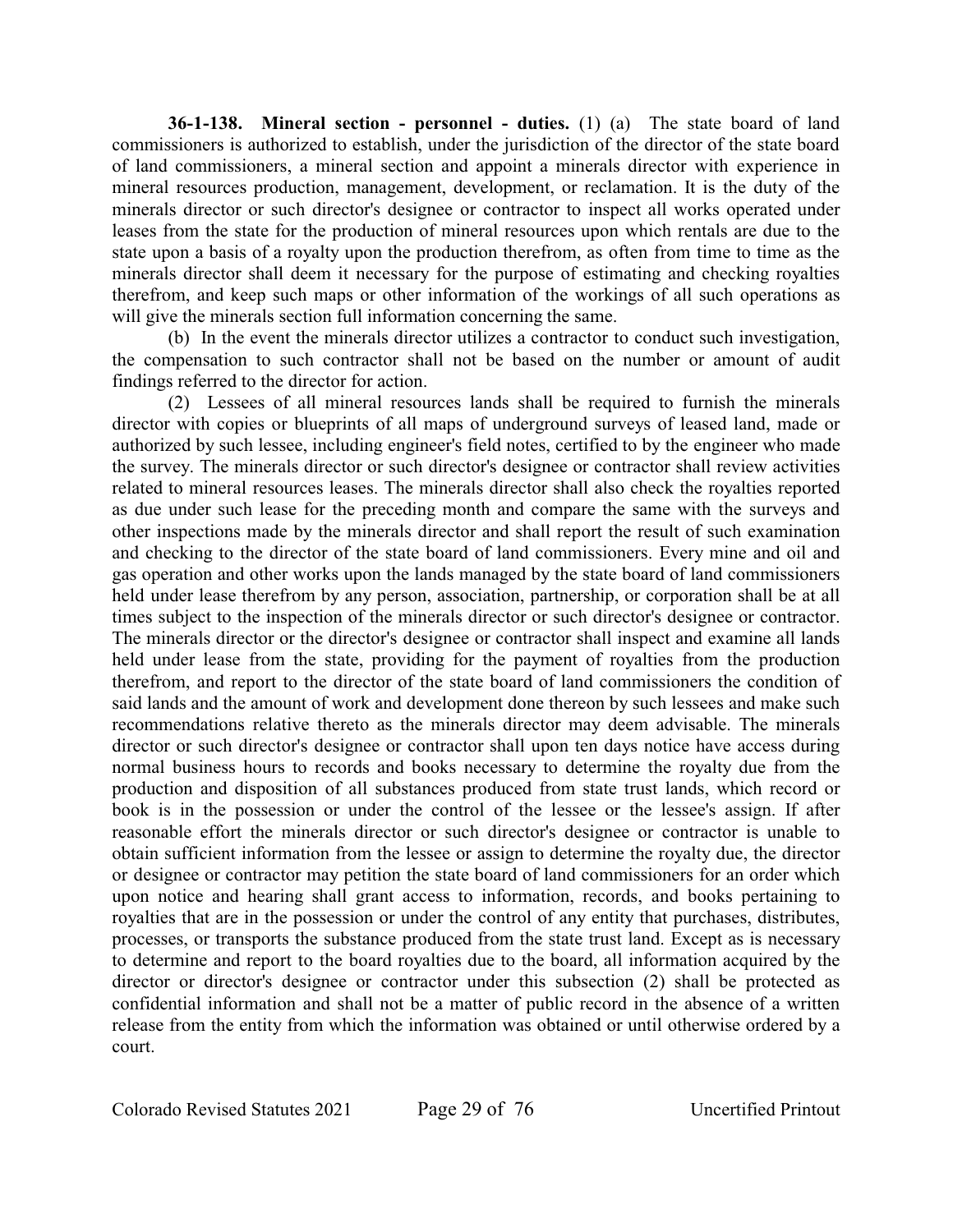**36-1-138. Mineral section - personnel - duties.** (1) (a) The state board of land commissioners is authorized to establish, under the jurisdiction of the director of the state board of land commissioners, a mineral section and appoint a minerals director with experience in mineral resources production, management, development, or reclamation. It is the duty of the minerals director or such director's designee or contractor to inspect all works operated under leases from the state for the production of mineral resources upon which rentals are due to the state upon a basis of a royalty upon the production therefrom, as often from time to time as the minerals director shall deem it necessary for the purpose of estimating and checking royalties therefrom, and keep such maps or other information of the workings of all such operations as will give the minerals section full information concerning the same.

(b) In the event the minerals director utilizes a contractor to conduct such investigation, the compensation to such contractor shall not be based on the number or amount of audit findings referred to the director for action.

(2) Lessees of all mineral resources lands shall be required to furnish the minerals director with copies or blueprints of all maps of underground surveys of leased land, made or authorized by such lessee, including engineer's field notes, certified to by the engineer who made the survey. The minerals director or such director's designee or contractor shall review activities related to mineral resources leases. The minerals director shall also check the royalties reported as due under such lease for the preceding month and compare the same with the surveys and other inspections made by the minerals director and shall report the result of such examination and checking to the director of the state board of land commissioners. Every mine and oil and gas operation and other works upon the lands managed by the state board of land commissioners held under lease therefrom by any person, association, partnership, or corporation shall be at all times subject to the inspection of the minerals director or such director's designee or contractor. The minerals director or the director's designee or contractor shall inspect and examine all lands held under lease from the state, providing for the payment of royalties from the production therefrom, and report to the director of the state board of land commissioners the condition of said lands and the amount of work and development done thereon by such lessees and make such recommendations relative thereto as the minerals director may deem advisable. The minerals director or such director's designee or contractor shall upon ten days notice have access during normal business hours to records and books necessary to determine the royalty due from the production and disposition of all substances produced from state trust lands, which record or book is in the possession or under the control of the lessee or the lessee's assign. If after reasonable effort the minerals director or such director's designee or contractor is unable to obtain sufficient information from the lessee or assign to determine the royalty due, the director or designee or contractor may petition the state board of land commissioners for an order which upon notice and hearing shall grant access to information, records, and books pertaining to royalties that are in the possession or under the control of any entity that purchases, distributes, processes, or transports the substance produced from the state trust land. Except as is necessary to determine and report to the board royalties due to the board, all information acquired by the director or director's designee or contractor under this subsection (2) shall be protected as confidential information and shall not be a matter of public record in the absence of a written release from the entity from which the information was obtained or until otherwise ordered by a court.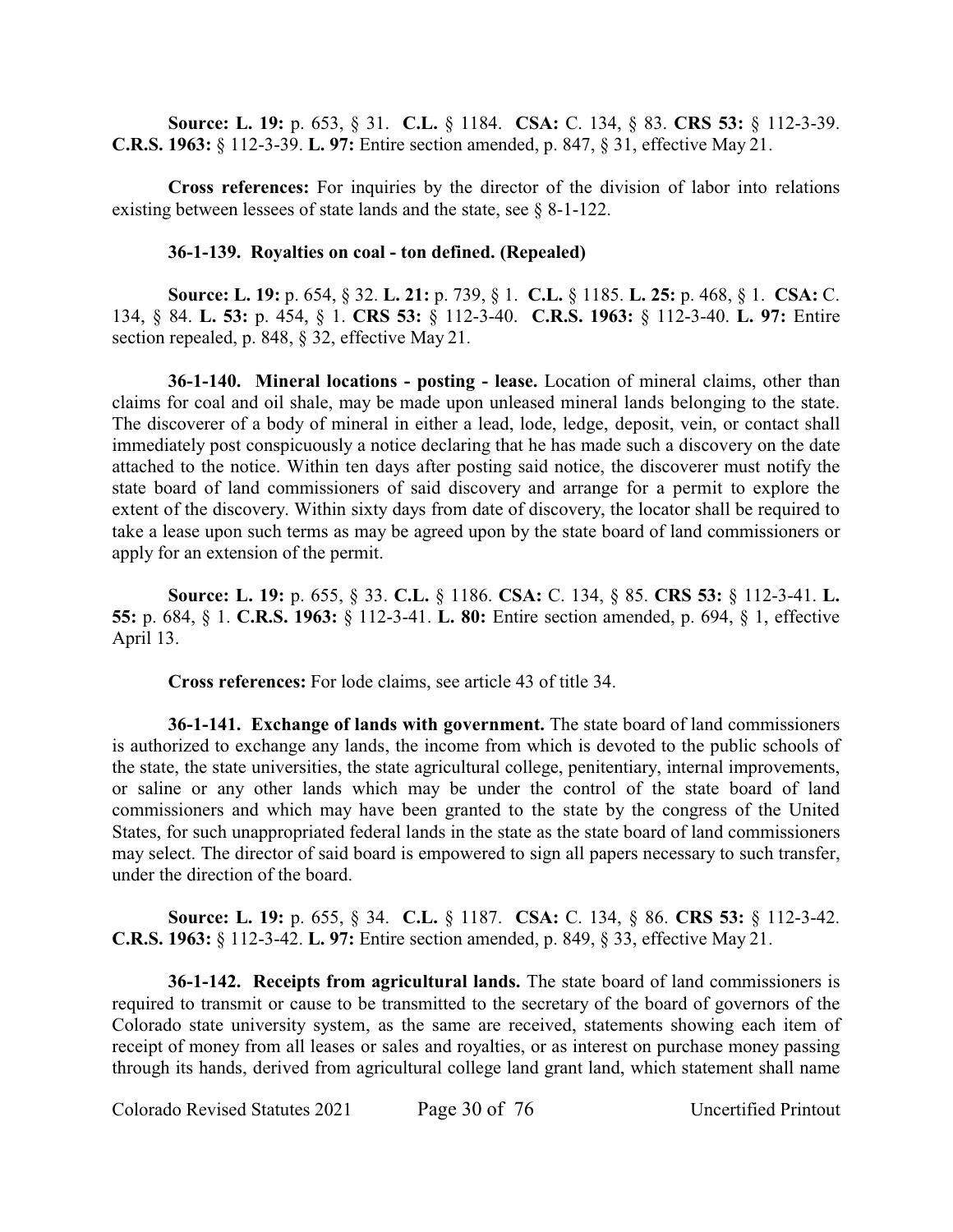**Source: L. 19:** p. 653, § 31. **C.L.** § 1184. **CSA:** C. 134, § 83. **CRS 53:** § 112-3-39. **C.R.S. 1963:** § 112-3-39. **L. 97:** Entire section amended, p. 847, § 31, effective May 21.

**Cross references:** For inquiries by the director of the division of labor into relations existing between lessees of state lands and the state, see § 8-1-122.

#### **36-1-139. Royalties on coal - ton defined. (Repealed)**

**Source: L. 19:** p. 654, § 32. **L. 21:** p. 739, § 1. **C.L.** § 1185. **L. 25:** p. 468, § 1. **CSA:** C. 134, § 84. **L. 53:** p. 454, § 1. **CRS 53:** § 112-3-40. **C.R.S. 1963:** § 112-3-40. **L. 97:** Entire section repealed, p. 848, § 32, effective May 21.

**36-1-140. Mineral locations - posting - lease.** Location of mineral claims, other than claims for coal and oil shale, may be made upon unleased mineral lands belonging to the state. The discoverer of a body of mineral in either a lead, lode, ledge, deposit, vein, or contact shall immediately post conspicuously a notice declaring that he has made such a discovery on the date attached to the notice. Within ten days after posting said notice, the discoverer must notify the state board of land commissioners of said discovery and arrange for a permit to explore the extent of the discovery. Within sixty days from date of discovery, the locator shall be required to take a lease upon such terms as may be agreed upon by the state board of land commissioners or apply for an extension of the permit.

**Source: L. 19:** p. 655, § 33. **C.L.** § 1186. **CSA:** C. 134, § 85. **CRS 53:** § 112-3-41. **L. 55:** p. 684, § 1. **C.R.S. 1963:** § 112-3-41. **L. 80:** Entire section amended, p. 694, § 1, effective April 13.

**Cross references:** For lode claims, see article 43 of title 34.

**36-1-141. Exchange of lands with government.** The state board of land commissioners is authorized to exchange any lands, the income from which is devoted to the public schools of the state, the state universities, the state agricultural college, penitentiary, internal improvements, or saline or any other lands which may be under the control of the state board of land commissioners and which may have been granted to the state by the congress of the United States, for such unappropriated federal lands in the state as the state board of land commissioners may select. The director of said board is empowered to sign all papers necessary to such transfer, under the direction of the board.

**Source: L. 19:** p. 655, § 34. **C.L.** § 1187. **CSA:** C. 134, § 86. **CRS 53:** § 112-3-42. **C.R.S. 1963:** § 112-3-42. **L. 97:** Entire section amended, p. 849, § 33, effective May 21.

**36-1-142. Receipts from agricultural lands.** The state board of land commissioners is required to transmit or cause to be transmitted to the secretary of the board of governors of the Colorado state university system, as the same are received, statements showing each item of receipt of money from all leases or sales and royalties, or as interest on purchase money passing through its hands, derived from agricultural college land grant land, which statement shall name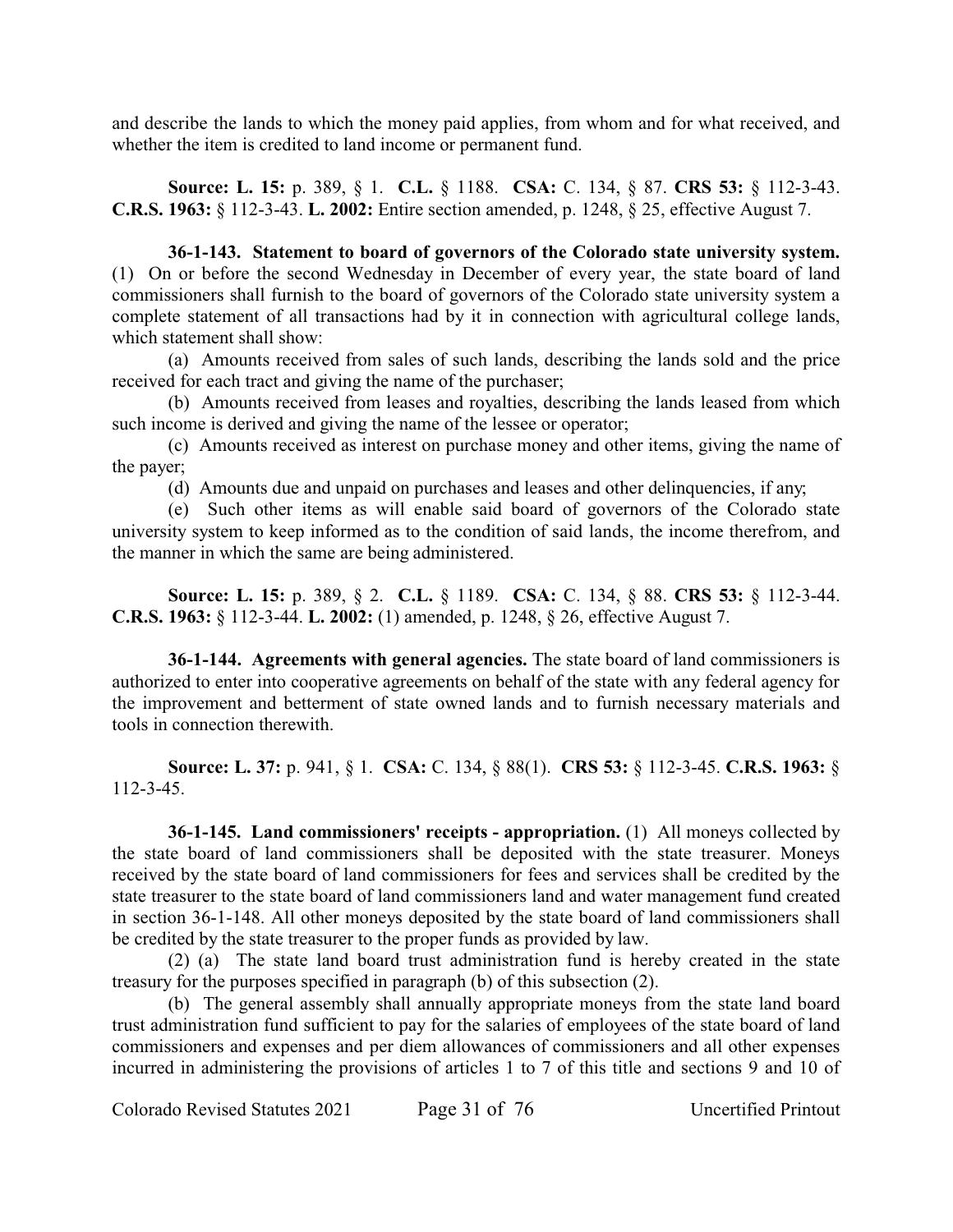and describe the lands to which the money paid applies, from whom and for what received, and whether the item is credited to land income or permanent fund.

**Source: L. 15:** p. 389, § 1. **C.L.** § 1188. **CSA:** C. 134, § 87. **CRS 53:** § 112-3-43. **C.R.S. 1963:** § 112-3-43. **L. 2002:** Entire section amended, p. 1248, § 25, effective August 7.

**36-1-143. Statement to board of governors of the Colorado state university system.** (1) On or before the second Wednesday in December of every year, the state board of land commissioners shall furnish to the board of governors of the Colorado state university system a complete statement of all transactions had by it in connection with agricultural college lands, which statement shall show:

(a) Amounts received from sales of such lands, describing the lands sold and the price received for each tract and giving the name of the purchaser;

(b) Amounts received from leases and royalties, describing the lands leased from which such income is derived and giving the name of the lessee or operator;

(c) Amounts received as interest on purchase money and other items, giving the name of the payer;

(d) Amounts due and unpaid on purchases and leases and other delinquencies, if any;

(e) Such other items as will enable said board of governors of the Colorado state university system to keep informed as to the condition of said lands, the income therefrom, and the manner in which the same are being administered.

**Source: L. 15:** p. 389, § 2. **C.L.** § 1189. **CSA:** C. 134, § 88. **CRS 53:** § 112-3-44. **C.R.S. 1963:** § 112-3-44. **L. 2002:** (1) amended, p. 1248, § 26, effective August 7.

**36-1-144. Agreements with general agencies.** The state board of land commissioners is authorized to enter into cooperative agreements on behalf of the state with any federal agency for the improvement and betterment of state owned lands and to furnish necessary materials and tools in connection therewith.

**Source: L. 37:** p. 941, § 1. **CSA:** C. 134, § 88(1). **CRS 53:** § 112-3-45. **C.R.S. 1963:** § 112-3-45.

**36-1-145. Land commissioners' receipts - appropriation.** (1) All moneys collected by the state board of land commissioners shall be deposited with the state treasurer. Moneys received by the state board of land commissioners for fees and services shall be credited by the state treasurer to the state board of land commissioners land and water management fund created in section 36-1-148. All other moneys deposited by the state board of land commissioners shall be credited by the state treasurer to the proper funds as provided by law.

(2) (a) The state land board trust administration fund is hereby created in the state treasury for the purposes specified in paragraph (b) of this subsection (2).

(b) The general assembly shall annually appropriate moneys from the state land board trust administration fund sufficient to pay for the salaries of employees of the state board of land commissioners and expenses and per diem allowances of commissioners and all other expenses incurred in administering the provisions of articles 1 to 7 of this title and sections 9 and 10 of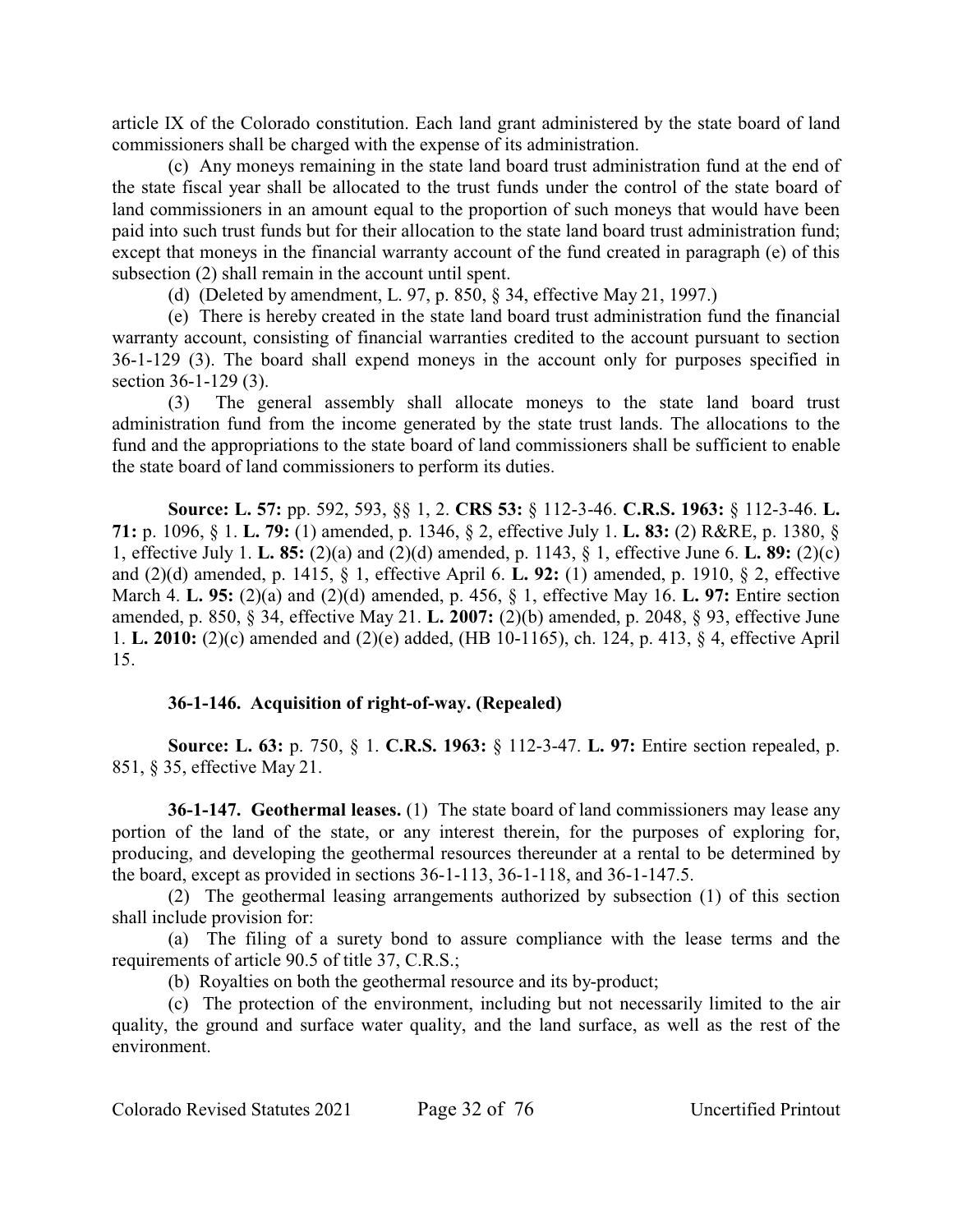article IX of the Colorado constitution. Each land grant administered by the state board of land commissioners shall be charged with the expense of its administration.

(c) Any moneys remaining in the state land board trust administration fund at the end of the state fiscal year shall be allocated to the trust funds under the control of the state board of land commissioners in an amount equal to the proportion of such moneys that would have been paid into such trust funds but for their allocation to the state land board trust administration fund; except that moneys in the financial warranty account of the fund created in paragraph (e) of this subsection (2) shall remain in the account until spent.

(d) (Deleted by amendment, L. 97, p. 850, § 34, effective May 21, 1997.)

(e) There is hereby created in the state land board trust administration fund the financial warranty account, consisting of financial warranties credited to the account pursuant to section 36-1-129 (3). The board shall expend moneys in the account only for purposes specified in section 36-1-129 (3).

(3) The general assembly shall allocate moneys to the state land board trust administration fund from the income generated by the state trust lands. The allocations to the fund and the appropriations to the state board of land commissioners shall be sufficient to enable the state board of land commissioners to perform its duties.

**Source: L. 57:** pp. 592, 593, §§ 1, 2. **CRS 53:** § 112-3-46. **C.R.S. 1963:** § 112-3-46. **L. 71:** p. 1096, § 1. **L. 79:** (1) amended, p. 1346, § 2, effective July 1. **L. 83:** (2) R&RE, p. 1380, § 1, effective July 1. **L. 85:** (2)(a) and (2)(d) amended, p. 1143, § 1, effective June 6. **L. 89:** (2)(c) and (2)(d) amended, p. 1415, § 1, effective April 6. **L. 92:** (1) amended, p. 1910, § 2, effective March 4. **L. 95:** (2)(a) and (2)(d) amended, p. 456, § 1, effective May 16. **L. 97:** Entire section amended, p. 850, § 34, effective May 21. **L. 2007:** (2)(b) amended, p. 2048, § 93, effective June 1. **L. 2010:** (2)(c) amended and (2)(e) added, (HB 10-1165), ch. 124, p. 413, § 4, effective April 15.

## **36-1-146. Acquisition of right-of-way. (Repealed)**

**Source: L. 63:** p. 750, § 1. **C.R.S. 1963:** § 112-3-47. **L. 97:** Entire section repealed, p. 851, § 35, effective May 21.

**36-1-147. Geothermal leases.** (1) The state board of land commissioners may lease any portion of the land of the state, or any interest therein, for the purposes of exploring for, producing, and developing the geothermal resources thereunder at a rental to be determined by the board, except as provided in sections 36-1-113, 36-1-118, and 36-1-147.5.

(2) The geothermal leasing arrangements authorized by subsection (1) of this section shall include provision for:

(a) The filing of a surety bond to assure compliance with the lease terms and the requirements of article 90.5 of title 37, C.R.S.;

(b) Royalties on both the geothermal resource and its by-product;

(c) The protection of the environment, including but not necessarily limited to the air quality, the ground and surface water quality, and the land surface, as well as the rest of the environment.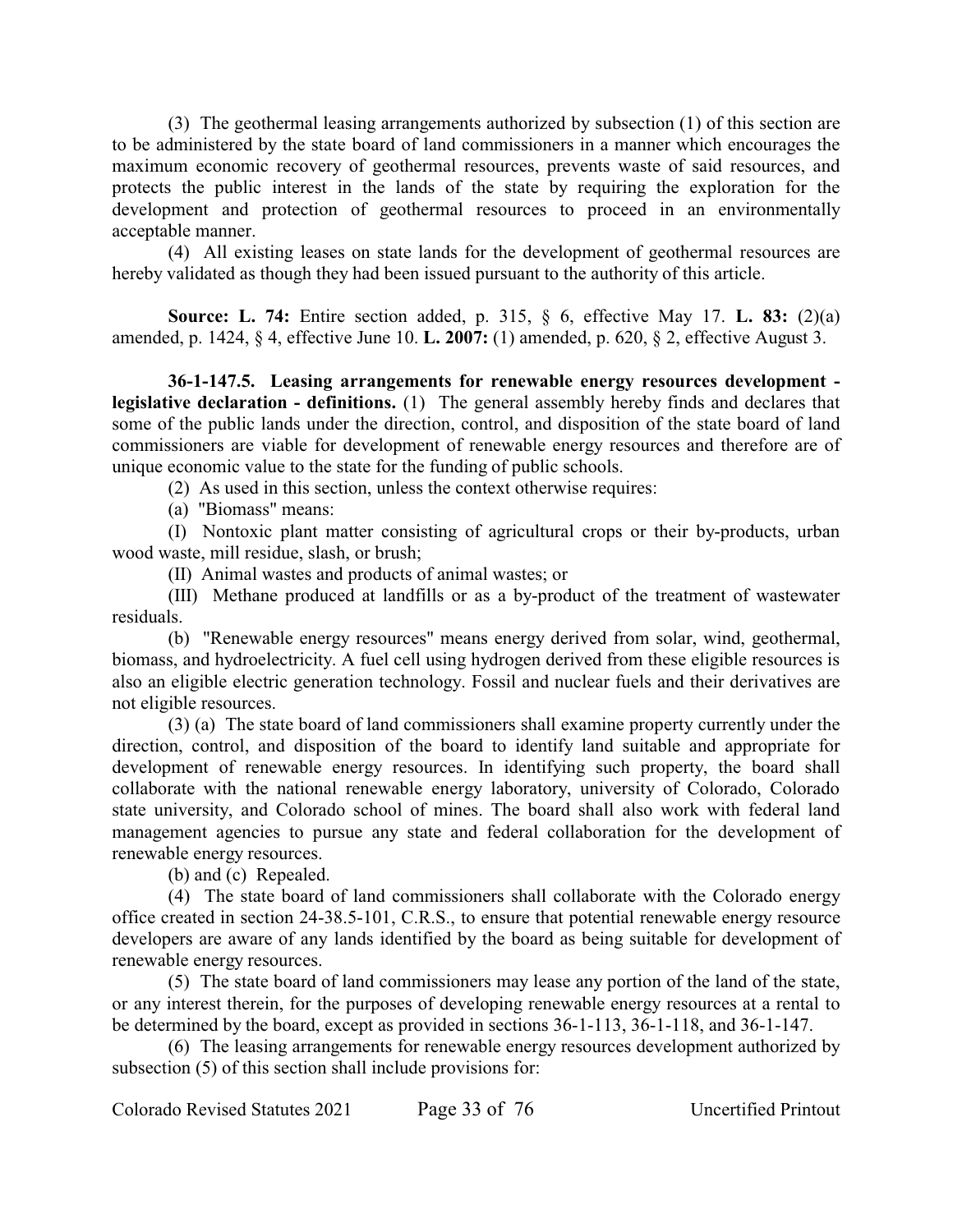(3) The geothermal leasing arrangements authorized by subsection (1) of this section are to be administered by the state board of land commissioners in a manner which encourages the maximum economic recovery of geothermal resources, prevents waste of said resources, and protects the public interest in the lands of the state by requiring the exploration for the development and protection of geothermal resources to proceed in an environmentally acceptable manner.

(4) All existing leases on state lands for the development of geothermal resources are hereby validated as though they had been issued pursuant to the authority of this article.

**Source: L. 74:** Entire section added, p. 315, § 6, effective May 17. **L. 83:** (2)(a) amended, p. 1424, § 4, effective June 10. **L. 2007:** (1) amended, p. 620, § 2, effective August 3.

**36-1-147.5. Leasing arrangements for renewable energy resources development legislative declaration - definitions.** (1) The general assembly hereby finds and declares that some of the public lands under the direction, control, and disposition of the state board of land commissioners are viable for development of renewable energy resources and therefore are of unique economic value to the state for the funding of public schools.

(2) As used in this section, unless the context otherwise requires:

(a) "Biomass" means:

(I) Nontoxic plant matter consisting of agricultural crops or their by-products, urban wood waste, mill residue, slash, or brush;

(II) Animal wastes and products of animal wastes; or

(III) Methane produced at landfills or as a by-product of the treatment of wastewater residuals.

(b) "Renewable energy resources" means energy derived from solar, wind, geothermal, biomass, and hydroelectricity. A fuel cell using hydrogen derived from these eligible resources is also an eligible electric generation technology. Fossil and nuclear fuels and their derivatives are not eligible resources.

(3) (a) The state board of land commissioners shall examine property currently under the direction, control, and disposition of the board to identify land suitable and appropriate for development of renewable energy resources. In identifying such property, the board shall collaborate with the national renewable energy laboratory, university of Colorado, Colorado state university, and Colorado school of mines. The board shall also work with federal land management agencies to pursue any state and federal collaboration for the development of renewable energy resources.

(b) and (c) Repealed.

(4) The state board of land commissioners shall collaborate with the Colorado energy office created in section 24-38.5-101, C.R.S., to ensure that potential renewable energy resource developers are aware of any lands identified by the board as being suitable for development of renewable energy resources.

(5) The state board of land commissioners may lease any portion of the land of the state, or any interest therein, for the purposes of developing renewable energy resources at a rental to be determined by the board, except as provided in sections 36-1-113, 36-1-118, and 36-1-147.

(6) The leasing arrangements for renewable energy resources development authorized by subsection (5) of this section shall include provisions for:

Colorado Revised Statutes 2021 Page 33 of 76 Uncertified Printout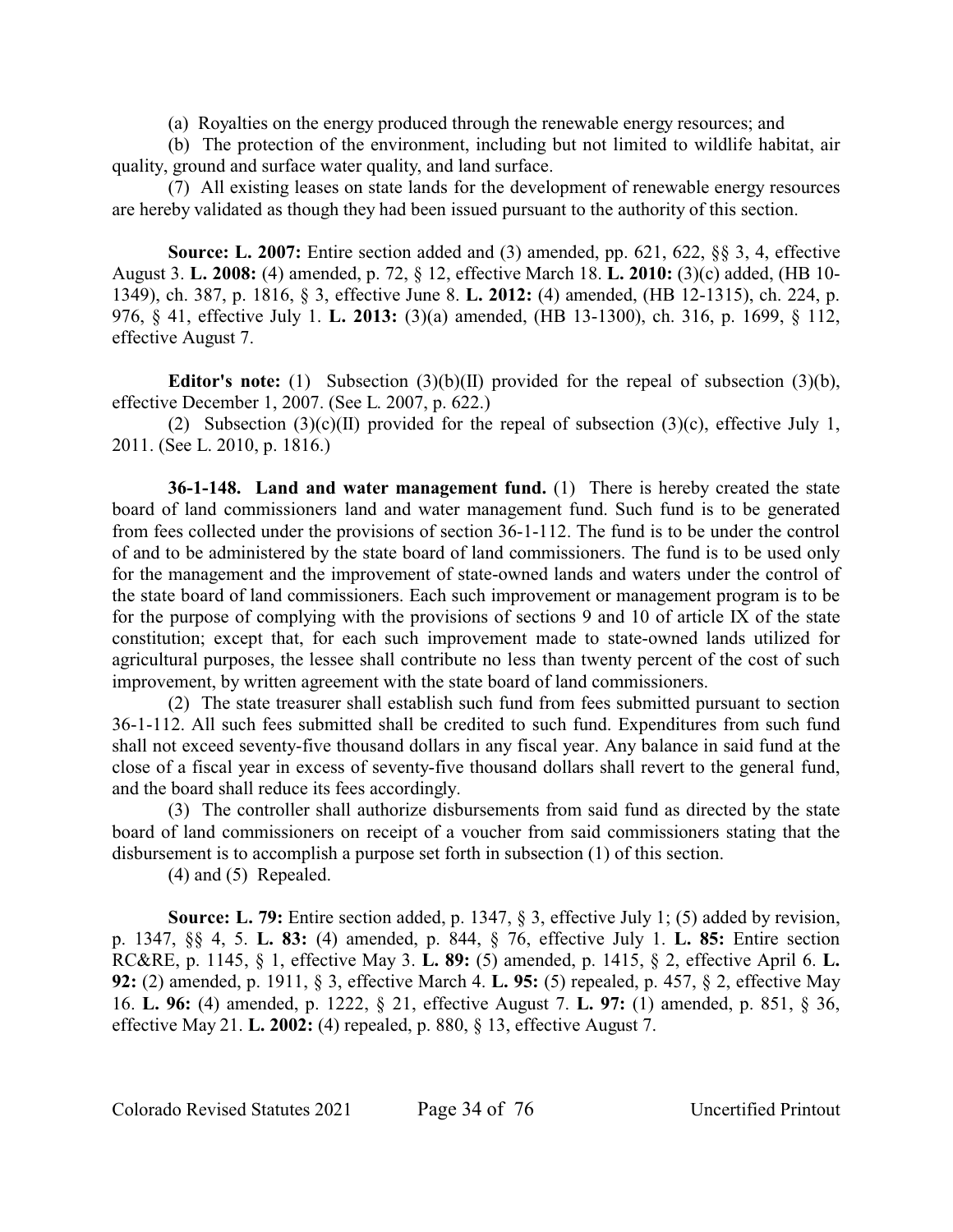(a) Royalties on the energy produced through the renewable energy resources; and

(b) The protection of the environment, including but not limited to wildlife habitat, air quality, ground and surface water quality, and land surface.

(7) All existing leases on state lands for the development of renewable energy resources are hereby validated as though they had been issued pursuant to the authority of this section.

**Source: L. 2007:** Entire section added and (3) amended, pp. 621, 622, §§ 3, 4, effective August 3. **L. 2008:** (4) amended, p. 72, § 12, effective March 18. **L. 2010:** (3)(c) added, (HB 10- 1349), ch. 387, p. 1816, § 3, effective June 8. **L. 2012:** (4) amended, (HB 12-1315), ch. 224, p. 976, § 41, effective July 1. **L. 2013:** (3)(a) amended, (HB 13-1300), ch. 316, p. 1699, § 112, effective August 7.

**Editor's note:** (1) Subsection (3)(b)(II) provided for the repeal of subsection (3)(b), effective December 1, 2007. (See L. 2007, p. 622.)

(2) Subsection (3)(c)(II) provided for the repeal of subsection (3)(c), effective July 1, 2011. (See L. 2010, p. 1816.)

**36-1-148. Land and water management fund.** (1) There is hereby created the state board of land commissioners land and water management fund. Such fund is to be generated from fees collected under the provisions of section 36-1-112. The fund is to be under the control of and to be administered by the state board of land commissioners. The fund is to be used only for the management and the improvement of state-owned lands and waters under the control of the state board of land commissioners. Each such improvement or management program is to be for the purpose of complying with the provisions of sections 9 and 10 of article IX of the state constitution; except that, for each such improvement made to state-owned lands utilized for agricultural purposes, the lessee shall contribute no less than twenty percent of the cost of such improvement, by written agreement with the state board of land commissioners.

(2) The state treasurer shall establish such fund from fees submitted pursuant to section 36-1-112. All such fees submitted shall be credited to such fund. Expenditures from such fund shall not exceed seventy-five thousand dollars in any fiscal year. Any balance in said fund at the close of a fiscal year in excess of seventy-five thousand dollars shall revert to the general fund, and the board shall reduce its fees accordingly.

(3) The controller shall authorize disbursements from said fund as directed by the state board of land commissioners on receipt of a voucher from said commissioners stating that the disbursement is to accomplish a purpose set forth in subsection (1) of this section.

(4) and (5) Repealed.

**Source: L. 79:** Entire section added, p. 1347, § 3, effective July 1; (5) added by revision, p. 1347, §§ 4, 5. **L. 83:** (4) amended, p. 844, § 76, effective July 1. **L. 85:** Entire section RC&RE, p. 1145, § 1, effective May 3. **L. 89:** (5) amended, p. 1415, § 2, effective April 6. **L. 92:** (2) amended, p. 1911, § 3, effective March 4. **L. 95:** (5) repealed, p. 457, § 2, effective May 16. **L. 96:** (4) amended, p. 1222, § 21, effective August 7. **L. 97:** (1) amended, p. 851, § 36, effective May 21. **L. 2002:** (4) repealed, p. 880, § 13, effective August 7.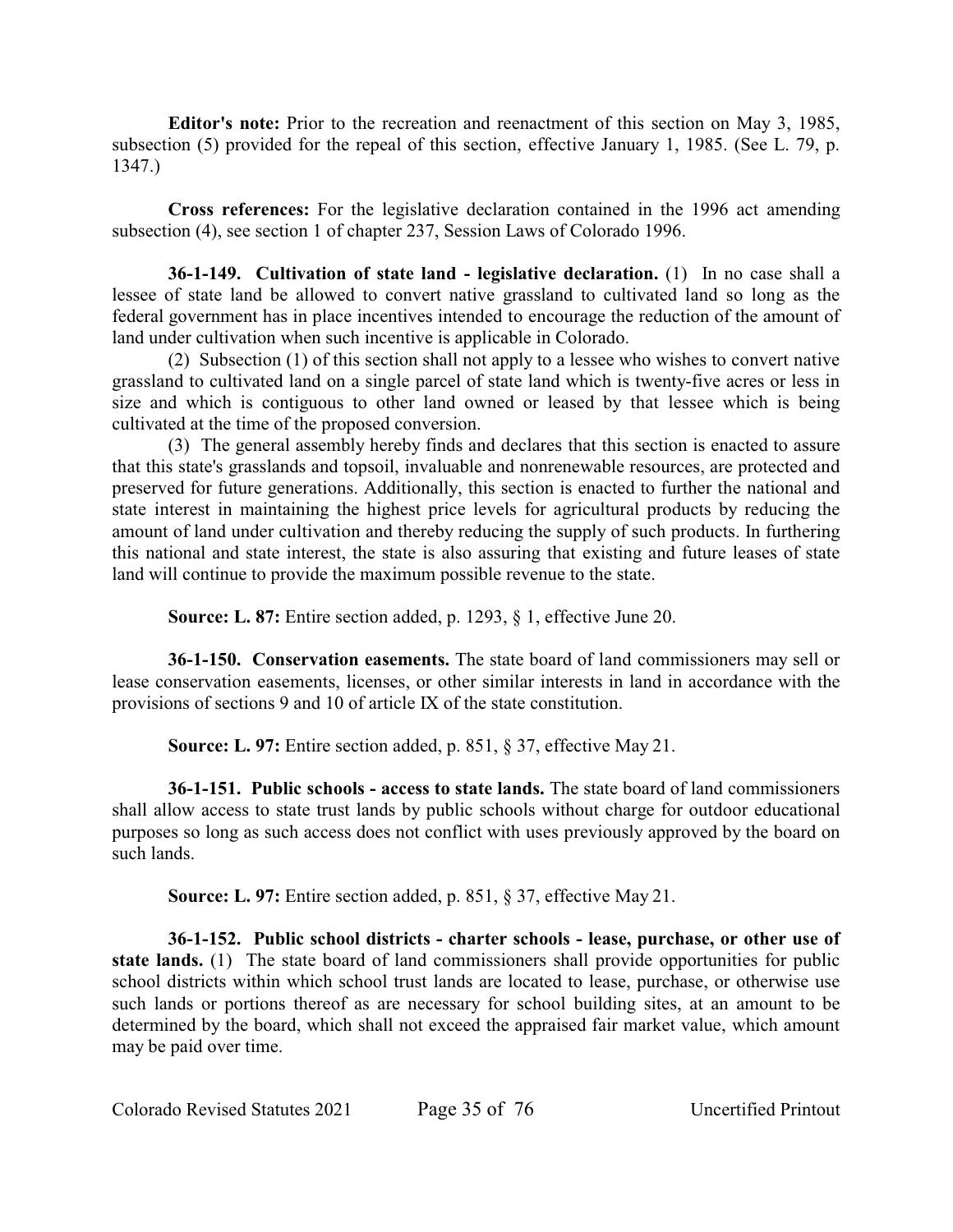**Editor's note:** Prior to the recreation and reenactment of this section on May 3, 1985, subsection (5) provided for the repeal of this section, effective January 1, 1985. (See L. 79, p. 1347.)

**Cross references:** For the legislative declaration contained in the 1996 act amending subsection (4), see section 1 of chapter 237, Session Laws of Colorado 1996.

**36-1-149. Cultivation of state land - legislative declaration.** (1) In no case shall a lessee of state land be allowed to convert native grassland to cultivated land so long as the federal government has in place incentives intended to encourage the reduction of the amount of land under cultivation when such incentive is applicable in Colorado.

(2) Subsection (1) of this section shall not apply to a lessee who wishes to convert native grassland to cultivated land on a single parcel of state land which is twenty-five acres or less in size and which is contiguous to other land owned or leased by that lessee which is being cultivated at the time of the proposed conversion.

(3) The general assembly hereby finds and declares that this section is enacted to assure that this state's grasslands and topsoil, invaluable and nonrenewable resources, are protected and preserved for future generations. Additionally, this section is enacted to further the national and state interest in maintaining the highest price levels for agricultural products by reducing the amount of land under cultivation and thereby reducing the supply of such products. In furthering this national and state interest, the state is also assuring that existing and future leases of state land will continue to provide the maximum possible revenue to the state.

**Source: L. 87:** Entire section added, p. 1293, § 1, effective June 20.

**36-1-150. Conservation easements.** The state board of land commissioners may sell or lease conservation easements, licenses, or other similar interests in land in accordance with the provisions of sections 9 and 10 of article IX of the state constitution.

**Source: L. 97:** Entire section added, p. 851, § 37, effective May 21.

**36-1-151. Public schools - access to state lands.** The state board of land commissioners shall allow access to state trust lands by public schools without charge for outdoor educational purposes so long as such access does not conflict with uses previously approved by the board on such lands.

**Source: L. 97:** Entire section added, p. 851, § 37, effective May 21.

**36-1-152. Public school districts - charter schools - lease, purchase, or other use of state lands.** (1) The state board of land commissioners shall provide opportunities for public school districts within which school trust lands are located to lease, purchase, or otherwise use such lands or portions thereof as are necessary for school building sites, at an amount to be determined by the board, which shall not exceed the appraised fair market value, which amount may be paid over time.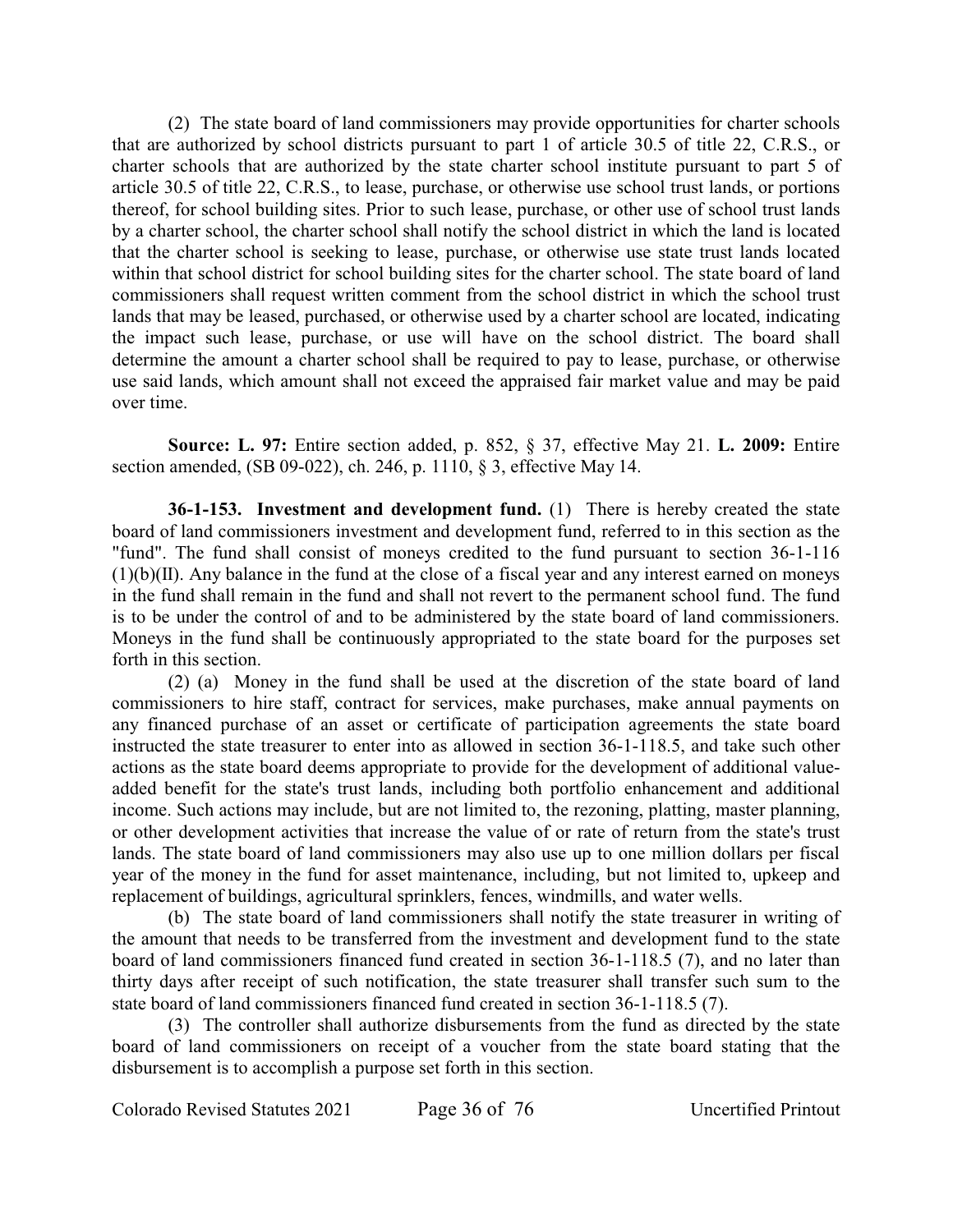(2) The state board of land commissioners may provide opportunities for charter schools that are authorized by school districts pursuant to part 1 of article 30.5 of title 22, C.R.S., or charter schools that are authorized by the state charter school institute pursuant to part 5 of article 30.5 of title 22, C.R.S., to lease, purchase, or otherwise use school trust lands, or portions thereof, for school building sites. Prior to such lease, purchase, or other use of school trust lands by a charter school, the charter school shall notify the school district in which the land is located that the charter school is seeking to lease, purchase, or otherwise use state trust lands located within that school district for school building sites for the charter school. The state board of land commissioners shall request written comment from the school district in which the school trust lands that may be leased, purchased, or otherwise used by a charter school are located, indicating the impact such lease, purchase, or use will have on the school district. The board shall determine the amount a charter school shall be required to pay to lease, purchase, or otherwise use said lands, which amount shall not exceed the appraised fair market value and may be paid over time.

**Source: L. 97:** Entire section added, p. 852, § 37, effective May 21. **L. 2009:** Entire section amended, (SB 09-022), ch. 246, p. 1110, § 3, effective May 14.

**36-1-153. Investment and development fund.** (1) There is hereby created the state board of land commissioners investment and development fund, referred to in this section as the "fund". The fund shall consist of moneys credited to the fund pursuant to section 36-1-116  $(1)(b)(II)$ . Any balance in the fund at the close of a fiscal year and any interest earned on moneys in the fund shall remain in the fund and shall not revert to the permanent school fund. The fund is to be under the control of and to be administered by the state board of land commissioners. Moneys in the fund shall be continuously appropriated to the state board for the purposes set forth in this section.

(2) (a) Money in the fund shall be used at the discretion of the state board of land commissioners to hire staff, contract for services, make purchases, make annual payments on any financed purchase of an asset or certificate of participation agreements the state board instructed the state treasurer to enter into as allowed in section 36-1-118.5, and take such other actions as the state board deems appropriate to provide for the development of additional valueadded benefit for the state's trust lands, including both portfolio enhancement and additional income. Such actions may include, but are not limited to, the rezoning, platting, master planning, or other development activities that increase the value of or rate of return from the state's trust lands. The state board of land commissioners may also use up to one million dollars per fiscal year of the money in the fund for asset maintenance, including, but not limited to, upkeep and replacement of buildings, agricultural sprinklers, fences, windmills, and water wells.

(b) The state board of land commissioners shall notify the state treasurer in writing of the amount that needs to be transferred from the investment and development fund to the state board of land commissioners financed fund created in section 36-1-118.5 (7), and no later than thirty days after receipt of such notification, the state treasurer shall transfer such sum to the state board of land commissioners financed fund created in section 36-1-118.5 (7).

(3) The controller shall authorize disbursements from the fund as directed by the state board of land commissioners on receipt of a voucher from the state board stating that the disbursement is to accomplish a purpose set forth in this section.

Colorado Revised Statutes 2021 Page 36 of 76 Uncertified Printout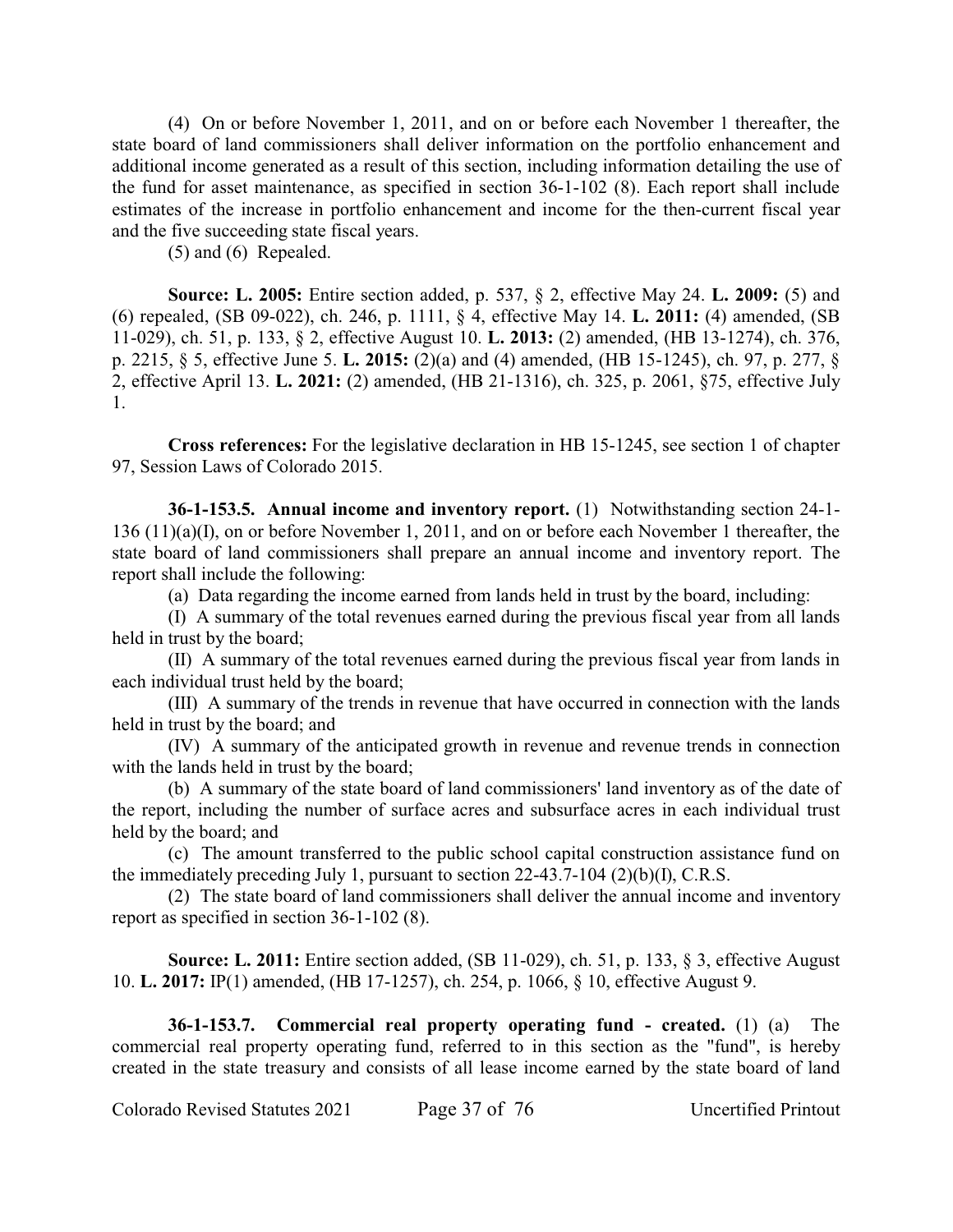(4) On or before November 1, 2011, and on or before each November 1 thereafter, the state board of land commissioners shall deliver information on the portfolio enhancement and additional income generated as a result of this section, including information detailing the use of the fund for asset maintenance, as specified in section 36-1-102 (8). Each report shall include estimates of the increase in portfolio enhancement and income for the then-current fiscal year and the five succeeding state fiscal years.

(5) and (6) Repealed.

**Source: L. 2005:** Entire section added, p. 537, § 2, effective May 24. **L. 2009:** (5) and (6) repealed, (SB 09-022), ch. 246, p. 1111, § 4, effective May 14. **L. 2011:** (4) amended, (SB 11-029), ch. 51, p. 133, § 2, effective August 10. **L. 2013:** (2) amended, (HB 13-1274), ch. 376, p. 2215, § 5, effective June 5. **L. 2015:** (2)(a) and (4) amended, (HB 15-1245), ch. 97, p. 277, § 2, effective April 13. **L. 2021:** (2) amended, (HB 21-1316), ch. 325, p. 2061, §75, effective July 1.

**Cross references:** For the legislative declaration in HB 15-1245, see section 1 of chapter 97, Session Laws of Colorado 2015.

**36-1-153.5. Annual income and inventory report.** (1) Notwithstanding section 24-1- 136 (11)(a)(I), on or before November 1, 2011, and on or before each November 1 thereafter, the state board of land commissioners shall prepare an annual income and inventory report. The report shall include the following:

(a) Data regarding the income earned from lands held in trust by the board, including:

(I) A summary of the total revenues earned during the previous fiscal year from all lands held in trust by the board;

(II) A summary of the total revenues earned during the previous fiscal year from lands in each individual trust held by the board;

(III) A summary of the trends in revenue that have occurred in connection with the lands held in trust by the board; and

(IV) A summary of the anticipated growth in revenue and revenue trends in connection with the lands held in trust by the board;

(b) A summary of the state board of land commissioners' land inventory as of the date of the report, including the number of surface acres and subsurface acres in each individual trust held by the board; and

(c) The amount transferred to the public school capital construction assistance fund on the immediately preceding July 1, pursuant to section 22-43.7-104 (2)(b)(I), C.R.S.

(2) The state board of land commissioners shall deliver the annual income and inventory report as specified in section 36-1-102 (8).

**Source: L. 2011:** Entire section added, (SB 11-029), ch. 51, p. 133, § 3, effective August 10. **L. 2017:** IP(1) amended, (HB 17-1257), ch. 254, p. 1066, § 10, effective August 9.

**36-1-153.7. Commercial real property operating fund - created.** (1) (a) The commercial real property operating fund, referred to in this section as the "fund", is hereby created in the state treasury and consists of all lease income earned by the state board of land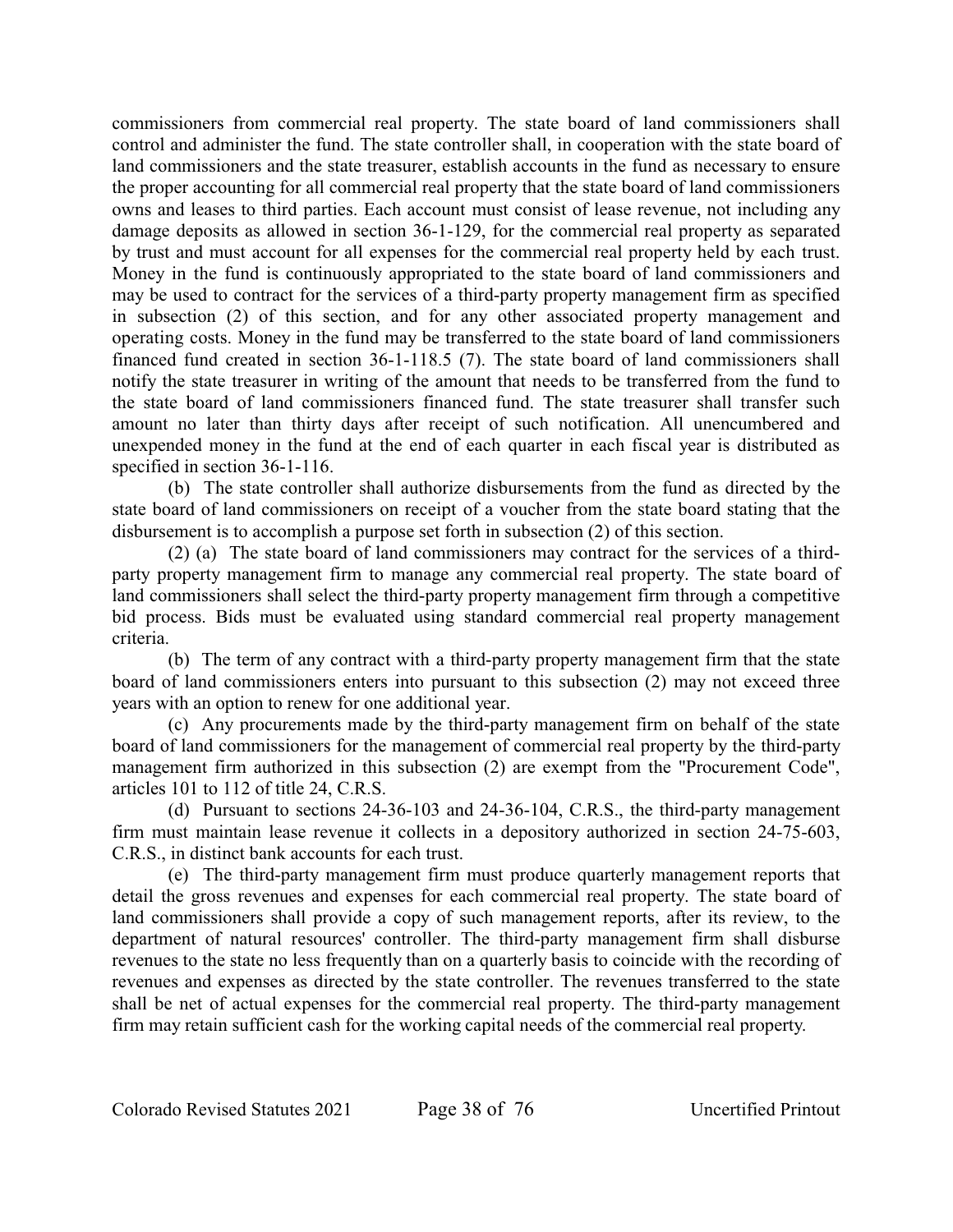commissioners from commercial real property. The state board of land commissioners shall control and administer the fund. The state controller shall, in cooperation with the state board of land commissioners and the state treasurer, establish accounts in the fund as necessary to ensure the proper accounting for all commercial real property that the state board of land commissioners owns and leases to third parties. Each account must consist of lease revenue, not including any damage deposits as allowed in section 36-1-129, for the commercial real property as separated by trust and must account for all expenses for the commercial real property held by each trust. Money in the fund is continuously appropriated to the state board of land commissioners and may be used to contract for the services of a third-party property management firm as specified in subsection (2) of this section, and for any other associated property management and operating costs. Money in the fund may be transferred to the state board of land commissioners financed fund created in section 36-1-118.5 (7). The state board of land commissioners shall notify the state treasurer in writing of the amount that needs to be transferred from the fund to the state board of land commissioners financed fund. The state treasurer shall transfer such amount no later than thirty days after receipt of such notification. All unencumbered and unexpended money in the fund at the end of each quarter in each fiscal year is distributed as specified in section 36-1-116.

(b) The state controller shall authorize disbursements from the fund as directed by the state board of land commissioners on receipt of a voucher from the state board stating that the disbursement is to accomplish a purpose set forth in subsection (2) of this section.

(2) (a) The state board of land commissioners may contract for the services of a thirdparty property management firm to manage any commercial real property. The state board of land commissioners shall select the third-party property management firm through a competitive bid process. Bids must be evaluated using standard commercial real property management criteria.

(b) The term of any contract with a third-party property management firm that the state board of land commissioners enters into pursuant to this subsection (2) may not exceed three years with an option to renew for one additional year.

(c) Any procurements made by the third-party management firm on behalf of the state board of land commissioners for the management of commercial real property by the third-party management firm authorized in this subsection (2) are exempt from the "Procurement Code", articles 101 to 112 of title 24, C.R.S.

(d) Pursuant to sections 24-36-103 and 24-36-104, C.R.S., the third-party management firm must maintain lease revenue it collects in a depository authorized in section 24-75-603, C.R.S., in distinct bank accounts for each trust.

(e) The third-party management firm must produce quarterly management reports that detail the gross revenues and expenses for each commercial real property. The state board of land commissioners shall provide a copy of such management reports, after its review, to the department of natural resources' controller. The third-party management firm shall disburse revenues to the state no less frequently than on a quarterly basis to coincide with the recording of revenues and expenses as directed by the state controller. The revenues transferred to the state shall be net of actual expenses for the commercial real property. The third-party management firm may retain sufficient cash for the working capital needs of the commercial real property.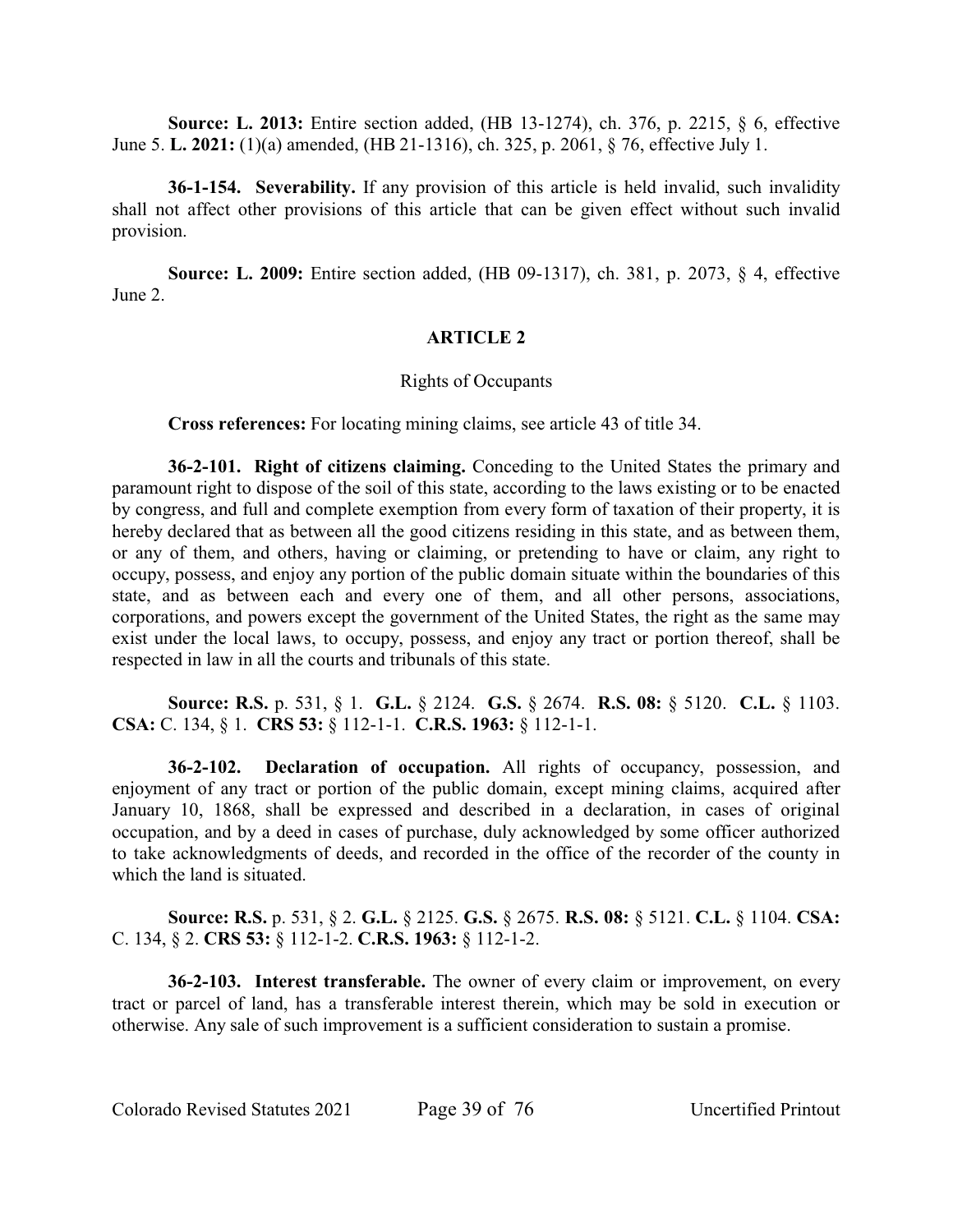**Source: L. 2013:** Entire section added, (HB 13-1274), ch. 376, p. 2215, § 6, effective June 5. **L. 2021:** (1)(a) amended, (HB 21-1316), ch. 325, p. 2061, § 76, effective July 1.

**36-1-154. Severability.** If any provision of this article is held invalid, such invalidity shall not affect other provisions of this article that can be given effect without such invalid provision.

**Source: L. 2009:** Entire section added, (HB 09-1317), ch. 381, p. 2073, § 4, effective June 2.

# **ARTICLE 2**

### Rights of Occupants

**Cross references:** For locating mining claims, see article 43 of title 34.

**36-2-101. Right of citizens claiming.** Conceding to the United States the primary and paramount right to dispose of the soil of this state, according to the laws existing or to be enacted by congress, and full and complete exemption from every form of taxation of their property, it is hereby declared that as between all the good citizens residing in this state, and as between them, or any of them, and others, having or claiming, or pretending to have or claim, any right to occupy, possess, and enjoy any portion of the public domain situate within the boundaries of this state, and as between each and every one of them, and all other persons, associations, corporations, and powers except the government of the United States, the right as the same may exist under the local laws, to occupy, possess, and enjoy any tract or portion thereof, shall be respected in law in all the courts and tribunals of this state.

**Source: R.S.** p. 531, § 1. **G.L.** § 2124. **G.S.** § 2674. **R.S. 08:** § 5120. **C.L.** § 1103. **CSA:** C. 134, § 1. **CRS 53:** § 112-1-1. **C.R.S. 1963:** § 112-1-1.

**36-2-102. Declaration of occupation.** All rights of occupancy, possession, and enjoyment of any tract or portion of the public domain, except mining claims, acquired after January 10, 1868, shall be expressed and described in a declaration, in cases of original occupation, and by a deed in cases of purchase, duly acknowledged by some officer authorized to take acknowledgments of deeds, and recorded in the office of the recorder of the county in which the land is situated.

**Source: R.S.** p. 531, § 2. **G.L.** § 2125. **G.S.** § 2675. **R.S. 08:** § 5121. **C.L.** § 1104. **CSA:** C. 134, § 2. **CRS 53:** § 112-1-2. **C.R.S. 1963:** § 112-1-2.

**36-2-103. Interest transferable.** The owner of every claim or improvement, on every tract or parcel of land, has a transferable interest therein, which may be sold in execution or otherwise. Any sale of such improvement is a sufficient consideration to sustain a promise.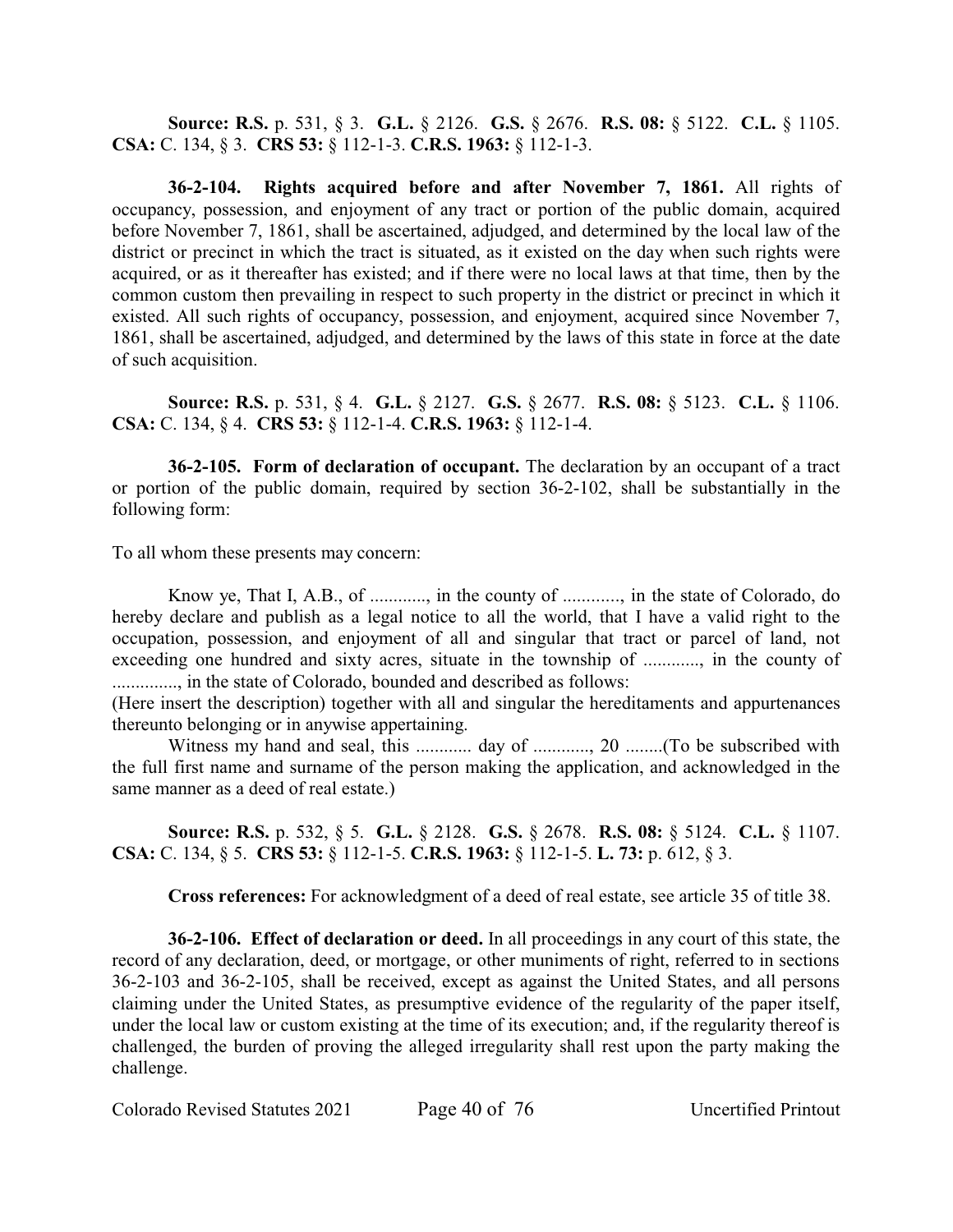**Source: R.S.** p. 531, § 3. **G.L.** § 2126. **G.S.** § 2676. **R.S. 08:** § 5122. **C.L.** § 1105. **CSA:** C. 134, § 3. **CRS 53:** § 112-1-3. **C.R.S. 1963:** § 112-1-3.

**36-2-104. Rights acquired before and after November 7, 1861.** All rights of occupancy, possession, and enjoyment of any tract or portion of the public domain, acquired before November 7, 1861, shall be ascertained, adjudged, and determined by the local law of the district or precinct in which the tract is situated, as it existed on the day when such rights were acquired, or as it thereafter has existed; and if there were no local laws at that time, then by the common custom then prevailing in respect to such property in the district or precinct in which it existed. All such rights of occupancy, possession, and enjoyment, acquired since November 7, 1861, shall be ascertained, adjudged, and determined by the laws of this state in force at the date of such acquisition.

**Source: R.S.** p. 531, § 4. **G.L.** § 2127. **G.S.** § 2677. **R.S. 08:** § 5123. **C.L.** § 1106. **CSA:** C. 134, § 4. **CRS 53:** § 112-1-4. **C.R.S. 1963:** § 112-1-4.

**36-2-105. Form of declaration of occupant.** The declaration by an occupant of a tract or portion of the public domain, required by section 36-2-102, shall be substantially in the following form:

To all whom these presents may concern:

Know ye, That I, A.B., of ............, in the county of ............, in the state of Colorado, do hereby declare and publish as a legal notice to all the world, that I have a valid right to the occupation, possession, and enjoyment of all and singular that tract or parcel of land, not exceeding one hundred and sixty acres, situate in the township of ............, in the county of .............., in the state of Colorado, bounded and described as follows:

(Here insert the description) together with all and singular the hereditaments and appurtenances thereunto belonging or in anywise appertaining.

Witness my hand and seal, this ............ day of ............, 20 ........(To be subscribed with the full first name and surname of the person making the application, and acknowledged in the same manner as a deed of real estate.)

**Source: R.S.** p. 532, § 5. **G.L.** § 2128. **G.S.** § 2678. **R.S. 08:** § 5124. **C.L.** § 1107. **CSA:** C. 134, § 5. **CRS 53:** § 112-1-5. **C.R.S. 1963:** § 112-1-5. **L. 73:** p. 612, § 3.

**Cross references:** For acknowledgment of a deed of real estate, see article 35 of title 38.

**36-2-106. Effect of declaration or deed.** In all proceedings in any court of this state, the record of any declaration, deed, or mortgage, or other muniments of right, referred to in sections 36-2-103 and 36-2-105, shall be received, except as against the United States, and all persons claiming under the United States, as presumptive evidence of the regularity of the paper itself, under the local law or custom existing at the time of its execution; and, if the regularity thereof is challenged, the burden of proving the alleged irregularity shall rest upon the party making the challenge.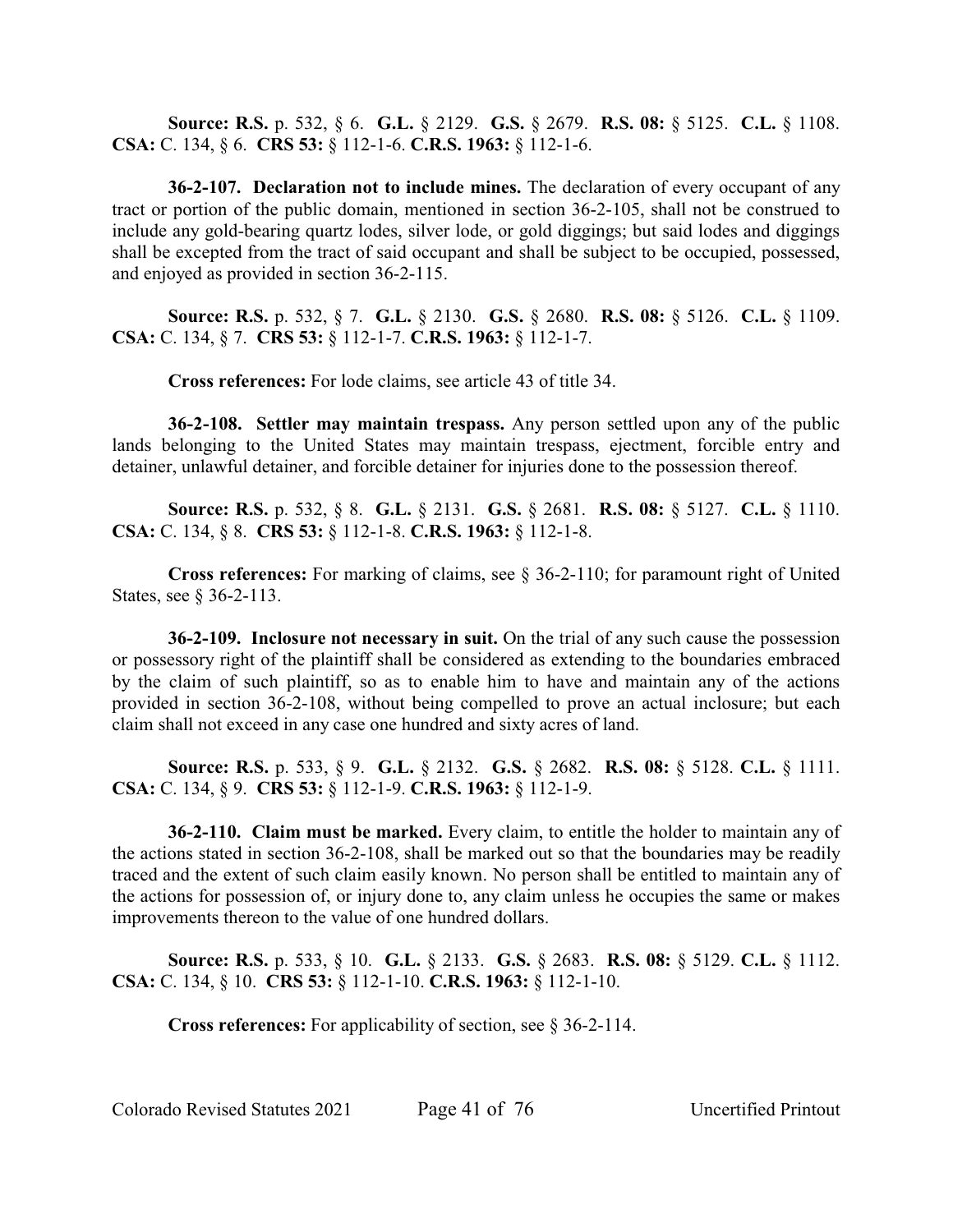**Source: R.S.** p. 532, § 6. **G.L.** § 2129. **G.S.** § 2679. **R.S. 08:** § 5125. **C.L.** § 1108. **CSA:** C. 134, § 6. **CRS 53:** § 112-1-6. **C.R.S. 1963:** § 112-1-6.

**36-2-107. Declaration not to include mines.** The declaration of every occupant of any tract or portion of the public domain, mentioned in section 36-2-105, shall not be construed to include any gold-bearing quartz lodes, silver lode, or gold diggings; but said lodes and diggings shall be excepted from the tract of said occupant and shall be subject to be occupied, possessed, and enjoyed as provided in section 36-2-115.

**Source: R.S.** p. 532, § 7. **G.L.** § 2130. **G.S.** § 2680. **R.S. 08:** § 5126. **C.L.** § 1109. **CSA:** C. 134, § 7. **CRS 53:** § 112-1-7. **C.R.S. 1963:** § 112-1-7.

**Cross references:** For lode claims, see article 43 of title 34.

**36-2-108. Settler may maintain trespass.** Any person settled upon any of the public lands belonging to the United States may maintain trespass, ejectment, forcible entry and detainer, unlawful detainer, and forcible detainer for injuries done to the possession thereof.

**Source: R.S.** p. 532, § 8. **G.L.** § 2131. **G.S.** § 2681. **R.S. 08:** § 5127. **C.L.** § 1110. **CSA:** C. 134, § 8. **CRS 53:** § 112-1-8. **C.R.S. 1963:** § 112-1-8.

**Cross references:** For marking of claims, see § 36-2-110; for paramount right of United States, see § 36-2-113.

**36-2-109. Inclosure not necessary in suit.** On the trial of any such cause the possession or possessory right of the plaintiff shall be considered as extending to the boundaries embraced by the claim of such plaintiff, so as to enable him to have and maintain any of the actions provided in section 36-2-108, without being compelled to prove an actual inclosure; but each claim shall not exceed in any case one hundred and sixty acres of land.

**Source: R.S.** p. 533, § 9. **G.L.** § 2132. **G.S.** § 2682. **R.S. 08:** § 5128. **C.L.** § 1111. **CSA:** C. 134, § 9. **CRS 53:** § 112-1-9. **C.R.S. 1963:** § 112-1-9.

**36-2-110. Claim must be marked.** Every claim, to entitle the holder to maintain any of the actions stated in section 36-2-108, shall be marked out so that the boundaries may be readily traced and the extent of such claim easily known. No person shall be entitled to maintain any of the actions for possession of, or injury done to, any claim unless he occupies the same or makes improvements thereon to the value of one hundred dollars.

**Source: R.S.** p. 533, § 10. **G.L.** § 2133. **G.S.** § 2683. **R.S. 08:** § 5129. **C.L.** § 1112. **CSA:** C. 134, § 10. **CRS 53:** § 112-1-10. **C.R.S. 1963:** § 112-1-10.

**Cross references:** For applicability of section, see § 36-2-114.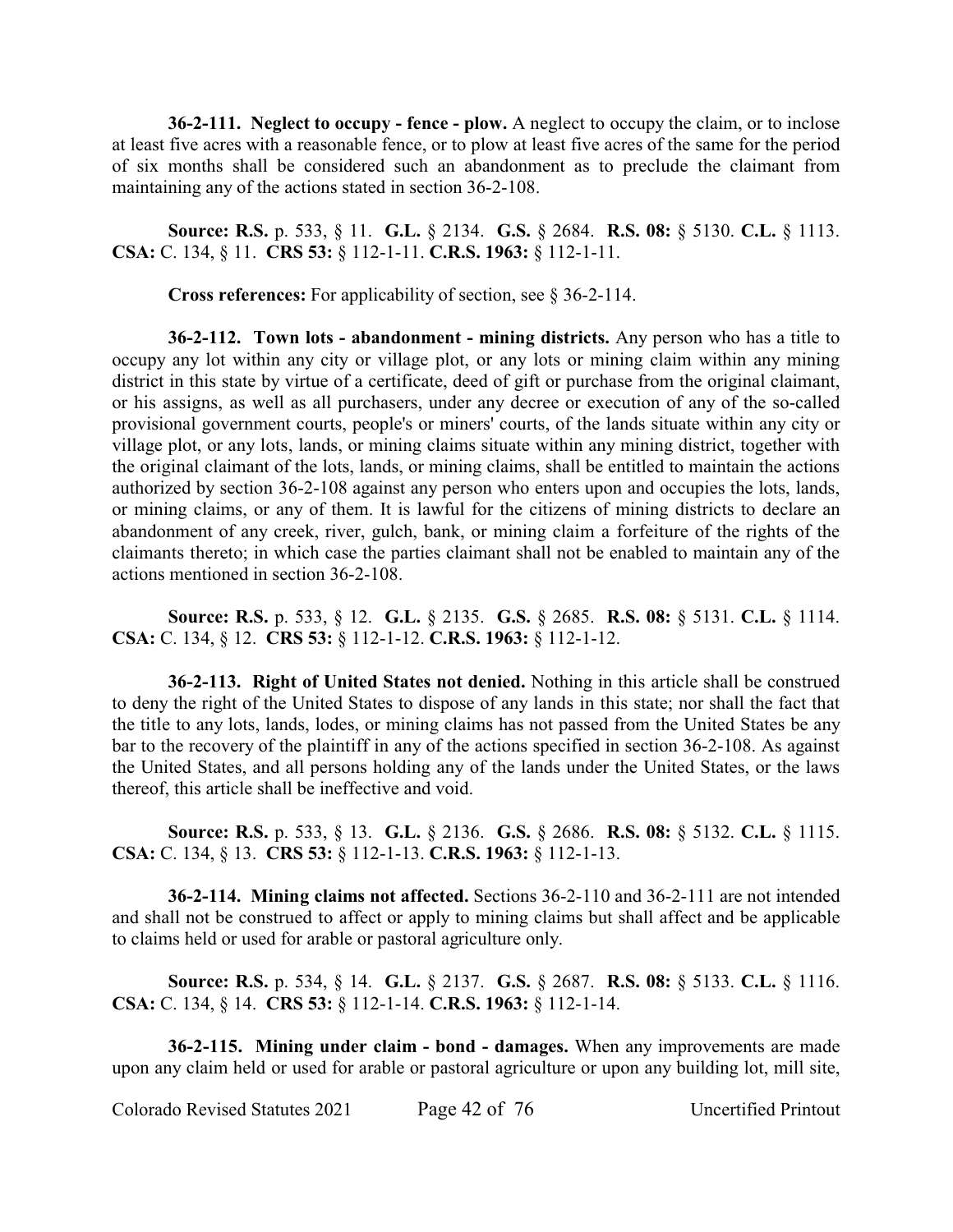**36-2-111. Neglect to occupy - fence - plow.** A neglect to occupy the claim, or to inclose at least five acres with a reasonable fence, or to plow at least five acres of the same for the period of six months shall be considered such an abandonment as to preclude the claimant from maintaining any of the actions stated in section 36-2-108.

**Source: R.S.** p. 533, § 11. **G.L.** § 2134. **G.S.** § 2684. **R.S. 08:** § 5130. **C.L.** § 1113. **CSA:** C. 134, § 11. **CRS 53:** § 112-1-11. **C.R.S. 1963:** § 112-1-11.

**Cross references:** For applicability of section, see § 36-2-114.

**36-2-112. Town lots - abandonment - mining districts.** Any person who has a title to occupy any lot within any city or village plot, or any lots or mining claim within any mining district in this state by virtue of a certificate, deed of gift or purchase from the original claimant, or his assigns, as well as all purchasers, under any decree or execution of any of the so-called provisional government courts, people's or miners' courts, of the lands situate within any city or village plot, or any lots, lands, or mining claims situate within any mining district, together with the original claimant of the lots, lands, or mining claims, shall be entitled to maintain the actions authorized by section 36-2-108 against any person who enters upon and occupies the lots, lands, or mining claims, or any of them. It is lawful for the citizens of mining districts to declare an abandonment of any creek, river, gulch, bank, or mining claim a forfeiture of the rights of the claimants thereto; in which case the parties claimant shall not be enabled to maintain any of the actions mentioned in section 36-2-108.

**Source: R.S.** p. 533, § 12. **G.L.** § 2135. **G.S.** § 2685. **R.S. 08:** § 5131. **C.L.** § 1114. **CSA:** C. 134, § 12. **CRS 53:** § 112-1-12. **C.R.S. 1963:** § 112-1-12.

**36-2-113. Right of United States not denied.** Nothing in this article shall be construed to deny the right of the United States to dispose of any lands in this state; nor shall the fact that the title to any lots, lands, lodes, or mining claims has not passed from the United States be any bar to the recovery of the plaintiff in any of the actions specified in section 36-2-108. As against the United States, and all persons holding any of the lands under the United States, or the laws thereof, this article shall be ineffective and void.

**Source: R.S.** p. 533, § 13. **G.L.** § 2136. **G.S.** § 2686. **R.S. 08:** § 5132. **C.L.** § 1115. **CSA:** C. 134, § 13. **CRS 53:** § 112-1-13. **C.R.S. 1963:** § 112-1-13.

**36-2-114. Mining claims not affected.** Sections 36-2-110 and 36-2-111 are not intended and shall not be construed to affect or apply to mining claims but shall affect and be applicable to claims held or used for arable or pastoral agriculture only.

**Source: R.S.** p. 534, § 14. **G.L.** § 2137. **G.S.** § 2687. **R.S. 08:** § 5133. **C.L.** § 1116. **CSA:** C. 134, § 14. **CRS 53:** § 112-1-14. **C.R.S. 1963:** § 112-1-14.

**36-2-115. Mining under claim - bond - damages.** When any improvements are made upon any claim held or used for arable or pastoral agriculture or upon any building lot, mill site,

Colorado Revised Statutes 2021 Page 42 of 76 Uncertified Printout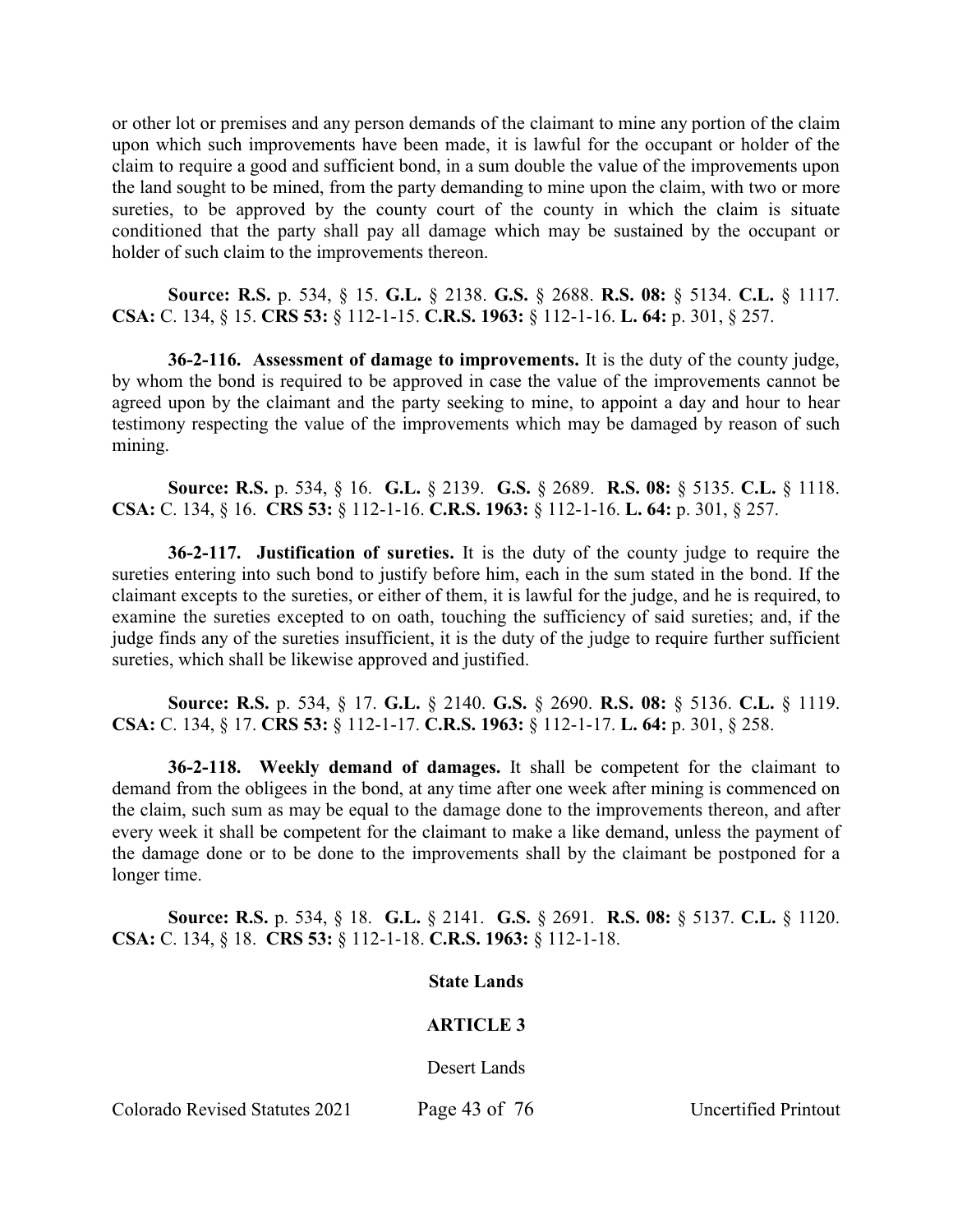or other lot or premises and any person demands of the claimant to mine any portion of the claim upon which such improvements have been made, it is lawful for the occupant or holder of the claim to require a good and sufficient bond, in a sum double the value of the improvements upon the land sought to be mined, from the party demanding to mine upon the claim, with two or more sureties, to be approved by the county court of the county in which the claim is situate conditioned that the party shall pay all damage which may be sustained by the occupant or holder of such claim to the improvements thereon.

**Source: R.S.** p. 534, § 15. **G.L.** § 2138. **G.S.** § 2688. **R.S. 08:** § 5134. **C.L.** § 1117. **CSA:** C. 134, § 15. **CRS 53:** § 112-1-15. **C.R.S. 1963:** § 112-1-16. **L. 64:** p. 301, § 257.

**36-2-116. Assessment of damage to improvements.** It is the duty of the county judge, by whom the bond is required to be approved in case the value of the improvements cannot be agreed upon by the claimant and the party seeking to mine, to appoint a day and hour to hear testimony respecting the value of the improvements which may be damaged by reason of such mining.

**Source: R.S.** p. 534, § 16. **G.L.** § 2139. **G.S.** § 2689. **R.S. 08:** § 5135. **C.L.** § 1118. **CSA:** C. 134, § 16. **CRS 53:** § 112-1-16. **C.R.S. 1963:** § 112-1-16. **L. 64:** p. 301, § 257.

**36-2-117. Justification of sureties.** It is the duty of the county judge to require the sureties entering into such bond to justify before him, each in the sum stated in the bond. If the claimant excepts to the sureties, or either of them, it is lawful for the judge, and he is required, to examine the sureties excepted to on oath, touching the sufficiency of said sureties; and, if the judge finds any of the sureties insufficient, it is the duty of the judge to require further sufficient sureties, which shall be likewise approved and justified.

**Source: R.S.** p. 534, § 17. **G.L.** § 2140. **G.S.** § 2690. **R.S. 08:** § 5136. **C.L.** § 1119. **CSA:** C. 134, § 17. **CRS 53:** § 112-1-17. **C.R.S. 1963:** § 112-1-17. **L. 64:** p. 301, § 258.

**36-2-118. Weekly demand of damages.** It shall be competent for the claimant to demand from the obligees in the bond, at any time after one week after mining is commenced on the claim, such sum as may be equal to the damage done to the improvements thereon, and after every week it shall be competent for the claimant to make a like demand, unless the payment of the damage done or to be done to the improvements shall by the claimant be postponed for a longer time.

**Source: R.S.** p. 534, § 18. **G.L.** § 2141. **G.S.** § 2691. **R.S. 08:** § 5137. **C.L.** § 1120. **CSA:** C. 134, § 18. **CRS 53:** § 112-1-18. **C.R.S. 1963:** § 112-1-18.

#### **State Lands**

#### **ARTICLE 3**

Desert Lands

Colorado Revised Statutes 2021 Page 43 of 76 Uncertified Printout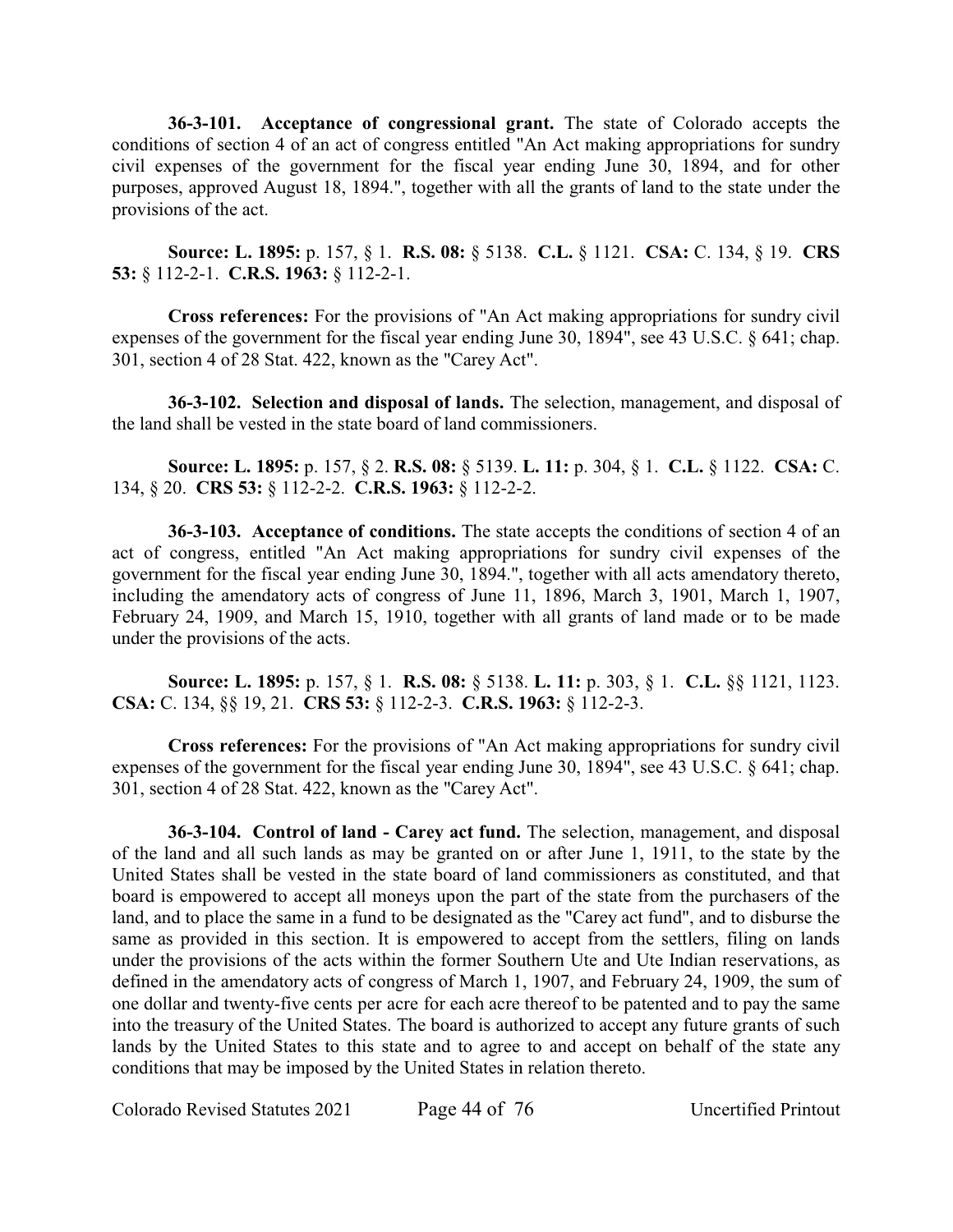**36-3-101. Acceptance of congressional grant.** The state of Colorado accepts the conditions of section 4 of an act of congress entitled "An Act making appropriations for sundry civil expenses of the government for the fiscal year ending June 30, 1894, and for other purposes, approved August 18, 1894.", together with all the grants of land to the state under the provisions of the act.

**Source: L. 1895:** p. 157, § 1. **R.S. 08:** § 5138. **C.L.** § 1121. **CSA:** C. 134, § 19. **CRS 53:** § 112-2-1. **C.R.S. 1963:** § 112-2-1.

**Cross references:** For the provisions of "An Act making appropriations for sundry civil expenses of the government for the fiscal year ending June 30, 1894", see 43 U.S.C. § 641; chap. 301, section 4 of 28 Stat. 422, known as the "Carey Act".

**36-3-102. Selection and disposal of lands.** The selection, management, and disposal of the land shall be vested in the state board of land commissioners.

**Source: L. 1895:** p. 157, § 2. **R.S. 08:** § 5139. **L. 11:** p. 304, § 1. **C.L.** § 1122. **CSA:** C. 134, § 20. **CRS 53:** § 112-2-2. **C.R.S. 1963:** § 112-2-2.

**36-3-103. Acceptance of conditions.** The state accepts the conditions of section 4 of an act of congress, entitled "An Act making appropriations for sundry civil expenses of the government for the fiscal year ending June 30, 1894.", together with all acts amendatory thereto, including the amendatory acts of congress of June 11, 1896, March 3, 1901, March 1, 1907, February 24, 1909, and March 15, 1910, together with all grants of land made or to be made under the provisions of the acts.

**Source: L. 1895:** p. 157, § 1. **R.S. 08:** § 5138. **L. 11:** p. 303, § 1. **C.L.** §§ 1121, 1123. **CSA:** C. 134, §§ 19, 21. **CRS 53:** § 112-2-3. **C.R.S. 1963:** § 112-2-3.

**Cross references:** For the provisions of "An Act making appropriations for sundry civil expenses of the government for the fiscal year ending June 30, 1894", see 43 U.S.C. § 641; chap. 301, section 4 of 28 Stat. 422, known as the "Carey Act".

**36-3-104. Control of land - Carey act fund.** The selection, management, and disposal of the land and all such lands as may be granted on or after June 1, 1911, to the state by the United States shall be vested in the state board of land commissioners as constituted, and that board is empowered to accept all moneys upon the part of the state from the purchasers of the land, and to place the same in a fund to be designated as the "Carey act fund", and to disburse the same as provided in this section. It is empowered to accept from the settlers, filing on lands under the provisions of the acts within the former Southern Ute and Ute Indian reservations, as defined in the amendatory acts of congress of March 1, 1907, and February 24, 1909, the sum of one dollar and twenty-five cents per acre for each acre thereof to be patented and to pay the same into the treasury of the United States. The board is authorized to accept any future grants of such lands by the United States to this state and to agree to and accept on behalf of the state any conditions that may be imposed by the United States in relation thereto.

Colorado Revised Statutes 2021 Page 44 of 76 Uncertified Printout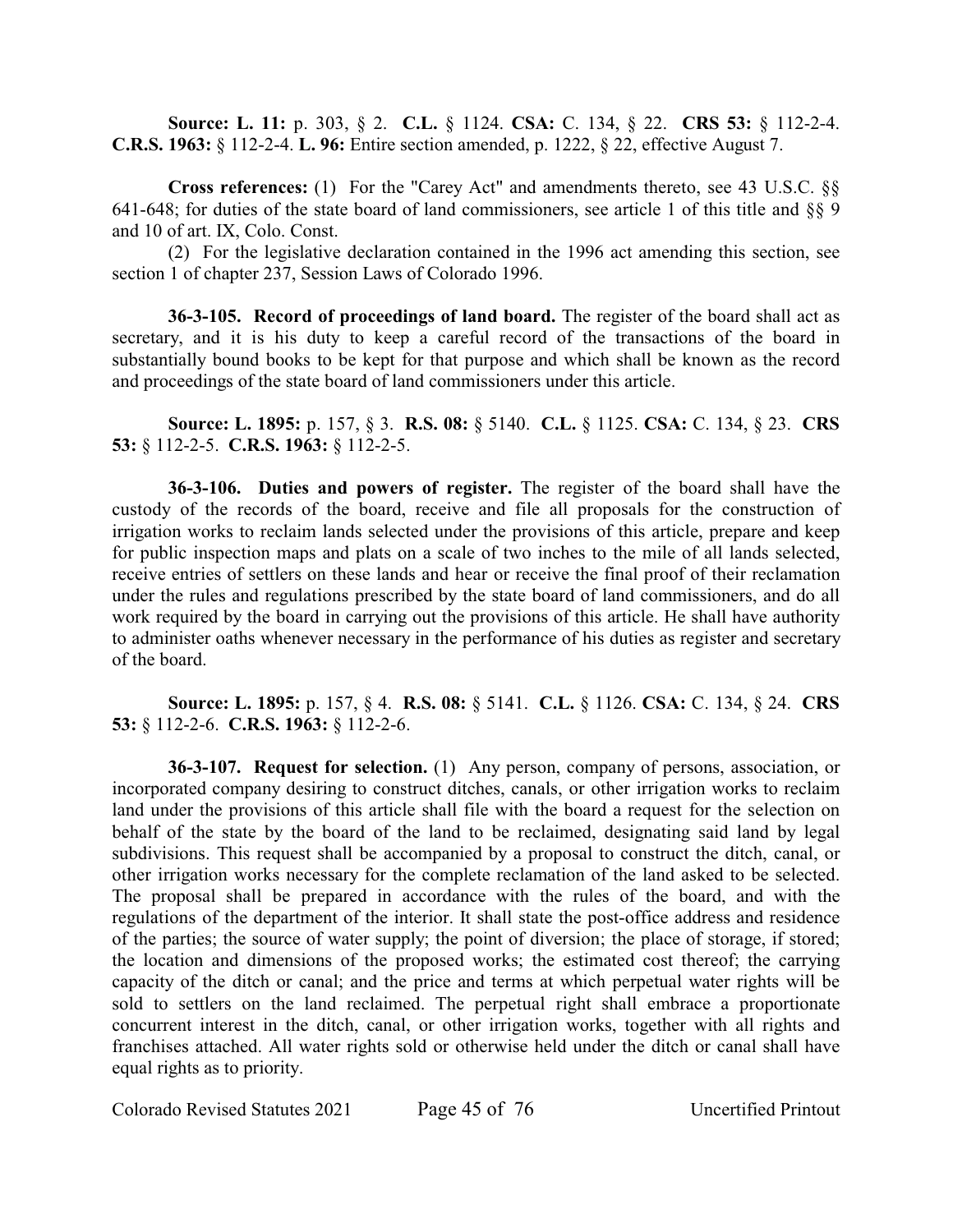**Source: L. 11:** p. 303, § 2. **C.L.** § 1124. **CSA:** C. 134, § 22. **CRS 53:** § 112-2-4. **C.R.S. 1963:** § 112-2-4. **L. 96:** Entire section amended, p. 1222, § 22, effective August 7.

**Cross references:** (1) For the "Carey Act" and amendments thereto, see 43 U.S.C. §§ 641-648; for duties of the state board of land commissioners, see article 1 of this title and §§ 9 and 10 of art. IX, Colo. Const.

(2) For the legislative declaration contained in the 1996 act amending this section, see section 1 of chapter 237, Session Laws of Colorado 1996.

**36-3-105. Record of proceedings of land board.** The register of the board shall act as secretary, and it is his duty to keep a careful record of the transactions of the board in substantially bound books to be kept for that purpose and which shall be known as the record and proceedings of the state board of land commissioners under this article.

**Source: L. 1895:** p. 157, § 3. **R.S. 08:** § 5140. **C.L.** § 1125. **CSA:** C. 134, § 23. **CRS 53:** § 112-2-5. **C.R.S. 1963:** § 112-2-5.

**36-3-106. Duties and powers of register.** The register of the board shall have the custody of the records of the board, receive and file all proposals for the construction of irrigation works to reclaim lands selected under the provisions of this article, prepare and keep for public inspection maps and plats on a scale of two inches to the mile of all lands selected, receive entries of settlers on these lands and hear or receive the final proof of their reclamation under the rules and regulations prescribed by the state board of land commissioners, and do all work required by the board in carrying out the provisions of this article. He shall have authority to administer oaths whenever necessary in the performance of his duties as register and secretary of the board.

**Source: L. 1895:** p. 157, § 4. **R.S. 08:** § 5141. **C.L.** § 1126. **CSA:** C. 134, § 24. **CRS 53:** § 112-2-6. **C.R.S. 1963:** § 112-2-6.

**36-3-107. Request for selection.** (1) Any person, company of persons, association, or incorporated company desiring to construct ditches, canals, or other irrigation works to reclaim land under the provisions of this article shall file with the board a request for the selection on behalf of the state by the board of the land to be reclaimed, designating said land by legal subdivisions. This request shall be accompanied by a proposal to construct the ditch, canal, or other irrigation works necessary for the complete reclamation of the land asked to be selected. The proposal shall be prepared in accordance with the rules of the board, and with the regulations of the department of the interior. It shall state the post-office address and residence of the parties; the source of water supply; the point of diversion; the place of storage, if stored; the location and dimensions of the proposed works; the estimated cost thereof; the carrying capacity of the ditch or canal; and the price and terms at which perpetual water rights will be sold to settlers on the land reclaimed. The perpetual right shall embrace a proportionate concurrent interest in the ditch, canal, or other irrigation works, together with all rights and franchises attached. All water rights sold or otherwise held under the ditch or canal shall have equal rights as to priority.

Colorado Revised Statutes 2021 Page 45 of 76 Uncertified Printout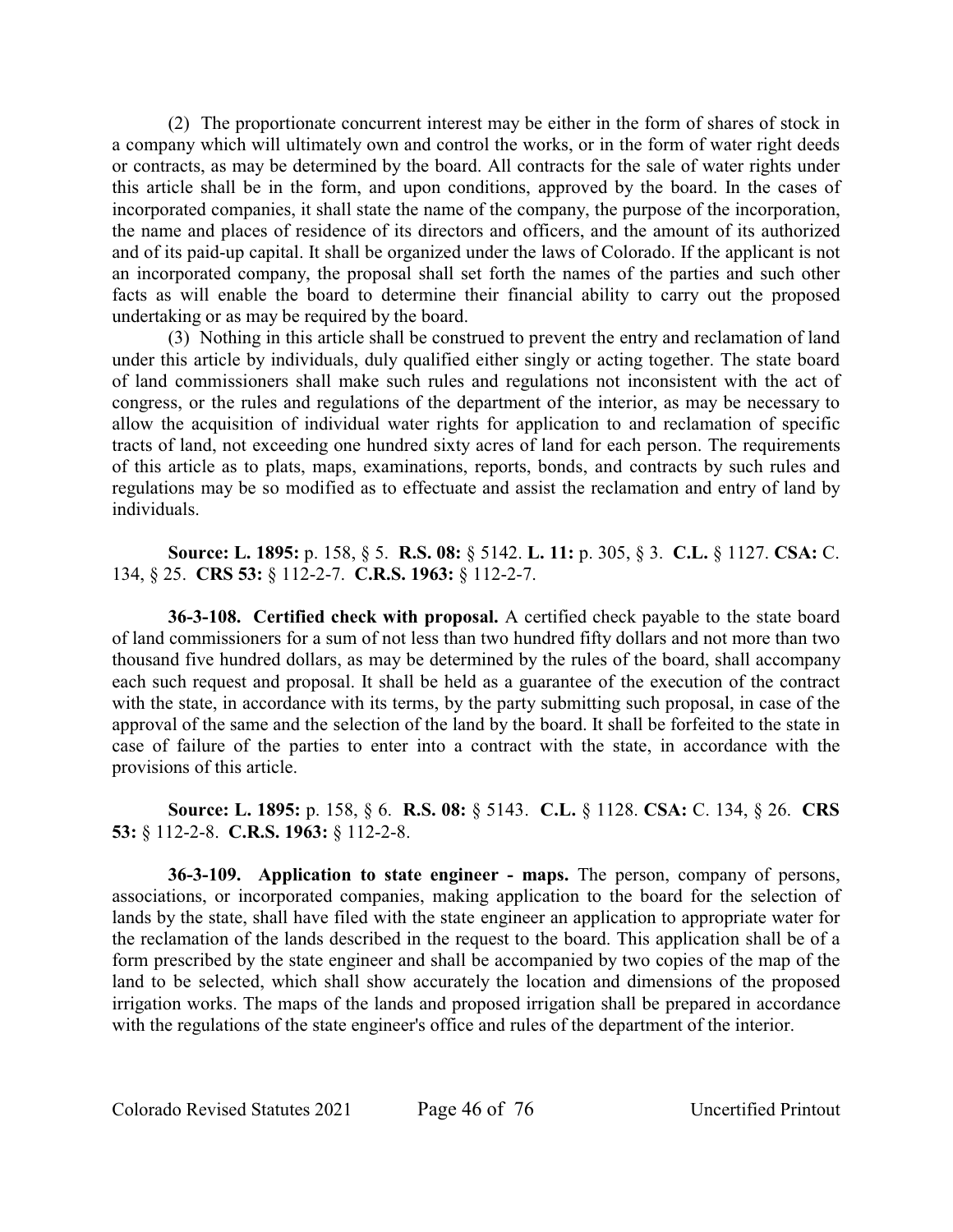(2) The proportionate concurrent interest may be either in the form of shares of stock in a company which will ultimately own and control the works, or in the form of water right deeds or contracts, as may be determined by the board. All contracts for the sale of water rights under this article shall be in the form, and upon conditions, approved by the board. In the cases of incorporated companies, it shall state the name of the company, the purpose of the incorporation, the name and places of residence of its directors and officers, and the amount of its authorized and of its paid-up capital. It shall be organized under the laws of Colorado. If the applicant is not an incorporated company, the proposal shall set forth the names of the parties and such other facts as will enable the board to determine their financial ability to carry out the proposed undertaking or as may be required by the board.

(3) Nothing in this article shall be construed to prevent the entry and reclamation of land under this article by individuals, duly qualified either singly or acting together. The state board of land commissioners shall make such rules and regulations not inconsistent with the act of congress, or the rules and regulations of the department of the interior, as may be necessary to allow the acquisition of individual water rights for application to and reclamation of specific tracts of land, not exceeding one hundred sixty acres of land for each person. The requirements of this article as to plats, maps, examinations, reports, bonds, and contracts by such rules and regulations may be so modified as to effectuate and assist the reclamation and entry of land by individuals.

**Source: L. 1895:** p. 158, § 5. **R.S. 08:** § 5142. **L. 11:** p. 305, § 3. **C.L.** § 1127. **CSA:** C. 134, § 25. **CRS 53:** § 112-2-7. **C.R.S. 1963:** § 112-2-7.

**36-3-108. Certified check with proposal.** A certified check payable to the state board of land commissioners for a sum of not less than two hundred fifty dollars and not more than two thousand five hundred dollars, as may be determined by the rules of the board, shall accompany each such request and proposal. It shall be held as a guarantee of the execution of the contract with the state, in accordance with its terms, by the party submitting such proposal, in case of the approval of the same and the selection of the land by the board. It shall be forfeited to the state in case of failure of the parties to enter into a contract with the state, in accordance with the provisions of this article.

**Source: L. 1895:** p. 158, § 6. **R.S. 08:** § 5143. **C.L.** § 1128. **CSA:** C. 134, § 26. **CRS 53:** § 112-2-8. **C.R.S. 1963:** § 112-2-8.

**36-3-109. Application to state engineer - maps.** The person, company of persons, associations, or incorporated companies, making application to the board for the selection of lands by the state, shall have filed with the state engineer an application to appropriate water for the reclamation of the lands described in the request to the board. This application shall be of a form prescribed by the state engineer and shall be accompanied by two copies of the map of the land to be selected, which shall show accurately the location and dimensions of the proposed irrigation works. The maps of the lands and proposed irrigation shall be prepared in accordance with the regulations of the state engineer's office and rules of the department of the interior.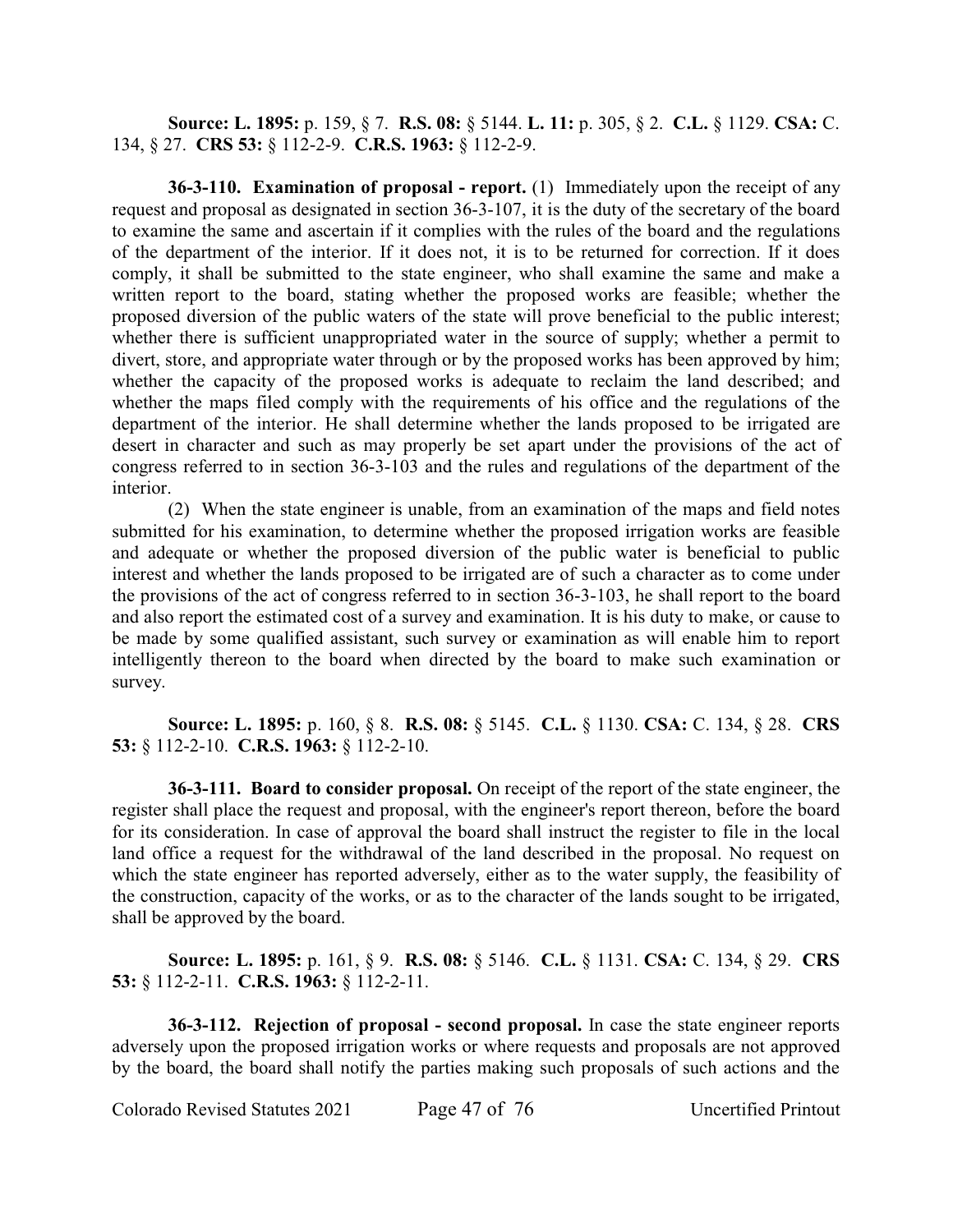**Source: L. 1895:** p. 159, § 7. **R.S. 08:** § 5144. **L. 11:** p. 305, § 2. **C.L.** § 1129. **CSA:** C. 134, § 27. **CRS 53:** § 112-2-9. **C.R.S. 1963:** § 112-2-9.

**36-3-110. Examination of proposal - report.** (1) Immediately upon the receipt of any request and proposal as designated in section 36-3-107, it is the duty of the secretary of the board to examine the same and ascertain if it complies with the rules of the board and the regulations of the department of the interior. If it does not, it is to be returned for correction. If it does comply, it shall be submitted to the state engineer, who shall examine the same and make a written report to the board, stating whether the proposed works are feasible; whether the proposed diversion of the public waters of the state will prove beneficial to the public interest; whether there is sufficient unappropriated water in the source of supply; whether a permit to divert, store, and appropriate water through or by the proposed works has been approved by him; whether the capacity of the proposed works is adequate to reclaim the land described; and whether the maps filed comply with the requirements of his office and the regulations of the department of the interior. He shall determine whether the lands proposed to be irrigated are desert in character and such as may properly be set apart under the provisions of the act of congress referred to in section 36-3-103 and the rules and regulations of the department of the interior.

(2) When the state engineer is unable, from an examination of the maps and field notes submitted for his examination, to determine whether the proposed irrigation works are feasible and adequate or whether the proposed diversion of the public water is beneficial to public interest and whether the lands proposed to be irrigated are of such a character as to come under the provisions of the act of congress referred to in section 36-3-103, he shall report to the board and also report the estimated cost of a survey and examination. It is his duty to make, or cause to be made by some qualified assistant, such survey or examination as will enable him to report intelligently thereon to the board when directed by the board to make such examination or survey.

**Source: L. 1895:** p. 160, § 8. **R.S. 08:** § 5145. **C.L.** § 1130. **CSA:** C. 134, § 28. **CRS 53:** § 112-2-10. **C.R.S. 1963:** § 112-2-10.

**36-3-111. Board to consider proposal.** On receipt of the report of the state engineer, the register shall place the request and proposal, with the engineer's report thereon, before the board for its consideration. In case of approval the board shall instruct the register to file in the local land office a request for the withdrawal of the land described in the proposal. No request on which the state engineer has reported adversely, either as to the water supply, the feasibility of the construction, capacity of the works, or as to the character of the lands sought to be irrigated, shall be approved by the board.

**Source: L. 1895:** p. 161, § 9. **R.S. 08:** § 5146. **C.L.** § 1131. **CSA:** C. 134, § 29. **CRS 53:** § 112-2-11. **C.R.S. 1963:** § 112-2-11.

**36-3-112. Rejection of proposal - second proposal.** In case the state engineer reports adversely upon the proposed irrigation works or where requests and proposals are not approved by the board, the board shall notify the parties making such proposals of such actions and the

Colorado Revised Statutes 2021 Page 47 of 76 Uncertified Printout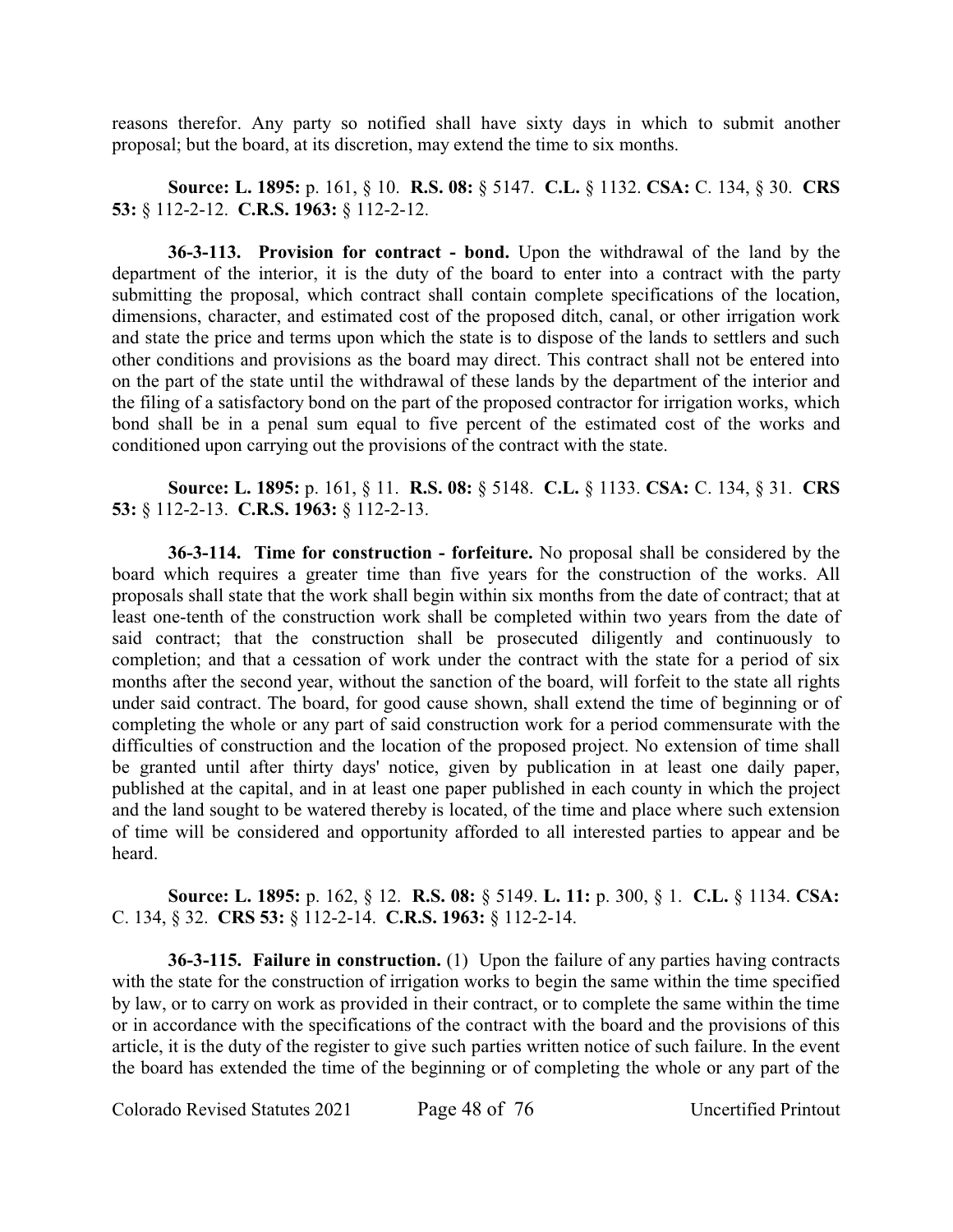reasons therefor. Any party so notified shall have sixty days in which to submit another proposal; but the board, at its discretion, may extend the time to six months.

**Source: L. 1895:** p. 161, § 10. **R.S. 08:** § 5147. **C.L.** § 1132. **CSA:** C. 134, § 30. **CRS 53:** § 112-2-12. **C.R.S. 1963:** § 112-2-12.

**36-3-113. Provision for contract - bond.** Upon the withdrawal of the land by the department of the interior, it is the duty of the board to enter into a contract with the party submitting the proposal, which contract shall contain complete specifications of the location, dimensions, character, and estimated cost of the proposed ditch, canal, or other irrigation work and state the price and terms upon which the state is to dispose of the lands to settlers and such other conditions and provisions as the board may direct. This contract shall not be entered into on the part of the state until the withdrawal of these lands by the department of the interior and the filing of a satisfactory bond on the part of the proposed contractor for irrigation works, which bond shall be in a penal sum equal to five percent of the estimated cost of the works and conditioned upon carrying out the provisions of the contract with the state.

**Source: L. 1895:** p. 161, § 11. **R.S. 08:** § 5148. **C.L.** § 1133. **CSA:** C. 134, § 31. **CRS 53:** § 112-2-13. **C.R.S. 1963:** § 112-2-13.

**36-3-114. Time for construction - forfeiture.** No proposal shall be considered by the board which requires a greater time than five years for the construction of the works. All proposals shall state that the work shall begin within six months from the date of contract; that at least one-tenth of the construction work shall be completed within two years from the date of said contract; that the construction shall be prosecuted diligently and continuously to completion; and that a cessation of work under the contract with the state for a period of six months after the second year, without the sanction of the board, will forfeit to the state all rights under said contract. The board, for good cause shown, shall extend the time of beginning or of completing the whole or any part of said construction work for a period commensurate with the difficulties of construction and the location of the proposed project. No extension of time shall be granted until after thirty days' notice, given by publication in at least one daily paper, published at the capital, and in at least one paper published in each county in which the project and the land sought to be watered thereby is located, of the time and place where such extension of time will be considered and opportunity afforded to all interested parties to appear and be heard.

**Source: L. 1895:** p. 162, § 12. **R.S. 08:** § 5149. **L. 11:** p. 300, § 1. **C.L.** § 1134. **CSA:** C. 134, § 32. **CRS 53:** § 112-2-14. **C.R.S. 1963:** § 112-2-14.

**36-3-115. Failure in construction.** (1) Upon the failure of any parties having contracts with the state for the construction of irrigation works to begin the same within the time specified by law, or to carry on work as provided in their contract, or to complete the same within the time or in accordance with the specifications of the contract with the board and the provisions of this article, it is the duty of the register to give such parties written notice of such failure. In the event the board has extended the time of the beginning or of completing the whole or any part of the

Colorado Revised Statutes 2021 Page 48 of 76 Uncertified Printout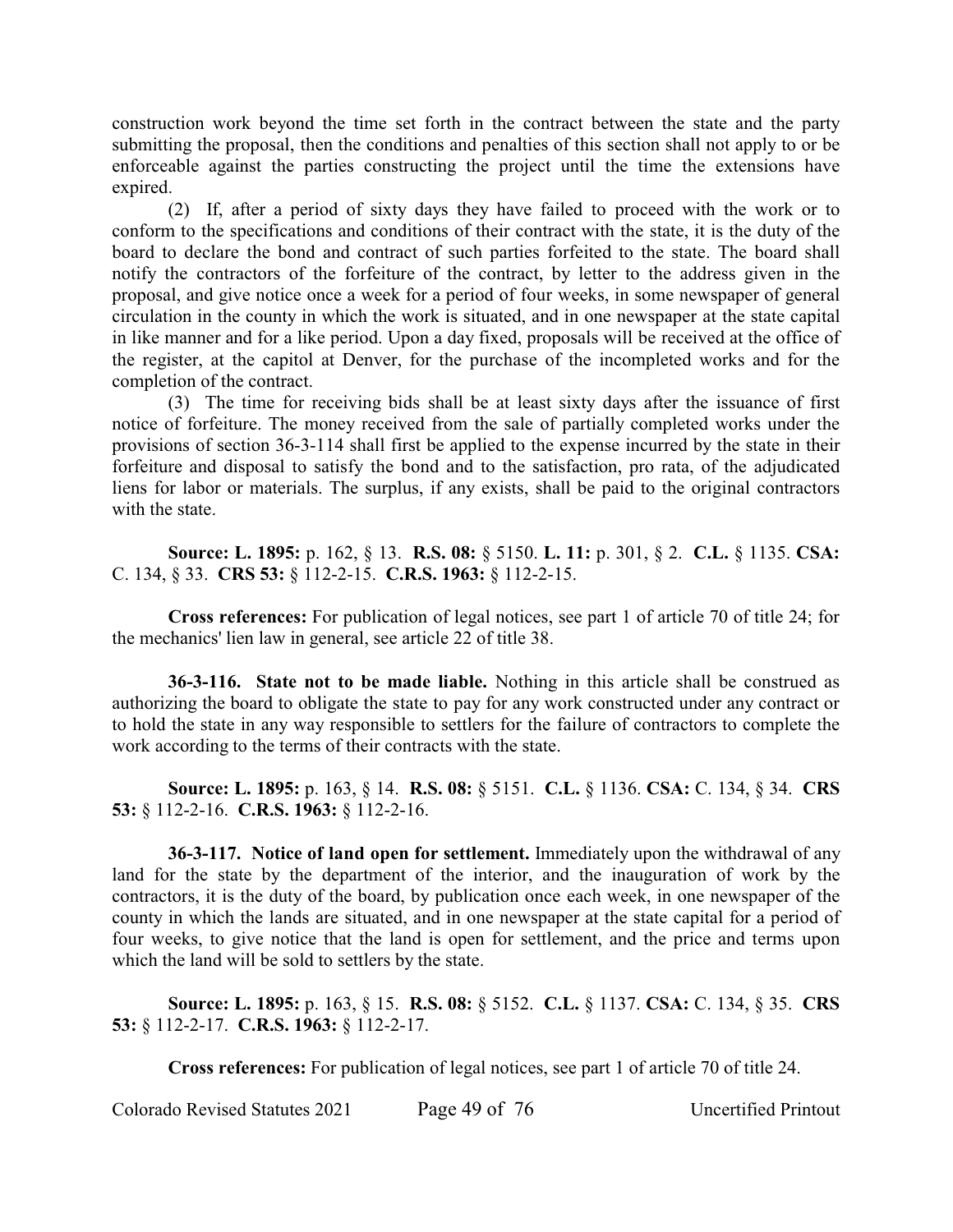construction work beyond the time set forth in the contract between the state and the party submitting the proposal, then the conditions and penalties of this section shall not apply to or be enforceable against the parties constructing the project until the time the extensions have expired.

(2) If, after a period of sixty days they have failed to proceed with the work or to conform to the specifications and conditions of their contract with the state, it is the duty of the board to declare the bond and contract of such parties forfeited to the state. The board shall notify the contractors of the forfeiture of the contract, by letter to the address given in the proposal, and give notice once a week for a period of four weeks, in some newspaper of general circulation in the county in which the work is situated, and in one newspaper at the state capital in like manner and for a like period. Upon a day fixed, proposals will be received at the office of the register, at the capitol at Denver, for the purchase of the incompleted works and for the completion of the contract.

(3) The time for receiving bids shall be at least sixty days after the issuance of first notice of forfeiture. The money received from the sale of partially completed works under the provisions of section 36-3-114 shall first be applied to the expense incurred by the state in their forfeiture and disposal to satisfy the bond and to the satisfaction, pro rata, of the adjudicated liens for labor or materials. The surplus, if any exists, shall be paid to the original contractors with the state.

**Source: L. 1895:** p. 162, § 13. **R.S. 08:** § 5150. **L. 11:** p. 301, § 2. **C.L.** § 1135. **CSA:** C. 134, § 33. **CRS 53:** § 112-2-15. **C.R.S. 1963:** § 112-2-15.

**Cross references:** For publication of legal notices, see part 1 of article 70 of title 24; for the mechanics' lien law in general, see article 22 of title 38.

**36-3-116. State not to be made liable.** Nothing in this article shall be construed as authorizing the board to obligate the state to pay for any work constructed under any contract or to hold the state in any way responsible to settlers for the failure of contractors to complete the work according to the terms of their contracts with the state.

**Source: L. 1895:** p. 163, § 14. **R.S. 08:** § 5151. **C.L.** § 1136. **CSA:** C. 134, § 34. **CRS 53:** § 112-2-16. **C.R.S. 1963:** § 112-2-16.

**36-3-117. Notice of land open for settlement.** Immediately upon the withdrawal of any land for the state by the department of the interior, and the inauguration of work by the contractors, it is the duty of the board, by publication once each week, in one newspaper of the county in which the lands are situated, and in one newspaper at the state capital for a period of four weeks, to give notice that the land is open for settlement, and the price and terms upon which the land will be sold to settlers by the state.

**Source: L. 1895:** p. 163, § 15. **R.S. 08:** § 5152. **C.L.** § 1137. **CSA:** C. 134, § 35. **CRS 53:** § 112-2-17. **C.R.S. 1963:** § 112-2-17.

**Cross references:** For publication of legal notices, see part 1 of article 70 of title 24.

Colorado Revised Statutes 2021 Page 49 of 76 Uncertified Printout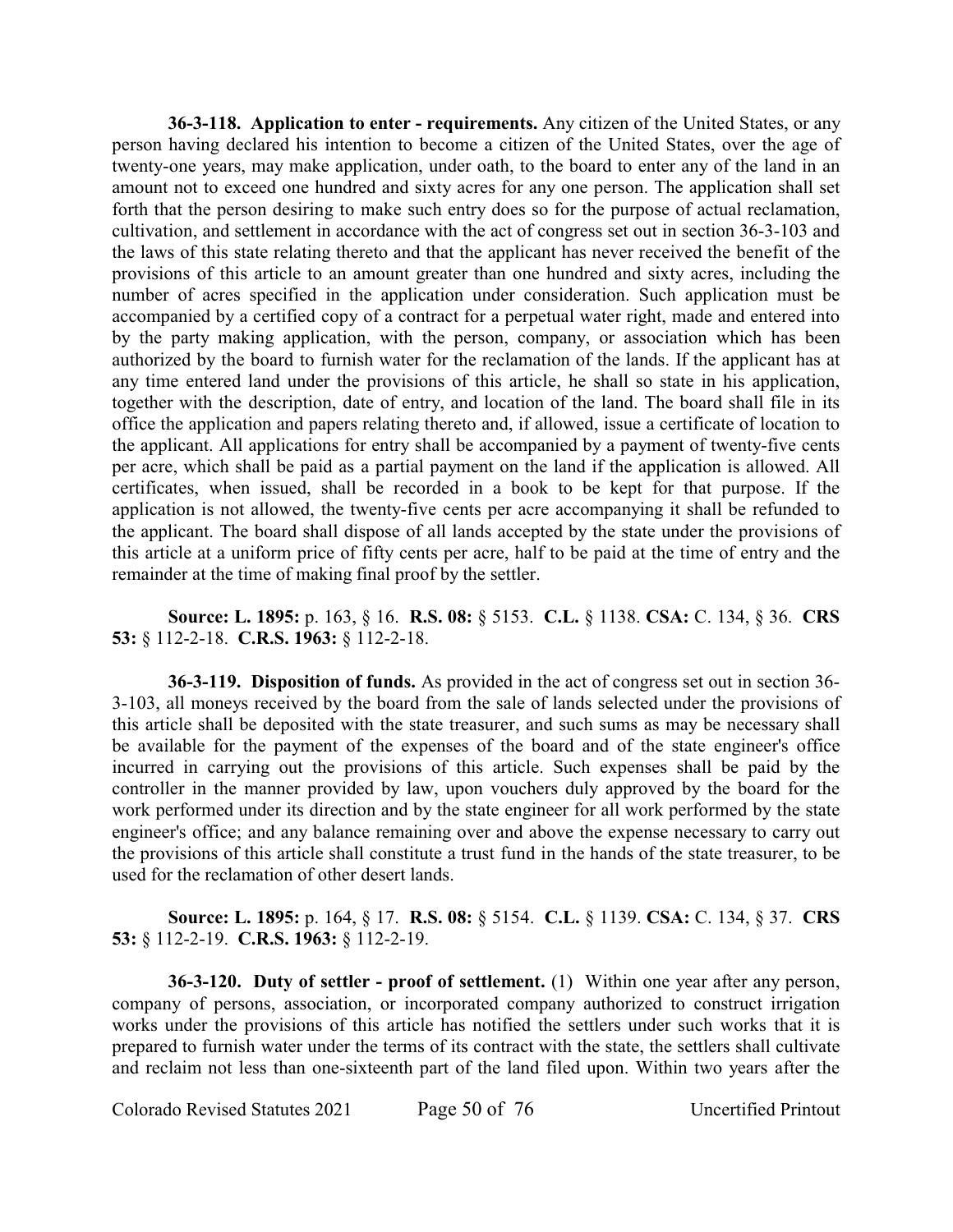**36-3-118. Application to enter - requirements.** Any citizen of the United States, or any person having declared his intention to become a citizen of the United States, over the age of twenty-one years, may make application, under oath, to the board to enter any of the land in an amount not to exceed one hundred and sixty acres for any one person. The application shall set forth that the person desiring to make such entry does so for the purpose of actual reclamation, cultivation, and settlement in accordance with the act of congress set out in section 36-3-103 and the laws of this state relating thereto and that the applicant has never received the benefit of the provisions of this article to an amount greater than one hundred and sixty acres, including the number of acres specified in the application under consideration. Such application must be accompanied by a certified copy of a contract for a perpetual water right, made and entered into by the party making application, with the person, company, or association which has been authorized by the board to furnish water for the reclamation of the lands. If the applicant has at any time entered land under the provisions of this article, he shall so state in his application, together with the description, date of entry, and location of the land. The board shall file in its office the application and papers relating thereto and, if allowed, issue a certificate of location to the applicant. All applications for entry shall be accompanied by a payment of twenty-five cents per acre, which shall be paid as a partial payment on the land if the application is allowed. All certificates, when issued, shall be recorded in a book to be kept for that purpose. If the application is not allowed, the twenty-five cents per acre accompanying it shall be refunded to the applicant. The board shall dispose of all lands accepted by the state under the provisions of this article at a uniform price of fifty cents per acre, half to be paid at the time of entry and the remainder at the time of making final proof by the settler.

# **Source: L. 1895:** p. 163, § 16. **R.S. 08:** § 5153. **C.L.** § 1138. **CSA:** C. 134, § 36. **CRS 53:** § 112-2-18. **C.R.S. 1963:** § 112-2-18.

**36-3-119. Disposition of funds.** As provided in the act of congress set out in section 36- 3-103, all moneys received by the board from the sale of lands selected under the provisions of this article shall be deposited with the state treasurer, and such sums as may be necessary shall be available for the payment of the expenses of the board and of the state engineer's office incurred in carrying out the provisions of this article. Such expenses shall be paid by the controller in the manner provided by law, upon vouchers duly approved by the board for the work performed under its direction and by the state engineer for all work performed by the state engineer's office; and any balance remaining over and above the expense necessary to carry out the provisions of this article shall constitute a trust fund in the hands of the state treasurer, to be used for the reclamation of other desert lands.

**Source: L. 1895:** p. 164, § 17. **R.S. 08:** § 5154. **C.L.** § 1139. **CSA:** C. 134, § 37. **CRS 53:** § 112-2-19. **C.R.S. 1963:** § 112-2-19.

**36-3-120. Duty of settler - proof of settlement.** (1) Within one year after any person, company of persons, association, or incorporated company authorized to construct irrigation works under the provisions of this article has notified the settlers under such works that it is prepared to furnish water under the terms of its contract with the state, the settlers shall cultivate and reclaim not less than one-sixteenth part of the land filed upon. Within two years after the

Colorado Revised Statutes 2021 Page 50 of 76 Uncertified Printout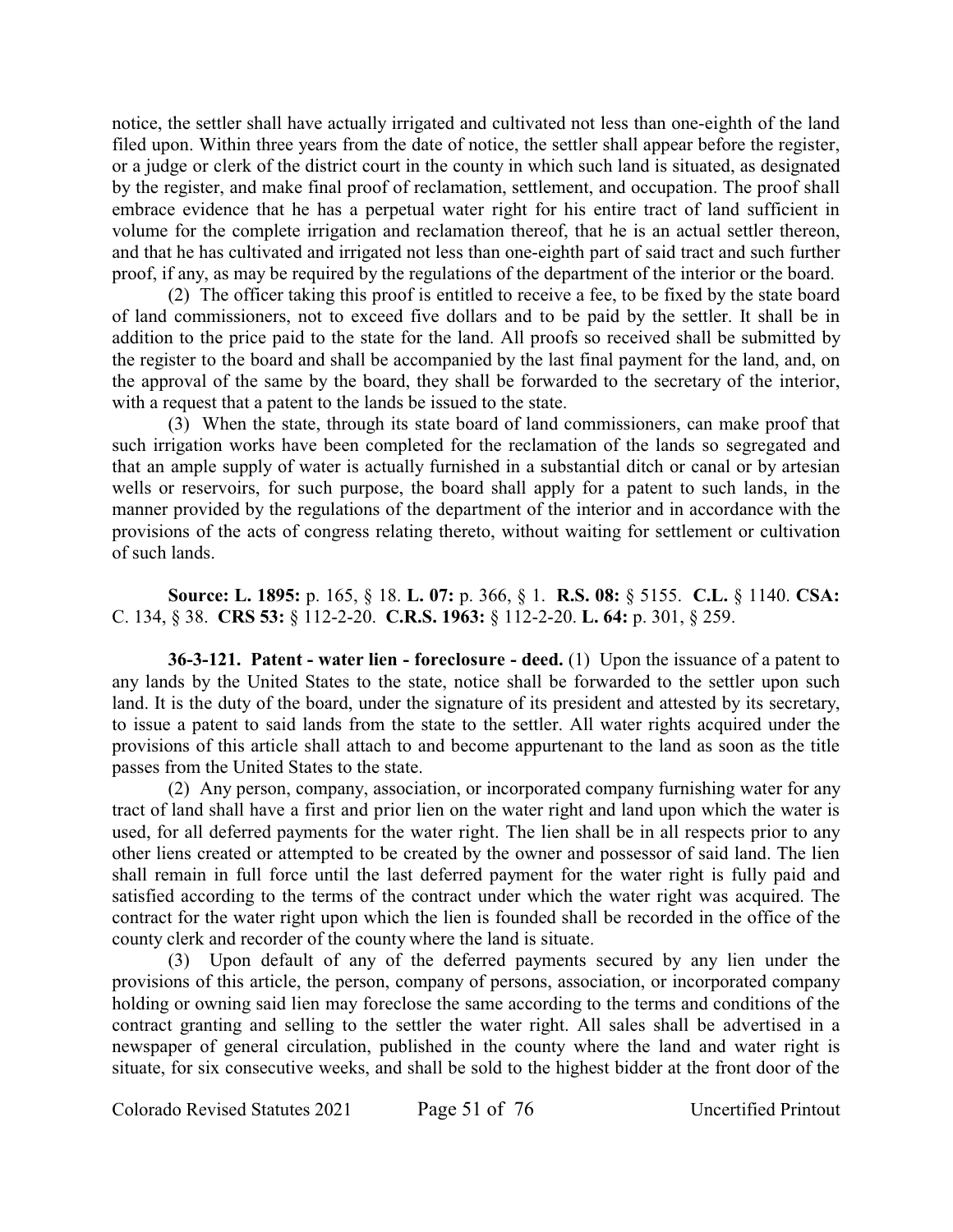notice, the settler shall have actually irrigated and cultivated not less than one-eighth of the land filed upon. Within three years from the date of notice, the settler shall appear before the register, or a judge or clerk of the district court in the county in which such land is situated, as designated by the register, and make final proof of reclamation, settlement, and occupation. The proof shall embrace evidence that he has a perpetual water right for his entire tract of land sufficient in volume for the complete irrigation and reclamation thereof, that he is an actual settler thereon, and that he has cultivated and irrigated not less than one-eighth part of said tract and such further proof, if any, as may be required by the regulations of the department of the interior or the board.

(2) The officer taking this proof is entitled to receive a fee, to be fixed by the state board of land commissioners, not to exceed five dollars and to be paid by the settler. It shall be in addition to the price paid to the state for the land. All proofs so received shall be submitted by the register to the board and shall be accompanied by the last final payment for the land, and, on the approval of the same by the board, they shall be forwarded to the secretary of the interior, with a request that a patent to the lands be issued to the state.

(3) When the state, through its state board of land commissioners, can make proof that such irrigation works have been completed for the reclamation of the lands so segregated and that an ample supply of water is actually furnished in a substantial ditch or canal or by artesian wells or reservoirs, for such purpose, the board shall apply for a patent to such lands, in the manner provided by the regulations of the department of the interior and in accordance with the provisions of the acts of congress relating thereto, without waiting for settlement or cultivation of such lands.

**Source: L. 1895:** p. 165, § 18. **L. 07:** p. 366, § 1. **R.S. 08:** § 5155. **C.L.** § 1140. **CSA:** C. 134, § 38. **CRS 53:** § 112-2-20. **C.R.S. 1963:** § 112-2-20. **L. 64:** p. 301, § 259.

**36-3-121. Patent - water lien - foreclosure - deed.** (1) Upon the issuance of a patent to any lands by the United States to the state, notice shall be forwarded to the settler upon such land. It is the duty of the board, under the signature of its president and attested by its secretary, to issue a patent to said lands from the state to the settler. All water rights acquired under the provisions of this article shall attach to and become appurtenant to the land as soon as the title passes from the United States to the state.

(2) Any person, company, association, or incorporated company furnishing water for any tract of land shall have a first and prior lien on the water right and land upon which the water is used, for all deferred payments for the water right. The lien shall be in all respects prior to any other liens created or attempted to be created by the owner and possessor of said land. The lien shall remain in full force until the last deferred payment for the water right is fully paid and satisfied according to the terms of the contract under which the water right was acquired. The contract for the water right upon which the lien is founded shall be recorded in the office of the county clerk and recorder of the county where the land is situate.

(3) Upon default of any of the deferred payments secured by any lien under the provisions of this article, the person, company of persons, association, or incorporated company holding or owning said lien may foreclose the same according to the terms and conditions of the contract granting and selling to the settler the water right. All sales shall be advertised in a newspaper of general circulation, published in the county where the land and water right is situate, for six consecutive weeks, and shall be sold to the highest bidder at the front door of the

Colorado Revised Statutes 2021 Page 51 of 76 Uncertified Printout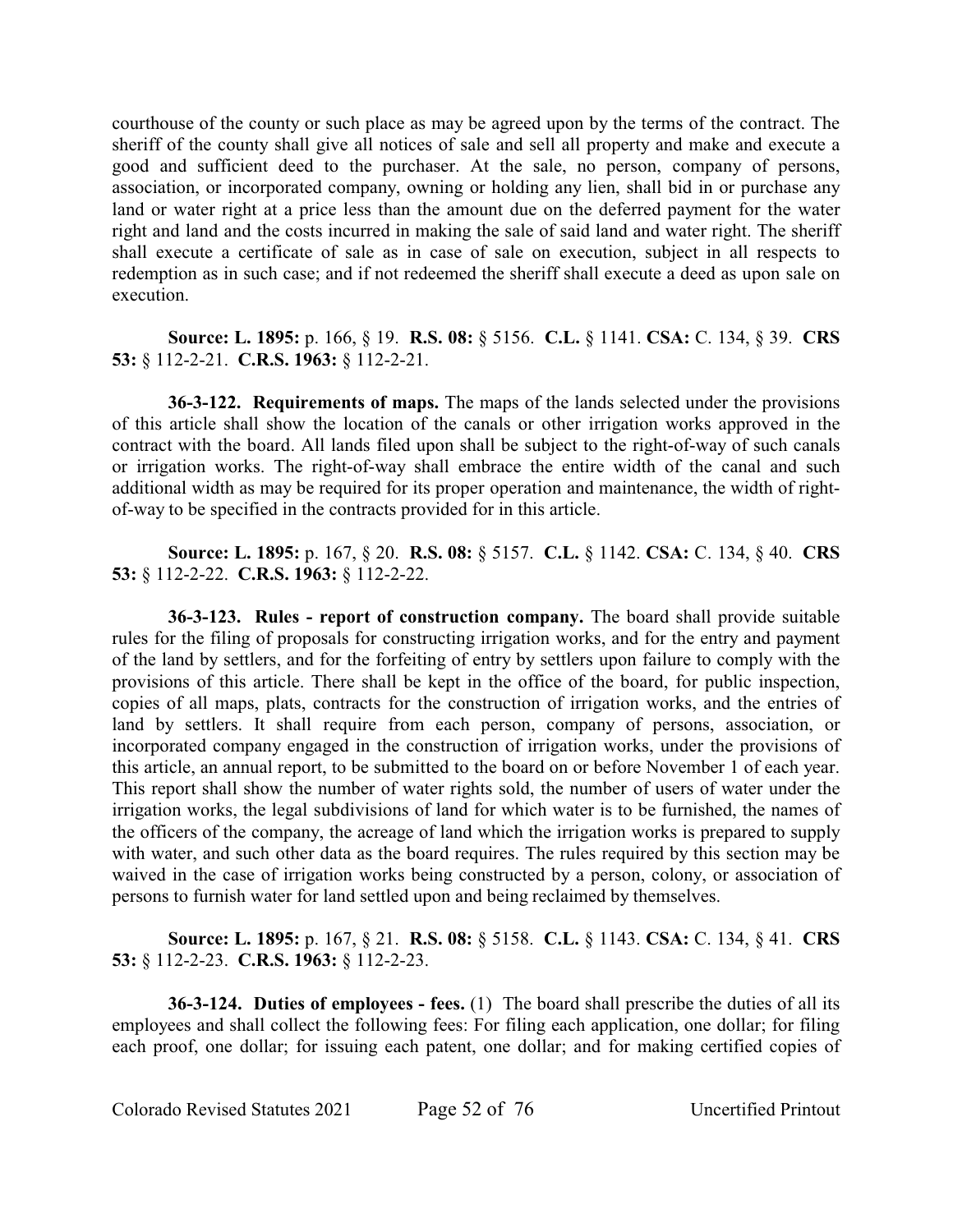courthouse of the county or such place as may be agreed upon by the terms of the contract. The sheriff of the county shall give all notices of sale and sell all property and make and execute a good and sufficient deed to the purchaser. At the sale, no person, company of persons, association, or incorporated company, owning or holding any lien, shall bid in or purchase any land or water right at a price less than the amount due on the deferred payment for the water right and land and the costs incurred in making the sale of said land and water right. The sheriff shall execute a certificate of sale as in case of sale on execution, subject in all respects to redemption as in such case; and if not redeemed the sheriff shall execute a deed as upon sale on execution.

**Source: L. 1895:** p. 166, § 19. **R.S. 08:** § 5156. **C.L.** § 1141. **CSA:** C. 134, § 39. **CRS 53:** § 112-2-21. **C.R.S. 1963:** § 112-2-21.

**36-3-122. Requirements of maps.** The maps of the lands selected under the provisions of this article shall show the location of the canals or other irrigation works approved in the contract with the board. All lands filed upon shall be subject to the right-of-way of such canals or irrigation works. The right-of-way shall embrace the entire width of the canal and such additional width as may be required for its proper operation and maintenance, the width of rightof-way to be specified in the contracts provided for in this article.

**Source: L. 1895:** p. 167, § 20. **R.S. 08:** § 5157. **C.L.** § 1142. **CSA:** C. 134, § 40. **CRS 53:** § 112-2-22. **C.R.S. 1963:** § 112-2-22.

**36-3-123. Rules - report of construction company.** The board shall provide suitable rules for the filing of proposals for constructing irrigation works, and for the entry and payment of the land by settlers, and for the forfeiting of entry by settlers upon failure to comply with the provisions of this article. There shall be kept in the office of the board, for public inspection, copies of all maps, plats, contracts for the construction of irrigation works, and the entries of land by settlers. It shall require from each person, company of persons, association, or incorporated company engaged in the construction of irrigation works, under the provisions of this article, an annual report, to be submitted to the board on or before November 1 of each year. This report shall show the number of water rights sold, the number of users of water under the irrigation works, the legal subdivisions of land for which water is to be furnished, the names of the officers of the company, the acreage of land which the irrigation works is prepared to supply with water, and such other data as the board requires. The rules required by this section may be waived in the case of irrigation works being constructed by a person, colony, or association of persons to furnish water for land settled upon and being reclaimed by themselves.

**Source: L. 1895:** p. 167, § 21. **R.S. 08:** § 5158. **C.L.** § 1143. **CSA:** C. 134, § 41. **CRS 53:** § 112-2-23. **C.R.S. 1963:** § 112-2-23.

**36-3-124. Duties of employees - fees.** (1) The board shall prescribe the duties of all its employees and shall collect the following fees: For filing each application, one dollar; for filing each proof, one dollar; for issuing each patent, one dollar; and for making certified copies of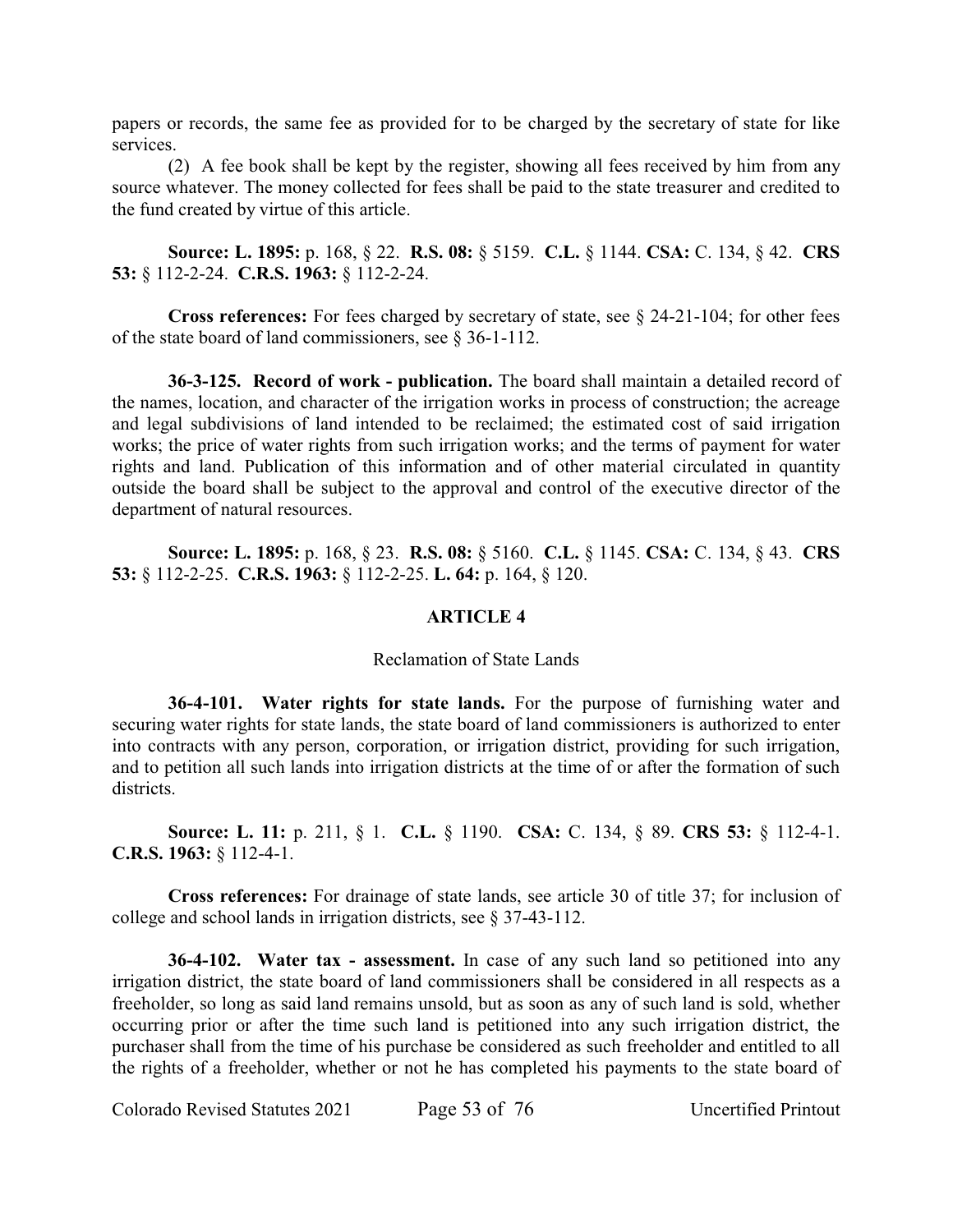papers or records, the same fee as provided for to be charged by the secretary of state for like services.

(2) A fee book shall be kept by the register, showing all fees received by him from any source whatever. The money collected for fees shall be paid to the state treasurer and credited to the fund created by virtue of this article.

**Source: L. 1895:** p. 168, § 22. **R.S. 08:** § 5159. **C.L.** § 1144. **CSA:** C. 134, § 42. **CRS 53:** § 112-2-24. **C.R.S. 1963:** § 112-2-24.

**Cross references:** For fees charged by secretary of state, see § 24-21-104; for other fees of the state board of land commissioners, see § 36-1-112.

**36-3-125. Record of work - publication.** The board shall maintain a detailed record of the names, location, and character of the irrigation works in process of construction; the acreage and legal subdivisions of land intended to be reclaimed; the estimated cost of said irrigation works; the price of water rights from such irrigation works; and the terms of payment for water rights and land. Publication of this information and of other material circulated in quantity outside the board shall be subject to the approval and control of the executive director of the department of natural resources.

**Source: L. 1895:** p. 168, § 23. **R.S. 08:** § 5160. **C.L.** § 1145. **CSA:** C. 134, § 43. **CRS 53:** § 112-2-25. **C.R.S. 1963:** § 112-2-25. **L. 64:** p. 164, § 120.

# **ARTICLE 4**

### Reclamation of State Lands

**36-4-101. Water rights for state lands.** For the purpose of furnishing water and securing water rights for state lands, the state board of land commissioners is authorized to enter into contracts with any person, corporation, or irrigation district, providing for such irrigation, and to petition all such lands into irrigation districts at the time of or after the formation of such districts.

**Source: L. 11:** p. 211, § 1. **C.L.** § 1190. **CSA:** C. 134, § 89. **CRS 53:** § 112-4-1. **C.R.S. 1963:** § 112-4-1.

**Cross references:** For drainage of state lands, see article 30 of title 37; for inclusion of college and school lands in irrigation districts, see § 37-43-112.

**36-4-102. Water tax - assessment.** In case of any such land so petitioned into any irrigation district, the state board of land commissioners shall be considered in all respects as a freeholder, so long as said land remains unsold, but as soon as any of such land is sold, whether occurring prior or after the time such land is petitioned into any such irrigation district, the purchaser shall from the time of his purchase be considered as such freeholder and entitled to all the rights of a freeholder, whether or not he has completed his payments to the state board of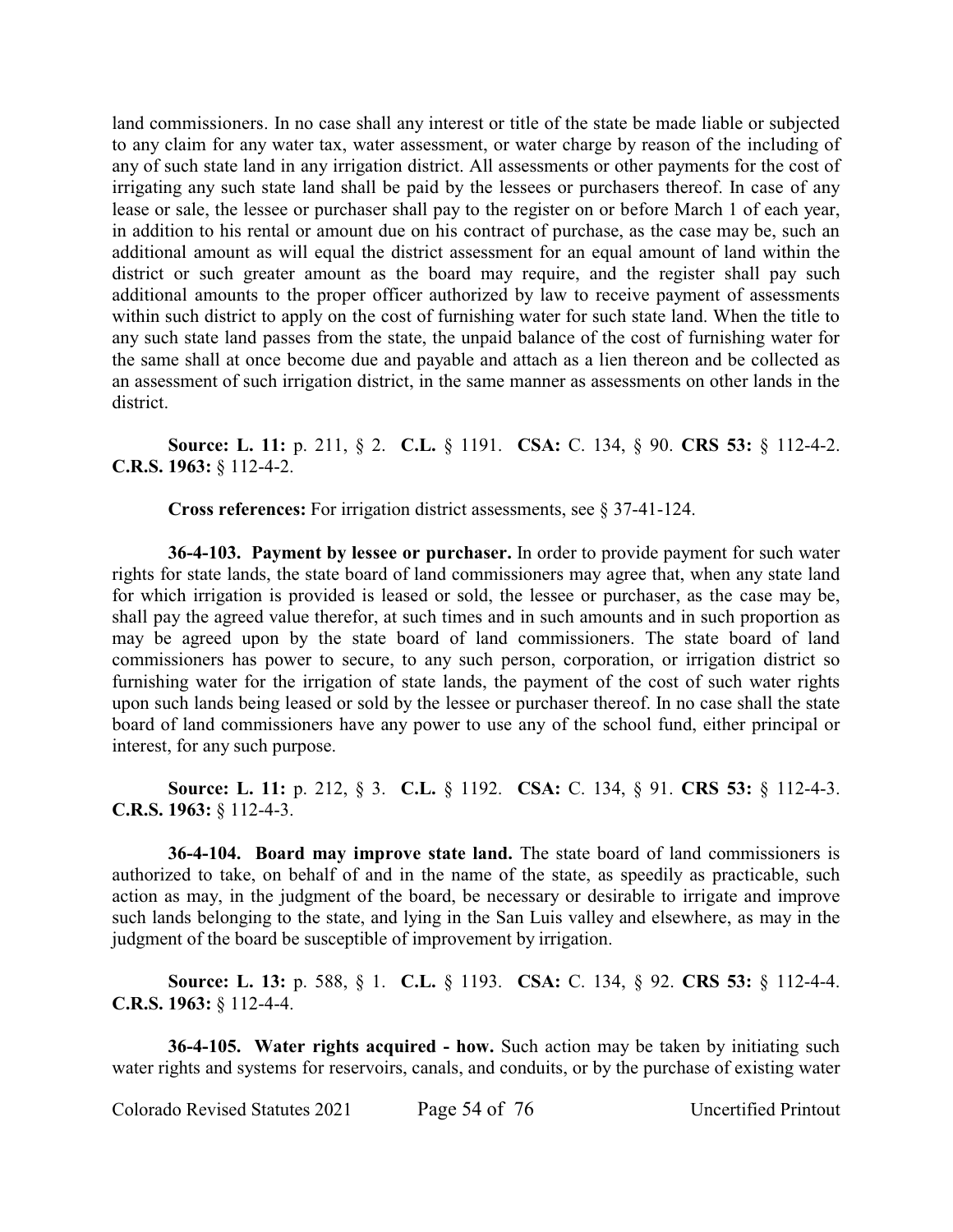land commissioners. In no case shall any interest or title of the state be made liable or subjected to any claim for any water tax, water assessment, or water charge by reason of the including of any of such state land in any irrigation district. All assessments or other payments for the cost of irrigating any such state land shall be paid by the lessees or purchasers thereof. In case of any lease or sale, the lessee or purchaser shall pay to the register on or before March 1 of each year, in addition to his rental or amount due on his contract of purchase, as the case may be, such an additional amount as will equal the district assessment for an equal amount of land within the district or such greater amount as the board may require, and the register shall pay such additional amounts to the proper officer authorized by law to receive payment of assessments within such district to apply on the cost of furnishing water for such state land. When the title to any such state land passes from the state, the unpaid balance of the cost of furnishing water for the same shall at once become due and payable and attach as a lien thereon and be collected as an assessment of such irrigation district, in the same manner as assessments on other lands in the district.

**Source: L. 11:** p. 211, § 2. **C.L.** § 1191. **CSA:** C. 134, § 90. **CRS 53:** § 112-4-2. **C.R.S. 1963:** § 112-4-2.

**Cross references:** For irrigation district assessments, see § 37-41-124.

**36-4-103. Payment by lessee or purchaser.** In order to provide payment for such water rights for state lands, the state board of land commissioners may agree that, when any state land for which irrigation is provided is leased or sold, the lessee or purchaser, as the case may be, shall pay the agreed value therefor, at such times and in such amounts and in such proportion as may be agreed upon by the state board of land commissioners. The state board of land commissioners has power to secure, to any such person, corporation, or irrigation district so furnishing water for the irrigation of state lands, the payment of the cost of such water rights upon such lands being leased or sold by the lessee or purchaser thereof. In no case shall the state board of land commissioners have any power to use any of the school fund, either principal or interest, for any such purpose.

**Source: L. 11:** p. 212, § 3. **C.L.** § 1192. **CSA:** C. 134, § 91. **CRS 53:** § 112-4-3. **C.R.S. 1963:** § 112-4-3.

**36-4-104. Board may improve state land.** The state board of land commissioners is authorized to take, on behalf of and in the name of the state, as speedily as practicable, such action as may, in the judgment of the board, be necessary or desirable to irrigate and improve such lands belonging to the state, and lying in the San Luis valley and elsewhere, as may in the judgment of the board be susceptible of improvement by irrigation.

**Source: L. 13:** p. 588, § 1. **C.L.** § 1193. **CSA:** C. 134, § 92. **CRS 53:** § 112-4-4. **C.R.S. 1963:** § 112-4-4.

**36-4-105. Water rights acquired - how.** Such action may be taken by initiating such water rights and systems for reservoirs, canals, and conduits, or by the purchase of existing water

Colorado Revised Statutes 2021 Page 54 of 76 Uncertified Printout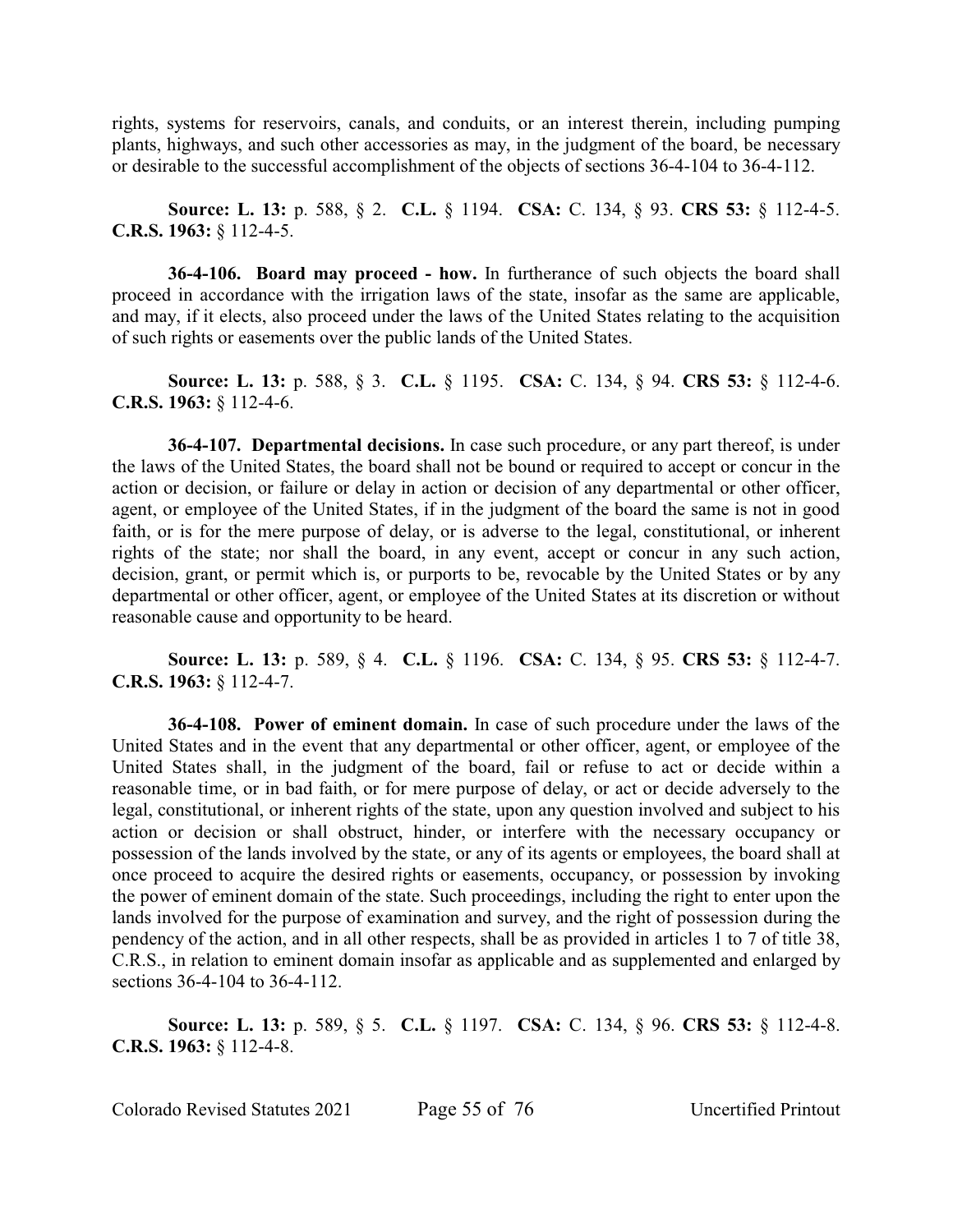rights, systems for reservoirs, canals, and conduits, or an interest therein, including pumping plants, highways, and such other accessories as may, in the judgment of the board, be necessary or desirable to the successful accomplishment of the objects of sections 36-4-104 to 36-4-112.

**Source: L. 13:** p. 588, § 2. **C.L.** § 1194. **CSA:** C. 134, § 93. **CRS 53:** § 112-4-5. **C.R.S. 1963:** § 112-4-5.

**36-4-106. Board may proceed - how.** In furtherance of such objects the board shall proceed in accordance with the irrigation laws of the state, insofar as the same are applicable, and may, if it elects, also proceed under the laws of the United States relating to the acquisition of such rights or easements over the public lands of the United States.

**Source: L. 13:** p. 588, § 3. **C.L.** § 1195. **CSA:** C. 134, § 94. **CRS 53:** § 112-4-6. **C.R.S. 1963:** § 112-4-6.

**36-4-107. Departmental decisions.** In case such procedure, or any part thereof, is under the laws of the United States, the board shall not be bound or required to accept or concur in the action or decision, or failure or delay in action or decision of any departmental or other officer, agent, or employee of the United States, if in the judgment of the board the same is not in good faith, or is for the mere purpose of delay, or is adverse to the legal, constitutional, or inherent rights of the state; nor shall the board, in any event, accept or concur in any such action, decision, grant, or permit which is, or purports to be, revocable by the United States or by any departmental or other officer, agent, or employee of the United States at its discretion or without reasonable cause and opportunity to be heard.

**Source: L. 13:** p. 589, § 4. **C.L.** § 1196. **CSA:** C. 134, § 95. **CRS 53:** § 112-4-7. **C.R.S. 1963:** § 112-4-7.

**36-4-108. Power of eminent domain.** In case of such procedure under the laws of the United States and in the event that any departmental or other officer, agent, or employee of the United States shall, in the judgment of the board, fail or refuse to act or decide within a reasonable time, or in bad faith, or for mere purpose of delay, or act or decide adversely to the legal, constitutional, or inherent rights of the state, upon any question involved and subject to his action or decision or shall obstruct, hinder, or interfere with the necessary occupancy or possession of the lands involved by the state, or any of its agents or employees, the board shall at once proceed to acquire the desired rights or easements, occupancy, or possession by invoking the power of eminent domain of the state. Such proceedings, including the right to enter upon the lands involved for the purpose of examination and survey, and the right of possession during the pendency of the action, and in all other respects, shall be as provided in articles 1 to 7 of title 38, C.R.S., in relation to eminent domain insofar as applicable and as supplemented and enlarged by sections 36-4-104 to 36-4-112.

**Source: L. 13:** p. 589, § 5. **C.L.** § 1197. **CSA:** C. 134, § 96. **CRS 53:** § 112-4-8. **C.R.S. 1963:** § 112-4-8.

Colorado Revised Statutes 2021 Page 55 of 76 Uncertified Printout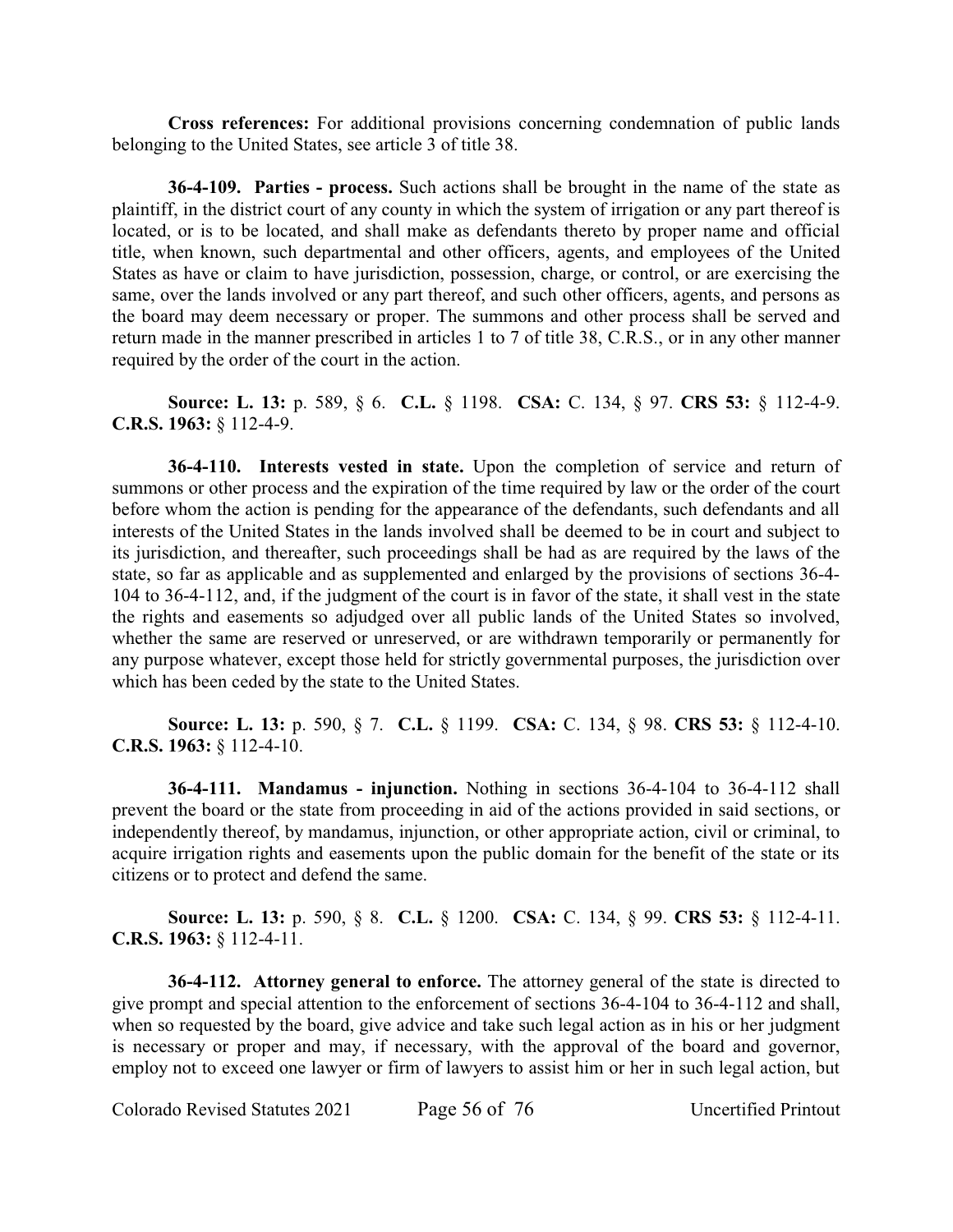**Cross references:** For additional provisions concerning condemnation of public lands belonging to the United States, see article 3 of title 38.

**36-4-109. Parties - process.** Such actions shall be brought in the name of the state as plaintiff, in the district court of any county in which the system of irrigation or any part thereof is located, or is to be located, and shall make as defendants thereto by proper name and official title, when known, such departmental and other officers, agents, and employees of the United States as have or claim to have jurisdiction, possession, charge, or control, or are exercising the same, over the lands involved or any part thereof, and such other officers, agents, and persons as the board may deem necessary or proper. The summons and other process shall be served and return made in the manner prescribed in articles 1 to 7 of title 38, C.R.S., or in any other manner required by the order of the court in the action.

**Source: L. 13:** p. 589, § 6. **C.L.** § 1198. **CSA:** C. 134, § 97. **CRS 53:** § 112-4-9. **C.R.S. 1963:** § 112-4-9.

**36-4-110. Interests vested in state.** Upon the completion of service and return of summons or other process and the expiration of the time required by law or the order of the court before whom the action is pending for the appearance of the defendants, such defendants and all interests of the United States in the lands involved shall be deemed to be in court and subject to its jurisdiction, and thereafter, such proceedings shall be had as are required by the laws of the state, so far as applicable and as supplemented and enlarged by the provisions of sections 36-4- 104 to 36-4-112, and, if the judgment of the court is in favor of the state, it shall vest in the state the rights and easements so adjudged over all public lands of the United States so involved, whether the same are reserved or unreserved, or are withdrawn temporarily or permanently for any purpose whatever, except those held for strictly governmental purposes, the jurisdiction over which has been ceded by the state to the United States.

**Source: L. 13:** p. 590, § 7. **C.L.** § 1199. **CSA:** C. 134, § 98. **CRS 53:** § 112-4-10. **C.R.S. 1963:** § 112-4-10.

**36-4-111. Mandamus - injunction.** Nothing in sections 36-4-104 to 36-4-112 shall prevent the board or the state from proceeding in aid of the actions provided in said sections, or independently thereof, by mandamus, injunction, or other appropriate action, civil or criminal, to acquire irrigation rights and easements upon the public domain for the benefit of the state or its citizens or to protect and defend the same.

**Source: L. 13:** p. 590, § 8. **C.L.** § 1200. **CSA:** C. 134, § 99. **CRS 53:** § 112-4-11. **C.R.S. 1963:** § 112-4-11.

**36-4-112. Attorney general to enforce.** The attorney general of the state is directed to give prompt and special attention to the enforcement of sections 36-4-104 to 36-4-112 and shall, when so requested by the board, give advice and take such legal action as in his or her judgment is necessary or proper and may, if necessary, with the approval of the board and governor, employ not to exceed one lawyer or firm of lawyers to assist him or her in such legal action, but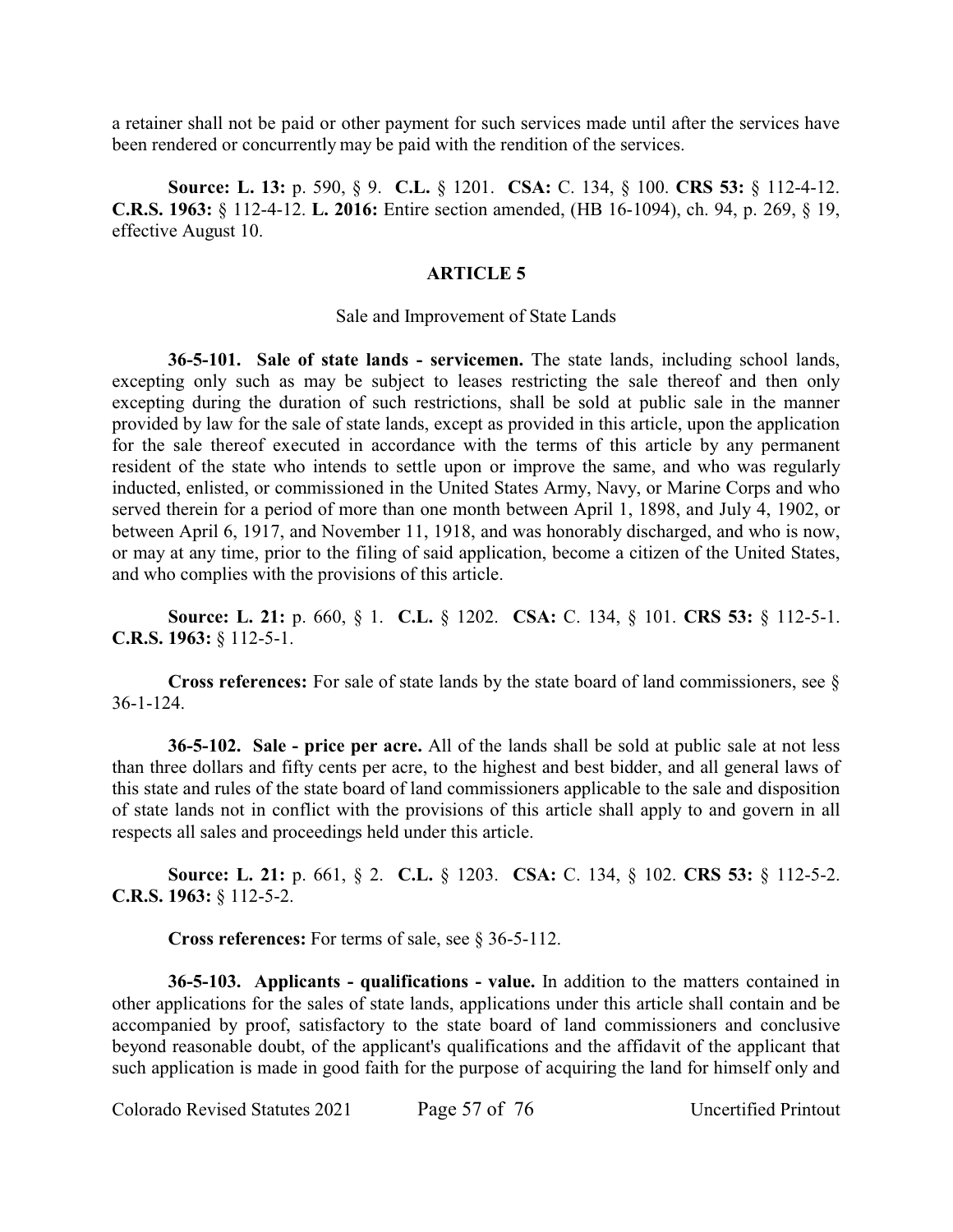a retainer shall not be paid or other payment for such services made until after the services have been rendered or concurrently may be paid with the rendition of the services.

**Source: L. 13:** p. 590, § 9. **C.L.** § 1201. **CSA:** C. 134, § 100. **CRS 53:** § 112-4-12. **C.R.S. 1963:** § 112-4-12. **L. 2016:** Entire section amended, (HB 16-1094), ch. 94, p. 269, § 19, effective August 10.

# **ARTICLE 5**

### Sale and Improvement of State Lands

**36-5-101. Sale of state lands - servicemen.** The state lands, including school lands, excepting only such as may be subject to leases restricting the sale thereof and then only excepting during the duration of such restrictions, shall be sold at public sale in the manner provided by law for the sale of state lands, except as provided in this article, upon the application for the sale thereof executed in accordance with the terms of this article by any permanent resident of the state who intends to settle upon or improve the same, and who was regularly inducted, enlisted, or commissioned in the United States Army, Navy, or Marine Corps and who served therein for a period of more than one month between April 1, 1898, and July 4, 1902, or between April 6, 1917, and November 11, 1918, and was honorably discharged, and who is now, or may at any time, prior to the filing of said application, become a citizen of the United States, and who complies with the provisions of this article.

**Source: L. 21:** p. 660, § 1. **C.L.** § 1202. **CSA:** C. 134, § 101. **CRS 53:** § 112-5-1. **C.R.S. 1963:** § 112-5-1.

**Cross references:** For sale of state lands by the state board of land commissioners, see § 36-1-124.

**36-5-102. Sale - price per acre.** All of the lands shall be sold at public sale at not less than three dollars and fifty cents per acre, to the highest and best bidder, and all general laws of this state and rules of the state board of land commissioners applicable to the sale and disposition of state lands not in conflict with the provisions of this article shall apply to and govern in all respects all sales and proceedings held under this article.

**Source: L. 21:** p. 661, § 2. **C.L.** § 1203. **CSA:** C. 134, § 102. **CRS 53:** § 112-5-2. **C.R.S. 1963:** § 112-5-2.

**Cross references:** For terms of sale, see § 36-5-112.

**36-5-103. Applicants - qualifications - value.** In addition to the matters contained in other applications for the sales of state lands, applications under this article shall contain and be accompanied by proof, satisfactory to the state board of land commissioners and conclusive beyond reasonable doubt, of the applicant's qualifications and the affidavit of the applicant that such application is made in good faith for the purpose of acquiring the land for himself only and

Colorado Revised Statutes 2021 Page 57 of 76 Uncertified Printout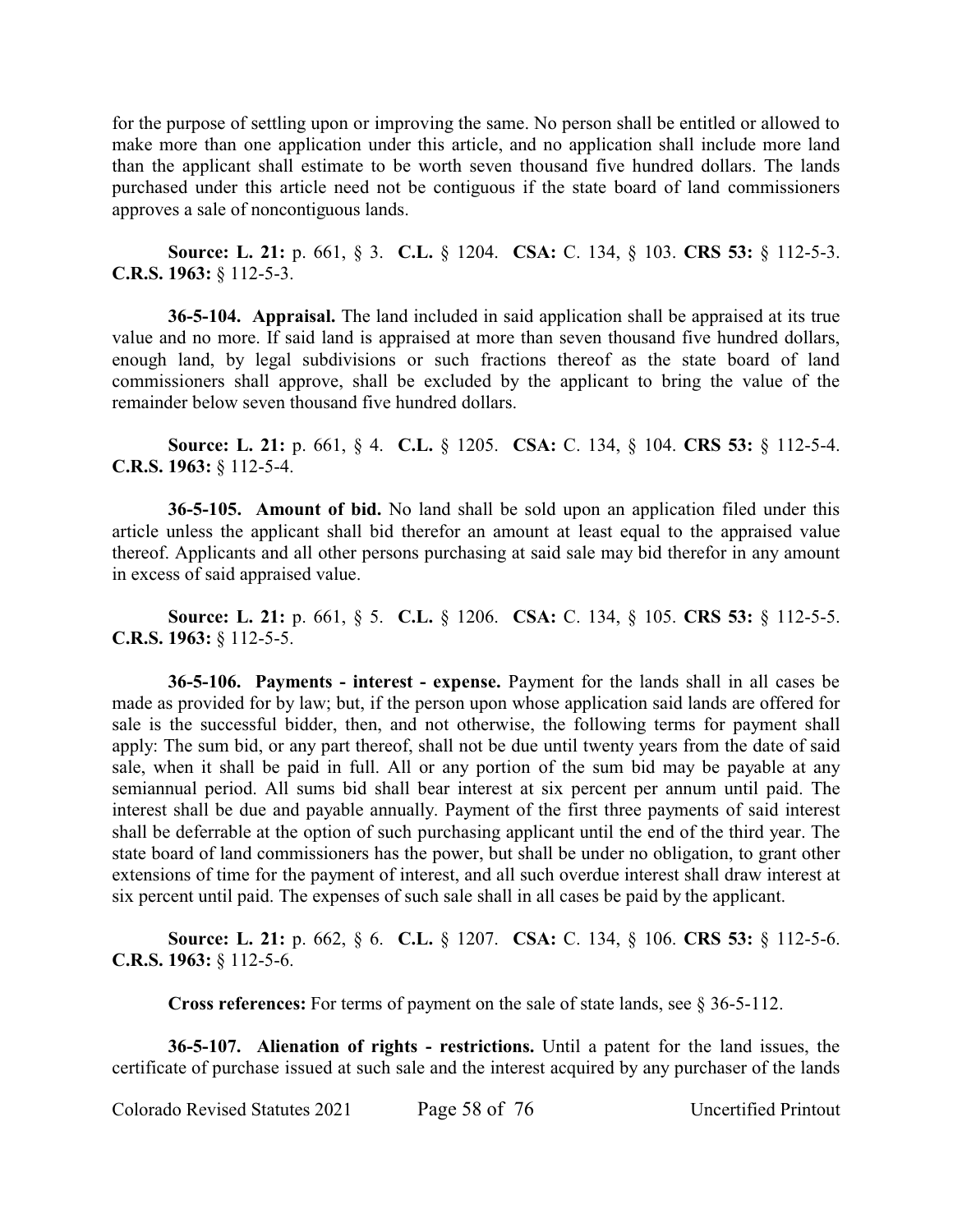for the purpose of settling upon or improving the same. No person shall be entitled or allowed to make more than one application under this article, and no application shall include more land than the applicant shall estimate to be worth seven thousand five hundred dollars. The lands purchased under this article need not be contiguous if the state board of land commissioners approves a sale of noncontiguous lands.

**Source: L. 21:** p. 661, § 3. **C.L.** § 1204. **CSA:** C. 134, § 103. **CRS 53:** § 112-5-3. **C.R.S. 1963:** § 112-5-3.

**36-5-104. Appraisal.** The land included in said application shall be appraised at its true value and no more. If said land is appraised at more than seven thousand five hundred dollars, enough land, by legal subdivisions or such fractions thereof as the state board of land commissioners shall approve, shall be excluded by the applicant to bring the value of the remainder below seven thousand five hundred dollars.

**Source: L. 21:** p. 661, § 4. **C.L.** § 1205. **CSA:** C. 134, § 104. **CRS 53:** § 112-5-4. **C.R.S. 1963:** § 112-5-4.

**36-5-105. Amount of bid.** No land shall be sold upon an application filed under this article unless the applicant shall bid therefor an amount at least equal to the appraised value thereof. Applicants and all other persons purchasing at said sale may bid therefor in any amount in excess of said appraised value.

**Source: L. 21:** p. 661, § 5. **C.L.** § 1206. **CSA:** C. 134, § 105. **CRS 53:** § 112-5-5. **C.R.S. 1963:** § 112-5-5.

**36-5-106. Payments - interest - expense.** Payment for the lands shall in all cases be made as provided for by law; but, if the person upon whose application said lands are offered for sale is the successful bidder, then, and not otherwise, the following terms for payment shall apply: The sum bid, or any part thereof, shall not be due until twenty years from the date of said sale, when it shall be paid in full. All or any portion of the sum bid may be payable at any semiannual period. All sums bid shall bear interest at six percent per annum until paid. The interest shall be due and payable annually. Payment of the first three payments of said interest shall be deferrable at the option of such purchasing applicant until the end of the third year. The state board of land commissioners has the power, but shall be under no obligation, to grant other extensions of time for the payment of interest, and all such overdue interest shall draw interest at six percent until paid. The expenses of such sale shall in all cases be paid by the applicant.

**Source: L. 21:** p. 662, § 6. **C.L.** § 1207. **CSA:** C. 134, § 106. **CRS 53:** § 112-5-6. **C.R.S. 1963:** § 112-5-6.

**Cross references:** For terms of payment on the sale of state lands, see § 36-5-112.

**36-5-107. Alienation of rights - restrictions.** Until a patent for the land issues, the certificate of purchase issued at such sale and the interest acquired by any purchaser of the lands

Colorado Revised Statutes 2021 Page 58 of 76 Uncertified Printout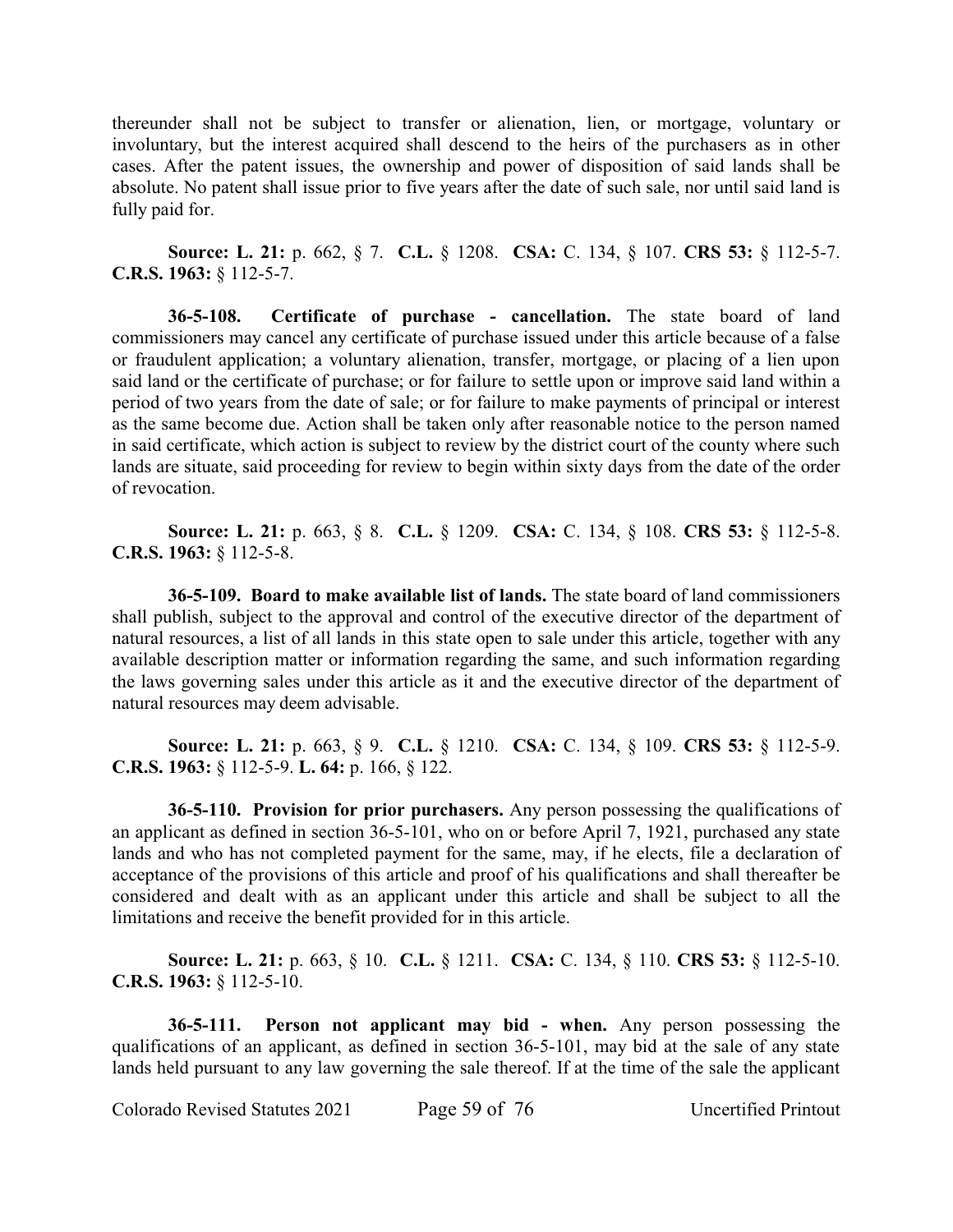thereunder shall not be subject to transfer or alienation, lien, or mortgage, voluntary or involuntary, but the interest acquired shall descend to the heirs of the purchasers as in other cases. After the patent issues, the ownership and power of disposition of said lands shall be absolute. No patent shall issue prior to five years after the date of such sale, nor until said land is fully paid for.

**Source: L. 21:** p. 662, § 7. **C.L.** § 1208. **CSA:** C. 134, § 107. **CRS 53:** § 112-5-7. **C.R.S. 1963:** § 112-5-7.

**36-5-108. Certificate of purchase - cancellation.** The state board of land commissioners may cancel any certificate of purchase issued under this article because of a false or fraudulent application; a voluntary alienation, transfer, mortgage, or placing of a lien upon said land or the certificate of purchase; or for failure to settle upon or improve said land within a period of two years from the date of sale; or for failure to make payments of principal or interest as the same become due. Action shall be taken only after reasonable notice to the person named in said certificate, which action is subject to review by the district court of the county where such lands are situate, said proceeding for review to begin within sixty days from the date of the order of revocation.

**Source: L. 21:** p. 663, § 8. **C.L.** § 1209. **CSA:** C. 134, § 108. **CRS 53:** § 112-5-8. **C.R.S. 1963:** § 112-5-8.

**36-5-109. Board to make available list of lands.** The state board of land commissioners shall publish, subject to the approval and control of the executive director of the department of natural resources, a list of all lands in this state open to sale under this article, together with any available description matter or information regarding the same, and such information regarding the laws governing sales under this article as it and the executive director of the department of natural resources may deem advisable.

**Source: L. 21:** p. 663, § 9. **C.L.** § 1210. **CSA:** C. 134, § 109. **CRS 53:** § 112-5-9. **C.R.S. 1963:** § 112-5-9. **L. 64:** p. 166, § 122.

**36-5-110. Provision for prior purchasers.** Any person possessing the qualifications of an applicant as defined in section 36-5-101, who on or before April 7, 1921, purchased any state lands and who has not completed payment for the same, may, if he elects, file a declaration of acceptance of the provisions of this article and proof of his qualifications and shall thereafter be considered and dealt with as an applicant under this article and shall be subject to all the limitations and receive the benefit provided for in this article.

**Source: L. 21:** p. 663, § 10. **C.L.** § 1211. **CSA:** C. 134, § 110. **CRS 53:** § 112-5-10. **C.R.S. 1963:** § 112-5-10.

**36-5-111. Person not applicant may bid - when.** Any person possessing the qualifications of an applicant, as defined in section 36-5-101, may bid at the sale of any state lands held pursuant to any law governing the sale thereof. If at the time of the sale the applicant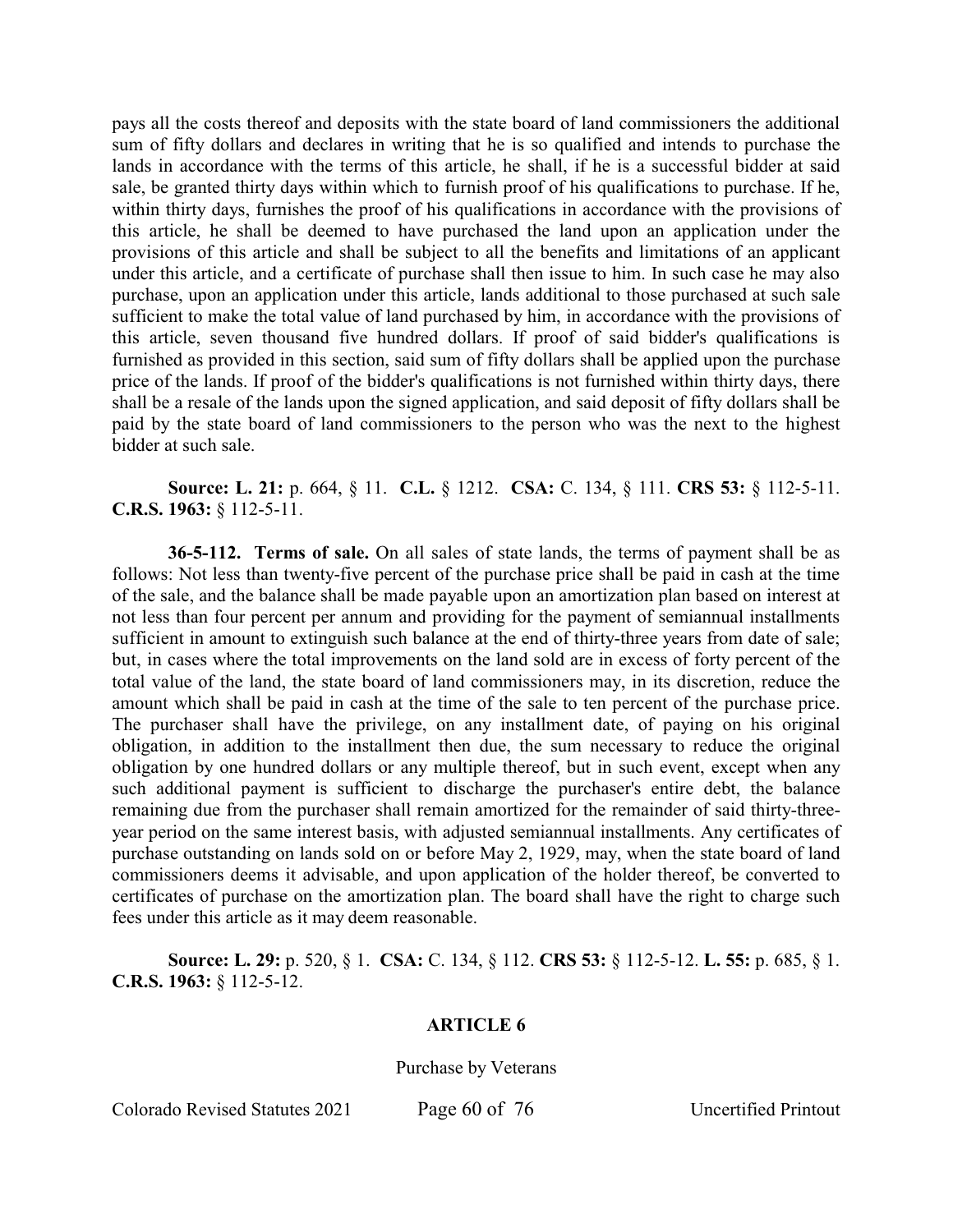pays all the costs thereof and deposits with the state board of land commissioners the additional sum of fifty dollars and declares in writing that he is so qualified and intends to purchase the lands in accordance with the terms of this article, he shall, if he is a successful bidder at said sale, be granted thirty days within which to furnish proof of his qualifications to purchase. If he, within thirty days, furnishes the proof of his qualifications in accordance with the provisions of this article, he shall be deemed to have purchased the land upon an application under the provisions of this article and shall be subject to all the benefits and limitations of an applicant under this article, and a certificate of purchase shall then issue to him. In such case he may also purchase, upon an application under this article, lands additional to those purchased at such sale sufficient to make the total value of land purchased by him, in accordance with the provisions of this article, seven thousand five hundred dollars. If proof of said bidder's qualifications is furnished as provided in this section, said sum of fifty dollars shall be applied upon the purchase price of the lands. If proof of the bidder's qualifications is not furnished within thirty days, there shall be a resale of the lands upon the signed application, and said deposit of fifty dollars shall be paid by the state board of land commissioners to the person who was the next to the highest bidder at such sale.

**Source: L. 21:** p. 664, § 11. **C.L.** § 1212. **CSA:** C. 134, § 111. **CRS 53:** § 112-5-11. **C.R.S. 1963:** § 112-5-11.

**36-5-112. Terms of sale.** On all sales of state lands, the terms of payment shall be as follows: Not less than twenty-five percent of the purchase price shall be paid in cash at the time of the sale, and the balance shall be made payable upon an amortization plan based on interest at not less than four percent per annum and providing for the payment of semiannual installments sufficient in amount to extinguish such balance at the end of thirty-three years from date of sale; but, in cases where the total improvements on the land sold are in excess of forty percent of the total value of the land, the state board of land commissioners may, in its discretion, reduce the amount which shall be paid in cash at the time of the sale to ten percent of the purchase price. The purchaser shall have the privilege, on any installment date, of paying on his original obligation, in addition to the installment then due, the sum necessary to reduce the original obligation by one hundred dollars or any multiple thereof, but in such event, except when any such additional payment is sufficient to discharge the purchaser's entire debt, the balance remaining due from the purchaser shall remain amortized for the remainder of said thirty-threeyear period on the same interest basis, with adjusted semiannual installments. Any certificates of purchase outstanding on lands sold on or before May 2, 1929, may, when the state board of land commissioners deems it advisable, and upon application of the holder thereof, be converted to certificates of purchase on the amortization plan. The board shall have the right to charge such fees under this article as it may deem reasonable.

**Source: L. 29:** p. 520, § 1. **CSA:** C. 134, § 112. **CRS 53:** § 112-5-12. **L. 55:** p. 685, § 1. **C.R.S. 1963:** § 112-5-12.

### **ARTICLE 6**

Purchase by Veterans

Colorado Revised Statutes 2021 Page 60 of 76 Uncertified Printout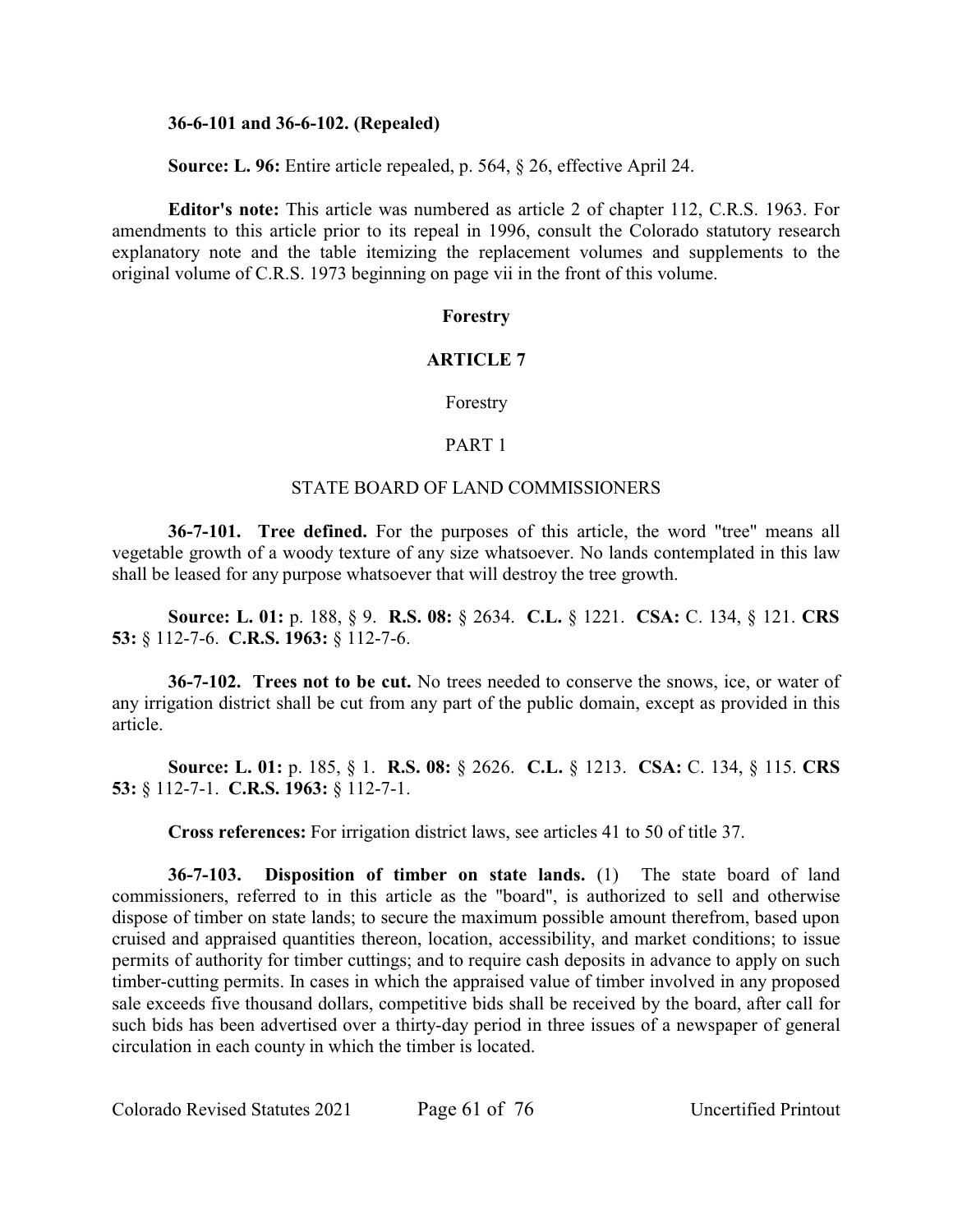### **36-6-101 and 36-6-102. (Repealed)**

**Source: L. 96:** Entire article repealed, p. 564, § 26, effective April 24.

**Editor's note:** This article was numbered as article 2 of chapter 112, C.R.S. 1963. For amendments to this article prior to its repeal in 1996, consult the Colorado statutory research explanatory note and the table itemizing the replacement volumes and supplements to the original volume of C.R.S. 1973 beginning on page vii in the front of this volume.

### **Forestry**

# **ARTICLE 7**

Forestry

### PART 1

### STATE BOARD OF LAND COMMISSIONERS

**36-7-101. Tree defined.** For the purposes of this article, the word "tree" means all vegetable growth of a woody texture of any size whatsoever. No lands contemplated in this law shall be leased for any purpose whatsoever that will destroy the tree growth.

**Source: L. 01:** p. 188, § 9. **R.S. 08:** § 2634. **C.L.** § 1221. **CSA:** C. 134, § 121. **CRS 53:** § 112-7-6. **C.R.S. 1963:** § 112-7-6.

**36-7-102. Trees not to be cut.** No trees needed to conserve the snows, ice, or water of any irrigation district shall be cut from any part of the public domain, except as provided in this article.

**Source: L. 01:** p. 185, § 1. **R.S. 08:** § 2626. **C.L.** § 1213. **CSA:** C. 134, § 115. **CRS 53:** § 112-7-1. **C.R.S. 1963:** § 112-7-1.

**Cross references:** For irrigation district laws, see articles 41 to 50 of title 37.

**36-7-103. Disposition of timber on state lands.** (1) The state board of land commissioners, referred to in this article as the "board", is authorized to sell and otherwise dispose of timber on state lands; to secure the maximum possible amount therefrom, based upon cruised and appraised quantities thereon, location, accessibility, and market conditions; to issue permits of authority for timber cuttings; and to require cash deposits in advance to apply on such timber-cutting permits. In cases in which the appraised value of timber involved in any proposed sale exceeds five thousand dollars, competitive bids shall be received by the board, after call for such bids has been advertised over a thirty-day period in three issues of a newspaper of general circulation in each county in which the timber is located.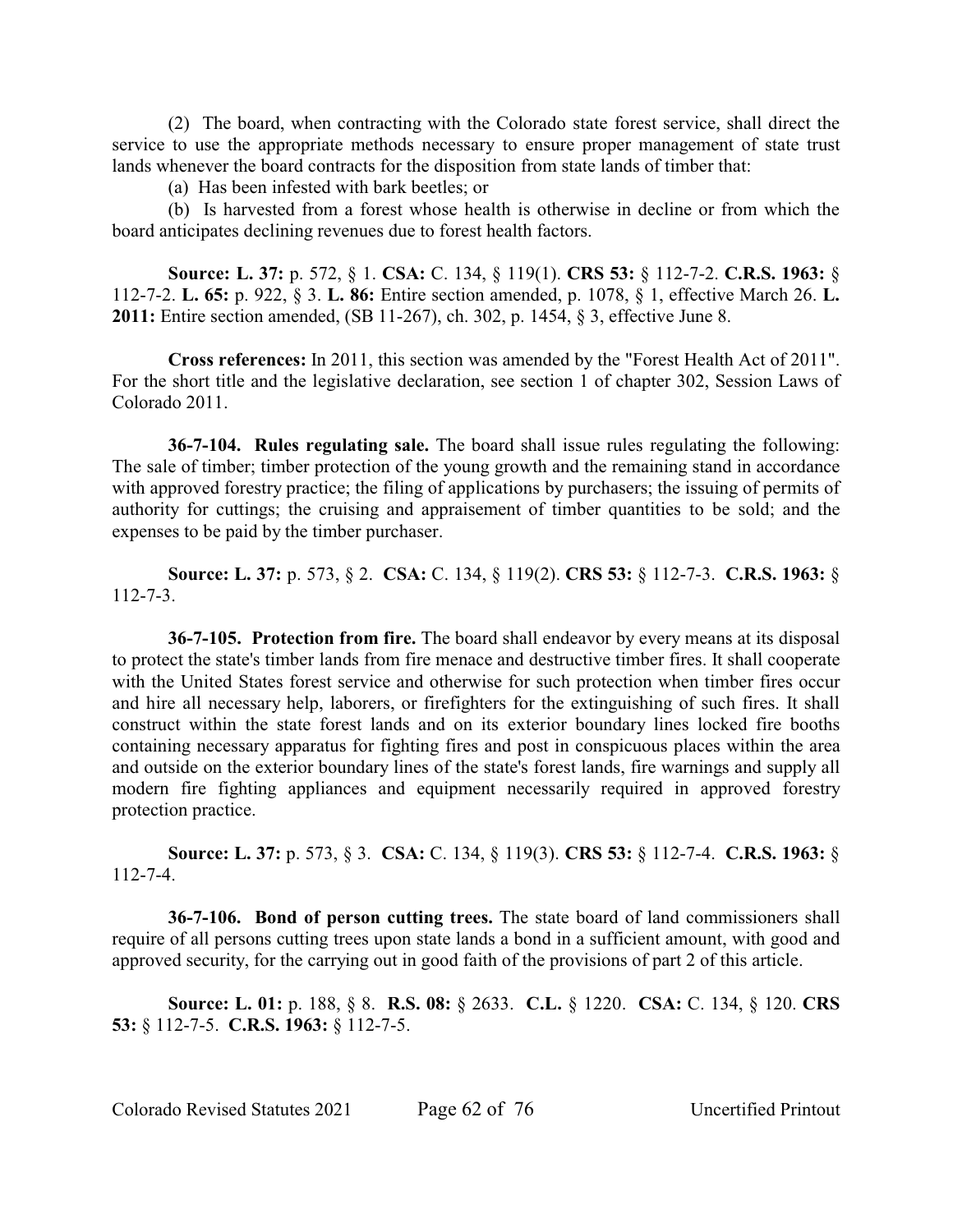(2) The board, when contracting with the Colorado state forest service, shall direct the service to use the appropriate methods necessary to ensure proper management of state trust lands whenever the board contracts for the disposition from state lands of timber that:

(a) Has been infested with bark beetles; or

(b) Is harvested from a forest whose health is otherwise in decline or from which the board anticipates declining revenues due to forest health factors.

**Source: L. 37:** p. 572, § 1. **CSA:** C. 134, § 119(1). **CRS 53:** § 112-7-2. **C.R.S. 1963:** § 112-7-2. **L. 65:** p. 922, § 3. **L. 86:** Entire section amended, p. 1078, § 1, effective March 26. **L. 2011:** Entire section amended, (SB 11-267), ch. 302, p. 1454, § 3, effective June 8.

**Cross references:** In 2011, this section was amended by the "Forest Health Act of 2011". For the short title and the legislative declaration, see section 1 of chapter 302, Session Laws of Colorado 2011.

**36-7-104. Rules regulating sale.** The board shall issue rules regulating the following: The sale of timber; timber protection of the young growth and the remaining stand in accordance with approved forestry practice; the filing of applications by purchasers; the issuing of permits of authority for cuttings; the cruising and appraisement of timber quantities to be sold; and the expenses to be paid by the timber purchaser.

**Source: L. 37:** p. 573, § 2. **CSA:** C. 134, § 119(2). **CRS 53:** § 112-7-3. **C.R.S. 1963:** § 112-7-3.

**36-7-105. Protection from fire.** The board shall endeavor by every means at its disposal to protect the state's timber lands from fire menace and destructive timber fires. It shall cooperate with the United States forest service and otherwise for such protection when timber fires occur and hire all necessary help, laborers, or firefighters for the extinguishing of such fires. It shall construct within the state forest lands and on its exterior boundary lines locked fire booths containing necessary apparatus for fighting fires and post in conspicuous places within the area and outside on the exterior boundary lines of the state's forest lands, fire warnings and supply all modern fire fighting appliances and equipment necessarily required in approved forestry protection practice.

**Source: L. 37:** p. 573, § 3. **CSA:** C. 134, § 119(3). **CRS 53:** § 112-7-4. **C.R.S. 1963:** § 112-7-4.

**36-7-106. Bond of person cutting trees.** The state board of land commissioners shall require of all persons cutting trees upon state lands a bond in a sufficient amount, with good and approved security, for the carrying out in good faith of the provisions of part 2 of this article.

**Source: L. 01:** p. 188, § 8. **R.S. 08:** § 2633. **C.L.** § 1220. **CSA:** C. 134, § 120. **CRS 53:** § 112-7-5. **C.R.S. 1963:** § 112-7-5.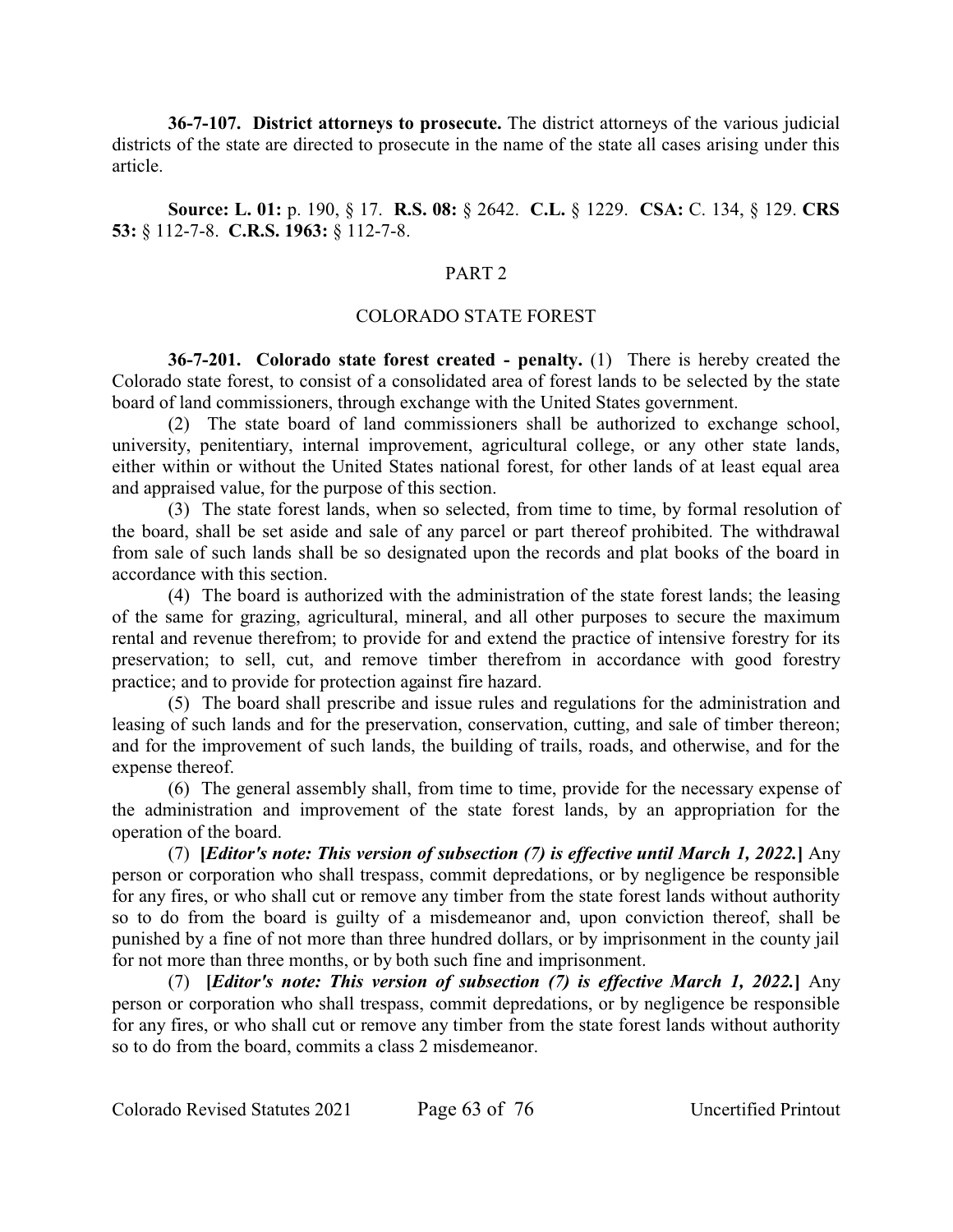**36-7-107. District attorneys to prosecute.** The district attorneys of the various judicial districts of the state are directed to prosecute in the name of the state all cases arising under this article.

**Source: L. 01:** p. 190, § 17. **R.S. 08:** § 2642. **C.L.** § 1229. **CSA:** C. 134, § 129. **CRS 53:** § 112-7-8. **C.R.S. 1963:** § 112-7-8.

# PART 2

#### COLORADO STATE FOREST

**36-7-201. Colorado state forest created - penalty.** (1) There is hereby created the Colorado state forest, to consist of a consolidated area of forest lands to be selected by the state board of land commissioners, through exchange with the United States government.

(2) The state board of land commissioners shall be authorized to exchange school, university, penitentiary, internal improvement, agricultural college, or any other state lands, either within or without the United States national forest, for other lands of at least equal area and appraised value, for the purpose of this section.

(3) The state forest lands, when so selected, from time to time, by formal resolution of the board, shall be set aside and sale of any parcel or part thereof prohibited. The withdrawal from sale of such lands shall be so designated upon the records and plat books of the board in accordance with this section.

(4) The board is authorized with the administration of the state forest lands; the leasing of the same for grazing, agricultural, mineral, and all other purposes to secure the maximum rental and revenue therefrom; to provide for and extend the practice of intensive forestry for its preservation; to sell, cut, and remove timber therefrom in accordance with good forestry practice; and to provide for protection against fire hazard.

(5) The board shall prescribe and issue rules and regulations for the administration and leasing of such lands and for the preservation, conservation, cutting, and sale of timber thereon; and for the improvement of such lands, the building of trails, roads, and otherwise, and for the expense thereof.

(6) The general assembly shall, from time to time, provide for the necessary expense of the administration and improvement of the state forest lands, by an appropriation for the operation of the board.

(7) **[***Editor's note: This version of subsection (7) is effective until March 1, 2022.***]** Any person or corporation who shall trespass, commit depredations, or by negligence be responsible for any fires, or who shall cut or remove any timber from the state forest lands without authority so to do from the board is guilty of a misdemeanor and, upon conviction thereof, shall be punished by a fine of not more than three hundred dollars, or by imprisonment in the county jail for not more than three months, or by both such fine and imprisonment.

(7) **[***Editor's note: This version of subsection (7) is effective March 1, 2022.***]** Any person or corporation who shall trespass, commit depredations, or by negligence be responsible for any fires, or who shall cut or remove any timber from the state forest lands without authority so to do from the board, commits a class 2 misdemeanor.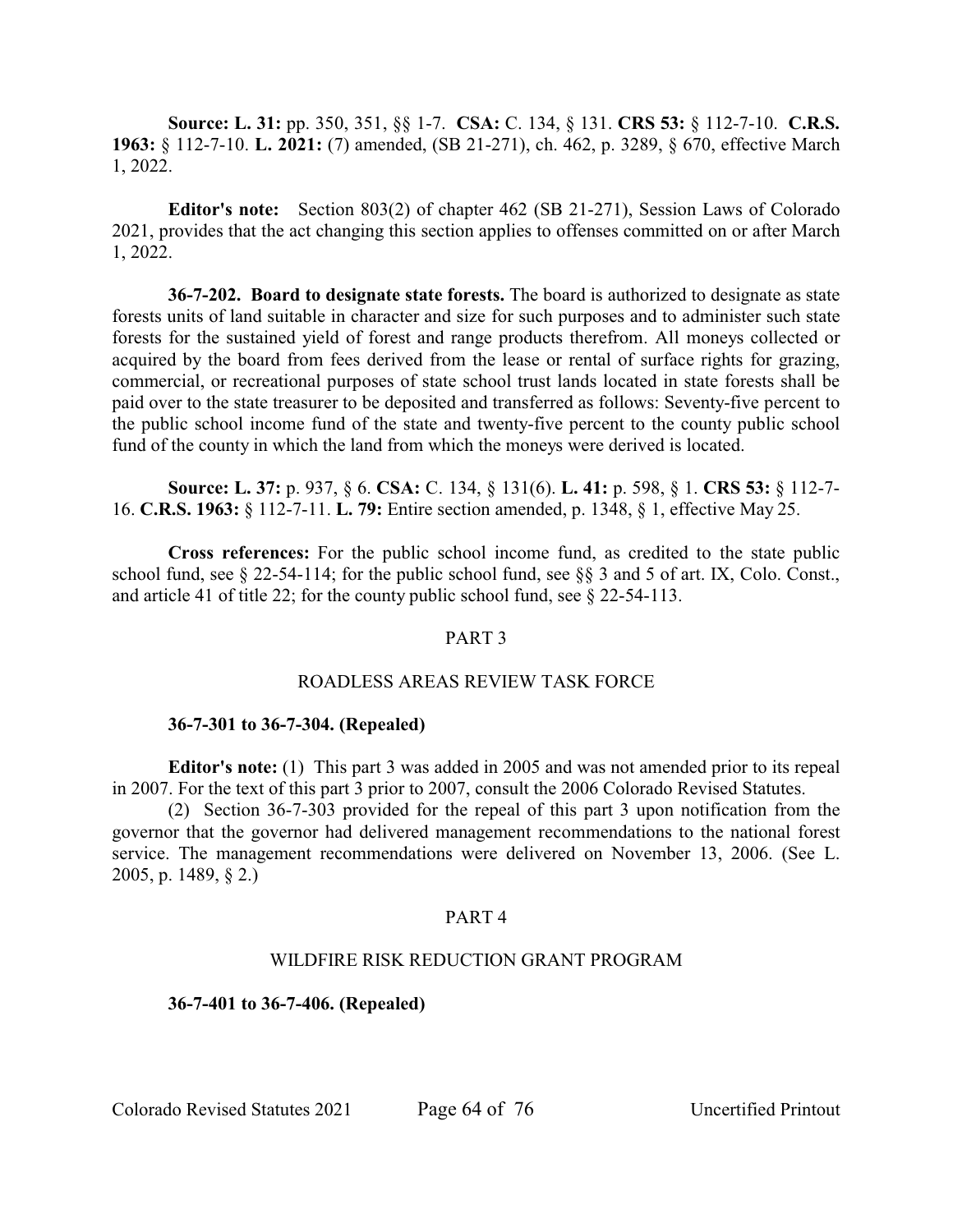**Source: L. 31:** pp. 350, 351, §§ 1-7. **CSA:** C. 134, § 131. **CRS 53:** § 112-7-10. **C.R.S. 1963:** § 112-7-10. **L. 2021:** (7) amended, (SB 21-271), ch. 462, p. 3289, § 670, effective March 1, 2022.

**Editor's note:** Section 803(2) of chapter 462 (SB 21-271), Session Laws of Colorado 2021, provides that the act changing this section applies to offenses committed on or after March 1, 2022.

**36-7-202. Board to designate state forests.** The board is authorized to designate as state forests units of land suitable in character and size for such purposes and to administer such state forests for the sustained yield of forest and range products therefrom. All moneys collected or acquired by the board from fees derived from the lease or rental of surface rights for grazing, commercial, or recreational purposes of state school trust lands located in state forests shall be paid over to the state treasurer to be deposited and transferred as follows: Seventy-five percent to the public school income fund of the state and twenty-five percent to the county public school fund of the county in which the land from which the moneys were derived is located.

**Source: L. 37:** p. 937, § 6. **CSA:** C. 134, § 131(6). **L. 41:** p. 598, § 1. **CRS 53:** § 112-7- 16. **C.R.S. 1963:** § 112-7-11. **L. 79:** Entire section amended, p. 1348, § 1, effective May 25.

**Cross references:** For the public school income fund, as credited to the state public school fund, see § 22-54-114; for the public school fund, see §§ 3 and 5 of art. IX, Colo. Const., and article 41 of title 22; for the county public school fund, see § 22-54-113.

### PART 3

### ROADLESS AREAS REVIEW TASK FORCE

### **36-7-301 to 36-7-304. (Repealed)**

**Editor's note:** (1) This part 3 was added in 2005 and was not amended prior to its repeal in 2007. For the text of this part 3 prior to 2007, consult the 2006 Colorado Revised Statutes.

(2) Section 36-7-303 provided for the repeal of this part 3 upon notification from the governor that the governor had delivered management recommendations to the national forest service. The management recommendations were delivered on November 13, 2006. (See L. 2005, p. 1489, § 2.)

### PART 4

## WILDFIRE RISK REDUCTION GRANT PROGRAM

#### **36-7-401 to 36-7-406. (Repealed)**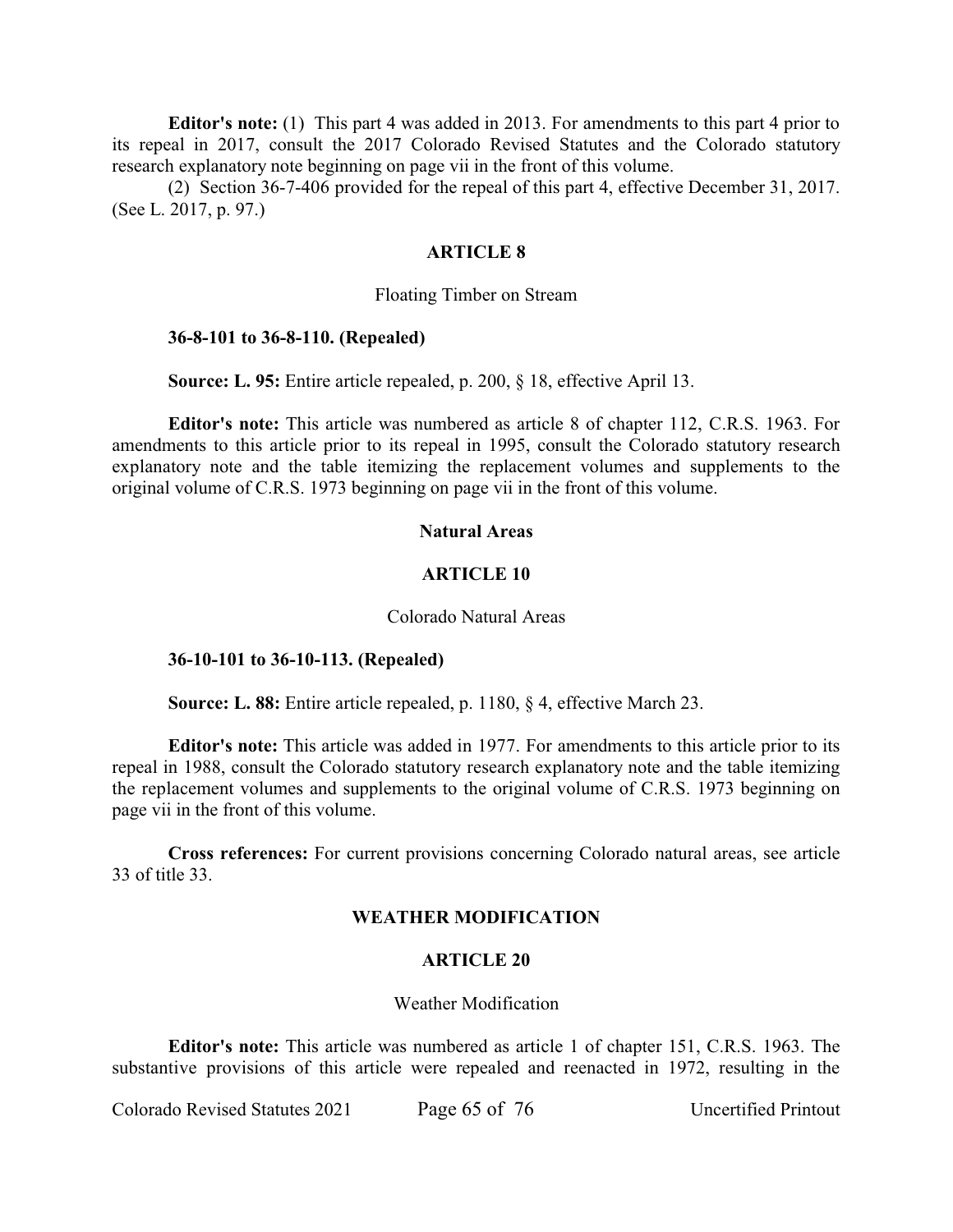**Editor's note:** (1) This part 4 was added in 2013. For amendments to this part 4 prior to its repeal in 2017, consult the 2017 Colorado Revised Statutes and the Colorado statutory research explanatory note beginning on page vii in the front of this volume.

(2) Section 36-7-406 provided for the repeal of this part 4, effective December 31, 2017. (See L. 2017, p. 97.)

#### **ARTICLE 8**

#### Floating Timber on Stream

#### **36-8-101 to 36-8-110. (Repealed)**

**Source: L. 95:** Entire article repealed, p. 200, § 18, effective April 13.

**Editor's note:** This article was numbered as article 8 of chapter 112, C.R.S. 1963. For amendments to this article prior to its repeal in 1995, consult the Colorado statutory research explanatory note and the table itemizing the replacement volumes and supplements to the original volume of C.R.S. 1973 beginning on page vii in the front of this volume.

#### **Natural Areas**

#### **ARTICLE 10**

#### Colorado Natural Areas

#### **36-10-101 to 36-10-113. (Repealed)**

**Source: L. 88:** Entire article repealed, p. 1180, § 4, effective March 23.

**Editor's note:** This article was added in 1977. For amendments to this article prior to its repeal in 1988, consult the Colorado statutory research explanatory note and the table itemizing the replacement volumes and supplements to the original volume of C.R.S. 1973 beginning on page vii in the front of this volume.

**Cross references:** For current provisions concerning Colorado natural areas, see article 33 of title 33.

#### **WEATHER MODIFICATION**

#### **ARTICLE 20**

#### Weather Modification

**Editor's note:** This article was numbered as article 1 of chapter 151, C.R.S. 1963. The substantive provisions of this article were repealed and reenacted in 1972, resulting in the

Colorado Revised Statutes 2021 Page 65 of 76 Uncertified Printout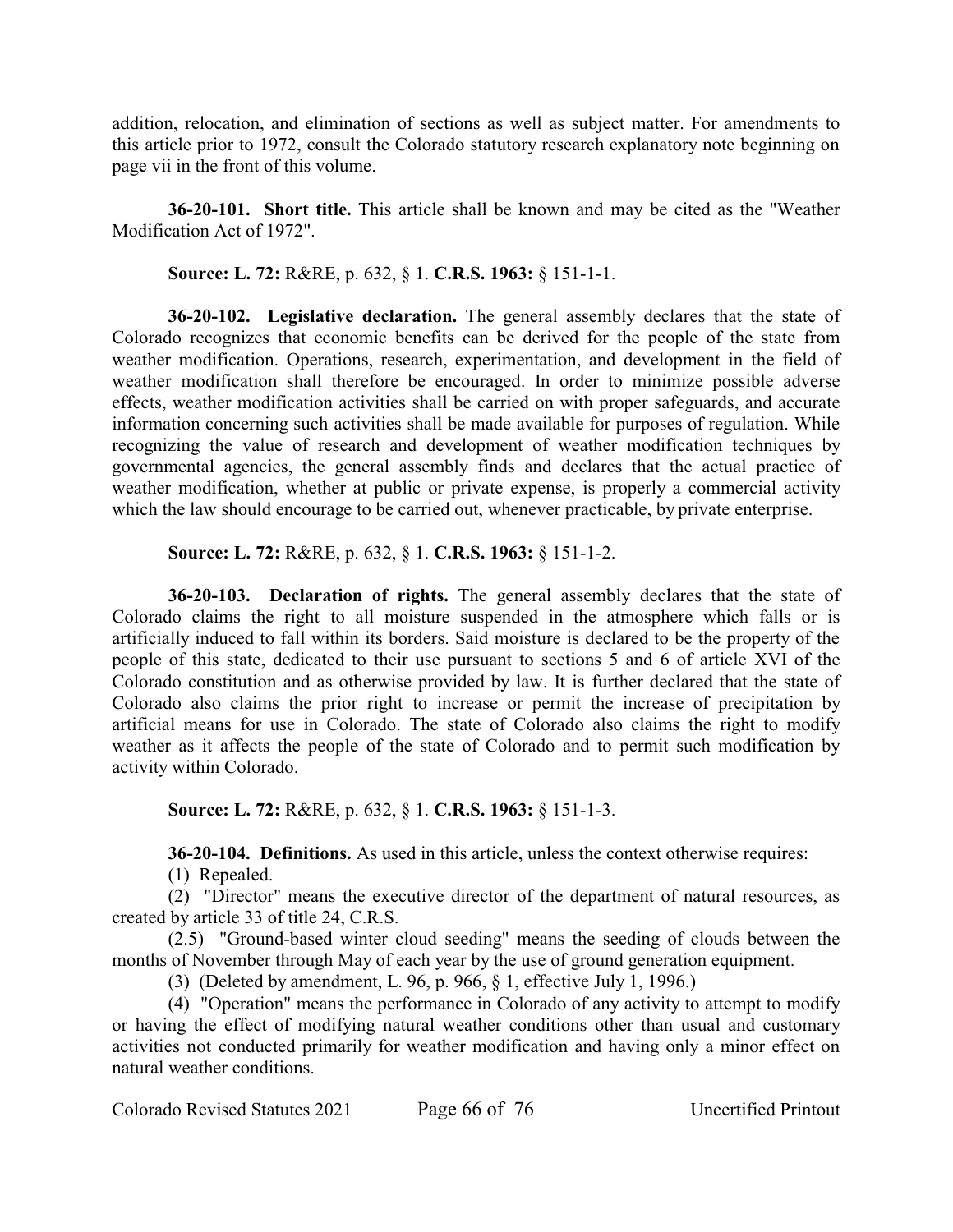addition, relocation, and elimination of sections as well as subject matter. For amendments to this article prior to 1972, consult the Colorado statutory research explanatory note beginning on page vii in the front of this volume.

**36-20-101. Short title.** This article shall be known and may be cited as the "Weather Modification Act of 1972".

**Source: L. 72:** R&RE, p. 632, § 1. **C.R.S. 1963:** § 151-1-1.

**36-20-102. Legislative declaration.** The general assembly declares that the state of Colorado recognizes that economic benefits can be derived for the people of the state from weather modification. Operations, research, experimentation, and development in the field of weather modification shall therefore be encouraged. In order to minimize possible adverse effects, weather modification activities shall be carried on with proper safeguards, and accurate information concerning such activities shall be made available for purposes of regulation. While recognizing the value of research and development of weather modification techniques by governmental agencies, the general assembly finds and declares that the actual practice of weather modification, whether at public or private expense, is properly a commercial activity which the law should encourage to be carried out, whenever practicable, by private enterprise.

**Source: L. 72:** R&RE, p. 632, § 1. **C.R.S. 1963:** § 151-1-2.

**36-20-103. Declaration of rights.** The general assembly declares that the state of Colorado claims the right to all moisture suspended in the atmosphere which falls or is artificially induced to fall within its borders. Said moisture is declared to be the property of the people of this state, dedicated to their use pursuant to sections 5 and 6 of article XVI of the Colorado constitution and as otherwise provided by law. It is further declared that the state of Colorado also claims the prior right to increase or permit the increase of precipitation by artificial means for use in Colorado. The state of Colorado also claims the right to modify weather as it affects the people of the state of Colorado and to permit such modification by activity within Colorado.

**Source: L. 72:** R&RE, p. 632, § 1. **C.R.S. 1963:** § 151-1-3.

**36-20-104. Definitions.** As used in this article, unless the context otherwise requires:

(1) Repealed.

(2) "Director" means the executive director of the department of natural resources, as created by article 33 of title 24, C.R.S.

(2.5) "Ground-based winter cloud seeding" means the seeding of clouds between the months of November through May of each year by the use of ground generation equipment.

(3) (Deleted by amendment, L. 96, p. 966, § 1, effective July 1, 1996.)

(4) "Operation" means the performance in Colorado of any activity to attempt to modify or having the effect of modifying natural weather conditions other than usual and customary activities not conducted primarily for weather modification and having only a minor effect on natural weather conditions.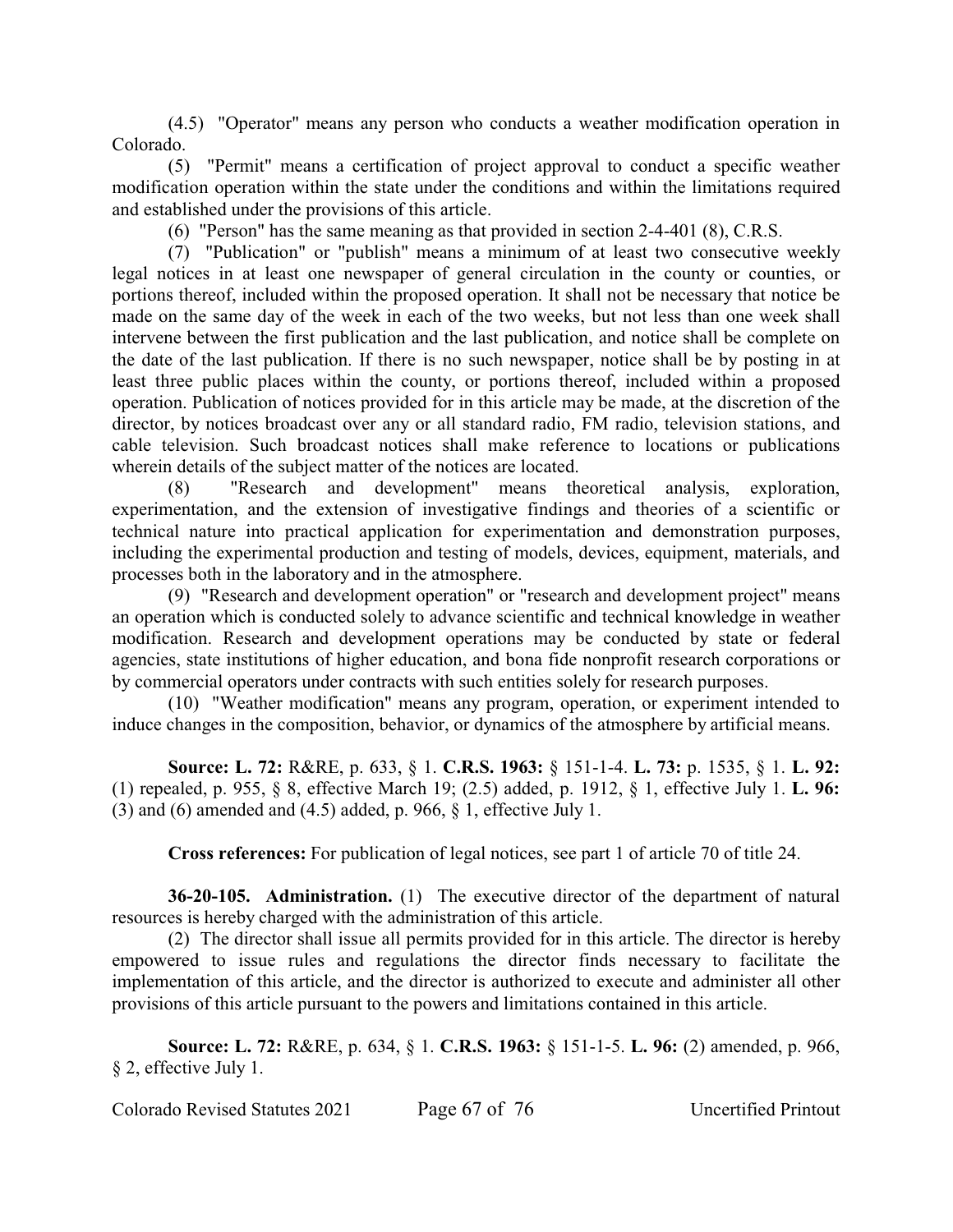(4.5) "Operator" means any person who conducts a weather modification operation in Colorado.

(5) "Permit" means a certification of project approval to conduct a specific weather modification operation within the state under the conditions and within the limitations required and established under the provisions of this article.

(6) "Person" has the same meaning as that provided in section 2-4-401 (8), C.R.S.

(7) "Publication" or "publish" means a minimum of at least two consecutive weekly legal notices in at least one newspaper of general circulation in the county or counties, or portions thereof, included within the proposed operation. It shall not be necessary that notice be made on the same day of the week in each of the two weeks, but not less than one week shall intervene between the first publication and the last publication, and notice shall be complete on the date of the last publication. If there is no such newspaper, notice shall be by posting in at least three public places within the county, or portions thereof, included within a proposed operation. Publication of notices provided for in this article may be made, at the discretion of the director, by notices broadcast over any or all standard radio, FM radio, television stations, and cable television. Such broadcast notices shall make reference to locations or publications wherein details of the subject matter of the notices are located.

"Research and development" means theoretical analysis, exploration, experimentation, and the extension of investigative findings and theories of a scientific or technical nature into practical application for experimentation and demonstration purposes, including the experimental production and testing of models, devices, equipment, materials, and processes both in the laboratory and in the atmosphere.

(9) "Research and development operation" or "research and development project" means an operation which is conducted solely to advance scientific and technical knowledge in weather modification. Research and development operations may be conducted by state or federal agencies, state institutions of higher education, and bona fide nonprofit research corporations or by commercial operators under contracts with such entities solely for research purposes.

(10) "Weather modification" means any program, operation, or experiment intended to induce changes in the composition, behavior, or dynamics of the atmosphere by artificial means.

**Source: L. 72:** R&RE, p. 633, § 1. **C.R.S. 1963:** § 151-1-4. **L. 73:** p. 1535, § 1. **L. 92:** (1) repealed, p. 955, § 8, effective March 19; (2.5) added, p. 1912, § 1, effective July 1. **L. 96:** (3) and (6) amended and (4.5) added, p. 966, § 1, effective July 1.

**Cross references:** For publication of legal notices, see part 1 of article 70 of title 24.

**36-20-105. Administration.** (1) The executive director of the department of natural resources is hereby charged with the administration of this article.

(2) The director shall issue all permits provided for in this article. The director is hereby empowered to issue rules and regulations the director finds necessary to facilitate the implementation of this article, and the director is authorized to execute and administer all other provisions of this article pursuant to the powers and limitations contained in this article.

**Source: L. 72:** R&RE, p. 634, § 1. **C.R.S. 1963:** § 151-1-5. **L. 96:** (2) amended, p. 966, § 2, effective July 1.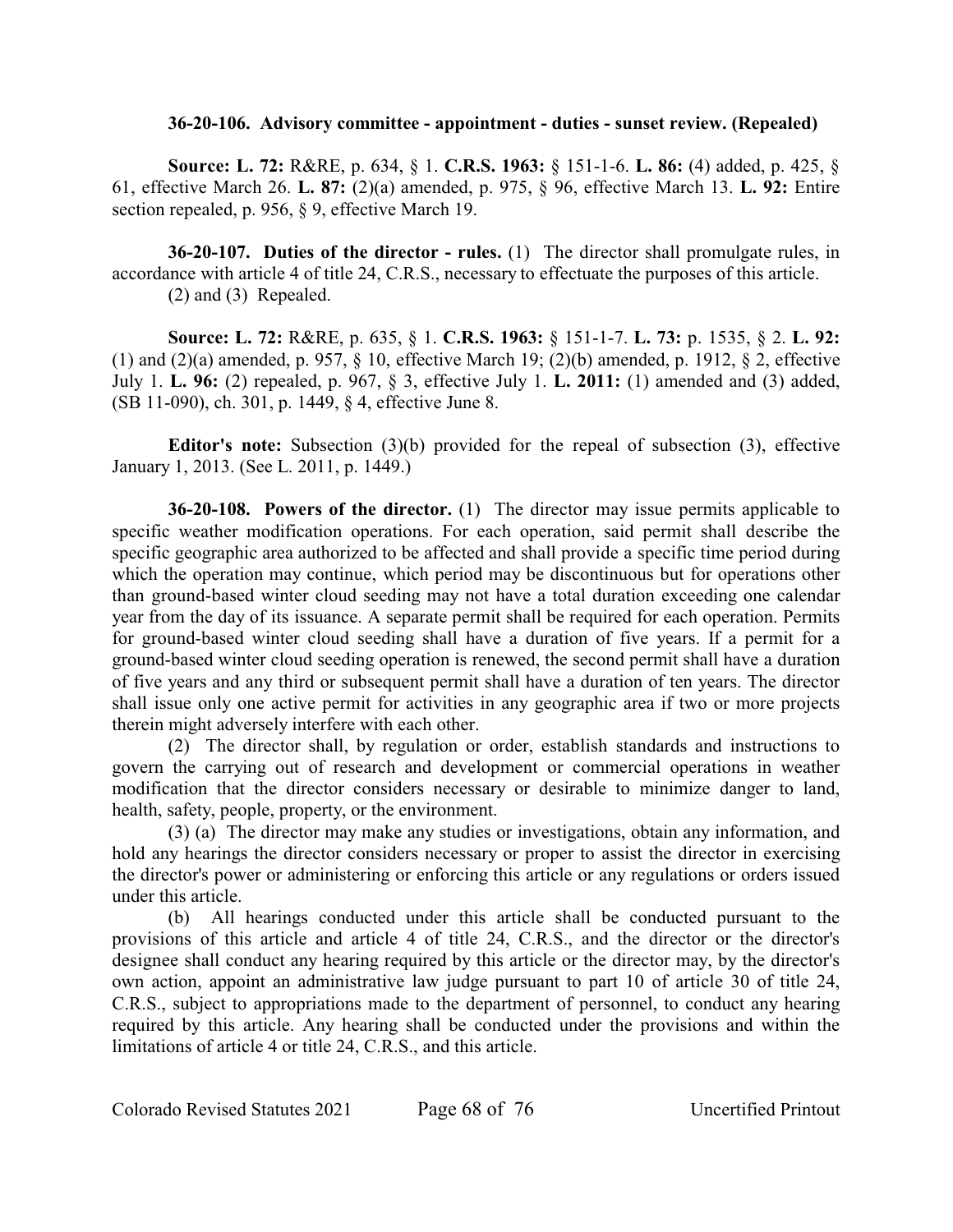#### **36-20-106. Advisory committee - appointment - duties - sunset review. (Repealed)**

**Source: L. 72:** R&RE, p. 634, § 1. **C.R.S. 1963:** § 151-1-6. **L. 86:** (4) added, p. 425, § 61, effective March 26. **L. 87:** (2)(a) amended, p. 975, § 96, effective March 13. **L. 92:** Entire section repealed, p. 956, § 9, effective March 19.

**36-20-107. Duties of the director - rules.** (1) The director shall promulgate rules, in accordance with article 4 of title 24, C.R.S., necessary to effectuate the purposes of this article. (2) and (3) Repealed.

**Source: L. 72:** R&RE, p. 635, § 1. **C.R.S. 1963:** § 151-1-7. **L. 73:** p. 1535, § 2. **L. 92:** (1) and (2)(a) amended, p. 957, § 10, effective March 19; (2)(b) amended, p. 1912, § 2, effective July 1. **L. 96:** (2) repealed, p. 967, § 3, effective July 1. **L. 2011:** (1) amended and (3) added, (SB 11-090), ch. 301, p. 1449, § 4, effective June 8.

**Editor's note:** Subsection (3)(b) provided for the repeal of subsection (3), effective January 1, 2013. (See L. 2011, p. 1449.)

**36-20-108. Powers of the director.** (1) The director may issue permits applicable to specific weather modification operations. For each operation, said permit shall describe the specific geographic area authorized to be affected and shall provide a specific time period during which the operation may continue, which period may be discontinuous but for operations other than ground-based winter cloud seeding may not have a total duration exceeding one calendar year from the day of its issuance. A separate permit shall be required for each operation. Permits for ground-based winter cloud seeding shall have a duration of five years. If a permit for a ground-based winter cloud seeding operation is renewed, the second permit shall have a duration of five years and any third or subsequent permit shall have a duration of ten years. The director shall issue only one active permit for activities in any geographic area if two or more projects therein might adversely interfere with each other.

(2) The director shall, by regulation or order, establish standards and instructions to govern the carrying out of research and development or commercial operations in weather modification that the director considers necessary or desirable to minimize danger to land, health, safety, people, property, or the environment.

(3) (a) The director may make any studies or investigations, obtain any information, and hold any hearings the director considers necessary or proper to assist the director in exercising the director's power or administering or enforcing this article or any regulations or orders issued under this article.

(b) All hearings conducted under this article shall be conducted pursuant to the provisions of this article and article 4 of title 24, C.R.S., and the director or the director's designee shall conduct any hearing required by this article or the director may, by the director's own action, appoint an administrative law judge pursuant to part 10 of article 30 of title 24, C.R.S., subject to appropriations made to the department of personnel, to conduct any hearing required by this article. Any hearing shall be conducted under the provisions and within the limitations of article 4 or title 24, C.R.S., and this article.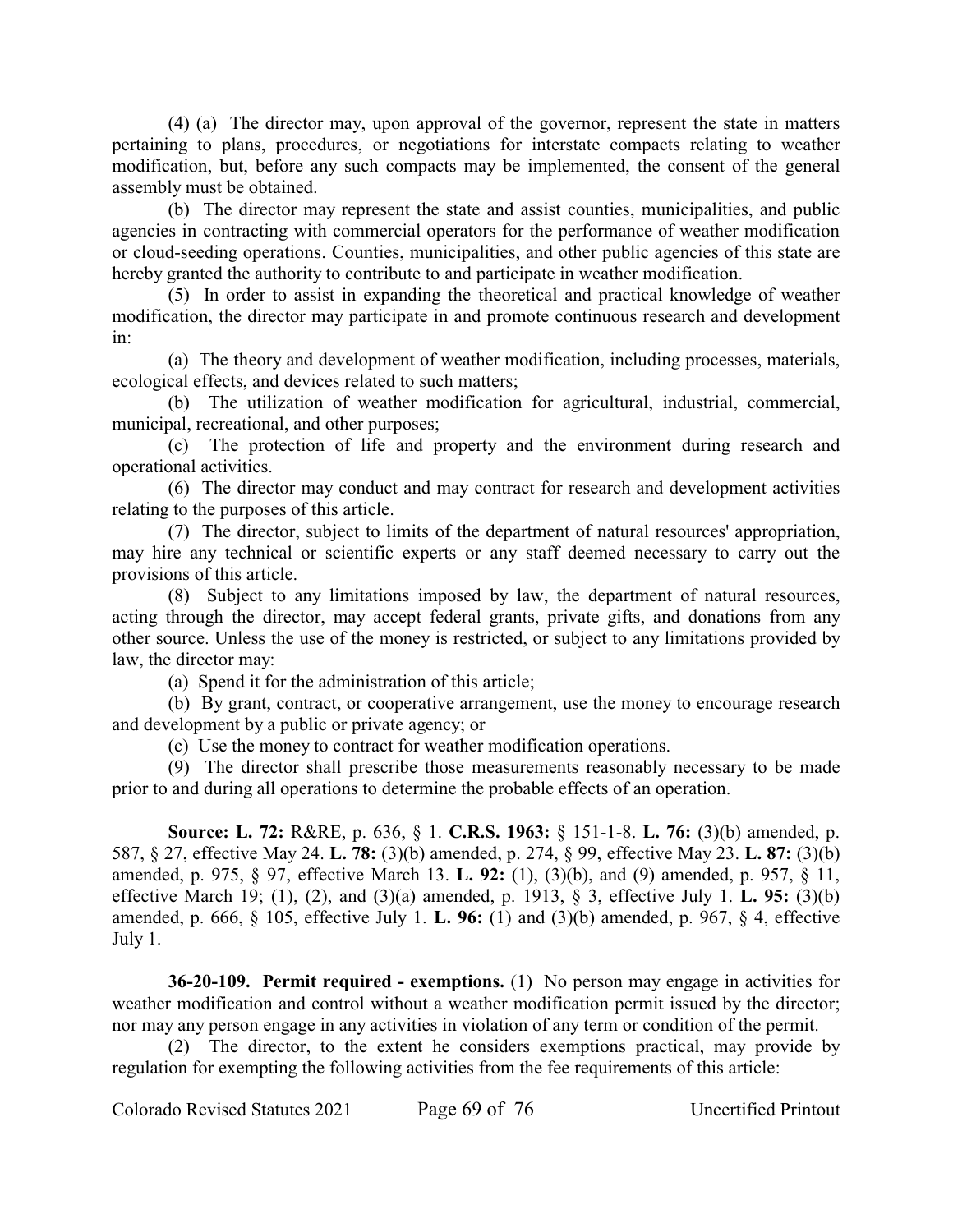(4) (a) The director may, upon approval of the governor, represent the state in matters pertaining to plans, procedures, or negotiations for interstate compacts relating to weather modification, but, before any such compacts may be implemented, the consent of the general assembly must be obtained.

(b) The director may represent the state and assist counties, municipalities, and public agencies in contracting with commercial operators for the performance of weather modification or cloud-seeding operations. Counties, municipalities, and other public agencies of this state are hereby granted the authority to contribute to and participate in weather modification.

(5) In order to assist in expanding the theoretical and practical knowledge of weather modification, the director may participate in and promote continuous research and development in:

(a) The theory and development of weather modification, including processes, materials, ecological effects, and devices related to such matters;

(b) The utilization of weather modification for agricultural, industrial, commercial, municipal, recreational, and other purposes;

(c) The protection of life and property and the environment during research and operational activities.

(6) The director may conduct and may contract for research and development activities relating to the purposes of this article.

(7) The director, subject to limits of the department of natural resources' appropriation, may hire any technical or scientific experts or any staff deemed necessary to carry out the provisions of this article.

(8) Subject to any limitations imposed by law, the department of natural resources, acting through the director, may accept federal grants, private gifts, and donations from any other source. Unless the use of the money is restricted, or subject to any limitations provided by law, the director may:

(a) Spend it for the administration of this article;

(b) By grant, contract, or cooperative arrangement, use the money to encourage research and development by a public or private agency; or

(c) Use the money to contract for weather modification operations.

(9) The director shall prescribe those measurements reasonably necessary to be made prior to and during all operations to determine the probable effects of an operation.

**Source: L. 72:** R&RE, p. 636, § 1. **C.R.S. 1963:** § 151-1-8. **L. 76:** (3)(b) amended, p. 587, § 27, effective May 24. **L. 78:** (3)(b) amended, p. 274, § 99, effective May 23. **L. 87:** (3)(b) amended, p. 975, § 97, effective March 13. **L. 92:** (1), (3)(b), and (9) amended, p. 957, § 11, effective March 19; (1), (2), and (3)(a) amended, p. 1913, § 3, effective July 1. **L. 95:** (3)(b) amended, p. 666, § 105, effective July 1. **L. 96:** (1) and (3)(b) amended, p. 967, § 4, effective July 1.

**36-20-109. Permit required - exemptions.** (1) No person may engage in activities for weather modification and control without a weather modification permit issued by the director; nor may any person engage in any activities in violation of any term or condition of the permit.

(2) The director, to the extent he considers exemptions practical, may provide by regulation for exempting the following activities from the fee requirements of this article: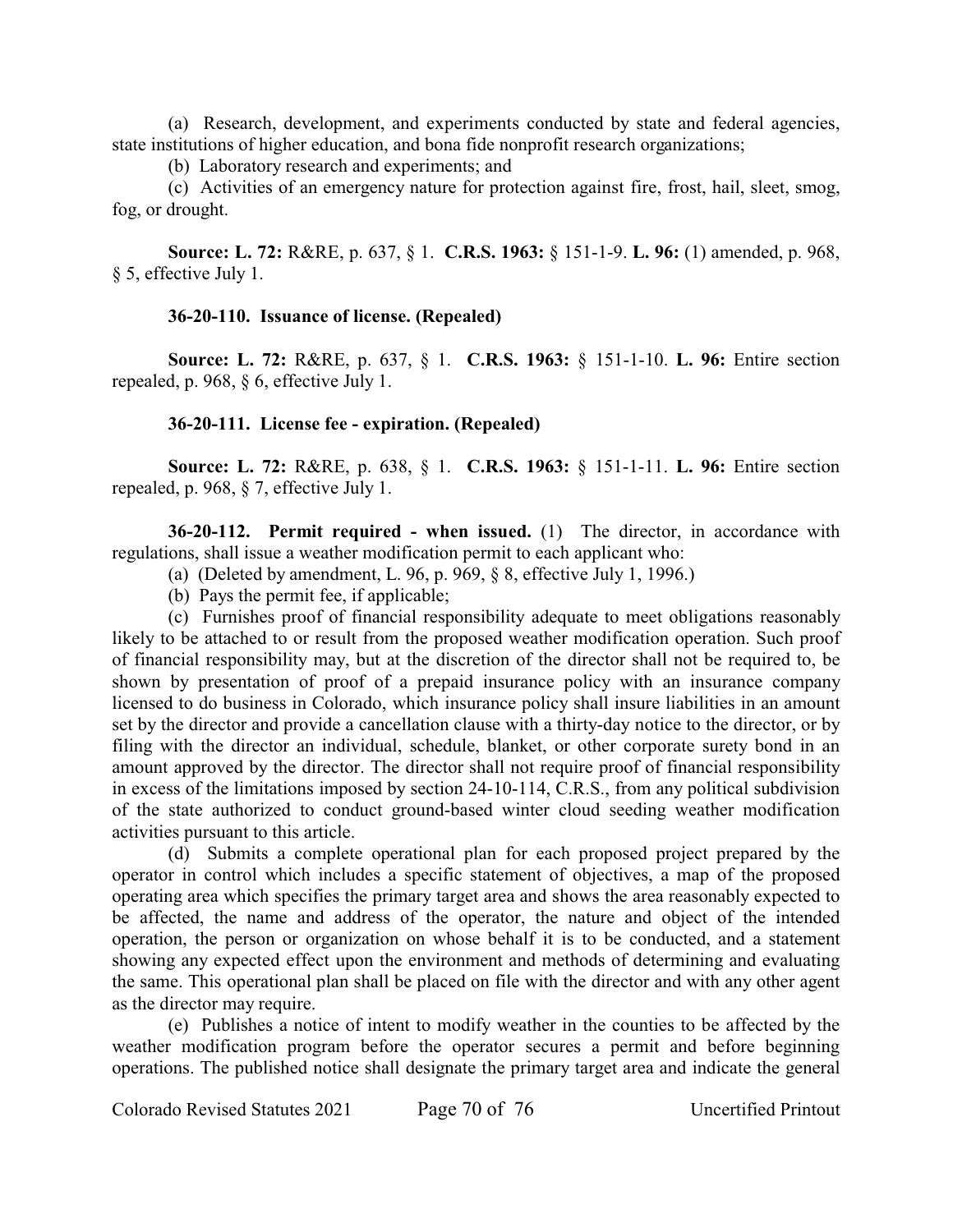(a) Research, development, and experiments conducted by state and federal agencies, state institutions of higher education, and bona fide nonprofit research organizations;

(b) Laboratory research and experiments; and

(c) Activities of an emergency nature for protection against fire, frost, hail, sleet, smog, fog, or drought.

**Source: L. 72:** R&RE, p. 637, § 1. **C.R.S. 1963:** § 151-1-9. **L. 96:** (1) amended, p. 968, § 5, effective July 1.

### **36-20-110. Issuance of license. (Repealed)**

**Source: L. 72:** R&RE, p. 637, § 1. **C.R.S. 1963:** § 151-1-10. **L. 96:** Entire section repealed, p. 968, § 6, effective July 1.

### **36-20-111. License fee - expiration. (Repealed)**

**Source: L. 72:** R&RE, p. 638, § 1. **C.R.S. 1963:** § 151-1-11. **L. 96:** Entire section repealed, p. 968, § 7, effective July 1.

**36-20-112. Permit required - when issued.** (1) The director, in accordance with regulations, shall issue a weather modification permit to each applicant who:

- (a) (Deleted by amendment, L. 96, p. 969,  $\delta$  8, effective July 1, 1996.)
- (b) Pays the permit fee, if applicable;

(c) Furnishes proof of financial responsibility adequate to meet obligations reasonably likely to be attached to or result from the proposed weather modification operation. Such proof of financial responsibility may, but at the discretion of the director shall not be required to, be shown by presentation of proof of a prepaid insurance policy with an insurance company licensed to do business in Colorado, which insurance policy shall insure liabilities in an amount set by the director and provide a cancellation clause with a thirty-day notice to the director, or by filing with the director an individual, schedule, blanket, or other corporate surety bond in an amount approved by the director. The director shall not require proof of financial responsibility in excess of the limitations imposed by section 24-10-114, C.R.S., from any political subdivision of the state authorized to conduct ground-based winter cloud seeding weather modification activities pursuant to this article.

(d) Submits a complete operational plan for each proposed project prepared by the operator in control which includes a specific statement of objectives, a map of the proposed operating area which specifies the primary target area and shows the area reasonably expected to be affected, the name and address of the operator, the nature and object of the intended operation, the person or organization on whose behalf it is to be conducted, and a statement showing any expected effect upon the environment and methods of determining and evaluating the same. This operational plan shall be placed on file with the director and with any other agent as the director may require.

(e) Publishes a notice of intent to modify weather in the counties to be affected by the weather modification program before the operator secures a permit and before beginning operations. The published notice shall designate the primary target area and indicate the general

Colorado Revised Statutes 2021 Page 70 of 76 Uncertified Printout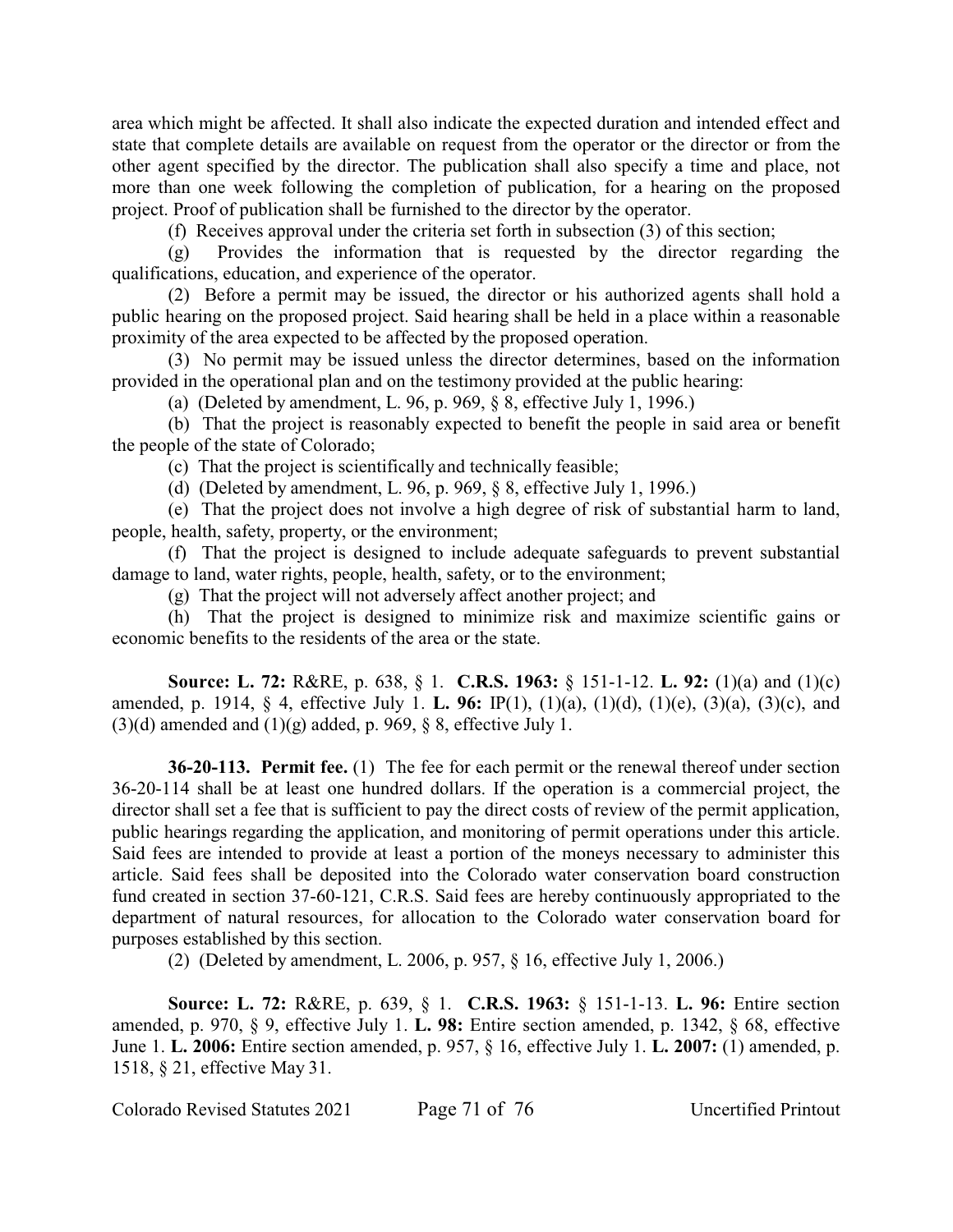area which might be affected. It shall also indicate the expected duration and intended effect and state that complete details are available on request from the operator or the director or from the other agent specified by the director. The publication shall also specify a time and place, not more than one week following the completion of publication, for a hearing on the proposed project. Proof of publication shall be furnished to the director by the operator.

(f) Receives approval under the criteria set forth in subsection (3) of this section;

(g) Provides the information that is requested by the director regarding the qualifications, education, and experience of the operator.

(2) Before a permit may be issued, the director or his authorized agents shall hold a public hearing on the proposed project. Said hearing shall be held in a place within a reasonable proximity of the area expected to be affected by the proposed operation.

(3) No permit may be issued unless the director determines, based on the information provided in the operational plan and on the testimony provided at the public hearing:

(a) (Deleted by amendment, L. 96, p. 969, § 8, effective July 1, 1996.)

(b) That the project is reasonably expected to benefit the people in said area or benefit the people of the state of Colorado;

(c) That the project is scientifically and technically feasible;

(d) (Deleted by amendment, L. 96, p. 969, § 8, effective July 1, 1996.)

(e) That the project does not involve a high degree of risk of substantial harm to land, people, health, safety, property, or the environment;

(f) That the project is designed to include adequate safeguards to prevent substantial damage to land, water rights, people, health, safety, or to the environment;

(g) That the project will not adversely affect another project; and

(h) That the project is designed to minimize risk and maximize scientific gains or economic benefits to the residents of the area or the state.

**Source: L. 72:** R&RE, p. 638, § 1. **C.R.S. 1963:** § 151-1-12. **L. 92:** (1)(a) and (1)(c) amended, p. 1914, § 4, effective July 1. **L. 96:** IP(1), (1)(a), (1)(d), (1)(e), (3)(a), (3)(c), and  $(3)(d)$  amended and  $(1)(g)$  added, p. 969, § 8, effective July 1.

**36-20-113. Permit fee.** (1) The fee for each permit or the renewal thereof under section 36-20-114 shall be at least one hundred dollars. If the operation is a commercial project, the director shall set a fee that is sufficient to pay the direct costs of review of the permit application, public hearings regarding the application, and monitoring of permit operations under this article. Said fees are intended to provide at least a portion of the moneys necessary to administer this article. Said fees shall be deposited into the Colorado water conservation board construction fund created in section 37-60-121, C.R.S. Said fees are hereby continuously appropriated to the department of natural resources, for allocation to the Colorado water conservation board for purposes established by this section.

(2) (Deleted by amendment, L. 2006, p. 957, § 16, effective July 1, 2006.)

**Source: L. 72:** R&RE, p. 639, § 1. **C.R.S. 1963:** § 151-1-13. **L. 96:** Entire section amended, p. 970, § 9, effective July 1. **L. 98:** Entire section amended, p. 1342, § 68, effective June 1. **L. 2006:** Entire section amended, p. 957, § 16, effective July 1. **L. 2007:** (1) amended, p. 1518, § 21, effective May 31.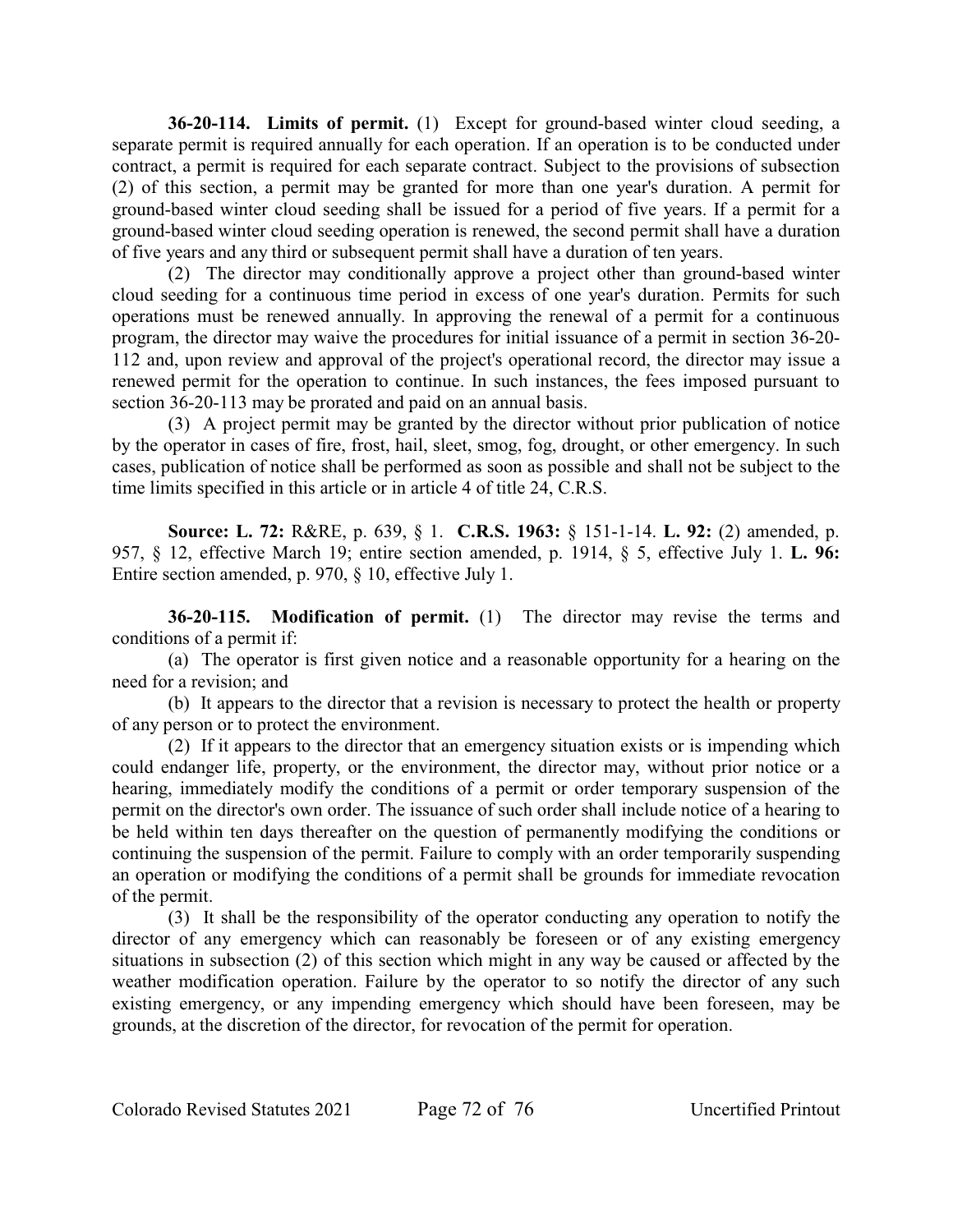**36-20-114. Limits of permit.** (1) Except for ground-based winter cloud seeding, a separate permit is required annually for each operation. If an operation is to be conducted under contract, a permit is required for each separate contract. Subject to the provisions of subsection (2) of this section, a permit may be granted for more than one year's duration. A permit for ground-based winter cloud seeding shall be issued for a period of five years. If a permit for a ground-based winter cloud seeding operation is renewed, the second permit shall have a duration of five years and any third or subsequent permit shall have a duration of ten years.

(2) The director may conditionally approve a project other than ground-based winter cloud seeding for a continuous time period in excess of one year's duration. Permits for such operations must be renewed annually. In approving the renewal of a permit for a continuous program, the director may waive the procedures for initial issuance of a permit in section 36-20- 112 and, upon review and approval of the project's operational record, the director may issue a renewed permit for the operation to continue. In such instances, the fees imposed pursuant to section 36-20-113 may be prorated and paid on an annual basis.

(3) A project permit may be granted by the director without prior publication of notice by the operator in cases of fire, frost, hail, sleet, smog, fog, drought, or other emergency. In such cases, publication of notice shall be performed as soon as possible and shall not be subject to the time limits specified in this article or in article 4 of title 24, C.R.S.

**Source: L. 72:** R&RE, p. 639, § 1. **C.R.S. 1963:** § 151-1-14. **L. 92:** (2) amended, p. 957, § 12, effective March 19; entire section amended, p. 1914, § 5, effective July 1. **L. 96:** Entire section amended, p. 970, § 10, effective July 1.

**36-20-115. Modification of permit.** (1) The director may revise the terms and conditions of a permit if:

(a) The operator is first given notice and a reasonable opportunity for a hearing on the need for a revision; and

(b) It appears to the director that a revision is necessary to protect the health or property of any person or to protect the environment.

(2) If it appears to the director that an emergency situation exists or is impending which could endanger life, property, or the environment, the director may, without prior notice or a hearing, immediately modify the conditions of a permit or order temporary suspension of the permit on the director's own order. The issuance of such order shall include notice of a hearing to be held within ten days thereafter on the question of permanently modifying the conditions or continuing the suspension of the permit. Failure to comply with an order temporarily suspending an operation or modifying the conditions of a permit shall be grounds for immediate revocation of the permit.

(3) It shall be the responsibility of the operator conducting any operation to notify the director of any emergency which can reasonably be foreseen or of any existing emergency situations in subsection (2) of this section which might in any way be caused or affected by the weather modification operation. Failure by the operator to so notify the director of any such existing emergency, or any impending emergency which should have been foreseen, may be grounds, at the discretion of the director, for revocation of the permit for operation.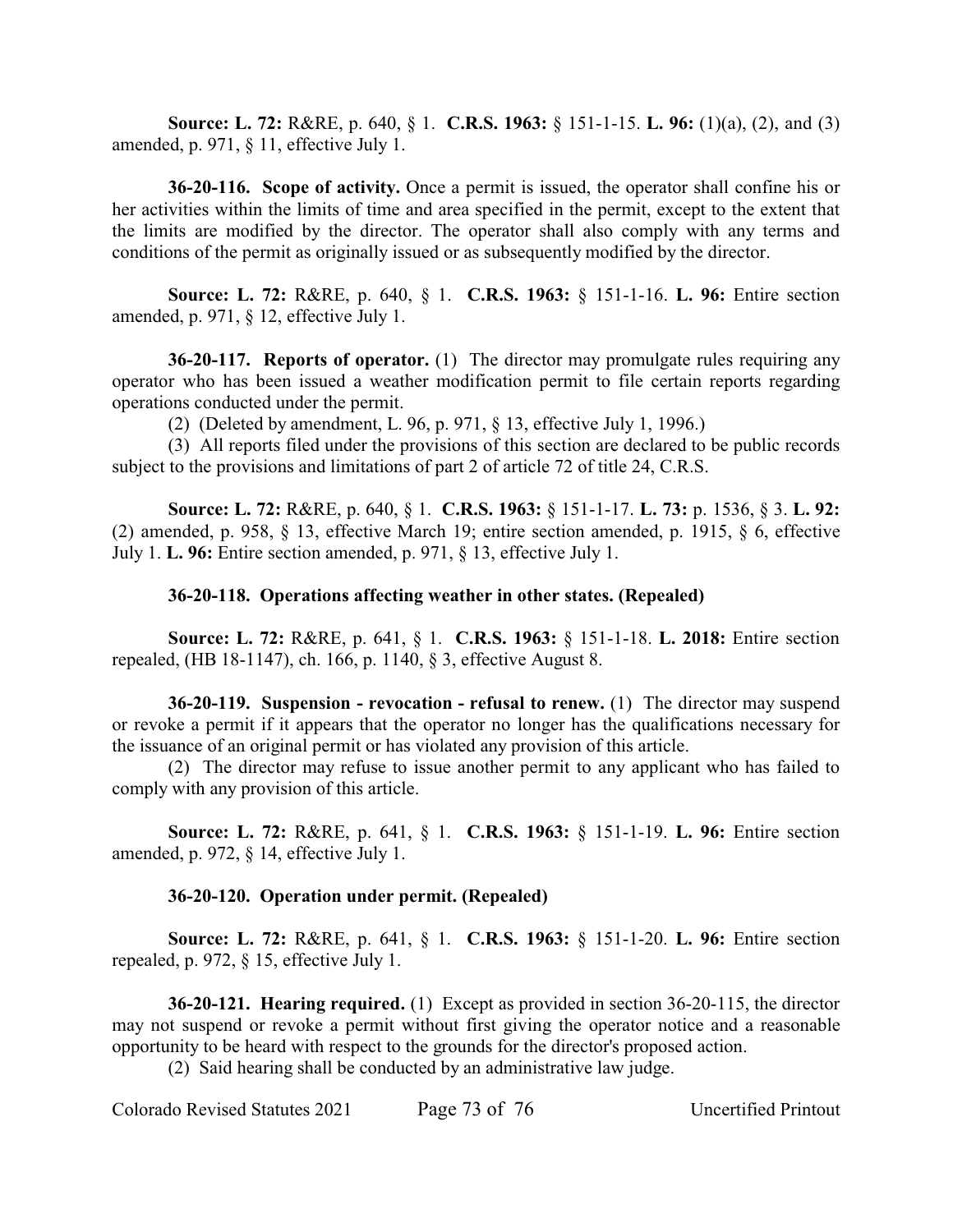**Source: L. 72:** R&RE, p. 640, § 1. **C.R.S. 1963:** § 151-1-15. **L. 96:** (1)(a), (2), and (3) amended, p. 971, § 11, effective July 1.

**36-20-116. Scope of activity.** Once a permit is issued, the operator shall confine his or her activities within the limits of time and area specified in the permit, except to the extent that the limits are modified by the director. The operator shall also comply with any terms and conditions of the permit as originally issued or as subsequently modified by the director.

**Source: L. 72:** R&RE, p. 640, § 1. **C.R.S. 1963:** § 151-1-16. **L. 96:** Entire section amended, p. 971, § 12, effective July 1.

**36-20-117. Reports of operator.** (1) The director may promulgate rules requiring any operator who has been issued a weather modification permit to file certain reports regarding operations conducted under the permit.

(2) (Deleted by amendment, L. 96, p. 971, § 13, effective July 1, 1996.)

(3) All reports filed under the provisions of this section are declared to be public records subject to the provisions and limitations of part 2 of article 72 of title 24, C.R.S.

**Source: L. 72:** R&RE, p. 640, § 1. **C.R.S. 1963:** § 151-1-17. **L. 73:** p. 1536, § 3. **L. 92:** (2) amended, p. 958, § 13, effective March 19; entire section amended, p. 1915, § 6, effective July 1. **L. 96:** Entire section amended, p. 971, § 13, effective July 1.

## **36-20-118. Operations affecting weather in other states. (Repealed)**

**Source: L. 72:** R&RE, p. 641, § 1. **C.R.S. 1963:** § 151-1-18. **L. 2018:** Entire section repealed, (HB 18-1147), ch. 166, p. 1140, § 3, effective August 8.

**36-20-119. Suspension - revocation - refusal to renew.** (1) The director may suspend or revoke a permit if it appears that the operator no longer has the qualifications necessary for the issuance of an original permit or has violated any provision of this article.

(2) The director may refuse to issue another permit to any applicant who has failed to comply with any provision of this article.

**Source: L. 72:** R&RE, p. 641, § 1. **C.R.S. 1963:** § 151-1-19. **L. 96:** Entire section amended, p. 972, § 14, effective July 1.

## **36-20-120. Operation under permit. (Repealed)**

**Source: L. 72:** R&RE, p. 641, § 1. **C.R.S. 1963:** § 151-1-20. **L. 96:** Entire section repealed, p. 972, § 15, effective July 1.

**36-20-121. Hearing required.** (1) Except as provided in section 36-20-115, the director may not suspend or revoke a permit without first giving the operator notice and a reasonable opportunity to be heard with respect to the grounds for the director's proposed action.

(2) Said hearing shall be conducted by an administrative law judge.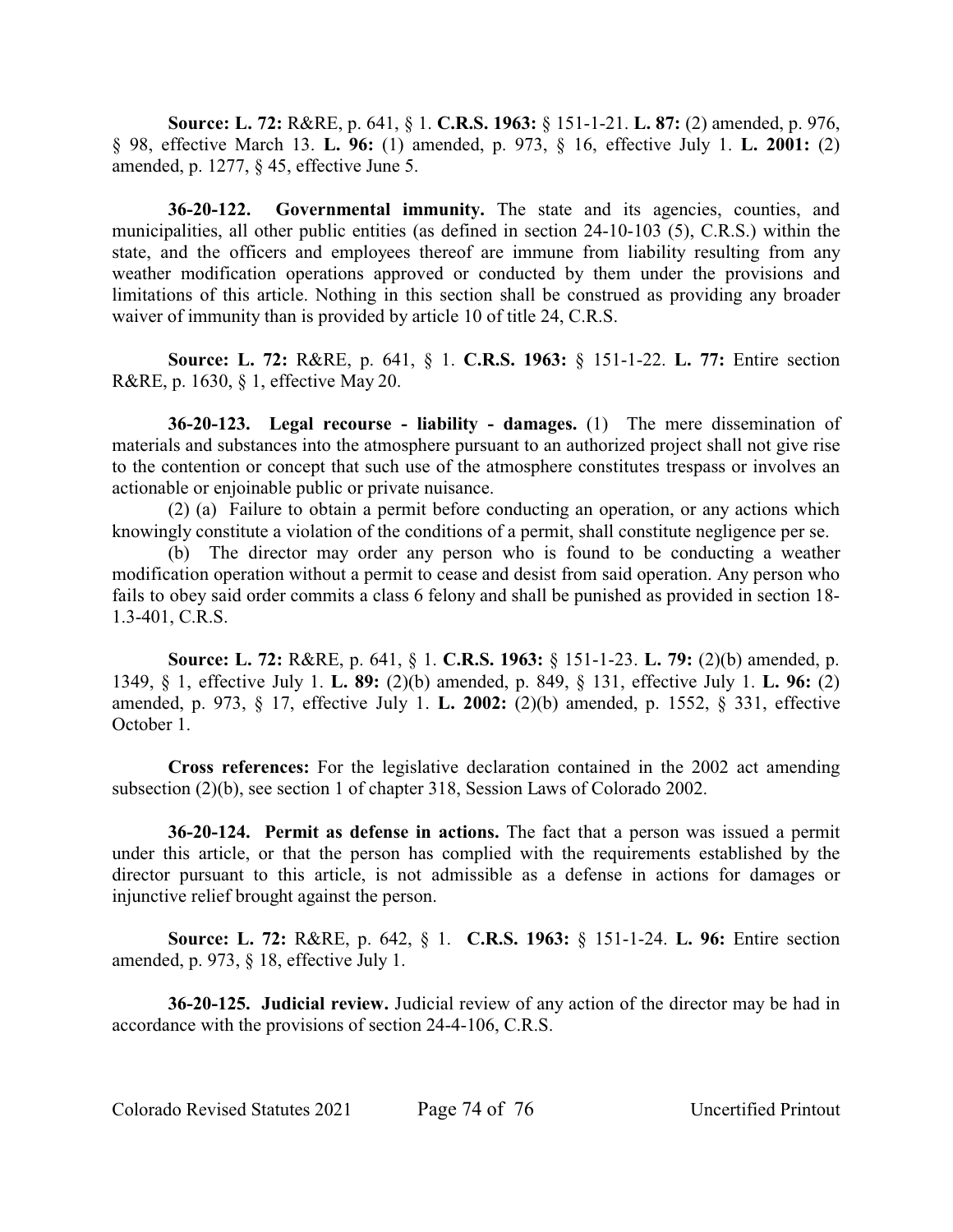**Source: L. 72:** R&RE, p. 641, § 1. **C.R.S. 1963:** § 151-1-21. **L. 87:** (2) amended, p. 976, § 98, effective March 13. **L. 96:** (1) amended, p. 973, § 16, effective July 1. **L. 2001:** (2) amended, p. 1277, § 45, effective June 5.

**36-20-122. Governmental immunity.** The state and its agencies, counties, and municipalities, all other public entities (as defined in section 24-10-103 (5), C.R.S.) within the state, and the officers and employees thereof are immune from liability resulting from any weather modification operations approved or conducted by them under the provisions and limitations of this article. Nothing in this section shall be construed as providing any broader waiver of immunity than is provided by article 10 of title 24, C.R.S.

**Source: L. 72:** R&RE, p. 641, § 1. **C.R.S. 1963:** § 151-1-22. **L. 77:** Entire section R&RE, p. 1630, § 1, effective May 20.

**36-20-123. Legal recourse - liability - damages.** (1) The mere dissemination of materials and substances into the atmosphere pursuant to an authorized project shall not give rise to the contention or concept that such use of the atmosphere constitutes trespass or involves an actionable or enjoinable public or private nuisance.

(2) (a) Failure to obtain a permit before conducting an operation, or any actions which knowingly constitute a violation of the conditions of a permit, shall constitute negligence per se.

(b) The director may order any person who is found to be conducting a weather modification operation without a permit to cease and desist from said operation. Any person who fails to obey said order commits a class 6 felony and shall be punished as provided in section 18- 1.3-401, C.R.S.

**Source: L. 72:** R&RE, p. 641, § 1. **C.R.S. 1963:** § 151-1-23. **L. 79:** (2)(b) amended, p. 1349, § 1, effective July 1. **L. 89:** (2)(b) amended, p. 849, § 131, effective July 1. **L. 96:** (2) amended, p. 973, § 17, effective July 1. **L. 2002:** (2)(b) amended, p. 1552, § 331, effective October 1.

**Cross references:** For the legislative declaration contained in the 2002 act amending subsection (2)(b), see section 1 of chapter 318, Session Laws of Colorado 2002.

**36-20-124. Permit as defense in actions.** The fact that a person was issued a permit under this article, or that the person has complied with the requirements established by the director pursuant to this article, is not admissible as a defense in actions for damages or injunctive relief brought against the person.

**Source: L. 72:** R&RE, p. 642, § 1. **C.R.S. 1963:** § 151-1-24. **L. 96:** Entire section amended, p. 973, § 18, effective July 1.

**36-20-125. Judicial review.** Judicial review of any action of the director may be had in accordance with the provisions of section 24-4-106, C.R.S.